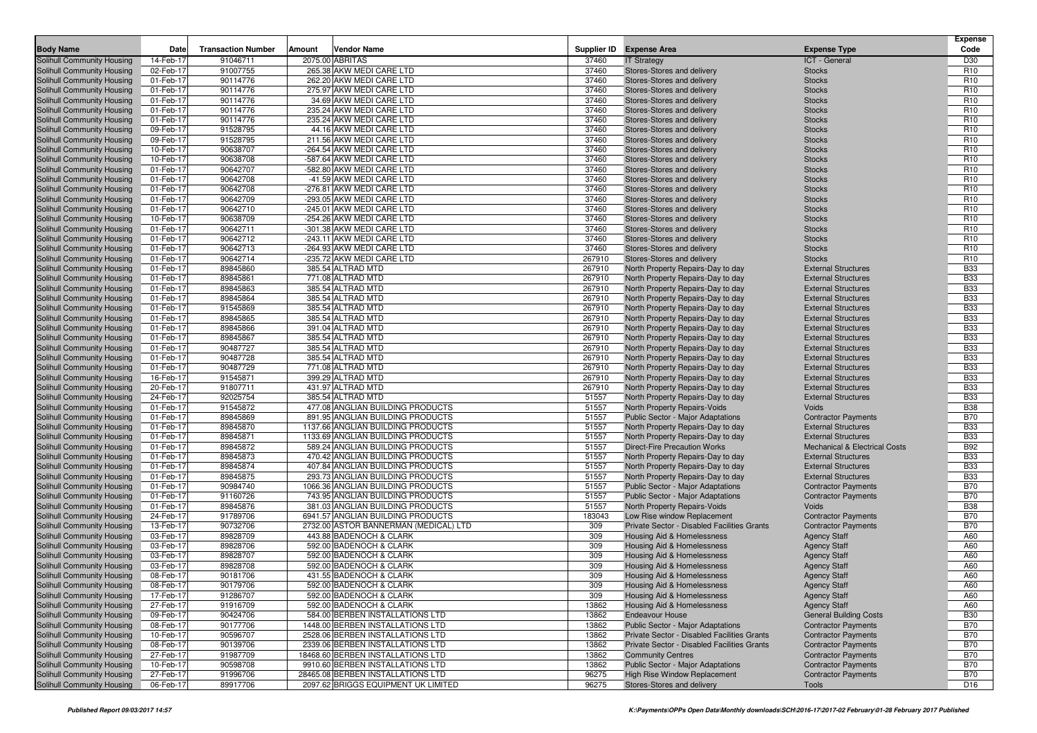|                                                          | Date                   | <b>Transaction Number</b> | Amount | <b>Vendor Name</b>                                                    | Supplier ID      | <b>Expense Area</b>                                                        | <b>Expense Type</b>                                      | <b>Expense</b><br>Code             |
|----------------------------------------------------------|------------------------|---------------------------|--------|-----------------------------------------------------------------------|------------------|----------------------------------------------------------------------------|----------------------------------------------------------|------------------------------------|
| <b>Body Name</b><br>Solihull Community Housing           | 14-Feb-17              | 91046711                  |        | 2075.00 ABRITAS                                                       | 37460            | <b>IT Strategy</b>                                                         | ICT - General                                            | D30                                |
| Solihull Community Housing                               | 02-Feb-17              | 91007755                  |        | 265.38 AKW MEDI CARE LTD                                              | 37460            | Stores-Stores and delivery                                                 | <b>Stocks</b>                                            | R <sub>10</sub>                    |
| Solihull Community Housing                               | 01-Feb-17              | 90114776                  |        | 262.20 AKW MEDI CARE LTD                                              | 37460            | Stores-Stores and delivery                                                 | <b>Stocks</b>                                            | R <sub>10</sub>                    |
| Solihull Community Housing                               | 01-Feb-17              | 90114776                  |        | 275.97 AKW MEDI CARE LTD                                              | 37460            | Stores-Stores and delivery                                                 | <b>Stocks</b>                                            | R <sub>10</sub>                    |
| Solihull Community Housing                               | 01-Feb-17              | 90114776                  |        | 34.69 AKW MEDI CARE LTD                                               | 37460            | Stores-Stores and delivery                                                 | <b>Stocks</b>                                            | R <sub>10</sub>                    |
| Solihull Community Housing                               | 01-Feb-17              | 90114776                  |        | 235.24 AKW MEDI CARE LTD                                              | 37460            | Stores-Stores and delivery                                                 | <b>Stocks</b>                                            | R <sub>10</sub>                    |
| Solihull Community Housing                               | 01-Feb-17              | 90114776                  |        | 235.24 AKW MEDI CARE LTD                                              | 37460            | Stores-Stores and delivery                                                 | <b>Stocks</b>                                            | R <sub>10</sub>                    |
| Solihull Community Housing                               | 09-Feb-17              | 91528795                  |        | 44.16 AKW MEDI CARE LTD                                               | 37460            | Stores-Stores and delivery                                                 | <b>Stocks</b>                                            | R <sub>10</sub>                    |
| Solihull Community Housing                               | 09-Feb-17              | 91528795                  |        | 211.56 AKW MEDI CARE LTD                                              | 37460            | Stores-Stores and delivery                                                 | <b>Stocks</b>                                            | R <sub>10</sub>                    |
| Solihull Community Housing                               | 10-Feb-17              | 90638707                  |        | -264.54 AKW MEDI CARE LTD                                             | 37460            | Stores-Stores and delivery                                                 | <b>Stocks</b>                                            | R <sub>10</sub>                    |
| Solihull Community Housing                               | 10-Feb-17              | 90638708                  |        | -587.64 AKW MEDI CARE LTD                                             | 37460            | <b>Stores-Stores and delivery</b>                                          | <b>Stocks</b>                                            | R <sub>10</sub>                    |
| Solihull Community Housing                               | 01-Feb-17              | 90642707                  |        | -582.80 AKW MEDI CARE LTD                                             | 37460            | Stores-Stores and delivery                                                 | <b>Stocks</b>                                            | R <sub>10</sub>                    |
| Solihull Community Housing                               | 01-Feb-17              | 90642708                  |        | -41.59 AKW MEDI CARE LTD                                              | 37460            | Stores-Stores and delivery                                                 | <b>Stocks</b>                                            | R <sub>10</sub>                    |
| Solihull Community Housing                               | 01-Feb-17              | 90642708                  |        | -276.81 AKW MEDI CARE LTD                                             | 37460            | Stores-Stores and delivery                                                 | <b>Stocks</b>                                            | R <sub>10</sub>                    |
| Solihull Community Housing                               | 01-Feb-17<br>01-Feb-17 | 90642709<br>90642710      |        | -293.05 AKW MEDI CARE LTD<br>-245.01 AKW MEDI CARE LTD                | 37460<br>37460   | Stores-Stores and delivery                                                 | <b>Stocks</b>                                            | R <sub>10</sub><br>R <sub>10</sub> |
| Solihull Community Housing<br>Solihull Community Housing | 10-Feb-17              | 90638709                  |        | -254.26 AKW MEDI CARE LTD                                             | 37460            | Stores-Stores and delivery<br>Stores-Stores and delivery                   | <b>Stocks</b><br><b>Stocks</b>                           | R <sub>10</sub>                    |
| Solihull Community Housing                               | 01-Feb-17              | 90642711                  |        | -301.38 AKW MEDI CARE LTD                                             | 37460            | Stores-Stores and delivery                                                 | <b>Stocks</b>                                            | R <sub>10</sub>                    |
| Solihull Community Housing                               | 01-Feb-17              | 90642712                  |        | -243.11 AKW MEDI CARE LTD                                             | 37460            | Stores-Stores and delivery                                                 | <b>Stocks</b>                                            | R <sub>10</sub>                    |
| Solihull Community Housing                               | 01-Feb-17              | 90642713                  |        | -264.93 AKW MEDI CARE LTD                                             | 37460            | Stores-Stores and delivery                                                 | <b>Stocks</b>                                            | R <sub>10</sub>                    |
| Solihull Community Housing                               | 01-Feb-17              | 90642714                  |        | -235.72 AKW MEDI CARE LTD                                             | 267910           | Stores-Stores and delivery                                                 | <b>Stocks</b>                                            | R <sub>10</sub>                    |
| Solihull Community Housing                               | 01-Feb-17              | 89845860                  |        | 385.54 ALTRAD MTD                                                     | 267910           | North Property Repairs-Day to day                                          | <b>External Structures</b>                               | <b>B33</b>                         |
| Solihull Community Housing                               | 01-Feb-17              | 89845861                  |        | 771.08 ALTRAD MTD                                                     | 267910           | North Property Repairs-Day to day                                          | <b>External Structures</b>                               | <b>B33</b>                         |
| Solihull Community Housing                               | 01-Feb-17              | 89845863                  |        | 385.54 ALTRAD MTD                                                     | 267910           | North Property Repairs-Day to day                                          | <b>External Structures</b>                               | <b>B33</b>                         |
| Solihull Community Housing                               | 01-Feb-17              | 89845864                  |        | 385.54 ALTRAD MTD                                                     | 267910           | North Property Repairs-Day to day                                          | <b>External Structures</b>                               | <b>B33</b>                         |
| Solihull Community Housing                               | 01-Feb-17              | 91545869                  |        | 385.54 ALTRAD MTD                                                     | 267910           | North Property Repairs-Day to day                                          | <b>External Structures</b>                               | <b>B33</b>                         |
| Solihull Community Housing                               | 01-Feb-17              | 89845865                  |        | 385.54 ALTRAD MTD                                                     | 267910           | North Property Repairs-Day to day                                          | <b>External Structures</b>                               | <b>B33</b>                         |
| Solihull Community Housing                               | 01-Feb-17              | 89845866                  |        | 391.04 ALTRAD MTD                                                     | 267910           | North Property Repairs-Day to day                                          | <b>External Structures</b>                               | <b>B33</b>                         |
| Solihull Community Housing                               | 01-Feb-17              | 89845867                  |        | 385.54 ALTRAD MTD                                                     | 267910           | North Property Repairs-Day to day                                          | <b>External Structures</b>                               | <b>B33</b>                         |
| Solihull Community Housing                               | 01-Feb-17              | 90487727                  |        | 385.54 ALTRAD MTD                                                     | 267910           | North Property Repairs-Day to day                                          | <b>External Structures</b>                               | <b>B33</b>                         |
| Solihull Community Housing                               | 01-Feb-17<br>01-Feb-17 | 90487728                  |        | 385.54 ALTRAD MTD                                                     | 267910           | North Property Repairs-Day to day                                          | <b>External Structures</b>                               | <b>B33</b><br><b>B33</b>           |
| Solihull Community Housing<br>Solihull Community Housing | 16-Feb-17              | 90487729<br>91545871      |        | 771.08 ALTRAD MTD<br>399.29 ALTRAD MTD                                | 267910<br>267910 | North Property Repairs-Day to day<br>North Property Repairs-Day to day     | <b>External Structures</b><br><b>External Structures</b> | <b>B33</b>                         |
| Solihull Community Housing                               | 20-Feb-17              | 91807711                  |        | 431.97 ALTRAD MTD                                                     | 267910           | North Property Repairs-Day to day                                          | <b>External Structures</b>                               | <b>B33</b>                         |
| Solihull Community Housing                               | 24-Feb-17              | 92025754                  |        | 385.54 ALTRAD MTD                                                     | 51557            | North Property Repairs-Day to day                                          | <b>External Structures</b>                               | <b>B33</b>                         |
| Solihull Community Housing                               | 01-Feb-17              | 91545872                  |        | 477.08 ANGLIAN BUILDING PRODUCTS                                      | 51557            | North Property Repairs-Voids                                               | Voids                                                    | <b>B38</b>                         |
| Solihull Community Housing                               | 01-Feb-17              | 89845869                  |        | 891.95 ANGLIAN BUILDING PRODUCTS                                      | 51557            | Public Sector - Major Adaptations                                          | <b>Contractor Payments</b>                               | <b>B70</b>                         |
| Solihull Community Housing                               | 01-Feb-17              | 89845870                  |        | 1137.66 ANGLIAN BUILDING PRODUCTS                                     | 51557            | North Property Repairs-Day to day                                          | <b>External Structures</b>                               | <b>B33</b>                         |
| Solihull Community Housing                               | 01-Feb-17              | 89845871                  |        | 1133.69 ANGLIAN BUILDING PRODUCTS                                     | 51557            | North Property Repairs-Day to day                                          | <b>External Structures</b>                               | <b>B33</b>                         |
| Solihull Community Housing                               | 01-Feb-17              | 89845872                  |        | 589.24 ANGLIAN BUILDING PRODUCTS                                      | 51557            | <b>Direct-Fire Precaution Works</b>                                        | <b>Mechanical &amp; Electrical Costs</b>                 | <b>B92</b>                         |
| Solihull Community Housing                               | 01-Feb-17              | 89845873                  |        | 470.42 ANGLIAN BUILDING PRODUCTS                                      | 51557            | North Property Repairs-Day to day                                          | <b>External Structures</b>                               | <b>B33</b>                         |
| Solihull Community Housing                               | 01-Feb-17              | 89845874                  |        | 407.84 ANGLIAN BUILDING PRODUCTS                                      | 51557            | North Property Repairs-Day to day                                          | <b>External Structures</b>                               | <b>B33</b>                         |
| Solihull Community Housing                               | 01-Feb-17              | 89845875                  |        | 293.73 ANGLIAN BUILDING PRODUCTS                                      | 51557            | North Property Repairs-Day to day                                          | <b>External Structures</b>                               | <b>B33</b>                         |
| Solihull Community Housing                               | 01-Feb-17              | 90984740                  |        | 1066.36 ANGLIAN BUILDING PRODUCTS                                     | 51557            | Public Sector - Major Adaptations                                          | <b>Contractor Payments</b>                               | <b>B70</b>                         |
| Solihull Community Housing                               | 01-Feb-17              | 91160726                  |        | 743.95 ANGLIAN BUILDING PRODUCTS                                      | 51557            | Public Sector - Major Adaptations                                          | <b>Contractor Payments</b>                               | <b>B70</b>                         |
| Solihull Community Housing                               | 01-Feb-17              | 89845876                  |        | 381.03 ANGLIAN BUILDING PRODUCTS<br>6941.57 ANGLIAN BUILDING PRODUCTS | 51557            | North Property Repairs-Voids                                               | Voids                                                    | <b>B38</b><br><b>B70</b>           |
| Solihull Community Housing<br>Solihull Community Housing | 24-Feb-17<br>13-Feb-17 | 91789706<br>90732706      |        | 2732.00 ASTOR BANNERMAN (MEDICAL) LTD                                 | 183043<br>309    | Low Rise window Replacement<br>Private Sector - Disabled Facilities Grants | <b>Contractor Payments</b><br><b>Contractor Payments</b> | <b>B70</b>                         |
| Solihull Community Housing                               | 03-Feb-17              | 89828709                  |        | 443.88 BADENOCH & CLARK                                               | 309              | <b>Housing Aid &amp; Homelessness</b>                                      | <b>Agency Staff</b>                                      | A60                                |
| Solihull Community Housing                               | 03-Feb-17              | 89828706                  |        | 592.00 BADENOCH & CLARK                                               | 309              | Housing Aid & Homelessness                                                 | <b>Agency Staff</b>                                      | A60                                |
| Solihull Community Housing                               | 03-Feb-17              | 89828707                  |        | 592.00 BADENOCH & CLARK                                               | 309              | Housing Aid & Homelessness                                                 | <b>Agency Staff</b>                                      | A60                                |
| Solihull Community Housing                               | 03-Feb-17              | 89828708                  |        | 592.00 BADENOCH & CLARK                                               | 309              | Housing Aid & Homelessness                                                 | <b>Agency Staff</b>                                      | A60                                |
| Solihull Community Housing                               | 08-Feb-17              | 90181706                  |        | 431.55 BADENOCH & CLARK                                               | 309              | Housing Aid & Homelessness                                                 | <b>Agency Staff</b>                                      | A60                                |
| Solihull Community Housing                               | 08-Feb-17              | 90179706                  |        | 592.00 BADENOCH & CLARK                                               | 309              | Housing Aid & Homelessness                                                 | Agency Staff                                             | A60                                |
| Solihull Community Housing                               | 17-Feb-17              | 91286707                  |        | 592.00 BADENOCH & CLARK                                               | 309              | Housing Aid & Homelessness                                                 | <b>Agency Staff</b>                                      | A60                                |
| Solihull Community Housing                               | 27-Feb-17              | 91916709                  |        | 592.00 BADENOCH & CLARK                                               | 13862            | Housing Aid & Homelessness                                                 | <b>Agency Staff</b>                                      | A60                                |
| Solihull Community Housing                               | 09-Feb-17              | 90424706                  |        | 584.00 BERBEN INSTALLATIONS LTD                                       | 13862            | <b>Endeavour House</b>                                                     | <b>General Building Costs</b>                            | <b>B30</b>                         |
| Solihull Community Housing                               | 08-Feb-17              | 90177706                  |        | 1448.00 BERBEN INSTALLATIONS LTD                                      | 13862            | Public Sector - Major Adaptations                                          | <b>Contractor Payments</b>                               | <b>B70</b>                         |
| Solihull Community Housing                               | 10-Feb-17              | 90596707                  |        | 2528.06 BERBEN INSTALLATIONS LTD                                      | 13862            | Private Sector - Disabled Facilities Grants                                | <b>Contractor Payments</b>                               | <b>B70</b>                         |
| Solihull Community Housing                               | 08-Feb-17              | 90139706                  |        | 2339.06 BERBEN INSTALLATIONS LTD                                      | 13862            | Private Sector - Disabled Facilities Grants                                | <b>Contractor Payments</b>                               | <b>B70</b>                         |
| Solihull Community Housing                               | 27-Feb-17              | 91987709                  |        | 18468.60 BERBEN INSTALLATIONS LTD                                     | 13862            | <b>Community Centres</b>                                                   | <b>Contractor Payments</b>                               | <b>B70</b>                         |
| Solihull Community Housing<br>Solihull Community Housing | 10-Feb-17<br>27-Feb-17 | 90598708<br>91996706      |        | 9910.60 BERBEN INSTALLATIONS LTD<br>28465.08 BERBEN INSTALLATIONS LTD | 13862<br>96275   | Public Sector - Major Adaptations<br>High Rise Window Replacement          | <b>Contractor Payments</b><br><b>Contractor Payments</b> | <b>B70</b>                         |
| Solihull Community Housing                               | 06-Feb-17              | 89917706                  |        | 2097.62 BRIGGS EQUIPMENT UK LIMITED                                   | 96275            | Stores-Stores and delivery                                                 | Tools                                                    | <b>B70</b><br>D <sub>16</sub>      |
|                                                          |                        |                           |        |                                                                       |                  |                                                                            |                                                          |                                    |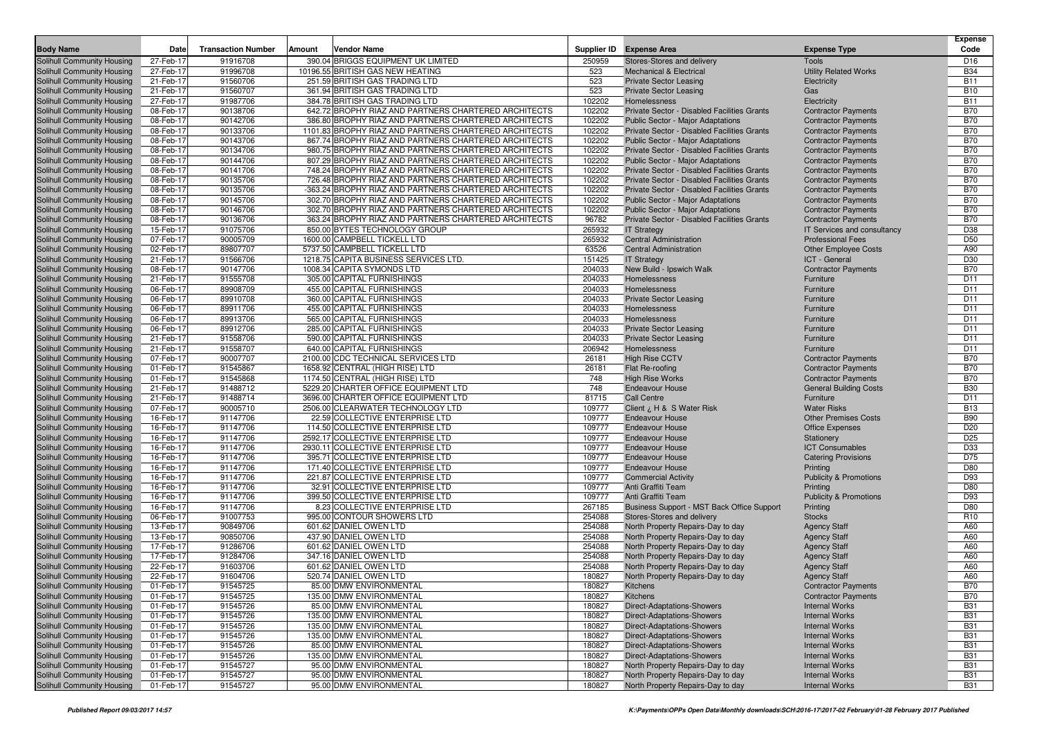| <b>Body Name</b>                                         | Date                   | <b>Transaction Number</b> | Amount | <b>Vendor Name</b>                                                    |                | Supplier ID Expense Area                    | <b>Expense Type</b>                                      | <b>Expense</b><br>Code |
|----------------------------------------------------------|------------------------|---------------------------|--------|-----------------------------------------------------------------------|----------------|---------------------------------------------|----------------------------------------------------------|------------------------|
| Solihull Community Housing                               | 27-Feb-17              | 91916708                  |        | 390.04 BRIGGS EQUIPMENT UK LIMITED                                    | 250959         | Stores-Stores and delivery                  | <b>Tools</b>                                             | D <sub>16</sub>        |
| Solihull Community Housing                               | 27-Feb-17              | 91996708                  |        | 10196.55 BRITISH GAS NEW HEATING                                      | 523            | <b>Mechanical &amp; Electrical</b>          | <b>Utility Related Works</b>                             | <b>B34</b>             |
| Solihull Community Housing                               | 21-Feb-17              | 91560706                  |        | 251.59 BRITISH GAS TRADING LTD                                        | 523            | <b>Private Sector Leasing</b>               | Electricity                                              | <b>B11</b>             |
| Solihull Community Housing                               | 21-Feb-17              | 91560707                  |        | 361.94 BRITISH GAS TRADING LTD                                        | 523            | <b>Private Sector Leasing</b>               | Gas                                                      | <b>B10</b>             |
| Solihull Community Housing                               | 27-Feb-17              | 91987706                  |        | 384.78 BRITISH GAS TRADING LTD                                        | 102202         | Homelessness                                | Electricity                                              | <b>B11</b>             |
| Solihull Community Housing                               | 08-Feb-17              | 90138706                  |        | 642.72 BROPHY RIAZ AND PARTNERS CHARTERED ARCHITECTS                  | 102202         | Private Sector - Disabled Facilities Grants | <b>Contractor Payments</b>                               | <b>B70</b>             |
| Solihull Community Housing                               | 08-Feb-17              | 90142706                  |        | 386.80 BROPHY RIAZ AND PARTNERS CHARTERED ARCHITECTS                  | 102202         | <b>Public Sector - Major Adaptations</b>    | <b>Contractor Payments</b>                               | <b>B70</b>             |
| Solihull Community Housing                               | 08-Feb-17              | 90133706                  |        | 1101.83 BROPHY RIAZ AND PARTNERS CHARTERED ARCHITECTS                 | 102202         | Private Sector - Disabled Facilities Grants | <b>Contractor Payments</b>                               | <b>B70</b>             |
| Solihull Community Housing                               | 08-Feb-17              | 90143706                  |        | 867.74 BROPHY RIAZ AND PARTNERS CHARTERED ARCHITECTS                  | 102202         | Public Sector - Major Adaptations           | <b>Contractor Payments</b>                               | <b>B70</b>             |
| Solihull Community Housing                               | 08-Feb-17              | 90134706                  |        | 980.75 BROPHY RIAZ AND PARTNERS CHARTERED ARCHITECTS                  | 102202         | Private Sector - Disabled Facilities Grants | <b>Contractor Payments</b>                               | <b>B70</b>             |
| Solihull Community Housing                               | 08-Feb-17              | 90144706                  |        | 807.29 BROPHY RIAZ AND PARTNERS CHARTERED ARCHITECTS                  | 102202         | Public Sector - Major Adaptations           | <b>Contractor Payments</b>                               | <b>B70</b>             |
| Solihull Community Housing                               | 08-Feb-17              | 90141706                  |        | 748.24 BROPHY RIAZ AND PARTNERS CHARTERED ARCHITECTS                  | 102202         | Private Sector - Disabled Facilities Grants | <b>Contractor Payments</b>                               | <b>B70</b>             |
| Solihull Community Housing                               | 08-Feb-17              | 90135706                  |        | 726.48 BROPHY RIAZ AND PARTNERS CHARTERED ARCHITECTS                  | 102202         | Private Sector - Disabled Facilities Grants | <b>Contractor Payments</b>                               | <b>B70</b>             |
| Solihull Community Housing                               | 08-Feb-17              | 90135706                  |        | -363.24 BROPHY RIAZ AND PARTNERS CHARTERED ARCHITECTS                 | 102202         | Private Sector - Disabled Facilities Grants | <b>Contractor Payments</b>                               | <b>B70</b>             |
| Solihull Community Housing                               | 08-Feb-17              | 90145706                  |        | 302.70 BROPHY RIAZ AND PARTNERS CHARTERED ARCHITECTS                  | 102202         | <b>Public Sector - Major Adaptations</b>    | <b>Contractor Payments</b>                               | <b>B70</b>             |
| Solihull Community Housing                               | 08-Feb-17              | 90146706                  |        | 302.70 BROPHY RIAZ AND PARTNERS CHARTERED ARCHITECTS                  | 102202         | Public Sector - Major Adaptations           | <b>Contractor Payments</b>                               | <b>B70</b>             |
| Solihull Community Housing                               | 08-Feb-17              | 90136706                  |        | 363.24 BROPHY RIAZ AND PARTNERS CHARTERED ARCHITECTS                  | 96782          | Private Sector - Disabled Facilities Grants | <b>Contractor Payments</b>                               | <b>B70</b>             |
| Solihull Community Housing                               | 15-Feb-17              | 91075706                  |        | 850.00 BYTES TECHNOLOGY GROUP                                         | 265932         | <b>IT Strategy</b>                          | IT Services and consultancy                              | D38                    |
| Solihull Community Housing                               | 07-Feb-17              | 90005709                  |        | 1600.00 CAMPBELL TICKELL LTD                                          | 265932         | <b>Central Administration</b>               | <b>Professional Fees</b>                                 | D <sub>50</sub>        |
| Solihull Community Housing                               | 02-Feb-17              | 89807707                  |        | 5737.50 CAMPBELL TICKELL LTD                                          | 63526          | <b>Central Administration</b>               | <b>Other Employee Costs</b>                              | A90                    |
| Solihull Community Housing                               | 21-Feb-17              | 91566706                  |        | 1218.75 CAPITA BUSINESS SERVICES LTD.                                 | 151425         | <b>IT Strategy</b>                          | ICT - General                                            | D30                    |
| Solihull Community Housing                               | 08-Feb-17              | 90147706                  |        | 1008.34 CAPITA SYMONDS LTD                                            | 204033         | New Build - Ipswich Walk                    | <b>Contractor Payments</b>                               | <b>B70</b>             |
| Solihull Community Housing                               | 21-Feb-17              | 91555708                  |        | 305.00 CAPITAL FURNISHINGS                                            | 204033         | Homelessness                                | Furniture                                                | D11                    |
| Solihull Community Housing                               | 06-Feb-17              | 89908709                  |        | 455.00 CAPITAL FURNISHINGS                                            | 204033         | Homelessness                                | Furniture                                                | D11                    |
| Solihull Community Housing                               | 06-Feb-17              | 89910708                  |        | 360.00 CAPITAL FURNISHINGS                                            | 204033         | <b>Private Sector Leasing</b>               | Furniture                                                | D11                    |
| Solihull Community Housing                               | 06-Feb-17              | 89911706                  |        | 455.00 CAPITAL FURNISHINGS                                            | 204033         | Homelessness                                | Furniture                                                | D11                    |
| Solihull Community Housing                               | 06-Feb-17              | 89913706                  |        | 565.00 CAPITAL FURNISHINGS                                            | 204033         | Homelessness                                | Furniture                                                | D11                    |
| Solihull Community Housing                               | 06-Feb-17              | 89912706                  |        | 285.00 CAPITAL FURNISHINGS<br>590.00 CAPITAL FURNISHINGS              | 204033         | <b>Private Sector Leasing</b>               | Furniture                                                | D11                    |
| Solihull Community Housing                               | 21-Feb-17              | 91558706                  |        |                                                                       | 204033         | <b>Private Sector Leasing</b>               | Furniture                                                | D11                    |
| Solihull Community Housing                               | 21-Feb-17<br>07-Feb-17 | 91558707<br>90007707      |        | 640.00 CAPITAL FURNISHINGS                                            | 206942         | Homelessness                                | Furniture                                                | D11<br><b>B70</b>      |
| Solihull Community Housing<br>Solihull Community Housing | 01-Feb-17              | 91545867                  |        | 2100.00 CDC TECHNICAL SERVICES LTD<br>1658.92 CENTRAL (HIGH RISE) LTD | 26181<br>26181 | <b>High Rise CCTV</b>                       | <b>Contractor Payments</b><br><b>Contractor Payments</b> | <b>B70</b>             |
| Solihull Community Housing                               | 01-Feb-17              | 91545868                  |        | 1174.50 CENTRAL (HIGH RISE) LTD                                       | 748            | Flat Re-roofing<br><b>High Rise Works</b>   | <b>Contractor Payments</b>                               | <b>B70</b>             |
| Solihull Community Housing                               | 21-Feb-17              | 91488712                  |        | 5229.20 CHARTER OFFICE EQUIPMENT LTD                                  | 748            | <b>Endeavour House</b>                      | <b>General Building Costs</b>                            | <b>B30</b>             |
| Solihull Community Housing                               | 21-Feb-17              | 91488714                  |        | 3696.00 CHARTER OFFICE EQUIPMENT LTD                                  | 81715          | <b>Call Centre</b>                          | Furniture                                                | D11                    |
| Solihull Community Housing                               | 07-Feb-17              | 90005710                  |        | 2506.00 CLEARWATER TECHNOLOGY LTD                                     | 109777         | Client ¿ H & S Water Risk                   | <b>Water Risks</b>                                       | <b>B13</b>             |
| Solihull Community Housing                               | 16-Feb-17              | 91147706                  |        | 22.59 COLLECTIVE ENTERPRISE LTD                                       | 109777         | <b>Endeavour House</b>                      | <b>Other Premises Costs</b>                              | <b>B90</b>             |
| Solihull Community Housing                               | 16-Feb-17              | 91147706                  |        | 114.50 COLLECTIVE ENTERPRISE LTD                                      | 109777         | <b>Endeavour House</b>                      | Office Expenses                                          | D <sub>20</sub>        |
| Solihull Community Housing                               | 16-Feb-17              | 91147706                  |        | 2592.17 COLLECTIVE ENTERPRISE LTD                                     | 109777         | <b>Endeavour House</b>                      | Stationery                                               | D <sub>25</sub>        |
| Solihull Community Housing                               | 16-Feb-17              | 91147706                  |        | 2930.11 COLLECTIVE ENTERPRISE LTD                                     | 109777         | <b>Endeavour House</b>                      | <b>ICT Consumables</b>                                   | D33                    |
| Solihull Community Housing                               | 16-Feb-17              | 91147706                  |        | 395.71 COLLECTIVE ENTERPRISE LTD                                      | 109777         | <b>Endeavour House</b>                      | <b>Catering Provisions</b>                               | D75                    |
| Solihull Community Housing                               | 16-Feb-17              | 91147706                  |        | 171.40 COLLECTIVE ENTERPRISE LTD                                      | 109777         | <b>Endeavour House</b>                      | Printing                                                 | D80                    |
| Solihull Community Housing                               | 16-Feb-17              | 91147706                  |        | 221.87 COLLECTIVE ENTERPRISE LTD                                      | 109777         | <b>Commercial Activity</b>                  | <b>Publicity &amp; Promotions</b>                        | D93                    |
| Solihull Community Housing                               | 16-Feb-17              | 91147706                  |        | 32.91 COLLECTIVE ENTERPRISE LTD                                       | 109777         | Anti Graffiti Team                          | Printing                                                 | D80                    |
| Solihull Community Housing                               | 16-Feb-17              | 91147706                  |        | 399.50 COLLECTIVE ENTERPRISE LTD                                      | 109777         | Anti Graffiti Team                          | <b>Publicity &amp; Promotions</b>                        | D93                    |
| Solihull Community Housing                               | 16-Feb-17              | 91147706                  |        | 8.23 COLLECTIVE ENTERPRISE LTD                                        | 267185         | Business Support - MST Back Office Support  | Printing                                                 | D80                    |
| Solihull Community Housing                               | 06-Feb-17              | 91007753                  |        | 995.00 CONTOUR SHOWERS LTD                                            | 254088         | Stores-Stores and delivery                  | <b>Stocks</b>                                            | R <sub>10</sub>        |
| Solihull Community Housing                               | 13-Feb-17              | 90849706                  |        | 601.62 DANIEL OWEN LTD                                                | 254088         | North Property Repairs-Day to day           | <b>Agency Staff</b>                                      | A60                    |
| Solihull Community Housing                               | 13-Feb-17              | 90850706                  |        | 437.90 DANIEL OWEN LTD                                                | 254088         | North Property Repairs-Day to day           | <b>Agency Staff</b>                                      | A60                    |
| Solihull Community Housing                               | 17-Feb-17              | 91286706                  |        | 601.62 DANIEL OWEN LTD                                                | 254088         | North Property Repairs-Day to day           | <b>Agency Staff</b>                                      | A60                    |
| Solihull Community Housing                               | 17-Feb-17              | 91284706                  |        | 347.16 DANIEL OWEN LTD                                                | 254088         | North Property Repairs-Day to day           | <b>Agency Staff</b>                                      | A60                    |
| Solihull Community Housing                               | 22-Feb-17              | 91603706                  |        | 601.62 DANIEL OWEN LTD                                                | 254088         | North Property Repairs-Day to day           | <b>Agency Staff</b>                                      | A60                    |
| Solihull Community Housing                               | 22-Feb-17              | 91604706                  |        | 520.74 DANIEL OWEN LTD                                                | 180827         | North Property Repairs-Day to day           | <b>Agency Staff</b>                                      | A60                    |
| Solihull Community Housing                               | 01-Feb-17              | 91545725                  |        | 85.00 DMW ENVIRONMENTAL                                               | 180827         | Kitchens                                    | <b>Contractor Payments</b>                               | <b>B70</b>             |
| Solihull Community Housing                               | 01-Feb-17              | 91545725                  |        | 135.00 DMW ENVIRONMENTAL                                              | 180827         | <b>Kitchens</b>                             | <b>Contractor Payments</b>                               | <b>B70</b>             |
| Solihull Community Housing                               | 01-Feb-17              | 91545726                  |        | 85.00 DMW ENVIRONMENTAL                                               | 180827         | Direct-Adaptations-Showers                  | <b>Internal Works</b>                                    | <b>B31</b>             |
| Solihull Community Housing                               | 01-Feb-17              | 91545726                  |        | 135.00 DMW ENVIRONMENTAL                                              | 180827         | <b>Direct-Adaptations-Showers</b>           | <b>Internal Works</b>                                    | <b>B31</b>             |
| Solihull Community Housing                               | 01-Feb-17              | 91545726                  |        | 135.00 DMW ENVIRONMENTAL                                              | 180827         | <b>Direct-Adaptations-Showers</b>           | <b>Internal Works</b>                                    | <b>B31</b>             |
| Solihull Community Housing                               | 01-Feb-17              | 91545726                  |        | 135.00 DMW ENVIRONMENTAL                                              | 180827         | <b>Direct-Adaptations-Showers</b>           | <b>Internal Works</b>                                    | <b>B31</b>             |
| Solihull Community Housing                               | 01-Feb-17              | 91545726                  |        | 85.00 DMW ENVIRONMENTAL                                               | 180827         | <b>Direct-Adaptations-Showers</b>           | <b>Internal Works</b>                                    | <b>B31</b>             |
| Solihull Community Housing                               | 01-Feb-17              | 91545726                  |        | 135.00 DMW ENVIRONMENTAL                                              | 180827         | <b>Direct-Adaptations-Showers</b>           | <b>Internal Works</b>                                    | <b>B31</b>             |
| Solihull Community Housing                               | 01-Feb-17              | 91545727                  |        | 95.00 DMW ENVIRONMENTAL                                               | 180827         | North Property Repairs-Day to day           | <b>Internal Works</b>                                    | <b>B31</b>             |
| Solihull Community Housing                               | 01-Feb-17              | 91545727                  |        | 95.00 DMW ENVIRONMENTAL                                               | 180827         | North Property Repairs-Day to day           | <b>Internal Works</b>                                    | <b>B31</b>             |
| Solihull Community Housing                               | 01-Feb-17              | 91545727                  |        | 95.00 DMW ENVIRONMENTAL                                               | 180827         | North Property Repairs-Day to day           | <b>Internal Works</b>                                    | <b>B31</b>             |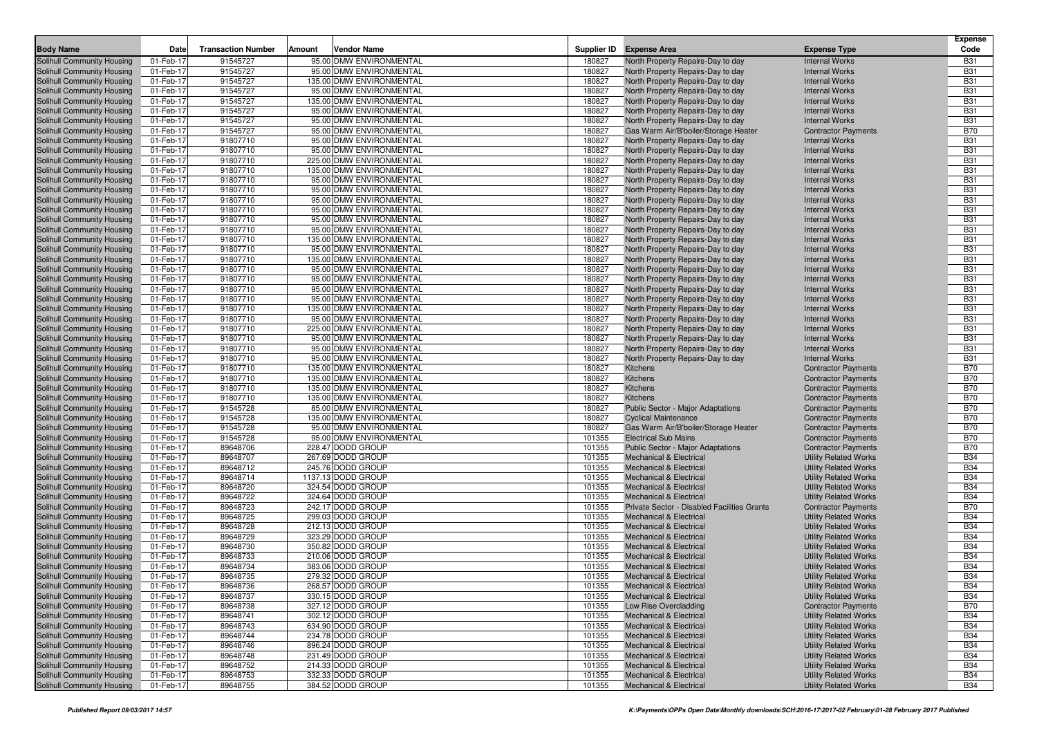| <b>Body Name</b>                                         | Date                   | <b>Transaction Number</b> | Amount | <b>Vendor Name</b>                     | Supplier ID      | <b>Expense Area</b>                                                      | <b>Expense Type</b>                                          | <b>Expense</b><br>Code   |
|----------------------------------------------------------|------------------------|---------------------------|--------|----------------------------------------|------------------|--------------------------------------------------------------------------|--------------------------------------------------------------|--------------------------|
| Solihull Community Housing                               | 01-Feb-17              | 91545727                  |        | 95.00 DMW ENVIRONMENTAL                | 180827           | North Property Repairs-Day to day                                        | <b>Internal Works</b>                                        | <b>B31</b>               |
| Solihull Community Housing                               | 01-Feb-17              | 91545727                  |        | 95.00 DMW ENVIRONMENTAL                | 180827           | North Property Repairs-Day to day                                        | <b>Internal Works</b>                                        | <b>B31</b>               |
| Solihull Community Housing                               | 01-Feb-17              | 91545727                  |        | 135.00 DMW ENVIRONMENTAL               | 180827           | North Property Repairs-Day to day                                        | <b>Internal Works</b>                                        | <b>B31</b>               |
| Solihull Community Housing                               | 01-Feb-17              | 91545727                  |        | 95.00 DMW ENVIRONMENTAL                | 180827           | North Property Repairs-Day to day                                        | <b>Internal Works</b>                                        | <b>B31</b>               |
| Solihull Community Housing                               | 01-Feb-17              | 91545727                  |        | 135.00 DMW ENVIRONMENTAL               | 180827           | North Property Repairs-Day to day                                        | <b>Internal Works</b>                                        | <b>B31</b>               |
| Solihull Community Housing                               | 01-Feb-17              | 91545727                  |        | 95.00 DMW ENVIRONMENTAL                | 180827           | North Property Repairs-Day to day                                        | <b>Internal Works</b>                                        | <b>B31</b>               |
| Solihull Community Housing                               | 01-Feb-17              | 91545727                  |        | 95.00 DMW ENVIRONMENTAL                | 180827           | North Property Repairs-Day to day                                        | <b>Internal Works</b>                                        | <b>B31</b>               |
| Solihull Community Housing                               | 01-Feb-17              | 91545727                  |        | 95.00 DMW ENVIRONMENTAL                | 180827           | Gas Warm Air/B'boiler/Storage Heater                                     | <b>Contractor Payments</b>                                   | <b>B70</b>               |
| Solihull Community Housing                               | 01-Feb-17              | 91807710                  |        | 95.00 DMW ENVIRONMENTAL                | 180827           | North Property Repairs-Day to day                                        | <b>Internal Works</b>                                        | <b>B31</b>               |
| Solihull Community Housing                               | 01-Feb-17              | 91807710                  |        | 95.00 DMW ENVIRONMENTAL                | 180827           | North Property Repairs-Day to day                                        | <b>Internal Works</b>                                        | <b>B31</b>               |
| Solihull Community Housing                               | 01-Feb-17              | 91807710                  |        | 225.00 DMW ENVIRONMENTAL               | 180827           | North Property Repairs-Day to day                                        | <b>Internal Works</b>                                        | <b>B31</b>               |
| Solihull Community Housing                               | 01-Feb-17              | 91807710                  |        | 135.00 DMW ENVIRONMENTAL               | 180827           | North Property Repairs-Day to day                                        | <b>Internal Works</b>                                        | <b>B31</b>               |
| Solihull Community Housing                               | 01-Feb-17              | 91807710                  |        | 95.00 DMW ENVIRONMENTAL                | 180827           | North Property Repairs-Day to day                                        | <b>Internal Works</b>                                        | <b>B31</b>               |
| Solihull Community Housing                               | 01-Feb-17              | 91807710                  |        | 95.00 DMW ENVIRONMENTAL                | 180827           | North Property Repairs-Day to day                                        | <b>Internal Works</b>                                        | <b>B31</b>               |
| Solihull Community Housing                               | 01-Feb-17              | 91807710                  |        | 95.00 DMW ENVIRONMENTAL                | 180827           | North Property Repairs-Day to day                                        | <b>Internal Works</b>                                        | <b>B31</b>               |
| Solihull Community Housing                               | 01-Feb-17              | 91807710                  |        | 95.00 DMW ENVIRONMENTAL                | 180827           | North Property Repairs-Day to day                                        | <b>Internal Works</b>                                        | <b>B31</b>               |
| Solihull Community Housing                               | 01-Feb-17              | 91807710                  |        | 95.00 DMW ENVIRONMENTAL                | 180827           | North Property Repairs-Day to day                                        | <b>Internal Works</b>                                        | <b>B31</b>               |
| Solihull Community Housing                               | 01-Feb-17              | 91807710                  |        | 95.00 DMW ENVIRONMENTAL                | 180827           | North Property Repairs-Day to day                                        | <b>Internal Works</b>                                        | <b>B31</b>               |
| Solihull Community Housing                               | 01-Feb-17              | 91807710                  |        | 135.00 DMW ENVIRONMENTAL               | 180827           | North Property Repairs-Day to day                                        | <b>Internal Works</b>                                        | <b>B31</b>               |
| Solihull Community Housing                               | 01-Feb-17              | 91807710                  |        | 95.00 DMW ENVIRONMENTAL                | 180827           | North Property Repairs-Day to day                                        | <b>Internal Works</b>                                        | <b>B31</b>               |
| Solihull Community Housing                               | 01-Feb-17              | 91807710                  |        | 135.00 DMW ENVIRONMENTAL               | 180827           | North Property Repairs-Day to day                                        | <b>Internal Works</b>                                        | <b>B31</b>               |
| Solihull Community Housing                               | 01-Feb-17              | 91807710                  |        | 95.00 DMW ENVIRONMENTAL                | 180827           | North Property Repairs-Day to day                                        | <b>Internal Works</b>                                        | <b>B31</b>               |
| Solihull Community Housing                               | 01-Feb-17              | 91807710                  |        | 95.00 DMW ENVIRONMENTAL                | 180827           | North Property Repairs-Day to day                                        | <b>Internal Works</b>                                        | <b>B31</b>               |
| Solihull Community Housing                               | 01-Feb-17              | 91807710                  |        | 95.00 DMW ENVIRONMENTAL                | 180827           | North Property Repairs-Day to day                                        | <b>Internal Works</b>                                        | <b>B31</b>               |
| Solihull Community Housing                               | 01-Feb-17              | 91807710                  |        | 95.00 DMW ENVIRONMENTAL                | 180827           | North Property Repairs-Day to day                                        | <b>Internal Works</b>                                        | <b>B31</b>               |
| Solihull Community Housing                               | 01-Feb-17              | 91807710                  |        | 135.00 DMW ENVIRONMENTAL               | 180827           | North Property Repairs-Day to day                                        | <b>Internal Works</b>                                        | <b>B31</b>               |
| Solihull Community Housing                               | 01-Feb-17              | 91807710                  |        | 95.00 DMW ENVIRONMENTAL                | 180827           | North Property Repairs-Day to day                                        | <b>Internal Works</b>                                        | <b>B31</b>               |
| Solihull Community Housing                               | 01-Feb-17              | 91807710                  |        | 225.00 DMW ENVIRONMENTAL               | 180827           | North Property Repairs-Day to day                                        | <b>Internal Works</b>                                        | <b>B31</b>               |
| Solihull Community Housing                               | 01-Feb-17              | 91807710                  |        | 95.00 DMW ENVIRONMENTAL                | 180827           | North Property Repairs-Day to day                                        | <b>Internal Works</b>                                        | <b>B31</b>               |
| Solihull Community Housing                               | 01-Feb-17              | 91807710                  |        | 95.00 DMW ENVIRONMENTAL                | 180827           | North Property Repairs-Day to day                                        | <b>Internal Works</b>                                        | <b>B31</b>               |
| Solihull Community Housing                               | 01-Feb-17              | 91807710                  |        | 95.00 DMW ENVIRONMENTAL                | 180827           | North Property Repairs-Day to day                                        | <b>Internal Works</b>                                        | <b>B31</b>               |
| Solihull Community Housing                               | 01-Feb-17              | 91807710                  |        | 135.00 DMW ENVIRONMENTAL               | 180827           | <b>Kitchens</b>                                                          | <b>Contractor Payments</b>                                   | <b>B70</b>               |
| Solihull Community Housing                               | 01-Feb-17              | 91807710                  |        | 135.00 DMW ENVIRONMENTAL               | 180827           | <b>Kitchens</b>                                                          | <b>Contractor Payments</b>                                   | <b>B70</b>               |
| Solihull Community Housing                               | 01-Feb-17              | 91807710                  |        | 135.00 DMW ENVIRONMENTAL               | 180827           | <b>Kitchens</b>                                                          | <b>Contractor Payments</b>                                   | <b>B70</b>               |
| Solihull Community Housing                               | 01-Feb-17              | 91807710                  |        | 135.00 DMW ENVIRONMENTAL               | 180827           | <b>Kitchens</b>                                                          | <b>Contractor Payments</b>                                   | <b>B70</b>               |
| Solihull Community Housing                               | 01-Feb-17              | 91545728                  |        | 85.00 DMW ENVIRONMENTAL                | 180827           | Public Sector - Major Adaptations                                        | <b>Contractor Payments</b>                                   | <b>B70</b>               |
| Solihull Community Housing                               | 01-Feb-17              | 91545728                  |        | 135.00 DMW ENVIRONMENTAL               | 180827           | <b>Cyclical Maintenance</b>                                              | <b>Contractor Payments</b>                                   | <b>B70</b>               |
| Solihull Community Housing                               | 01-Feb-17              | 91545728                  |        | 95.00 DMW ENVIRONMENTAL                | 180827           | Gas Warm Air/B'boiler/Storage Heater                                     | <b>Contractor Payments</b>                                   | <b>B70</b>               |
| Solihull Community Housing                               | 01-Feb-17              | 91545728                  |        | 95.00 DMW ENVIRONMENTAL                | 101355           | <b>Electrical Sub Mains</b>                                              | <b>Contractor Payments</b>                                   | <b>B70</b>               |
| Solihull Community Housing                               | 01-Feb-17              | 89648706                  |        | 228.47 DODD GROUP                      | 101355           | Public Sector - Major Adaptations                                        | <b>Contractor Payments</b>                                   | <b>B70</b>               |
| Solihull Community Housing                               | 01-Feb-17              | 89648707                  |        | 267.69 DODD GROUP                      | 101355           | <b>Mechanical &amp; Electrical</b>                                       | <b>Utility Related Works</b>                                 | <b>B34</b>               |
| Solihull Community Housing                               | 01-Feb-17              | 89648712                  |        | 245.76 DODD GROUP                      | 101355           | <b>Mechanical &amp; Electrical</b>                                       | <b>Utility Related Works</b>                                 | <b>B34</b>               |
| Solihull Community Housing                               | 01-Feb-17              | 89648714                  |        | 1137.13 DODD GROUP                     | 101355           | <b>Mechanical &amp; Electrical</b>                                       | <b>Utility Related Works</b>                                 | <b>B34</b>               |
| Solihull Community Housing                               | 01-Feb-17              | 89648720                  |        | 324.54 DODD GROUP                      | 101355           | <b>Mechanical &amp; Electrical</b>                                       | <b>Utility Related Works</b>                                 | <b>B34</b>               |
| Solihull Community Housing                               | 01-Feb-17              | 89648722                  |        | 324.64 DODD GROUP                      | 101355           | <b>Mechanical &amp; Electrical</b>                                       | <b>Utility Related Works</b>                                 | <b>B34</b>               |
| Solihull Community Housing                               | 01-Feb-17              | 89648723                  |        | 242.17 DODD GROUP                      | 101355           | Private Sector - Disabled Facilities Grants                              | <b>Contractor Payments</b>                                   | <b>B70</b>               |
| Solihull Community Housing                               | 01-Feb-17              | 89648725                  |        | 299.03 DODD GROUP                      | 101355           | <b>Mechanical &amp; Electrical</b>                                       | <b>Utility Related Works</b>                                 | <b>B34</b>               |
| Solihull Community Housing                               | 01-Feb-17              | 89648728                  |        | 212.13 DODD GROUP                      | 101355           | <b>Mechanical &amp; Electrical</b>                                       | <b>Utility Related Works</b>                                 | <b>B34</b>               |
| Solihull Community Housing                               | 01-Feb-17              | 89648729                  |        | 323.29 DODD GROUP                      | 101355           | <b>Mechanical &amp; Electrical</b>                                       | <b>Utility Related Works</b>                                 | <b>B34</b>               |
| Solihull Community Housing                               | 01-Feb-17              | 89648730                  |        | 350.82 DODD GROUP                      | 101355           | <b>Mechanical &amp; Electrical</b>                                       | <b>Utility Related Works</b>                                 | <b>B34</b>               |
| Solihull Community Housing                               | 01-Feb-17              | 89648733                  |        | 210.06 DODD GROUP                      | 101355           | <b>Mechanical &amp; Electrical</b>                                       | <b>Utility Related Works</b>                                 | <b>B34</b>               |
| Solihull Community Housing                               | 01-Feb-17              | 89648734                  |        | 383.06 DODD GROUP                      | 101355           | <b>Mechanical &amp; Electrical</b>                                       | <b>Utility Related Works</b>                                 | <b>B34</b>               |
| Solihull Community Housing                               | 01-Feb-17              | 89648735                  |        | 279.32 DODD GROUP                      | 101355           | <b>Mechanical &amp; Electrical</b>                                       | <b>Utility Related Works</b>                                 | <b>B34</b>               |
| Solihull Community Housing                               | 01-Feb-17              | 89648736                  |        | 268.57 DODD GROUP                      | 101355           | Mechanical & Electrica                                                   | <b>Utility Related Works</b>                                 | <b>B34</b><br><b>B34</b> |
| Solihull Community Housing                               | 01-Feb-17              | 89648737                  |        | 330.15 DODD GROUP<br>327.12 DODD GROUP | 101355           | <b>Mechanical &amp; Electrical</b>                                       | <b>Utility Related Works</b>                                 |                          |
| Solihull Community Housing                               | 01-Feb-17              | 89648738                  |        |                                        | 101355           | Low Rise Overcladding                                                    | <b>Contractor Payments</b>                                   | <b>B70</b>               |
| Solihull Community Housing<br>Solihull Community Housing | 01-Feb-17<br>01-Feb-17 | 89648741<br>89648743      |        | 302.12 DODD GROUP<br>634.90 DODD GROUP | 101355           | Mechanical & Electrical                                                  | <b>Utility Related Works</b><br><b>Utility Related Works</b> | <b>B34</b><br><b>B34</b> |
|                                                          |                        |                           |        | 234.78 DODD GROUP                      | 101355           | <b>Mechanical &amp; Electrical</b>                                       |                                                              |                          |
| Solihull Community Housing                               | 01-Feb-17              | 89648744<br>89648746      |        | 896.24 DODD GROUP                      | 101355           | <b>Mechanical &amp; Electrical</b>                                       | <b>Utility Related Works</b>                                 | <b>B34</b><br><b>B34</b> |
| Solihull Community Housing<br>Solihull Community Housing | 01-Feb-17<br>01-Feb-17 | 89648748                  |        | 231.49 DODD GROUP                      | 101355<br>101355 | <b>Mechanical &amp; Electrical</b><br><b>Mechanical &amp; Electrical</b> | <b>Utility Related Works</b><br><b>Utility Related Works</b> | <b>B34</b>               |
| Solihull Community Housing                               | 01-Feb-17              |                           |        | 214.33 DODD GROUP                      | 101355           | <b>Mechanical &amp; Electrical</b>                                       | <b>Utility Related Works</b>                                 | <b>B34</b>               |
| Solihull Community Housing                               | 01-Feb-17              | 89648752<br>89648753      |        | 332.33 DODD GROUP                      | 101355           | <b>Mechanical &amp; Electrical</b>                                       | <b>Utility Related Works</b>                                 | <b>B34</b>               |
| Solihull Community Housing                               | 01-Feb-17              | 89648755                  |        | 384.52 DODD GROUP                      | 101355           | Mechanical & Electrical                                                  | <b>Utility Related Works</b>                                 | <b>B34</b>               |
|                                                          |                        |                           |        |                                        |                  |                                                                          |                                                              |                          |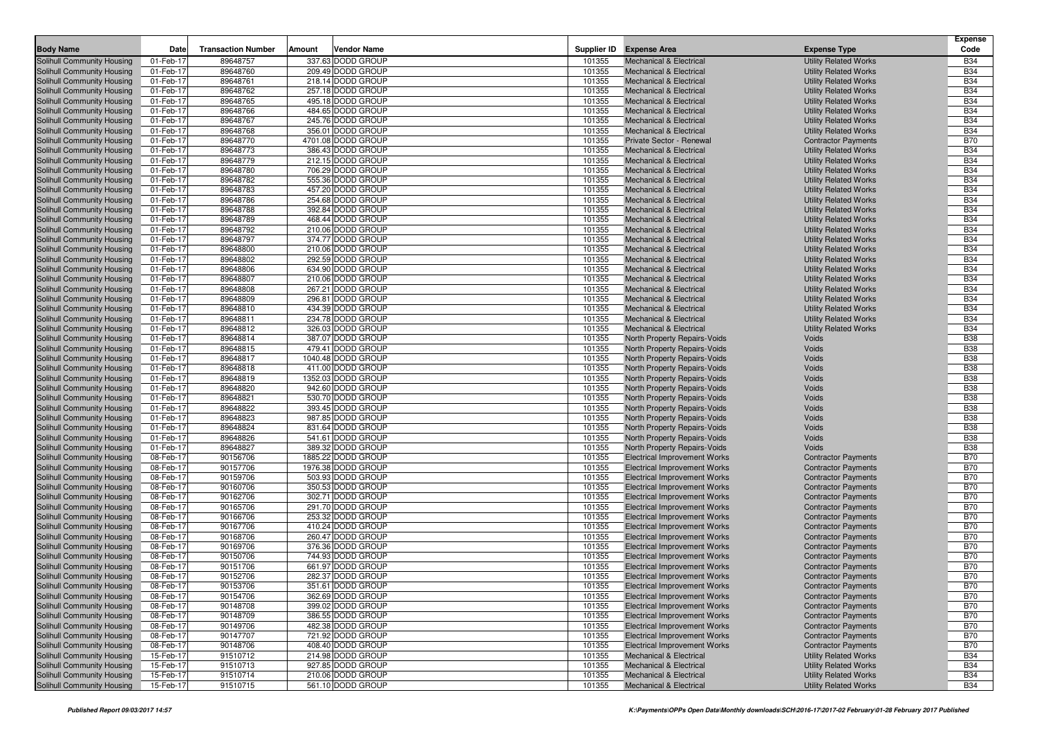| <b>Body Name</b>                                         | Date                   | <b>Transaction Number</b> | Amount | <b>Vendor Name</b>                     |                  | Supplier ID Expense Area                                     | <b>Expense Type</b>          | <b>Expense</b><br>Code   |
|----------------------------------------------------------|------------------------|---------------------------|--------|----------------------------------------|------------------|--------------------------------------------------------------|------------------------------|--------------------------|
| Solihull Community Housing                               | 01-Feb-17              | 89648757                  |        | 337.63 DODD GROUP                      | 101355           | <b>Mechanical &amp; Electrical</b>                           | <b>Utility Related Works</b> | <b>B34</b>               |
| Solihull Community Housing                               | 01-Feb-17              | 89648760                  |        | 209.49 DODD GROUP                      | 101355           | <b>Mechanical &amp; Electrical</b>                           | <b>Utility Related Works</b> | <b>B34</b>               |
| Solihull Community Housing                               | 01-Feb-17              | 89648761                  |        | 218.14 DODD GROUP                      | 101355           | <b>Mechanical &amp; Electrical</b>                           | <b>Utility Related Works</b> | <b>B34</b>               |
| Solihull Community Housing                               | 01-Feb-17              | 89648762                  |        | 257.18 DODD GROUP                      | 101355           | <b>Mechanical &amp; Electrical</b>                           | <b>Utility Related Works</b> | <b>B34</b>               |
| Solihull Community Housing                               | 01-Feb-17              | 89648765                  |        | 495.18 DODD GROUP                      | 101355           | <b>Mechanical &amp; Electrical</b>                           | <b>Utility Related Works</b> | <b>B34</b>               |
| Solihull Community Housing                               | 01-Feb-17              | 89648766                  |        | 484.65 DODD GROUP                      | 101355           | <b>Mechanical &amp; Electrical</b>                           | <b>Utility Related Works</b> | <b>B34</b>               |
| Solihull Community Housing                               | 01-Feb-17              | 89648767                  |        | 245.76 DODD GROUP                      | 101355           | <b>Mechanical &amp; Electrical</b>                           | <b>Utility Related Works</b> | <b>B34</b>               |
| Solihull Community Housing                               | 01-Feb-17              | 89648768                  |        | 356.01 DODD GROUP                      | 101355           | <b>Mechanical &amp; Electrical</b>                           | <b>Utility Related Works</b> | <b>B34</b>               |
| Solihull Community Housing                               | 01-Feb-17              | 89648770                  |        | 4701.08 DODD GROUP                     | 101355           | Private Sector - Renewal                                     | <b>Contractor Payments</b>   | <b>B70</b>               |
| Solihull Community Housing                               | 01-Feb-17              | 89648773                  |        | 386.43 DODD GROUP                      | 101355           | <b>Mechanical &amp; Electrical</b>                           | <b>Utility Related Works</b> | <b>B34</b>               |
| Solihull Community Housing                               | 01-Feb-17              | 89648779                  |        | 212.15 DODD GROUP                      | 101355           | <b>Mechanical &amp; Electrical</b>                           | <b>Utility Related Works</b> | <b>B34</b>               |
| Solihull Community Housing                               | 01-Feb-17              | 89648780                  |        | 706.29 DODD GROUP                      | 101355           | <b>Mechanical &amp; Electrical</b>                           | <b>Utility Related Works</b> | <b>B34</b>               |
| Solihull Community Housing                               | 01-Feb-17              | 89648782                  |        | 555.36 DODD GROUP                      | 101355           | <b>Mechanical &amp; Electrical</b>                           | <b>Utility Related Works</b> | <b>B34</b>               |
| Solihull Community Housing                               | 01-Feb-17              | 89648783                  |        | 457.20 DODD GROUP                      | 101355           | <b>Mechanical &amp; Electrical</b>                           | <b>Utility Related Works</b> | <b>B34</b>               |
| Solihull Community Housing                               | 01-Feb-17              | 89648786                  |        | 254.68 DODD GROUP                      | 101355           | <b>Mechanical &amp; Electrical</b>                           | <b>Utility Related Works</b> | <b>B34</b>               |
| Solihull Community Housing                               | 01-Feb-17              | 89648788                  |        | 392.84 DODD GROUP                      | 101355           | <b>Mechanical &amp; Electrical</b>                           | <b>Utility Related Works</b> | <b>B34</b>               |
| Solihull Community Housing                               | 01-Feb-17              | 89648789                  |        | 468.44 DODD GROUP                      | 101355           | <b>Mechanical &amp; Electrical</b>                           | <b>Utility Related Works</b> | <b>B34</b>               |
| Solihull Community Housing                               | 01-Feb-17              | 89648792                  |        | 210.06 DODD GROUP                      | 101355           | <b>Mechanical &amp; Electrical</b>                           | <b>Utility Related Works</b> | <b>B34</b>               |
| Solihull Community Housing                               | 01-Feb-17              | 89648797                  |        | 374.77 DODD GROUP                      | 101355           | <b>Mechanical &amp; Electrical</b>                           | <b>Utility Related Works</b> | <b>B34</b>               |
| Solihull Community Housing                               | 01-Feb-17              | 89648800                  |        | 210.06 DODD GROUP                      | 101355           | <b>Mechanical &amp; Electrical</b>                           | <b>Utility Related Works</b> | <b>B34</b>               |
| Solihull Community Housing                               | 01-Feb-17              | 89648802                  |        | 292.59 DODD GROUP                      | 101355           | <b>Mechanical &amp; Electrical</b>                           | <b>Utility Related Works</b> | <b>B34</b>               |
| Solihull Community Housing                               | 01-Feb-17              | 89648806                  |        | 634.90 DODD GROUP                      | 101355           | <b>Mechanical &amp; Electrical</b>                           | <b>Utility Related Works</b> | <b>B34</b>               |
| Solihull Community Housing                               | 01-Feb-17              | 89648807                  |        | 210.06 DODD GROUP                      | 101355           | <b>Mechanical &amp; Electrical</b>                           | <b>Utility Related Works</b> | <b>B34</b>               |
| Solihull Community Housing                               | 01-Feb-17              | 89648808                  |        | 267.21 DODD GROUP                      | 101355           | <b>Mechanical &amp; Electrical</b>                           | <b>Utility Related Works</b> | <b>B34</b>               |
| Solihull Community Housing                               | 01-Feb-17              | 89648809                  |        | 296.81 DODD GROUP                      | 101355           | <b>Mechanical &amp; Electrical</b>                           | <b>Utility Related Works</b> | <b>B34</b>               |
| Solihull Community Housing                               | 01-Feb-17              | 89648810                  |        | 434.39 DODD GROUP                      | 101355           | <b>Mechanical &amp; Electrical</b>                           | <b>Utility Related Works</b> | <b>B34</b>               |
| Solihull Community Housing                               | 01-Feb-17              | 89648811                  |        | 234.78 DODD GROUP                      | 101355           | <b>Mechanical &amp; Electrical</b>                           | <b>Utility Related Works</b> | <b>B34</b>               |
| Solihull Community Housing                               | 01-Feb-17              | 89648812                  |        | 326.03 DODD GROUP                      | 101355           | <b>Mechanical &amp; Electrical</b>                           | <b>Utility Related Works</b> | <b>B34</b>               |
| Solihull Community Housing                               | 01-Feb-17              | 89648814                  |        | 387.07 DODD GROUP                      | 101355           | <b>North Property Repairs-Voids</b>                          | Voids                        | <b>B38</b>               |
| Solihull Community Housing                               | 01-Feb-17              | 89648815                  |        | 479.41 DODD GROUP                      | 101355           | North Property Repairs-Voids                                 | Voids                        | <b>B38</b>               |
| Solihull Community Housing                               | 01-Feb-17              | 89648817                  |        | 1040.48 DODD GROUP                     | 101355           | North Property Repairs-Voids                                 | Voids                        | <b>B38</b>               |
| Solihull Community Housing                               | 01-Feb-17              | 89648818                  |        | 411.00 DODD GROUP                      | 101355           | North Property Repairs-Voids                                 | <b>Voids</b>                 | <b>B38</b>               |
| Solihull Community Housing                               | 01-Feb-17              | 89648819                  |        | 1352.03 DODD GROUP                     | 101355           | North Property Repairs-Voids                                 | Voids                        | <b>B38</b>               |
| Solihull Community Housing                               | 01-Feb-17              | 89648820                  |        | 942.60 DODD GROUP                      | 101355           | North Property Repairs-Voids                                 | Voids                        | <b>B38</b>               |
| Solihull Community Housing                               | 01-Feb-17              | 89648821                  |        | 530.70 DODD GROUP                      | 101355           | North Property Repairs-Voids                                 | Voids                        | <b>B38</b>               |
| Solihull Community Housing                               | 01-Feb-17              | 89648822                  |        | 393.45 DODD GROUP                      | 101355           | North Property Repairs-Voids                                 | Voids                        | <b>B38</b>               |
| Solihull Community Housing<br>Solihull Community Housing | 01-Feb-17<br>01-Feb-17 | 89648823<br>89648824      |        | 987.85 DODD GROUP<br>831.64 DODD GROUP | 101355<br>101355 | North Property Repairs-Voids<br>North Property Repairs-Voids | Voids<br>Voids               | <b>B38</b><br><b>B38</b> |
| Solihull Community Housing                               | 01-Feb-17              | 89648826                  |        | 541.61 DODD GROUP                      | 101355           | North Property Repairs-Voids                                 | Voids                        | <b>B38</b>               |
| Solihull Community Housing                               | 01-Feb-17              | 89648827                  |        | 389.32 DODD GROUP                      | 101355           | North Property Repairs-Voids                                 | Voids                        | <b>B38</b>               |
| Solihull Community Housing                               | 08-Feb-17              | 90156706                  |        | 1885.22 DODD GROUP                     | 101355           | <b>Electrical Improvement Works</b>                          | <b>Contractor Payments</b>   | <b>B70</b>               |
| Solihull Community Housing                               | 08-Feb-17              | 90157706                  |        | 1976.38 DODD GROUP                     | 101355           | <b>Electrical Improvement Works</b>                          | <b>Contractor Payments</b>   | <b>B70</b>               |
| Solihull Community Housing                               | 08-Feb-17              | 90159706                  |        | 503.93 DODD GROUP                      | 101355           | <b>Electrical Improvement Works</b>                          | <b>Contractor Payments</b>   | <b>B70</b>               |
| Solihull Community Housing                               | 08-Feb-17              | 90160706                  |        | 350.53 DODD GROUP                      | 101355           | <b>Electrical Improvement Works</b>                          | <b>Contractor Payments</b>   | <b>B70</b>               |
| Solihull Community Housing                               | 08-Feb-17              | 90162706                  |        | 302.71 DODD GROUP                      | 101355           | <b>Electrical Improvement Works</b>                          | <b>Contractor Payments</b>   | <b>B70</b>               |
| Solihull Community Housing                               | 08-Feb-17              | 90165706                  |        | 291.70 DODD GROUP                      | 101355           | <b>Electrical Improvement Works</b>                          | <b>Contractor Payments</b>   | <b>B70</b>               |
| Solihull Community Housing                               | 08-Feb-17              | 90166706                  |        | 253.32 DODD GROUP                      | 101355           | <b>Electrical Improvement Works</b>                          | <b>Contractor Payments</b>   | <b>B70</b>               |
| Solihull Community Housing                               | 08-Feb-17              | 90167706                  |        | 410.24 DODD GROUP                      | 101355           | <b>Electrical Improvement Works</b>                          | <b>Contractor Payments</b>   | <b>B70</b>               |
| Solihull Community Housing                               | 08-Feb-17              | 90168706                  |        | 260.47 DODD GROUP                      | 101355           | <b>Electrical Improvement Works</b>                          | <b>Contractor Payments</b>   | <b>B70</b>               |
| Solihull Community Housing                               | 08-Feb-17              | 90169706                  |        | 376.36 DODD GROUP                      | 101355           | <b>Electrical Improvement Works</b>                          | <b>Contractor Payments</b>   | <b>B70</b>               |
| Solihull Community Housing                               | 08-Feb-17              | 90150706                  |        | 744.93 DODD GROUP                      | 101355           | <b>Electrical Improvement Works</b>                          | <b>Contractor Payments</b>   | <b>B70</b>               |
| Solihull Community Housing                               | 08-Feb-17              | 90151706                  |        | 661.97 DODD GROUP                      | 101355           | <b>Electrical Improvement Works</b>                          | <b>Contractor Payments</b>   | <b>B70</b>               |
| Solihull Community Housing                               | 08-Feb-17              | 90152706                  |        | 282.37 DODD GROUP                      | 101355           | <b>Electrical Improvement Works</b>                          | <b>Contractor Payments</b>   | <b>B70</b>               |
| Solihull Community Housing                               | 08-Feb-17              | 90153706                  |        | 351.61 DODD GROUP                      | 101355           | <b>Electrical Improvement Works</b>                          | <b>Contractor Payments</b>   | <b>B70</b>               |
| Solihull Community Housing                               | 08-Feb-17              | 90154706                  |        | 362.69 DODD GROUP                      | 101355           | <b>Electrical Improvement Works</b>                          | <b>Contractor Payments</b>   | <b>B70</b>               |
| Solihull Community Housing                               | 08-Feb-17              | 90148708                  |        | 399.02 DODD GROUP                      | 101355           | <b>Electrical Improvement Works</b>                          | <b>Contractor Payments</b>   | <b>B70</b>               |
| Solihull Community Housing                               | 08-Feb-17              | 90148709                  |        | 386.55 DODD GROUP                      | 101355           | <b>Electrical Improvement Works</b>                          | <b>Contractor Payments</b>   | <b>B70</b>               |
| Solihull Community Housing                               | 08-Feb-17              | 90149706                  |        | 482.38 DODD GROUP                      | 101355           | <b>Electrical Improvement Works</b>                          | <b>Contractor Payments</b>   | <b>B70</b>               |
| Solihull Community Housing                               | 08-Feb-17              | 90147707                  |        | 721.92 DODD GROUP                      | 101355           | <b>Electrical Improvement Works</b>                          | <b>Contractor Payments</b>   | <b>B70</b>               |
| Solihull Community Housing                               | 08-Feb-17              | 90148706                  |        | 408.40 DODD GROUP                      | 101355           | <b>Electrical Improvement Works</b>                          | <b>Contractor Payments</b>   | <b>B70</b>               |
| Solihull Community Housing                               | 15-Feb-17              | 91510712                  |        | 214.98 DODD GROUP                      | 101355           | <b>Mechanical &amp; Electrical</b>                           | <b>Utility Related Works</b> | <b>B34</b>               |
| Solihull Community Housing                               | 15-Feb-17              | 91510713                  |        | 927.85 DODD GROUP                      | 101355           | <b>Mechanical &amp; Electrical</b>                           | <b>Utility Related Works</b> | <b>B34</b>               |
| Solihull Community Housing                               | 15-Feb-17              | 91510714                  |        | 210.06 DODD GROUP                      | 101355           | Mechanical & Electrical                                      | <b>Utility Related Works</b> | <b>B34</b>               |
| Solihull Community Housing                               | 15-Feb-17              | 91510715                  |        | 561.10 DODD GROUP                      | 101355           | Mechanical & Electrical                                      | <b>Utility Related Works</b> | <b>B34</b>               |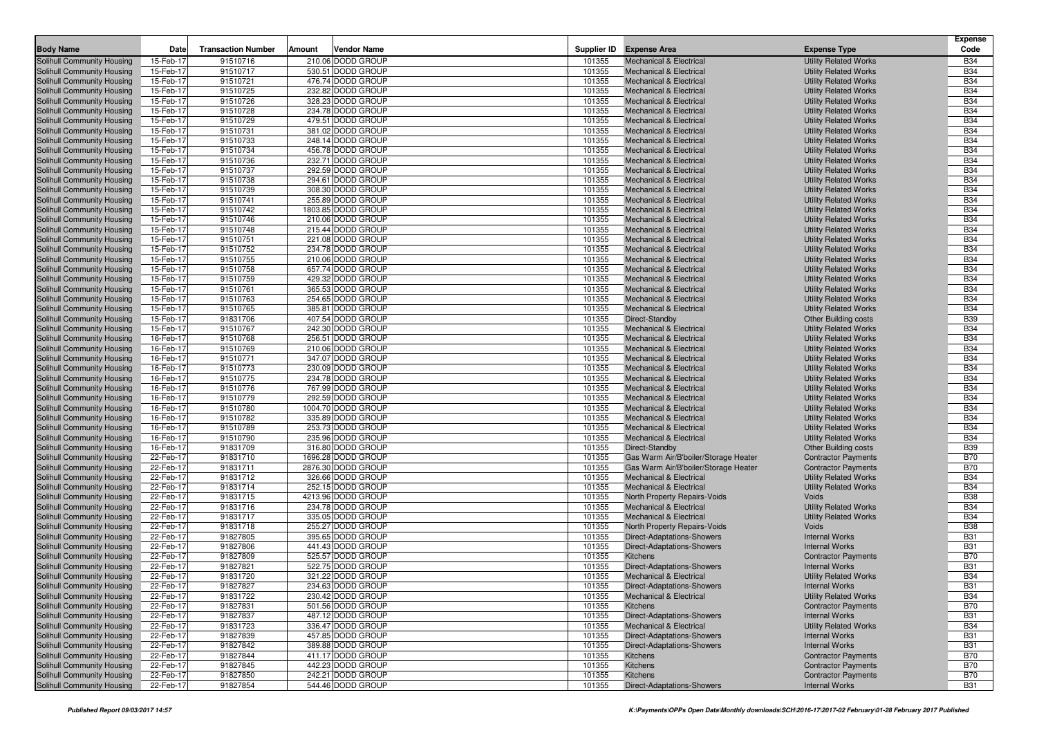|                            |           |                           |        |                    |        |                                      |                                                          | <b>Expense</b> |
|----------------------------|-----------|---------------------------|--------|--------------------|--------|--------------------------------------|----------------------------------------------------------|----------------|
| <b>Body Name</b>           | Date      | <b>Transaction Number</b> | Amount | <b>Vendor Name</b> |        | Supplier ID Expense Area             | <b>Expense Type</b>                                      | Code           |
| Solihull Community Housing | 15-Feb-17 | 91510716                  |        | 210.06 DODD GROUP  | 101355 | <b>Mechanical &amp; Electrical</b>   | <b>Utility Related Works</b>                             | <b>B34</b>     |
| Solihull Community Housing | 15-Feb-17 | 91510717                  |        | 530.51 DODD GROUP  | 101355 | <b>Mechanical &amp; Electrical</b>   | <b>Utility Related Works</b>                             | <b>B34</b>     |
| Solihull Community Housing | 15-Feb-17 | 91510721                  |        | 476.74 DODD GROUP  | 101355 | <b>Mechanical &amp; Electrical</b>   | <b>Utility Related Works</b>                             | <b>B34</b>     |
| Solihull Community Housing | 15-Feb-17 | 91510725                  |        | 232.82 DODD GROUP  | 101355 | <b>Mechanical &amp; Electrical</b>   | <b>Utility Related Works</b>                             | <b>B34</b>     |
| Solihull Community Housing | 15-Feb-17 | 91510726                  |        | 328.23 DODD GROUP  | 101355 | <b>Mechanical &amp; Electrical</b>   | <b>Utility Related Works</b>                             | <b>B34</b>     |
| Solihull Community Housing | 15-Feb-17 | 91510728                  |        | 234.78 DODD GROUP  | 101355 | <b>Mechanical &amp; Electrical</b>   | <b>Utility Related Works</b>                             | <b>B34</b>     |
| Solihull Community Housing | 15-Feb-17 | 91510729                  |        | 479.51 DODD GROUP  | 101355 | <b>Mechanical &amp; Electrical</b>   | <b>Utility Related Works</b>                             | <b>B34</b>     |
| Solihull Community Housing | 15-Feb-17 | 91510731                  |        | 381.02 DODD GROUP  | 101355 | <b>Mechanical &amp; Electrical</b>   | <b>Utility Related Works</b>                             | <b>B34</b>     |
| Solihull Community Housing | 15-Feb-17 | 91510733                  |        | 248.14 DODD GROUP  | 101355 | <b>Mechanical &amp; Electrical</b>   | <b>Utility Related Works</b>                             | <b>B34</b>     |
| Solihull Community Housing | 15-Feb-17 | 91510734                  |        | 456.78 DODD GROUP  | 101355 | <b>Mechanical &amp; Electrical</b>   | <b>Utility Related Works</b>                             | <b>B34</b>     |
| Solihull Community Housing | 15-Feb-17 | 91510736                  |        | 232.71 DODD GROUP  | 101355 | <b>Mechanical &amp; Electrical</b>   | <b>Utility Related Works</b>                             | <b>B34</b>     |
| Solihull Community Housing | 15-Feb-17 | 91510737                  |        | 292.59 DODD GROUP  | 101355 | <b>Mechanical &amp; Electrical</b>   | <b>Utility Related Works</b>                             | <b>B34</b>     |
| Solihull Community Housing | 15-Feb-17 | 91510738                  |        | 294.61 DODD GROUP  | 101355 | <b>Mechanical &amp; Electrical</b>   | <b>Utility Related Works</b>                             | <b>B34</b>     |
| Solihull Community Housing | 15-Feb-17 | 91510739                  |        | 308.30 DODD GROUP  | 101355 | <b>Mechanical &amp; Electrical</b>   | <b>Utility Related Works</b>                             | <b>B34</b>     |
| Solihull Community Housing | 15-Feb-17 | 91510741                  |        | 255.89 DODD GROUP  | 101355 | <b>Mechanical &amp; Electrical</b>   | <b>Utility Related Works</b>                             | <b>B34</b>     |
| Solihull Community Housing | 15-Feb-17 | 91510742                  |        | 1803.85 DODD GROUP | 101355 | <b>Mechanical &amp; Electrical</b>   | <b>Utility Related Works</b>                             | <b>B34</b>     |
| Solihull Community Housing | 15-Feb-17 | 91510746                  |        | 210.06 DODD GROUP  | 101355 | <b>Mechanical &amp; Electrical</b>   | <b>Utility Related Works</b>                             | <b>B34</b>     |
| Solihull Community Housing | 15-Feb-17 | 91510748                  |        | 215.44 DODD GROUP  | 101355 | <b>Mechanical &amp; Electrical</b>   | <b>Utility Related Works</b>                             | <b>B34</b>     |
| Solihull Community Housing | 15-Feb-17 | 91510751                  |        | 221.08 DODD GROUP  | 101355 | <b>Mechanical &amp; Electrical</b>   | <b>Utility Related Works</b>                             | <b>B34</b>     |
| Solihull Community Housing | 15-Feb-17 | 91510752                  |        | 234.78 DODD GROUP  | 101355 | <b>Mechanical &amp; Electrical</b>   | <b>Utility Related Works</b>                             | <b>B34</b>     |
| Solihull Community Housing | 15-Feb-17 | 91510755                  |        | 210.06 DODD GROUP  | 101355 | <b>Mechanical &amp; Electrical</b>   | <b>Utility Related Works</b>                             | <b>B34</b>     |
| Solihull Community Housing | 15-Feb-17 | 91510758                  |        | 657.74 DODD GROUP  | 101355 | <b>Mechanical &amp; Electrical</b>   | <b>Utility Related Works</b>                             | <b>B34</b>     |
| Solihull Community Housing | 15-Feb-17 | 91510759                  |        | 429.32 DODD GROUP  | 101355 | <b>Mechanical &amp; Electrical</b>   | <b>Utility Related Works</b>                             | <b>B34</b>     |
| Solihull Community Housing | 15-Feb-17 | 91510761                  |        | 365.53 DODD GROUP  | 101355 | <b>Mechanical &amp; Electrical</b>   | <b>Utility Related Works</b>                             | <b>B34</b>     |
| Solihull Community Housing | 15-Feb-17 | 91510763                  |        | 254.65 DODD GROUP  | 101355 | <b>Mechanical &amp; Electrical</b>   | <b>Utility Related Works</b>                             | <b>B34</b>     |
| Solihull Community Housing | 15-Feb-17 | 91510765                  |        | 385.81 DODD GROUP  | 101355 | <b>Mechanical &amp; Electrical</b>   | <b>Utility Related Works</b>                             | <b>B34</b>     |
| Solihull Community Housing | 15-Feb-17 | 91831706                  |        | 407.54 DODD GROUP  | 101355 | Direct-Standby                       | <b>Other Building costs</b>                              | <b>B39</b>     |
| Solihull Community Housing | 15-Feb-17 | 91510767                  |        | 242.30 DODD GROUP  | 101355 | <b>Mechanical &amp; Electrical</b>   | <b>Utility Related Works</b>                             | <b>B34</b>     |
| Solihull Community Housing | 16-Feb-17 | 91510768                  |        | 256.51 DODD GROUP  | 101355 | <b>Mechanical &amp; Electrical</b>   | <b>Utility Related Works</b>                             | <b>B34</b>     |
| Solihull Community Housing | 16-Feb-17 | 91510769                  |        | 210.06 DODD GROUP  | 101355 | <b>Mechanical &amp; Electrical</b>   | <b>Utility Related Works</b>                             | <b>B34</b>     |
| Solihull Community Housing | 16-Feb-17 | 91510771                  |        | 347.07 DODD GROUP  | 101355 | <b>Mechanical &amp; Electrical</b>   | <b>Utility Related Works</b>                             | <b>B34</b>     |
| Solihull Community Housing | 16-Feb-17 | 91510773                  |        | 230.09 DODD GROUP  | 101355 | <b>Mechanical &amp; Electrical</b>   | <b>Utility Related Works</b>                             | <b>B34</b>     |
| Solihull Community Housing | 16-Feb-17 | 91510775                  |        | 234.78 DODD GROUP  | 101355 | <b>Mechanical &amp; Electrical</b>   | <b>Utility Related Works</b>                             | <b>B34</b>     |
| Solihull Community Housing | 16-Feb-17 | 91510776                  |        | 767.99 DODD GROUP  | 101355 | <b>Mechanical &amp; Electrical</b>   | <b>Utility Related Works</b>                             | <b>B34</b>     |
| Solihull Community Housing | 16-Feb-17 | 91510779                  |        | 292.59 DODD GROUP  | 101355 | <b>Mechanical &amp; Electrical</b>   | <b>Utility Related Works</b>                             | <b>B34</b>     |
| Solihull Community Housing | 16-Feb-17 | 91510780                  |        | 1004.70 DODD GROUP | 101355 | <b>Mechanical &amp; Electrical</b>   | <b>Utility Related Works</b>                             | <b>B34</b>     |
| Solihull Community Housing | 16-Feb-17 | 91510782                  |        | 335.89 DODD GROUP  | 101355 | <b>Mechanical &amp; Electrical</b>   | <b>Utility Related Works</b>                             | <b>B34</b>     |
| Solihull Community Housing | 16-Feb-17 | 91510789                  |        | 253.73 DODD GROUP  | 101355 | <b>Mechanical &amp; Electrical</b>   | <b>Utility Related Works</b>                             | <b>B34</b>     |
| Solihull Community Housing | 16-Feb-17 | 91510790                  |        | 235.96 DODD GROUP  | 101355 | <b>Mechanical &amp; Electrical</b>   | <b>Utility Related Works</b>                             | <b>B34</b>     |
| Solihull Community Housing | 16-Feb-17 | 91831709                  |        | 316.80 DODD GROUP  | 101355 | Direct-Standby                       | <b>Other Building costs</b>                              | <b>B39</b>     |
| Solihull Community Housing | 22-Feb-17 | 91831710                  |        | 1696.28 DODD GROUP | 101355 | Gas Warm Air/B'boiler/Storage Heater | <b>Contractor Payments</b>                               | <b>B70</b>     |
| Solihull Community Housing | 22-Feb-17 | 91831711                  |        | 2876.30 DODD GROUP | 101355 | Gas Warm Air/B'boiler/Storage Heater | <b>Contractor Payments</b>                               | <b>B70</b>     |
| Solihull Community Housing | 22-Feb-17 | 91831712                  |        | 326.66 DODD GROUP  | 101355 | <b>Mechanical &amp; Electrical</b>   | <b>Utility Related Works</b>                             | <b>B34</b>     |
| Solihull Community Housing | 22-Feb-17 | 91831714                  |        | 252.15 DODD GROUP  | 101355 | <b>Mechanical &amp; Electrical</b>   | <b>Utility Related Works</b>                             | <b>B34</b>     |
| Solihull Community Housing | 22-Feb-17 | 91831715                  |        | 4213.96 DODD GROUP | 101355 | North Property Repairs-Voids         | Voids                                                    | <b>B38</b>     |
| Solihull Community Housing | 22-Feb-17 | 91831716                  |        | 234.78 DODD GROUP  | 101355 | <b>Mechanical &amp; Electrical</b>   | <b>Utility Related Works</b>                             | <b>B34</b>     |
| Solihull Community Housing | 22-Feb-17 | 91831717                  |        | 335.05 DODD GROUP  | 101355 | <b>Mechanical &amp; Electrical</b>   | <b>Utility Related Works</b>                             | <b>B34</b>     |
| Solihull Community Housing | 22-Feb-17 | 91831718                  |        | 255.27 DODD GROUP  | 101355 | North Property Repairs-Voids         | Voids                                                    | <b>B38</b>     |
| Solihull Community Housing | 22-Feb-17 | 91827805                  |        | 395.65 DODD GROUP  | 101355 | Direct-Adaptations-Showers           | <b>Internal Works</b>                                    | <b>B31</b>     |
| Solihull Community Housing | 22-Feb-17 | 91827806                  |        | 441.43 DODD GROUP  | 101355 | Direct-Adaptations-Showers           | <b>Internal Works</b>                                    | <b>B31</b>     |
| Solihull Community Housing | 22-Feb-17 | 91827809                  |        | 525.57 DODD GROUP  | 101355 | Kitchens                             | <b>Contractor Payments</b>                               | <b>B70</b>     |
| Solihull Community Housing | 22-Feb-17 | 91827821                  |        | 522.75 DODD GROUP  | 101355 | Direct-Adaptations-Showers           | <b>Internal Works</b>                                    | <b>B31</b>     |
| Solihull Community Housing | 22-Feb-17 | 91831720                  |        | 321.22 DODD GROUP  | 101355 | <b>Mechanical &amp; Electrical</b>   | <b>Utility Related Works</b>                             | <b>B34</b>     |
| Solihull Community Housing | 22-Feb-17 | 91827827                  |        | 234.63 DODD GROUP  | 101355 | Direct-Adaptations-Showers           | <b>Internal Works</b>                                    | <b>B31</b>     |
| Solihull Community Housing | 22-Feb-17 | 91831722                  |        | 230.42 DODD GROUP  | 101355 | <b>Mechanical &amp; Electrical</b>   | <b>Utility Related Works</b>                             | <b>B34</b>     |
| Solihull Community Housing | 22-Feb-17 | 91827831                  |        | 501.56 DODD GROUP  | 101355 | Kitchens                             | <b>Contractor Payments</b>                               | <b>B70</b>     |
| Solihull Community Housing | 22-Feb-17 | 91827837                  |        | 487.12 DODD GROUP  | 101355 | <b>Direct-Adaptations-Showers</b>    | <b>Internal Works</b>                                    | <b>B31</b>     |
| Solihull Community Housing | 22-Feb-17 | 91831723                  |        | 336.47 DODD GROUP  | 101355 | <b>Mechanical &amp; Electrical</b>   | <b>Utility Related Works</b>                             | <b>B34</b>     |
| Solihull Community Housing | 22-Feb-17 | 91827839                  |        | 457.85 DODD GROUP  | 101355 | <b>Direct-Adaptations-Showers</b>    | <b>Internal Works</b>                                    | <b>B31</b>     |
| Solihull Community Housing | 22-Feb-17 | 91827842                  |        | 389.88 DODD GROUP  | 101355 | <b>Direct-Adaptations-Showers</b>    | <b>Internal Works</b>                                    | <b>B31</b>     |
| Solihull Community Housing | 22-Feb-17 | 91827844                  |        | 411.17 DODD GROUP  | 101355 | Kitchens                             | <b>Contractor Payments</b>                               | <b>B70</b>     |
| Solihull Community Housing | 22-Feb-17 | 91827845                  |        | 442.23 DODD GROUP  | 101355 | Kitchens                             | <b>Contractor Payments</b><br><b>Contractor Payments</b> | <b>B70</b>     |
| Solihull Community Housing | 22-Feb-17 | 91827850                  |        | 242.21 DODD GROUP  | 101355 | Kitchens                             |                                                          | <b>B70</b>     |
| Solihull Community Housing | 22-Feb-17 | 91827854                  |        | 544.46 DODD GROUP  | 101355 | <b>Direct-Adaptations-Showers</b>    | <b>Internal Works</b>                                    | <b>B31</b>     |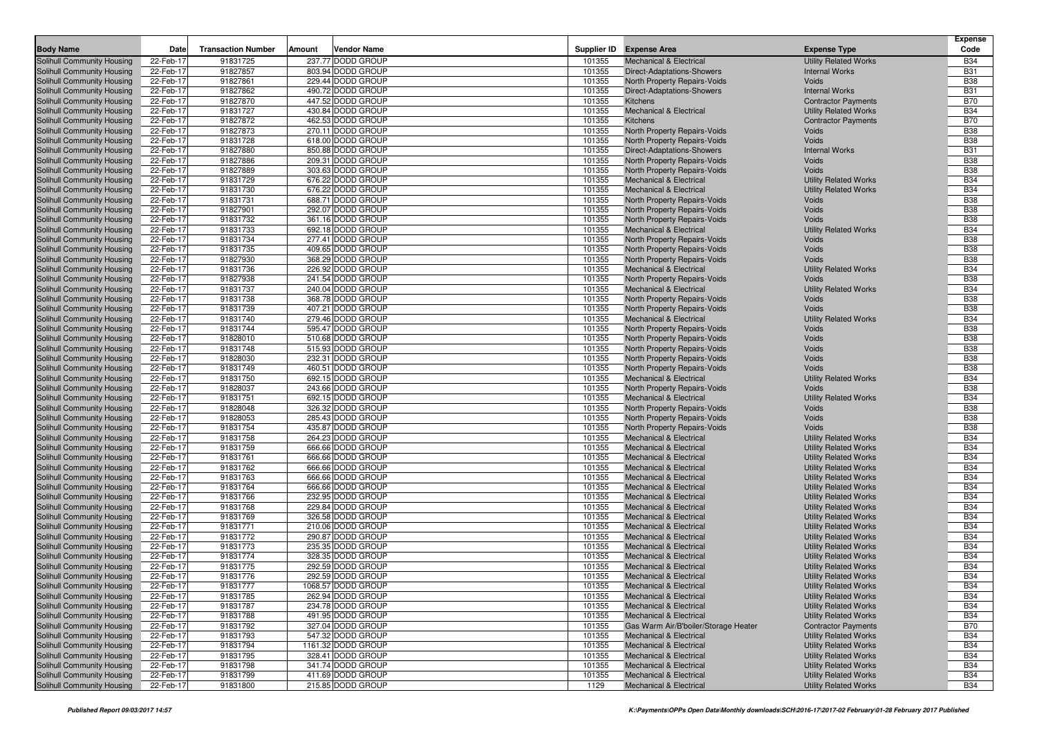| <b>Body Name</b>                                         | Date                   | <b>Transaction Number</b> | Amount | Vendor Name                            |                  | Supplier ID Expense Area                                                  | <b>Expense Type</b>                                          | <b>Expense</b><br>Code   |
|----------------------------------------------------------|------------------------|---------------------------|--------|----------------------------------------|------------------|---------------------------------------------------------------------------|--------------------------------------------------------------|--------------------------|
| Solihull Community Housing                               | 22-Feb-17              | 91831725                  |        | 237.77 DODD GROUP                      | 101355           | <b>Mechanical &amp; Electrical</b>                                        | <b>Utility Related Works</b>                                 | <b>B34</b>               |
| Solihull Community Housing                               | 22-Feb-17              | 91827857                  |        | 803.94 DODD GROUP                      | 101355           | <b>Direct-Adaptations-Showers</b>                                         | <b>Internal Works</b>                                        | <b>B31</b>               |
| Solihull Community Housing                               | 22-Feb-17              | 91827861                  |        | 229.44 DODD GROUP                      | 101355           | North Property Repairs-Voids                                              | Voids                                                        | <b>B38</b>               |
| Solihull Community Housing                               | 22-Feb-17              | 91827862                  |        | 490.72 DODD GROUP                      | 101355           | Direct-Adaptations-Showers                                                | <b>Internal Works</b>                                        | <b>B31</b>               |
| Solihull Community Housing                               | 22-Feb-17              | 91827870                  |        | 447.52 DODD GROUP                      | 101355           | <b>Kitchens</b>                                                           | <b>Contractor Payments</b>                                   | <b>B70</b>               |
| Solihull Community Housing                               | 22-Feb-17              | 91831727                  |        | 430.84 DODD GROUP                      | 101355           | <b>Mechanical &amp; Electrical</b>                                        | <b>Utility Related Works</b>                                 | <b>B34</b>               |
| Solihull Community Housing                               | 22-Feb-17              | 91827872                  |        | 462.53 DODD GROUP                      | 101355           | <b>Kitchens</b>                                                           | <b>Contractor Payments</b>                                   | <b>B70</b>               |
| Solihull Community Housing                               | 22-Feb-17              | 91827873                  |        | 270.11 DODD GROUP                      | 101355           | North Property Repairs-Voids                                              | Voids                                                        | <b>B38</b>               |
| Solihull Community Housing                               | 22-Feb-17              | 91831728                  |        | 618.00 DODD GROUP                      | 101355           | North Property Repairs-Voids                                              | Voids                                                        | <b>B38</b>               |
| Solihull Community Housing                               | 22-Feb-17              | 91827880                  |        | 850.88 DODD GROUP                      | 101355           | <b>Direct-Adaptations-Showers</b>                                         | <b>Internal Works</b>                                        | <b>B31</b>               |
| Solihull Community Housing                               | 22-Feb-17              | 91827886                  |        | 209.31 DODD GROUP                      | 101355           | North Property Repairs-Voids                                              | Voids                                                        | <b>B38</b>               |
| Solihull Community Housing                               | 22-Feb-17              | 91827889                  |        | 303.63 DODD GROUP                      | 101355           | North Property Repairs-Voids                                              | Voids                                                        | <b>B38</b>               |
| Solihull Community Housing                               | 22-Feb-17              | 91831729                  |        | 676.22 DODD GROUP                      | 101355           | <b>Mechanical &amp; Electrical</b>                                        | <b>Utility Related Works</b>                                 | <b>B34</b>               |
| Solihull Community Housing                               | 22-Feb-17              | 91831730                  |        | 676.22 DODD GROUP                      | 101355           | <b>Mechanical &amp; Electrical</b><br><b>North Property Repairs-Voids</b> | <b>Utility Related Works</b>                                 | <b>B34</b><br><b>B38</b> |
| Solihull Community Housing                               | 22-Feb-17<br>22-Feb-17 | 91831731<br>91827901      |        | 688.71 DODD GROUP<br>292.07 DODD GROUP | 101355<br>101355 |                                                                           | Voids<br>Voids                                               | <b>B38</b>               |
| Solihull Community Housing<br>Solihull Community Housing | 22-Feb-17              | 91831732                  |        | 361.16 DODD GROUP                      | 101355           | North Property Repairs-Voids<br>North Property Repairs-Voids              | Voids                                                        | <b>B38</b>               |
| Solihull Community Housing                               | 22-Feb-17              | 91831733                  |        | 692.18 DODD GROUP                      | 101355           | <b>Mechanical &amp; Electrical</b>                                        | <b>Utility Related Works</b>                                 | <b>B34</b>               |
| Solihull Community Housing                               | 22-Feb-17              | 91831734                  |        | 277.41 DODD GROUP                      | 101355           | North Property Repairs-Voids                                              | Voids                                                        | <b>B38</b>               |
| Solihull Community Housing                               | 22-Feb-17              | 91831735                  |        | 409.65 DODD GROUP                      | 101355           | North Property Repairs-Voids                                              | Voids                                                        | <b>B38</b>               |
| Solihull Community Housing                               | 22-Feb-17              | 91827930                  |        | 368.29 DODD GROUP                      | 101355           | North Property Repairs-Voids                                              | Voids                                                        | <b>B38</b>               |
| Solihull Community Housing                               | 22-Feb-17              | 91831736                  |        | 226.92 DODD GROUP                      | 101355           | <b>Mechanical &amp; Electrical</b>                                        | <b>Utility Related Works</b>                                 | <b>B34</b>               |
| Solihull Community Housing                               | 22-Feb-17              | 91827938                  |        | 241.54 DODD GROUP                      | 101355           | <b>North Property Repairs-Voids</b>                                       | Voids                                                        | <b>B38</b>               |
| Solihull Community Housing                               | 22-Feb-17              | 91831737                  |        | 240.04 DODD GROUP                      | 101355           | <b>Mechanical &amp; Electrical</b>                                        | <b>Utility Related Works</b>                                 | <b>B34</b>               |
| Solihull Community Housing                               | 22-Feb-17              | 91831738                  |        | 368.78 DODD GROUP                      | 101355           | North Property Repairs-Voids                                              | Voids                                                        | <b>B38</b>               |
| Solihull Community Housing                               | 22-Feb-17              | 91831739                  |        | 407.21 DODD GROUP                      | 101355           | North Property Repairs-Voids                                              | Voids                                                        | <b>B38</b>               |
| Solihull Community Housing                               | 22-Feb-17              | 91831740                  |        | 279.46 DODD GROUP                      | 101355           | <b>Mechanical &amp; Electrical</b>                                        | <b>Utility Related Works</b>                                 | <b>B34</b>               |
| Solihull Community Housing                               | 22-Feb-17              | 91831744                  |        | 595.47 DODD GROUP                      | 101355           | North Property Repairs-Voids                                              | Voids                                                        | <b>B38</b>               |
| Solihull Community Housing                               | 22-Feb-17              | 91828010                  |        | 510.68 DODD GROUP                      | 101355           | North Property Repairs-Voids                                              | Voids                                                        | <b>B38</b>               |
| Solihull Community Housing                               | 22-Feb-17              | 91831748                  |        | 515.93 DODD GROUP                      | 101355           | <b>North Property Repairs-Voids</b>                                       | Voids                                                        | <b>B38</b>               |
| Solihull Community Housing                               | 22-Feb-17              | 91828030                  |        | 232.31 DODD GROUP                      | 101355           | North Property Repairs-Voids                                              | Voids                                                        | <b>B38</b>               |
| Solihull Community Housing                               | 22-Feb-17              | 91831749                  |        | 460.51 DODD GROUP                      | 101355           | North Property Repairs-Voids                                              | Voids                                                        | <b>B38</b>               |
| Solihull Community Housing                               | 22-Feb-17              | 91831750                  |        | 692.15 DODD GROUP                      | 101355           | <b>Mechanical &amp; Electrical</b>                                        | <b>Utility Related Works</b>                                 | <b>B34</b>               |
| Solihull Community Housing<br>Solihull Community Housing | 22-Feb-17<br>22-Feb-17 | 91828037<br>91831751      |        | 243.66 DODD GROUP<br>692.15 DODD GROUP | 101355<br>101355 | <b>North Property Repairs-Voids</b><br><b>Mechanical &amp; Electrical</b> | Voids<br><b>Utility Related Works</b>                        | <b>B38</b><br><b>B34</b> |
| Solihull Community Housing                               | 22-Feb-17              | 91828048                  |        | 326.32 DODD GROUP                      | 101355           | North Property Repairs-Voids                                              | Voids                                                        | <b>B38</b>               |
| Solihull Community Housing                               | 22-Feb-17              | 91828053                  |        | 285.43 DODD GROUP                      | 101355           | North Property Repairs-Voids                                              | Voids                                                        | <b>B38</b>               |
| Solihull Community Housing                               | 22-Feb-17              | 91831754                  |        | 435.87 DODD GROUP                      | 101355           | North Property Repairs-Voids                                              | Voids                                                        | <b>B38</b>               |
| Solihull Community Housing                               | 22-Feb-17              | 91831758                  |        | 264.23 DODD GROUP                      | 101355           | <b>Mechanical &amp; Electrical</b>                                        | <b>Utility Related Works</b>                                 | <b>B34</b>               |
| Solihull Community Housing                               | 22-Feb-17              | 91831759                  |        | 666.66 DODD GROUP                      | 101355           | <b>Mechanical &amp; Electrical</b>                                        | <b>Utility Related Works</b>                                 | <b>B34</b>               |
| Solihull Community Housing                               | 22-Feb-17              | 91831761                  |        | 666.66 DODD GROUP                      | 101355           | <b>Mechanical &amp; Electrical</b>                                        | <b>Utility Related Works</b>                                 | <b>B34</b>               |
| Solihull Community Housing                               | 22-Feb-17              | 91831762                  |        | 666.66 DODD GROUP                      | 101355           | <b>Mechanical &amp; Electrical</b>                                        | <b>Utility Related Works</b>                                 | <b>B34</b>               |
| Solihull Community Housing                               | 22-Feb-17              | 91831763                  |        | 666.66 DODD GROUP                      | 101355           | <b>Mechanical &amp; Electrical</b>                                        | <b>Utility Related Works</b>                                 | <b>B34</b>               |
| Solihull Community Housing                               | 22-Feb-17              | 91831764                  |        | 666.66 DODD GROUP                      | 101355           | <b>Mechanical &amp; Electrical</b>                                        | <b>Utility Related Works</b>                                 | <b>B34</b>               |
| Solihull Community Housing                               | 22-Feb-17              | 91831766                  |        | 232.95 DODD GROUP                      | 101355           | <b>Mechanical &amp; Electrical</b>                                        | <b>Utility Related Works</b>                                 | <b>B34</b>               |
| Solihull Community Housing                               | 22-Feb-17              | 91831768                  |        | 229.84 DODD GROUP                      | 101355           | <b>Mechanical &amp; Electrical</b>                                        | <b>Utility Related Works</b>                                 | <b>B34</b>               |
| Solihull Community Housing                               | 22-Feb-17              | 91831769                  |        | 326.58 DODD GROUP                      | 101355           | <b>Mechanical &amp; Electrical</b>                                        | <b>Utility Related Works</b>                                 | <b>B34</b>               |
| Solihull Community Housing                               | 22-Feb-17              | 91831771                  |        | 210.06 DODD GROUP                      | 101355           | <b>Mechanical &amp; Electrical</b>                                        | <b>Utility Related Works</b>                                 | <b>B34</b>               |
| Solihull Community Housing                               | 22-Feb-17              | 91831772                  |        | 290.87 DODD GROUP                      | 101355           | <b>Mechanical &amp; Electrical</b>                                        | <b>Utility Related Works</b>                                 | <b>B34</b>               |
| Solihull Community Housing<br>Solihull Community Housing | 22-Feb-17              | 91831773                  |        | 235.35 DODD GROUP                      | 101355           | <b>Mechanical &amp; Electrical</b>                                        | <b>Utility Related Works</b>                                 | <b>B34</b><br><b>B34</b> |
|                                                          | 22-Feb-17              | 91831774<br>91831775      |        | 328.35 DODD GROUP<br>292.59 DODD GROUP | 101355<br>101355 | <b>Mechanical &amp; Electrical</b><br><b>Mechanical &amp; Electrical</b>  | <b>Utility Related Works</b>                                 | <b>B34</b>               |
| Solihull Community Housing<br>Solihull Community Housing | 22-Feb-17<br>22-Feb-17 | 91831776                  |        | 292.59 DODD GROUP                      | 101355           | <b>Mechanical &amp; Electrical</b>                                        | <b>Utility Related Works</b><br><b>Utility Related Works</b> | <b>B34</b>               |
| Solihull Community Housing                               | 22-Feb-17              | 91831777                  |        | 1068.57 DODD GROUP                     | 101355           | <b>Mechanical &amp; Electrical</b>                                        | <b>Utility Related Works</b>                                 | <b>B34</b>               |
| <b>Solihull Community Housing</b>                        | 22-Feb-17              | 91831785                  |        | 262.94 DODD GROUP                      | 101355           | <b>Mechanical &amp; Electrical</b>                                        | <b>Utility Related Works</b>                                 | <b>B34</b>               |
| Solihull Community Housing                               | 22-Feb-17              | 91831787                  |        | 234.78 DODD GROUP                      | 101355           | <b>Mechanical &amp; Electrical</b>                                        | <b>Utility Related Works</b>                                 | <b>B34</b>               |
| Solihull Community Housing                               | 22-Feb-17              | 91831788                  |        | 491.95 DODD GROUP                      | 101355           | <b>Mechanical &amp; Electrical</b>                                        | <b>Utility Related Works</b>                                 | <b>B34</b>               |
| Solihull Community Housing                               | 22-Feb-17              | 91831792                  |        | 327.04 DODD GROUP                      | 101355           | Gas Warm Air/B'boiler/Storage Heater                                      | <b>Contractor Payments</b>                                   | <b>B70</b>               |
| Solihull Community Housing                               | 22-Feb-17              | 91831793                  |        | 547.32 DODD GROUP                      | 101355           | <b>Mechanical &amp; Electrical</b>                                        | <b>Utility Related Works</b>                                 | <b>B34</b>               |
| Solihull Community Housing                               | 22-Feb-17              | 91831794                  |        | 1161.32 DODD GROUP                     | 101355           | <b>Mechanical &amp; Electrical</b>                                        | <b>Utility Related Works</b>                                 | <b>B34</b>               |
| Solihull Community Housing                               | 22-Feb-17              | 91831795                  |        | 328.41 DODD GROUP                      | 101355           | <b>Mechanical &amp; Electrical</b>                                        | <b>Utility Related Works</b>                                 | <b>B34</b>               |
| Solihull Community Housing                               | 22-Feb-17              | 91831798                  |        | 341.74 DODD GROUP                      | 101355           | <b>Mechanical &amp; Electrical</b>                                        | <b>Utility Related Works</b>                                 | <b>B34</b>               |
| Solihull Community Housing                               | 22-Feb-17              | 91831799                  |        | 411.69 DODD GROUP                      | 101355           | <b>Mechanical &amp; Electrical</b>                                        | <b>Utility Related Works</b>                                 | <b>B34</b>               |
| Solihull Community Housing                               | 22-Feb-17              | 91831800                  |        | 215.85 DODD GROUP                      | 1129             | <b>Mechanical &amp; Electrical</b>                                        | <b>Utility Related Works</b>                                 | <b>B34</b>               |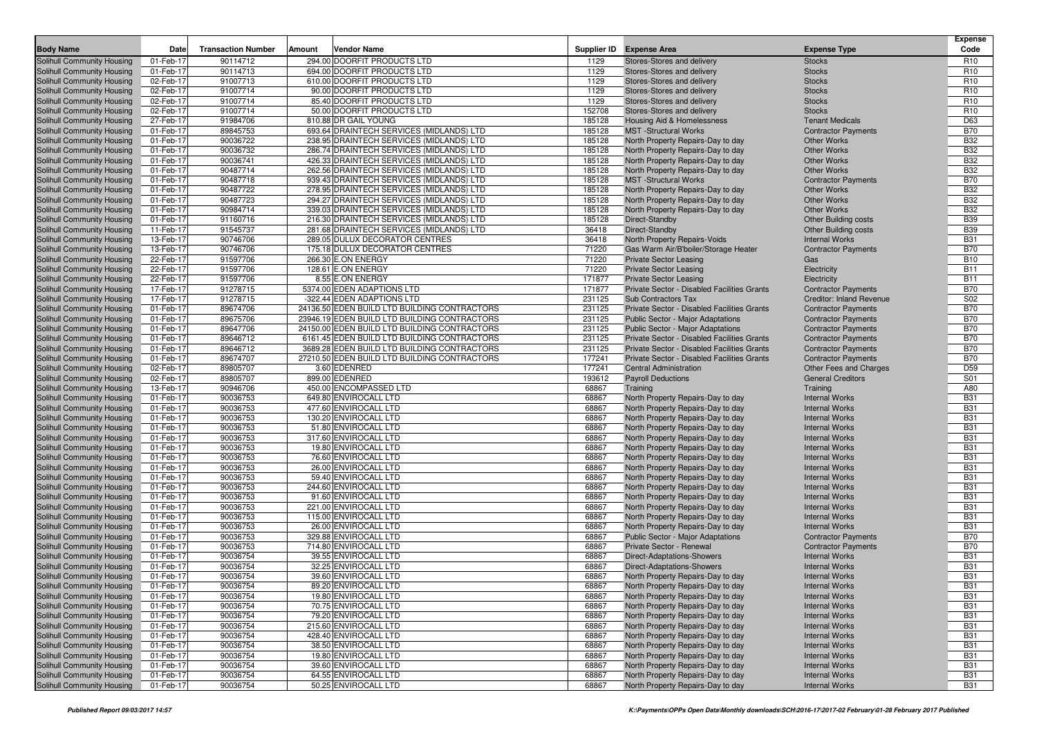| <b>Body Name</b>                                         | Date                   | <b>Transaction Number</b> | Amount | <b>Vendor Name</b>                                                         |                  | Supplier ID Expense Area                                                         | <b>Expense Type</b>                                      | <b>Expense</b><br>Code   |
|----------------------------------------------------------|------------------------|---------------------------|--------|----------------------------------------------------------------------------|------------------|----------------------------------------------------------------------------------|----------------------------------------------------------|--------------------------|
| Solihull Community Housing                               | 01-Feb-17              | 90114712                  |        | 294.00 DOORFIT PRODUCTS LTD                                                | 1129             | Stores-Stores and delivery                                                       | <b>Stocks</b>                                            | R <sub>10</sub>          |
| Solihull Community Housing                               | 01-Feb-17              | 90114713                  |        | 694.00 DOORFIT PRODUCTS LTD                                                | 1129             | Stores-Stores and delivery                                                       | <b>Stocks</b>                                            | R <sub>10</sub>          |
| Solihull Community Housing                               | 02-Feb-17              | 91007713                  |        | 610.00 DOORFIT PRODUCTS LTD                                                | 1129             | Stores-Stores and delivery                                                       | <b>Stocks</b>                                            | R <sub>10</sub>          |
| Solihull Community Housing                               | 02-Feb-17              | 91007714                  |        | 90.00 DOORFIT PRODUCTS LTD                                                 | 1129             | Stores-Stores and delivery                                                       | <b>Stocks</b>                                            | R <sub>10</sub>          |
| Solihull Community Housing                               | 02-Feb-17              | 91007714                  |        | 85.40 DOORFIT PRODUCTS LTD                                                 | 1129             | Stores-Stores and delivery                                                       | <b>Stocks</b>                                            | R <sub>10</sub>          |
| Solihull Community Housing                               | 02-Feb-17              | 91007714                  |        | 50.00 DOORFIT PRODUCTS LTD                                                 | 152708           | Stores-Stores and delivery                                                       | <b>Stocks</b>                                            | R <sub>10</sub>          |
| Solihull Community Housing                               | 27-Feb-17              | 91984706                  |        | 810.88 DR GAIL YOUNG                                                       | 185128           | Housing Aid & Homelessness                                                       | <b>Tenant Medicals</b>                                   | D63                      |
| Solihull Community Housing                               | 01-Feb-17              | 89845753                  |        | 693.64 DRAINTECH SERVICES (MIDLANDS) LTD                                   | 185128           | <b>MST</b> -Structural Works                                                     | <b>Contractor Payments</b>                               | <b>B70</b>               |
| Solihull Community Housing                               | 01-Feb-17              | 90036722                  |        | 238.95 DRAINTECH SERVICES (MIDLANDS) LTD                                   | 185128           | North Property Repairs-Day to day                                                | <b>Other Works</b>                                       | <b>B32</b>               |
| Solihull Community Housing                               | 01-Feb-17              | 90036732                  |        | 286.74 DRAINTECH SERVICES (MIDLANDS) LTD                                   | 185128           | North Property Repairs-Day to day                                                | <b>Other Works</b>                                       | <b>B32</b>               |
| Solihull Community Housing                               | 01-Feb-17              | 90036741                  |        | 426.33 DRAINTECH SERVICES (MIDLANDS) LTD                                   | 185128           | North Property Repairs-Day to day                                                | <b>Other Works</b>                                       | <b>B32</b>               |
| Solihull Community Housing                               | 01-Feb-17              | 90487714                  |        | 262.56 DRAINTECH SERVICES (MIDLANDS) LTD                                   | 185128           | North Property Repairs-Day to day                                                | <b>Other Works</b>                                       | <b>B32</b>               |
| Solihull Community Housing                               | 01-Feb-17              | 90487718                  |        | 939.43 DRAINTECH SERVICES (MIDLANDS) LTD                                   | 185128           | <b>MST</b> - Structural Works                                                    | <b>Contractor Payments</b>                               | <b>B70</b>               |
| Solihull Community Housing                               | 01-Feb-17              | 90487722                  |        | 278.95 DRAINTECH SERVICES (MIDLANDS) LTD                                   | 185128           | North Property Repairs-Day to day                                                | <b>Other Works</b>                                       | <b>B32</b>               |
| Solihull Community Housing                               | 01-Feb-17              | 90487723                  |        | 294.27 DRAINTECH SERVICES (MIDLANDS) LTD                                   | 185128           | North Property Repairs-Day to day                                                | <b>Other Works</b>                                       | <b>B32</b>               |
| Solihull Community Housing                               | 01-Feb-17              | 90984714                  |        | 339.03 DRAINTECH SERVICES (MIDLANDS) LTD                                   | 185128           | North Property Repairs-Day to day                                                | <b>Other Works</b>                                       | <b>B32</b>               |
| Solihull Community Housing                               | 01-Feb-17              | 91160716                  |        | 216.30 DRAINTECH SERVICES (MIDLANDS) LTD                                   | 185128           | Direct-Standby                                                                   | <b>Other Building costs</b>                              | <b>B39</b>               |
| Solihull Community Housing                               | 11-Feb-17              | 91545737                  |        | 281.68 DRAINTECH SERVICES (MIDLANDS) LTD                                   | 36418            | Direct-Standby                                                                   | <b>Other Building costs</b>                              | <b>B39</b>               |
| Solihull Community Housing                               | 13-Feb-17              | 90746706                  |        | 289.05 DULUX DECORATOR CENTRES                                             | 36418            | North Property Repairs-Voids                                                     | <b>Internal Works</b>                                    | <b>B31</b>               |
| Solihull Community Housing                               | 13-Feb-17              | 90746706                  |        | 175.18 DULUX DECORATOR CENTRES                                             | 71220            | Gas Warm Air/B'boiler/Storage Heater                                             | <b>Contractor Payments</b>                               | <b>B70</b>               |
| Solihull Community Housing                               | 22-Feb-17              | 91597706                  |        | 266.30 E.ON ENERGY                                                         | 71220            | <b>Private Sector Leasing</b>                                                    | Gas                                                      | <b>B10</b>               |
| Solihull Community Housing                               | 22-Feb-17              | 91597706                  |        | 128.61 E.ON ENERGY                                                         | 71220            | <b>Private Sector Leasing</b>                                                    | Electricity                                              | <b>B11</b>               |
| Solihull Community Housing                               | 22-Feb-17              | 91597706                  |        | 8.55 E.ON ENERGY                                                           | 171877           | <b>Private Sector Leasing</b>                                                    | Electricity                                              | <b>B11</b>               |
| Solihull Community Housing                               | 17-Feb-17              | 91278715                  |        | 5374.00 EDEN ADAPTIONS LTD                                                 | 171877           | Private Sector - Disabled Facilities Grants                                      | <b>Contractor Payments</b>                               | <b>B70</b>               |
| Solihull Community Housing                               | 17-Feb-17              | 91278715                  |        | -322.44 EDEN ADAPTIONS LTD<br>24136.50 EDEN BUILD LTD BUILDING CONTRACTORS | 231125           | <b>Sub Contractors Tax</b>                                                       | <b>Creditor: Inland Revenue</b>                          | S02                      |
| Solihull Community Housing                               | 01-Feb-17              | 89674706                  |        | 23946.19 EDEN BUILD LTD BUILDING CONTRACTORS                               | 231125           | Private Sector - Disabled Facilities Grants                                      | <b>Contractor Payments</b>                               | <b>B70</b>               |
| Solihull Community Housing                               | 01-Feb-17              | 89675706<br>89647706      |        | 24150.00 EDEN BUILD LTD BUILDING CONTRACTORS                               | 231125           | <b>Public Sector - Major Adaptations</b>                                         | <b>Contractor Payments</b>                               | <b>B70</b><br><b>B70</b> |
| Solihull Community Housing<br>Solihull Community Housing | 01-Feb-17<br>01-Feb-17 | 89646712                  |        | 6161.45 EDEN BUILD LTD BUILDING CONTRACTORS                                | 231125<br>231125 | Public Sector - Major Adaptations<br>Private Sector - Disabled Facilities Grants | <b>Contractor Payments</b><br><b>Contractor Payments</b> | <b>B70</b>               |
| Solihull Community Housing                               | 01-Feb-17              | 89646712                  |        | 3689.28 EDEN BUILD LTD BUILDING CONTRACTORS                                | 231125           | Private Sector - Disabled Facilities Grants                                      | <b>Contractor Payments</b>                               | <b>B70</b>               |
| Solihull Community Housing                               | 01-Feb-17              | 89674707                  |        | 27210.50 EDEN BUILD LTD BUILDING CONTRACTORS                               | 177241           | Private Sector - Disabled Facilities Grants                                      | <b>Contractor Payments</b>                               | <b>B70</b>               |
| Solihull Community Housing                               | 02-Feb-17              | 89805707                  |        | 3.60 EDENRED                                                               | 177241           | <b>Central Administration</b>                                                    | Other Fees and Charges                                   | D <sub>59</sub>          |
| Solihull Community Housing                               | 02-Feb-17              | 89805707                  |        | 899.00 EDENRED                                                             | 193612           | <b>Payroll Deductions</b>                                                        | <b>General Creditors</b>                                 | S01                      |
| Solihull Community Housing                               | 13-Feb-17              | 90946706                  |        | 450.00 ENCOMPASSED LTD                                                     | 68867            | Training                                                                         | Training                                                 | A80                      |
| Solihull Community Housing                               | 01-Feb-17              | 90036753                  |        | 649.80 ENVIROCALL LTD                                                      | 68867            | North Property Repairs-Day to day                                                | <b>Internal Works</b>                                    | <b>B31</b>               |
| Solihull Community Housing                               | 01-Feb-17              | 90036753                  |        | 477.60 ENVIROCALL LTD                                                      | 68867            | North Property Repairs-Day to day                                                | <b>Internal Works</b>                                    | <b>B31</b>               |
| Solihull Community Housing                               | 01-Feb-17              | 90036753                  |        | 130.20 ENVIROCALL LTD                                                      | 68867            | North Property Repairs-Day to day                                                | <b>Internal Works</b>                                    | <b>B31</b>               |
| Solihull Community Housing                               | 01-Feb-17              | 90036753                  |        | 51.80 ENVIROCALL LTD                                                       | 68867            | North Property Repairs-Day to day                                                | <b>Internal Works</b>                                    | <b>B31</b>               |
| Solihull Community Housing                               | 01-Feb-17              | 90036753                  |        | 317.60 ENVIROCALL LTD                                                      | 68867            | North Property Repairs-Day to day                                                | <b>Internal Works</b>                                    | <b>B31</b>               |
| Solihull Community Housing                               | 01-Feb-17              | 90036753                  |        | 19.80 ENVIROCALL LTD                                                       | 68867            | North Property Repairs-Day to day                                                | <b>Internal Works</b>                                    | <b>B31</b>               |
| Solihull Community Housing                               | 01-Feb-17              | 90036753                  |        | 76.60 ENVIROCALL LTD                                                       | 68867            | North Property Repairs-Day to day                                                | <b>Internal Works</b>                                    | <b>B31</b>               |
| Solihull Community Housing                               | 01-Feb-17              | 90036753                  |        | 26.00 ENVIROCALL LTD                                                       | 68867            | North Property Repairs-Day to day                                                | <b>Internal Works</b>                                    | <b>B31</b>               |
| Solihull Community Housing                               | 01-Feb-17              | 90036753                  |        | 59.40 ENVIROCALL LTD                                                       | 68867            | North Property Repairs-Day to day                                                | <b>Internal Works</b>                                    | <b>B31</b>               |
| Solihull Community Housing                               | 01-Feb-17              | 90036753                  |        | 244.60 ENVIROCALL LTD                                                      | 68867            | North Property Repairs-Day to day                                                | <b>Internal Works</b>                                    | <b>B31</b>               |
| Solihull Community Housing                               | 01-Feb-17              | 90036753                  |        | 91.60 ENVIROCALL LTD                                                       | 68867            | North Property Repairs-Day to day                                                | <b>Internal Works</b>                                    | <b>B31</b>               |
| Solihull Community Housing                               | 01-Feb-17              | 90036753                  |        | 221.00 ENVIROCALL LTD                                                      | 68867            | North Property Repairs-Day to day                                                | <b>Internal Works</b>                                    | <b>B31</b>               |
| Solihull Community Housing                               | 01-Feb-17              | 90036753                  |        | 115.00 ENVIROCALL LTD                                                      | 68867            | North Property Repairs-Day to day                                                | <b>Internal Works</b>                                    | <b>B31</b>               |
| Solihull Community Housing                               | 01-Feb-17              | 90036753                  |        | 26.00 ENVIROCALL LTD                                                       | 68867            | North Property Repairs-Day to day                                                | <b>Internal Works</b>                                    | <b>B31</b>               |
| Solihull Community Housing                               | 01-Feb-17              | 90036753                  |        | 329.88 ENVIROCALL LTD                                                      | 68867            | <b>Public Sector - Major Adaptations</b>                                         | <b>Contractor Payments</b>                               | <b>B70</b>               |
| Solihull Community Housing                               | 01-Feb-17              | 90036753                  |        | 714.80 ENVIROCALL LTD                                                      | 68867            | Private Sector - Renewal                                                         | <b>Contractor Payments</b>                               | <b>B70</b>               |
| Solihull Community Housing                               | 01-Feb-17              | 90036754                  |        | 39.55 ENVIROCALL LTD                                                       | 68867            | <b>Direct-Adaptations-Showers</b>                                                | <b>Internal Works</b>                                    | <b>B31</b>               |
| Solihull Community Housing                               | 01-Feb-17              | 90036754                  |        | 32.25 ENVIROCALL LTD                                                       | 68867            | Direct-Adaptations-Showers                                                       | <b>Internal Works</b>                                    | <b>B31</b>               |
| Solihull Community Housing                               | 01-Feb-17              | 90036754                  |        | 39.60 ENVIROCALL LTD                                                       | 68867            | North Property Repairs-Day to day                                                | <b>Internal Works</b>                                    | <b>B31</b>               |
| Solihull Community Housing                               | 01-Feb-17              | 90036754                  |        | 89.20 ENVIROCALL LTD                                                       | 68867            | North Property Repairs-Day to day                                                | <b>Internal Works</b>                                    | <b>B31</b>               |
| Solihull Community Housing                               | 01-Feb-17              | 90036754                  |        | 19.80 ENVIROCALL LTD<br>70.75 ENVIROCALL LTD                               | 68867            | North Property Repairs-Day to day<br>North Property Repairs-Day to day           | <b>Internal Works</b>                                    | <b>B31</b><br><b>B31</b> |
| Solihull Community Housing<br>Solihull Community Housing | 01-Feb-17<br>01-Feb-17 | 90036754<br>90036754      |        | 79.20 ENVIROCALL LTD                                                       | 68867<br>68867   |                                                                                  | <b>Internal Works</b><br><b>Internal Works</b>           |                          |
| Solihull Community Housing                               | 01-Feb-17              | 90036754                  |        | 215.60 ENVIROCALL LTD                                                      | 68867            | North Property Repairs-Day to day<br>North Property Repairs-Day to day           | <b>Internal Works</b>                                    | <b>B31</b><br><b>B31</b> |
| Solihull Community Housing                               | 01-Feb-17              | 90036754                  |        | 428.40 ENVIROCALL LTD                                                      | 68867            | North Property Repairs-Day to day                                                | <b>Internal Works</b>                                    | <b>B31</b>               |
| Solihull Community Housing                               | 01-Feb-17              | 90036754                  |        | 38.50 ENVIROCALL LTD                                                       | 68867            | North Property Repairs-Day to day                                                | <b>Internal Works</b>                                    | <b>B31</b>               |
| Solihull Community Housing                               | 01-Feb-17              | 90036754                  |        | 19.80 ENVIROCALL LTD                                                       | 68867            | North Property Repairs-Day to day                                                | <b>Internal Works</b>                                    | <b>B31</b>               |
| Solihull Community Housing                               | 01-Feb-17              | 90036754                  |        | 39.60 ENVIROCALL LTD                                                       | 68867            | North Property Repairs-Day to day                                                | <b>Internal Works</b>                                    | <b>B31</b>               |
| Solihull Community Housing                               | 01-Feb-17              | 90036754                  |        | 64.55 ENVIROCALL LTD                                                       | 68867            | North Property Repairs-Day to day                                                | <b>Internal Works</b>                                    | <b>B31</b>               |
| Solihull Community Housing                               | 01-Feb-17              | 90036754                  |        | 50.25 ENVIROCALL LTD                                                       | 68867            | North Property Repairs-Day to day                                                | <b>Internal Works</b>                                    | <b>B31</b>               |
|                                                          |                        |                           |        |                                                                            |                  |                                                                                  |                                                          |                          |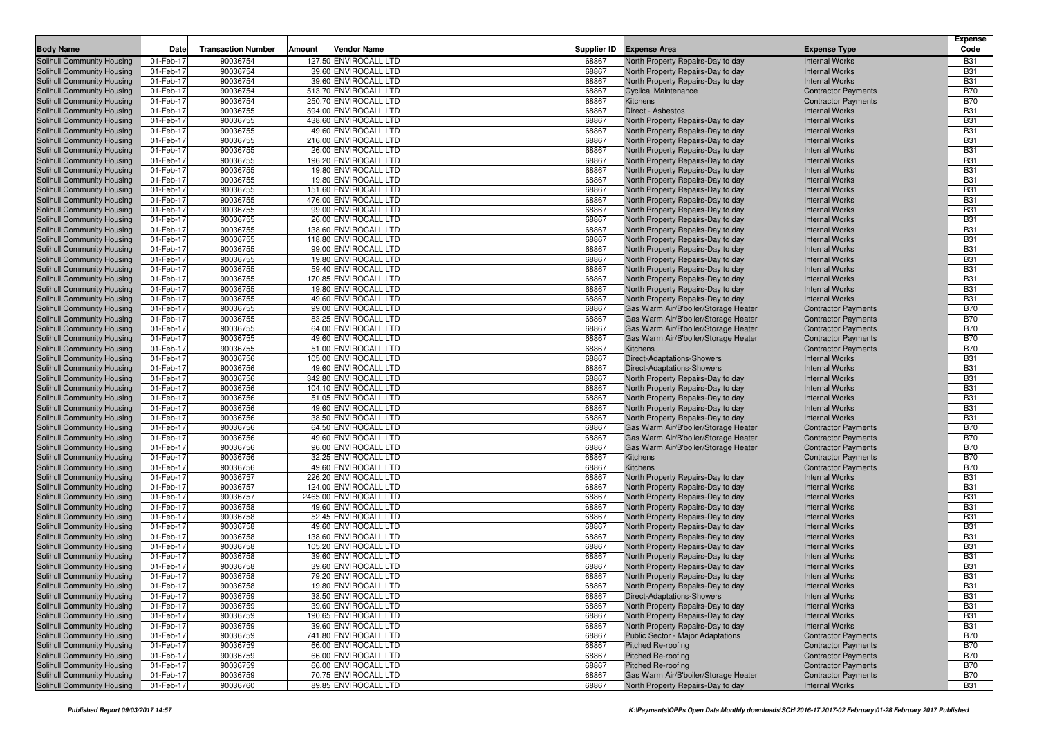|                                                          |                        |                           |        |                                                |                |                                                                        |                                                          | <b>Expense</b>           |
|----------------------------------------------------------|------------------------|---------------------------|--------|------------------------------------------------|----------------|------------------------------------------------------------------------|----------------------------------------------------------|--------------------------|
| <b>Body Name</b>                                         | Date                   | <b>Transaction Number</b> | Amount | <b>Vendor Name</b>                             |                | Supplier ID Expense Area                                               | <b>Expense Type</b>                                      | Code                     |
| Solihull Community Housing                               | 01-Feb-17              | 90036754                  |        | 127.50 ENVIROCALL LTD                          | 68867          | North Property Repairs-Day to day                                      | <b>Internal Works</b>                                    | <b>B31</b>               |
| Solihull Community Housing                               | 01-Feb-17              | 90036754                  |        | 39.60 ENVIROCALL LTD                           | 68867          | North Property Repairs-Day to day                                      | <b>Internal Works</b>                                    | <b>B31</b>               |
| Solihull Community Housing                               | 01-Feb-17              | 90036754                  |        | 39.60 ENVIROCALL LTD                           | 68867          | North Property Repairs-Day to day                                      | <b>Internal Works</b>                                    | <b>B31</b>               |
| Solihull Community Housing                               | 01-Feb-17              | 90036754                  |        | 513.70 ENVIROCALL LTD                          | 68867          | <b>Cyclical Maintenance</b>                                            | <b>Contractor Payments</b>                               | <b>B70</b>               |
| Solihull Community Housing                               | 01-Feb-17              | 90036754                  |        | 250.70 ENVIROCALL LTD                          | 68867          | <b>Kitchens</b>                                                        | <b>Contractor Payments</b>                               | <b>B70</b><br><b>B31</b> |
| Solihull Community Housing                               | 01-Feb-17<br>01-Feb-17 | 90036755<br>90036755      |        | 594.00 ENVIROCALL LTD<br>438.60 ENVIROCALL LTD | 68867<br>68867 | Direct - Asbestos<br>North Property Repairs-Day to day                 | <b>Internal Works</b><br><b>Internal Works</b>           | <b>B31</b>               |
| Solihull Community Housing<br>Solihull Community Housing | 01-Feb-17              | 90036755                  |        | 49.60 ENVIROCALL LTD                           | 68867          | North Property Repairs-Day to day                                      | <b>Internal Works</b>                                    | <b>B31</b>               |
| Solihull Community Housing                               | 01-Feb-17              | 90036755                  |        | 216.00 ENVIROCALL LTD                          | 68867          | North Property Repairs-Day to day                                      | <b>Internal Works</b>                                    | <b>B31</b>               |
| Solihull Community Housing                               | 01-Feb-17              | 90036755                  |        | 26.00 ENVIROCALL LTD                           | 68867          | North Property Repairs-Day to day                                      | <b>Internal Works</b>                                    | <b>B31</b>               |
| Solihull Community Housing                               | 01-Feb-17              | 90036755                  |        | 196.20 ENVIROCALL LTD                          | 68867          | North Property Repairs-Day to day                                      | <b>Internal Works</b>                                    | <b>B31</b>               |
| Solihull Community Housing                               | 01-Feb-17              | 90036755                  |        | 19.80 ENVIROCALL LTD                           | 68867          | North Property Repairs-Day to day                                      | <b>Internal Works</b>                                    | <b>B31</b>               |
| Solihull Community Housing                               | 01-Feb-17              | 90036755                  |        | 19.80 ENVIROCALL LTD                           | 68867          | North Property Repairs-Day to day                                      | <b>Internal Works</b>                                    | <b>B31</b>               |
| Solihull Community Housing                               | 01-Feb-17              | 90036755                  |        | 151.60 ENVIROCALL LTD                          | 68867          | North Property Repairs-Day to day                                      | <b>Internal Works</b>                                    | <b>B31</b>               |
| Solihull Community Housing                               | 01-Feb-17              | 90036755                  |        | 476.00 ENVIROCALL LTD                          | 68867          | North Property Repairs-Day to day                                      | <b>Internal Works</b>                                    | <b>B31</b>               |
| Solihull Community Housing                               | 01-Feb-17              | 90036755                  |        | 99.00 ENVIROCALL LTD                           | 68867          | North Property Repairs-Day to day                                      | <b>Internal Works</b>                                    | <b>B31</b>               |
| Solihull Community Housing                               | 01-Feb-17              | 90036755                  |        | 26.00 ENVIROCALL LTD                           | 68867          | North Property Repairs-Day to day                                      | <b>Internal Works</b>                                    | <b>B31</b>               |
| Solihull Community Housing                               | 01-Feb-17              | 90036755                  |        | 138.60 ENVIROCALL LTD                          | 68867          | North Property Repairs-Day to day                                      | <b>Internal Works</b>                                    | <b>B31</b>               |
| Solihull Community Housing                               | 01-Feb-17              | 90036755                  |        | 118.80 ENVIROCALL LTD                          | 68867          | North Property Repairs-Day to day                                      | <b>Internal Works</b>                                    | <b>B31</b>               |
| Solihull Community Housing                               | 01-Feb-17              | 90036755                  |        | 99.00 ENVIROCALL LTD                           | 68867          | North Property Repairs-Day to day                                      | <b>Internal Works</b>                                    | <b>B31</b>               |
| Solihull Community Housing                               | 01-Feb-17              | 90036755                  |        | 19.80 ENVIROCALL LTD                           | 68867          | North Property Repairs-Day to day                                      | <b>Internal Works</b>                                    | <b>B31</b>               |
| Solihull Community Housing                               | 01-Feb-17              | 90036755                  |        | 59.40 ENVIROCALL LTD                           | 68867          | North Property Repairs-Day to day                                      | <b>Internal Works</b>                                    | <b>B31</b>               |
| Solihull Community Housing                               | 01-Feb-17              | 90036755                  |        | 170.85 ENVIROCALL LTD                          | 68867          | North Property Repairs-Day to day                                      | <b>Internal Works</b>                                    | <b>B31</b>               |
| Solihull Community Housing                               | 01-Feb-17              | 90036755                  |        | 19.80 ENVIROCALL LTD                           | 68867          | North Property Repairs-Day to day                                      | <b>Internal Works</b>                                    | <b>B31</b>               |
| Solihull Community Housing                               | 01-Feb-17              | 90036755                  |        | 49.60 ENVIROCALL LTD                           | 68867          | North Property Repairs-Day to day                                      | <b>Internal Works</b>                                    | <b>B31</b>               |
| Solihull Community Housing                               | 01-Feb-17              | 90036755                  |        | 99.00 ENVIROCALL LTD                           | 68867          | Gas Warm Air/B'boiler/Storage Heater                                   | <b>Contractor Payments</b>                               | <b>B70</b>               |
| Solihull Community Housing                               | 01-Feb-17              | 90036755                  |        | 83.25 ENVIROCALL LTD                           | 68867          | Gas Warm Air/B'boiler/Storage Heater                                   | <b>Contractor Payments</b>                               | <b>B70</b>               |
| Solihull Community Housing                               | 01-Feb-17              | 90036755                  |        | 64.00 ENVIROCALL LTD                           | 68867          | Gas Warm Air/B'boiler/Storage Heater                                   | <b>Contractor Payments</b>                               | <b>B70</b>               |
| Solihull Community Housing                               | 01-Feb-17              | 90036755                  |        | 49.60 ENVIROCALL LTD                           | 68867          | Gas Warm Air/B'boiler/Storage Heater                                   | <b>Contractor Payments</b>                               | <b>B70</b>               |
| Solihull Community Housing                               | 01-Feb-17              | 90036755                  |        | 51.00 ENVIROCALL LTD                           | 68867          | <b>Kitchens</b>                                                        | <b>Contractor Payments</b>                               | <b>B70</b>               |
| Solihull Community Housing                               | 01-Feb-17              | 90036756                  |        | 105.00 ENVIROCALL LTD                          | 68867          | Direct-Adaptations-Showers                                             | <b>Internal Works</b>                                    | <b>B31</b>               |
| Solihull Community Housing                               | 01-Feb-17              | 90036756                  |        | 49.60 ENVIROCALL LTD                           | 68867          | <b>Direct-Adaptations-Showers</b>                                      | <b>Internal Works</b>                                    | <b>B31</b>               |
| Solihull Community Housing                               | 01-Feb-17              | 90036756                  |        | 342.80 ENVIROCALL LTD                          | 68867          | North Property Repairs-Day to day                                      | <b>Internal Works</b>                                    | <b>B31</b>               |
| Solihull Community Housing                               | 01-Feb-17              | 90036756                  |        | 104.10 ENVIROCALL LTD                          | 68867          | North Property Repairs-Day to day                                      | <b>Internal Works</b>                                    | <b>B31</b>               |
| Solihull Community Housing                               | 01-Feb-17              | 90036756                  |        | 51.05 ENVIROCALL LTD                           | 68867          | North Property Repairs-Day to day                                      | <b>Internal Works</b><br><b>Internal Works</b>           | <b>B31</b><br><b>B31</b> |
| Solihull Community Housing<br>Solihull Community Housing | 01-Feb-17<br>01-Feb-17 | 90036756<br>90036756      |        | 49.60 ENVIROCALL LTD<br>38.50 ENVIROCALL LTD   | 68867<br>68867 | North Property Repairs-Day to day<br>North Property Repairs-Day to day | <b>Internal Works</b>                                    | <b>B31</b>               |
| Solihull Community Housing                               | 01-Feb-17              | 90036756                  |        | 64.50 ENVIROCALL LTD                           | 68867          | Gas Warm Air/B'boiler/Storage Heater                                   | <b>Contractor Payments</b>                               | <b>B70</b>               |
| Solihull Community Housing                               | 01-Feb-17              | 90036756                  |        | 49.60 ENVIROCALL LTD                           | 68867          | Gas Warm Air/B'boiler/Storage Heater                                   | <b>Contractor Payments</b>                               | <b>B70</b>               |
| Solihull Community Housing                               | 01-Feb-17              | 90036756                  |        | 96.00 ENVIROCALL LTD                           | 68867          | Gas Warm Air/B'boiler/Storage Heater                                   | <b>Contractor Payments</b>                               | <b>B70</b>               |
| Solihull Community Housing                               | 01-Feb-17              | 90036756                  |        | 32.25 ENVIROCALL LTD                           | 68867          | Kitchens                                                               | <b>Contractor Payments</b>                               | <b>B70</b>               |
| Solihull Community Housing                               | 01-Feb-17              | 90036756                  |        | 49.60 ENVIROCALL LTD                           | 68867          | Kitchens                                                               | <b>Contractor Payments</b>                               | <b>B70</b>               |
| <b>Solihull Community Housing</b>                        | 01-Feb-17              | 90036757                  |        | 226.20 ENVIROCALL LTD                          | 68867          | North Property Repairs-Day to day                                      | <b>Internal Works</b>                                    | <b>B31</b>               |
| Solihull Community Housing                               | 01-Feb-17              | 90036757                  |        | 124.00 ENVIROCALL LTD                          | 68867          | North Property Repairs-Day to day                                      | <b>Internal Works</b>                                    | <b>B31</b>               |
| Solihull Community Housing                               | 01-Feb-17              | 90036757                  |        | 2465.00 ENVIROCALL LTD                         | 68867          | North Property Repairs-Day to day                                      | <b>Internal Works</b>                                    | <b>B31</b>               |
| Solihull Community Housing                               | 01-Feb-17              | 90036758                  |        | 49.60 ENVIROCALL LTD                           | 68867          | North Property Repairs-Day to day                                      | <b>Internal Works</b>                                    | <b>B31</b>               |
| Solihull Community Housing                               | 01-Feb-17              | 90036758                  |        | 52.45 ENVIROCALL LTD                           | 68867          | North Property Repairs-Day to day                                      | <b>Internal Works</b>                                    | <b>B31</b>               |
| Solihull Community Housing                               | 01-Feb-17              | 90036758                  |        | 49.60 ENVIROCALL LTD                           | 68867          | North Property Repairs-Day to day                                      | <b>Internal Works</b>                                    | <b>B31</b>               |
| Solihull Community Housing                               | 01-Feb-17              | 90036758                  |        | 138.60 ENVIROCALL LTD                          | 68867          | North Property Repairs-Day to day                                      | <b>Internal Works</b>                                    | <b>B31</b>               |
| Solihull Community Housing                               | 01-Feb-17              | 90036758                  |        | 105.20 ENVIROCALL LTD                          | 68867          | North Property Repairs-Day to day                                      | <b>Internal Works</b>                                    | <b>B31</b>               |
| Solihull Community Housing                               | 01-Feb-17              | 90036758                  |        | 39.60 ENVIROCALL LTD                           | 68867          | North Property Repairs-Day to day                                      | <b>Internal Works</b>                                    | <b>B31</b>               |
| Solihull Community Housing                               | 01-Feb-17              | 90036758                  |        | 39.60 ENVIROCALL LTD                           | 68867          | North Property Repairs-Day to day                                      | <b>Internal Works</b>                                    | <b>B31</b>               |
| Solihull Community Housing                               | 01-Feb-17              | 90036758                  |        | 79.20 ENVIROCALL LTD                           | 68867          | North Property Repairs-Day to day                                      | <b>Internal Works</b>                                    | <b>B31</b>               |
| Solihull Community Housing                               | 01-Feb-17              | 90036758                  |        | 19.80 ENVIROCALL LTD                           | 68867          | North Property Repairs-Day to day                                      | <b>Internal Works</b>                                    | <b>B31</b>               |
| Solihull Community Housing                               | 01-Feb-17              | 90036759                  |        | 38.50 ENVIROCALL LTD                           | 68867          | <b>Direct-Adaptations-Showers</b>                                      | <b>Internal Works</b>                                    | <b>B31</b>               |
| Solihull Community Housing                               | 01-Feb-17              | 90036759                  |        | 39.60 ENVIROCALL LTD                           | 68867          | North Property Repairs-Day to day                                      | <b>Internal Works</b>                                    | <b>B31</b>               |
| Solihull Community Housing                               | 01-Feb-17              | 90036759                  |        | 190.65 ENVIROCALL LTD                          | 68867          | North Property Repairs-Day to day                                      | <b>Internal Works</b>                                    | <b>B31</b>               |
| Solihull Community Housing                               | 01-Feb-17              | 90036759                  |        | 39.60 ENVIROCALL LTD                           | 68867          | North Property Repairs-Day to day                                      | <b>Internal Works</b>                                    | <b>B31</b>               |
| Solihull Community Housing                               | 01-Feb-17              | 90036759                  |        | 741.80 ENVIROCALL LTD                          | 68867          | Public Sector - Major Adaptations                                      | <b>Contractor Payments</b>                               | <b>B70</b>               |
| Solihull Community Housing                               | 01-Feb-17              | 90036759                  |        | 66.00 ENVIROCALL LTD                           | 68867          | <b>Pitched Re-roofing</b>                                              | <b>Contractor Payments</b>                               | <b>B70</b>               |
| Solihull Community Housing<br>Solihull Community Housing | 01-Feb-17              | 90036759<br>90036759      |        | 66.00 ENVIROCALL LTD<br>66.00 ENVIROCALL LTD   | 68867          | Pitched Re-roofing<br>Pitched Re-roofing                               | <b>Contractor Payments</b><br><b>Contractor Payments</b> | <b>B70</b>               |
| Solihull Community Housing                               | 01-Feb-17<br>01-Feb-17 | 90036759                  |        | 70.75 ENVIROCALL LTD                           | 68867<br>68867 | Gas Warm Air/B'boiler/Storage Heater                                   | <b>Contractor Payments</b>                               | B70<br>B70               |
| Solihull Community Housing                               | 01-Feb-17              | 90036760                  |        | 89.85 ENVIROCALL LTD                           | 68867          | North Property Repairs-Day to day                                      | <b>Internal Works</b>                                    | <b>B31</b>               |
|                                                          |                        |                           |        |                                                |                |                                                                        |                                                          |                          |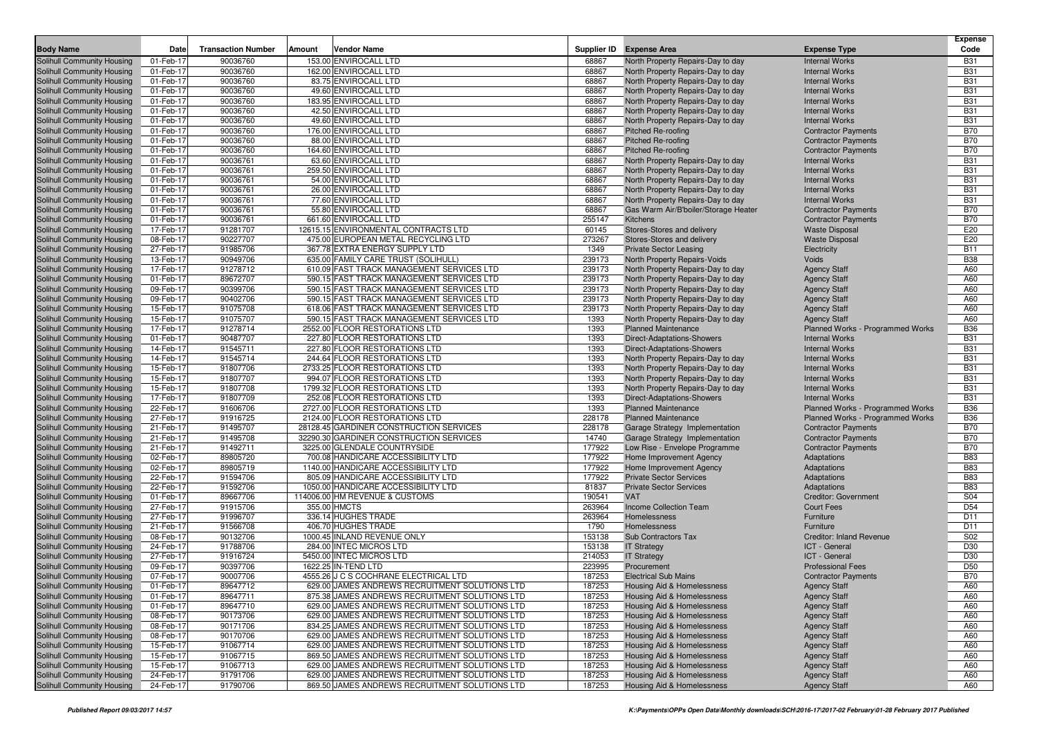| <b>Body Name</b>                                         | Date                   | <b>Transaction Number</b> | Amount | <b>Vendor Name</b>                                              |                 | Supplier ID Expense Area                                               | <b>Expense Type</b>                                 | <b>Expense</b><br>Code   |
|----------------------------------------------------------|------------------------|---------------------------|--------|-----------------------------------------------------------------|-----------------|------------------------------------------------------------------------|-----------------------------------------------------|--------------------------|
|                                                          |                        |                           |        |                                                                 |                 |                                                                        |                                                     | <b>B31</b>               |
| Solihull Community Housing<br>Solihull Community Housing | 01-Feb-17<br>01-Feb-17 | 90036760<br>90036760      |        | 153.00 ENVIROCALL LTD<br>162.00 ENVIROCALL LTD                  | 68867<br>68867  | North Property Repairs-Day to day<br>North Property Repairs-Day to day | <b>Internal Works</b><br><b>Internal Works</b>      | <b>B31</b>               |
| Solihull Community Housing                               | 01-Feb-17              | 90036760                  |        | 83.75 ENVIROCALL LTD                                            | 68867           | North Property Repairs-Day to day                                      | <b>Internal Works</b>                               | <b>B31</b>               |
| Solihull Community Housing                               | 01-Feb-17              | 90036760                  |        | 49.60 ENVIROCALL LTD                                            | 68867           | North Property Repairs-Day to day                                      | <b>Internal Works</b>                               | <b>B31</b>               |
| Solihull Community Housing                               | 01-Feb-17              | 90036760                  |        | 183.95 ENVIROCALL LTD                                           | 68867           | North Property Repairs-Day to day                                      | <b>Internal Works</b>                               | <b>B31</b>               |
| Solihull Community Housing                               | 01-Feb-17              | 90036760                  |        | 42.50 ENVIROCALL LTD                                            | 68867           | North Property Repairs-Day to day                                      | <b>Internal Works</b>                               | <b>B31</b>               |
| Solihull Community Housing                               | 01-Feb-17              | 90036760                  |        | 49.60 ENVIROCALL LTD                                            | 68867           | North Property Repairs-Day to day                                      | <b>Internal Works</b>                               | <b>B31</b>               |
| Solihull Community Housing                               | 01-Feb-17              | 90036760                  |        | 176.00 ENVIROCALL LTD                                           | 68867           | <b>Pitched Re-roofing</b>                                              | <b>Contractor Payments</b>                          | <b>B70</b>               |
| Solihull Community Housing                               | 01-Feb-17              | 90036760                  |        | 88.00 ENVIROCALL LTD                                            | 68867           | <b>Pitched Re-roofing</b>                                              | <b>Contractor Payments</b>                          | <b>B70</b>               |
| Solihull Community Housing                               | 01-Feb-17              | 90036760                  |        | 164.60 ENVIROCALL LTD                                           | 68867           | <b>Pitched Re-roofing</b>                                              | <b>Contractor Payments</b>                          | <b>B70</b>               |
| Solihull Community Housing                               | 01-Feb-17              | 90036761                  |        | 63.60 ENVIROCALL LTD                                            | 68867           | North Property Repairs-Day to day                                      | <b>Internal Works</b>                               | <b>B31</b>               |
| Solihull Community Housing                               | 01-Feb-17              | 90036761                  |        | 259.50 ENVIROCALL LTD                                           | 68867           | North Property Repairs-Day to day                                      | <b>Internal Works</b>                               | <b>B31</b>               |
| Solihull Community Housing                               | 01-Feb-17              | 90036761                  |        | 54.00 ENVIROCALL LTD                                            | 68867           | North Property Repairs-Day to day                                      | <b>Internal Works</b>                               | <b>B31</b>               |
| Solihull Community Housing                               | 01-Feb-17              | 90036761                  |        | 26.00 ENVIROCALL LTD                                            | 68867           | North Property Repairs-Day to day                                      | <b>Internal Works</b>                               | <b>B31</b>               |
| Solihull Community Housing                               | 01-Feb-17              | 90036761                  |        | 77.60 ENVIROCALL LTD                                            | 68867           | North Property Repairs-Day to day                                      | <b>Internal Works</b>                               | <b>B31</b>               |
| Solihull Community Housing                               | 01-Feb-17<br>01-Feb-17 | 90036761<br>90036761      |        | 55.80 ENVIROCALL LTD<br>661.60 ENVIROCALL LTD                   | 68867<br>255147 | Gas Warm Air/B'boiler/Storage Heater<br><b>Kitchens</b>                | <b>Contractor Payments</b>                          | <b>B70</b><br><b>B70</b> |
| Solihull Community Housing<br>Solihull Community Housing | 17-Feb-17              | 91281707                  |        | 12615.15 ENVIRONMENTAL CONTRACTS LTD                            | 60145           | Stores-Stores and delivery                                             | <b>Contractor Payments</b><br><b>Waste Disposal</b> | E20                      |
| Solihull Community Housing                               | 08-Feb-17              | 90227707                  |        | 475.00 EUROPEAN METAL RECYCLING LTD                             | 273267          | Stores-Stores and delivery                                             | <b>Waste Disposal</b>                               | E20                      |
| Solihull Community Housing                               | 27-Feb-17              | 91985706                  |        | 367.78 EXTRA ENERGY SUPPLY LTD                                  | 1349            | <b>Private Sector Leasing</b>                                          | Electricity                                         | <b>B11</b>               |
| Solihull Community Housing                               | 13-Feb-17              | 90949706                  |        | 635.00 FAMILY CARE TRUST (SOLIHULL)                             | 239173          | <b>North Property Repairs-Voids</b>                                    | Voids                                               | <b>B38</b>               |
| Solihull Community Housing                               | 17-Feb-17              | 91278712                  |        | 610.09 FAST TRACK MANAGEMENT SERVICES LTD                       | 239173          | North Property Repairs-Day to day                                      | <b>Agency Staff</b>                                 | A60                      |
| Solihull Community Housing                               | 01-Feb-17              | 89672707                  |        | 590.15 FAST TRACK MANAGEMENT SERVICES LTD                       | 239173          | North Property Repairs-Day to day                                      | <b>Agency Staff</b>                                 | A60                      |
| Solihull Community Housing                               | 09-Feb-17              | 90399706                  |        | 590.15 FAST TRACK MANAGEMENT SERVICES LTD                       | 239173          | North Property Repairs-Day to day                                      | <b>Agency Staff</b>                                 | A60                      |
| Solihull Community Housing                               | 09-Feb-17              | 90402706                  |        | 590.15 FAST TRACK MANAGEMENT SERVICES LTD                       | 239173          | North Property Repairs-Day to day                                      | <b>Agency Staff</b>                                 | A60                      |
| Solihull Community Housing                               | 15-Feb-17              | 91075708                  |        | 618.06 FAST TRACK MANAGEMENT SERVICES LTD                       | 239173          | North Property Repairs-Day to day                                      | <b>Agency Staff</b>                                 | A60                      |
| Solihull Community Housing                               | 15-Feb-17              | 91075707                  |        | 590.15 FAST TRACK MANAGEMENT SERVICES LTD                       | 1393            | North Property Repairs-Day to day                                      | <b>Agency Staff</b>                                 | A60                      |
| Solihull Community Housing                               | 17-Feb-17              | 91278714                  |        | 2552.00 FLOOR RESTORATIONS LTD                                  | 1393            | <b>Planned Maintenance</b>                                             | Planned Works - Programmed Works                    | <b>B36</b>               |
| Solihull Community Housing                               | 01-Feb-17              | 90487707                  |        | 227.80 FLOOR RESTORATIONS LTD                                   | 1393            | <b>Direct-Adaptations-Showers</b>                                      | <b>Internal Works</b>                               | <b>B31</b>               |
| Solihull Community Housing                               | 14-Feb-17              | 91545711                  |        | 227.80 FLOOR RESTORATIONS LTD                                   | 1393            | <b>Direct-Adaptations-Showers</b>                                      | <b>Internal Works</b>                               | <b>B31</b>               |
| Solihull Community Housing                               | 14-Feb-17              | 91545714                  |        | 244.64 FLOOR RESTORATIONS LTD                                   | 1393            | North Property Repairs-Day to day                                      | <b>Internal Works</b>                               | <b>B31</b>               |
| Solihull Community Housing                               | 15-Feb-17              | 91807706                  |        | 2733.25 FLOOR RESTORATIONS LTD                                  | 1393            | North Property Repairs-Day to day                                      | <b>Internal Works</b>                               | <b>B31</b>               |
| Solihull Community Housing                               | 15-Feb-17              | 91807707                  |        | 994.07 FLOOR RESTORATIONS LTD<br>1799.32 FLOOR RESTORATIONS LTD | 1393<br>1393    | North Property Repairs-Day to day<br>North Property Repairs-Day to day | <b>Internal Works</b>                               | <b>B31</b><br><b>B31</b> |
| Solihull Community Housing<br>Solihull Community Housing | 15-Feb-17<br>17-Feb-17 | 91807708<br>91807709      |        | 252.08 FLOOR RESTORATIONS LTD                                   | 1393            | <b>Direct-Adaptations-Showers</b>                                      | <b>Internal Works</b><br><b>Internal Works</b>      | <b>B31</b>               |
| Solihull Community Housing                               | 22-Feb-17              | 91606706                  |        | 2727.00 FLOOR RESTORATIONS LTD                                  | 1393            | <b>Planned Maintenance</b>                                             | Planned Works - Programmed Works                    | <b>B36</b>               |
| Solihull Community Housing                               | 27-Feb-17              | 91916725                  |        | 2124.00 FLOOR RESTORATIONS LTD                                  | 228178          | <b>Planned Maintenance</b>                                             | Planned Works - Programmed Works                    | <b>B36</b>               |
| Solihull Community Housing                               | 21-Feb-17              | 91495707                  |        | 28128.45 GARDINER CONSTRUCTION SERVICES                         | 228178          | Garage Strategy Implementation                                         | <b>Contractor Payments</b>                          | <b>B70</b>               |
| Solihull Community Housing                               | 21-Feb-17              | 91495708                  |        | 32290.30 GARDINER CONSTRUCTION SERVICES                         | 14740           | Garage Strategy Implementation                                         | <b>Contractor Payments</b>                          | <b>B70</b>               |
| Solihull Community Housing                               | 21-Feb-17              | 91492711                  |        | 3225.00 GLENDALE COUNTRYSIDE                                    | 177922          | Low Rise - Envelope Programme                                          | <b>Contractor Payments</b>                          | <b>B70</b>               |
| Solihull Community Housing                               | 02-Feb-17              | 89805720                  |        | 700.08 HANDICARE ACCESSIBILITY LTD                              | 177922          | Home Improvement Agency                                                | Adaptations                                         | <b>B83</b>               |
| Solihull Community Housing                               | 02-Feb-17              | 89805719                  |        | 1140.00 HANDICARE ACCESSIBILITY LTD                             | 177922          | Home Improvement Agency                                                | Adaptations                                         | <b>B83</b>               |
| Solihull Community Housing                               | 22-Feb-17              | 91594706                  |        | 805.09 HANDICARE ACCESSIBILITY LTD                              | 177922          | <b>Private Sector Services</b>                                         | Adaptations                                         | <b>B83</b>               |
| Solihull Community Housing                               | 22-Feb-17              | 91592706                  |        | 1050.00 HANDICARE ACCESSIBILITY LTD                             | 81837           | <b>Private Sector Services</b>                                         | Adaptations                                         | <b>B83</b>               |
| Solihull Community Housing                               | 01-Feb-17              | 89667706                  |        | 114006.00 HM REVENUE & CUSTOMS                                  | 190541          | <b>VAT</b>                                                             | Creditor: Government                                | S04                      |
| Solihull Community Housing                               | 27-Feb-17              | 91915706                  |        | 355.00 HMCTS                                                    | 263964          | <b>Income Collection Team</b>                                          | <b>Court Fees</b>                                   | D <sub>54</sub>          |
| Solihull Community Housing                               | 27-Feb-17              | 91996707                  |        | 336.14 HUGHES TRADE                                             | 263964          | Homelessness                                                           | Furniture                                           | D <sub>11</sub>          |
| Solihull Community Housing                               | 21-Feb-17              | 91566708<br>90132706      |        | 406.70 HUGHES TRADE<br>1000.45 INLAND REVENUE ONLY              | 1790<br>153138  | Homelessness<br>Sub Contractors Tax                                    | Furniture<br><b>Creditor: Inland Revenue</b>        | D <sub>11</sub><br>S02   |
| Solihull Community Housing<br>Solihull Community Housing | 08-Feb-17<br>24-Feb-17 | 91788706                  |        | 284.00 INTEC MICROS LTD                                         | 153138          | <b>IT Strategy</b>                                                     | ICT - General                                       | D30                      |
| Solihull Community Housing                               | 27-Feb-17              | 91916724                  |        | 5450.00 INTEC MICROS LTD                                        | 214053          | <b>IT Strategy</b>                                                     | ICT - General                                       | D30                      |
| Solihull Community Housing                               | 09-Feb-17              | 90397706                  |        | 1622.25 IN-TEND LTD                                             | 223995          | Procurement                                                            | <b>Professional Fees</b>                            | D <sub>50</sub>          |
| Solihull Community Housing                               | 07-Feb-17              | 90007706                  |        | 4555.26 J C S COCHRANE ELECTRICAL LTD                           | 187253          | <b>Electrical Sub Mains</b>                                            | <b>Contractor Payments</b>                          | <b>B70</b>               |
| Solihull Community Housing                               | 01-Feb-17              | 89647712                  |        | 629.00 JAMES ANDREWS RECRUITMENT SOLUTIONS LTD                  | 187253          | Housing Aid & Homelessness                                             | <b>Agency Staff</b>                                 | A60                      |
| Solihull Community Housing                               | 01-Feb-17              | 89647711                  |        | 875.38 JAMES ANDREWS RECRUITMENT SOLUTIONS LTD                  | 187253          | Housing Aid & Homelessness                                             | <b>Agency Staff</b>                                 | A60                      |
| Solihull Community Housing                               | 01-Feb-17              | 89647710                  |        | 629.00 JAMES ANDREWS RECRUITMENT SOLUTIONS LTD                  | 187253          | Housing Aid & Homelessness                                             | <b>Agency Staff</b>                                 | A60                      |
| Solihull Community Housing                               | 08-Feb-17              | 90173706                  |        | 629.00 JAMES ANDREWS RECRUITMENT SOLUTIONS LTD                  | 187253          | Housing Aid & Homelessness                                             | <b>Agency Staff</b>                                 | A60                      |
| Solihull Community Housing                               | 08-Feb-17              | 90171706                  |        | 834.25 JAMES ANDREWS RECRUITMENT SOLUTIONS LTD                  | 187253          | Housing Aid & Homelessness                                             | <b>Agency Staff</b>                                 | A60                      |
| Solihull Community Housing                               | 08-Feb-17              | 90170706                  |        | 629.00 JAMES ANDREWS RECRUITMENT SOLUTIONS LTD                  | 187253          | Housing Aid & Homelessness                                             | <b>Agency Staff</b>                                 | A60                      |
| Solihull Community Housing                               | 15-Feb-17              | 91067714                  |        | 629.00 JAMES ANDREWS RECRUITMENT SOLUTIONS LTD                  | 187253          | Housing Aid & Homelessness                                             | <b>Agency Staff</b>                                 | A60                      |
| Solihull Community Housing                               | 15-Feb-17              | 91067715                  |        | 869.50 JAMES ANDREWS RECRUITMENT SOLUTIONS LTD                  | 187253          | Housing Aid & Homelessness                                             | <b>Agency Staff</b>                                 | A60                      |
| Solihull Community Housing                               | 15-Feb-17              | 91067713                  |        | 629.00 JAMES ANDREWS RECRUITMENT SOLUTIONS LTD                  | 187253          | Housing Aid & Homelessness                                             | <b>Agency Staff</b>                                 | A60                      |
| Solihull Community Housing                               | 24-Feb-17              | 91791706                  |        | 629.00 JAMES ANDREWS RECRUITMENT SOLUTIONS LTD                  | 187253          | Housing Aid & Homelessness                                             | <b>Agency Staff</b>                                 | A60                      |
| Solihull Community Housing                               | 24-Feb-17              | 91790706                  |        | 869.50 JAMES ANDREWS RECRUITMENT SOLUTIONS LTD                  | 187253          | Housing Aid & Homelessness                                             | <b>Agency Staff</b>                                 | A60                      |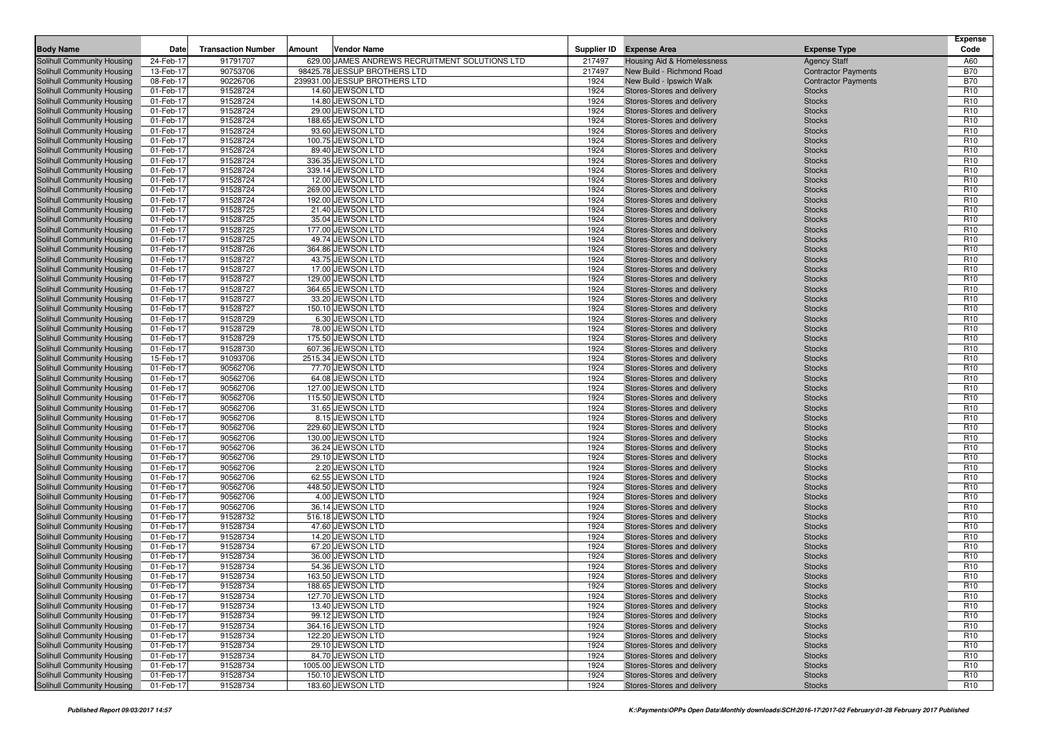| <b>Body Name</b>                                         | Date                   | <b>Transaction Number</b> | Amount | <b>Vendor Name</b>                                                             |              | Supplier ID Expense Area                                 | <b>Expense Type</b>            | <b>Expense</b><br>Code             |
|----------------------------------------------------------|------------------------|---------------------------|--------|--------------------------------------------------------------------------------|--------------|----------------------------------------------------------|--------------------------------|------------------------------------|
| <b>Solihull Community Housing</b>                        | 24-Feb-17              |                           |        |                                                                                |              |                                                          |                                | A60                                |
|                                                          |                        | 91791707                  |        | 629.00 JAMES ANDREWS RECRUITMENT SOLUTIONS LTD<br>98425.78 JESSUP BROTHERS LTD | 217497       | Housing Aid & Homelessness                               | <b>Agency Staff</b>            | <b>B70</b>                         |
| Solihull Community Housing                               | 13-Feb-17              | 90753706                  |        |                                                                                | 217497       | New Build - Richmond Road                                | <b>Contractor Payments</b>     |                                    |
| Solihull Community Housing                               | 08-Feb-17              | 90226706                  |        | 239931.00 JESSUP BROTHERS LTD<br>14.60 JEWSON LTD                              | 1924         | New Build - Ipswich Walk                                 | <b>Contractor Payments</b>     | <b>B70</b><br>R <sub>10</sub>      |
| Solihull Community Housing<br>Solihull Community Housing | 01-Feb-17<br>01-Feb-17 | 91528724<br>91528724      |        | 14.80 JEWSON LTD                                                               | 1924<br>1924 | Stores-Stores and delivery                               | <b>Stocks</b>                  | R <sub>10</sub>                    |
| Solihull Community Housing                               | 01-Feb-17              | 91528724                  |        | 29.00 JEWSON LTD                                                               | 1924         | Stores-Stores and delivery<br>Stores-Stores and delivery | <b>Stocks</b><br><b>Stocks</b> | R <sub>10</sub>                    |
|                                                          | 01-Feb-17              | 91528724                  |        | 188.65 JEWSON LTD                                                              | 1924         |                                                          |                                | R <sub>10</sub>                    |
| Solihull Community Housing<br>Solihull Community Housing | 01-Feb-17              | 91528724                  |        | 93.60 JEWSON LTD                                                               | 1924         | Stores-Stores and delivery<br>Stores-Stores and delivery | <b>Stocks</b><br><b>Stocks</b> | R <sub>10</sub>                    |
| Solihull Community Housing                               | 01-Feb-17              | 91528724                  |        | 100.75 JEWSON LTD                                                              | 1924         | Stores-Stores and delivery                               | <b>Stocks</b>                  | R <sub>10</sub>                    |
| Solihull Community Housing                               | 01-Feb-17              | 91528724                  |        | 89.40 JEWSON LTD                                                               | 1924         | Stores-Stores and delivery                               | <b>Stocks</b>                  | R <sub>10</sub>                    |
| Solihull Community Housing                               | 01-Feb-17              | 91528724                  |        | 336.35 JEWSON LTD                                                              | 1924         | Stores-Stores and delivery                               | <b>Stocks</b>                  | R <sub>10</sub>                    |
| Solihull Community Housing                               | 01-Feb-17              | 91528724                  |        | 339.14 JEWSON LTD                                                              | 1924         | Stores-Stores and delivery                               | <b>Stocks</b>                  | R <sub>10</sub>                    |
| Solihull Community Housing                               | 01-Feb-17              | 91528724                  |        | 12.00 JEWSON LTD                                                               | 1924         | Stores-Stores and delivery                               | <b>Stocks</b>                  | R <sub>10</sub>                    |
| Solihull Community Housing                               | 01-Feb-17              | 91528724                  |        | 269.00 JEWSON LTD                                                              | 1924         | Stores-Stores and delivery                               | <b>Stocks</b>                  | R <sub>10</sub>                    |
| Solihull Community Housing                               | 01-Feb-17              | 91528724                  |        | 192.00 JEWSON LTD                                                              | 1924         | Stores-Stores and delivery                               | <b>Stocks</b>                  | R <sub>10</sub>                    |
| Solihull Community Housing                               | 01-Feb-17              | 91528725                  |        | 21.40 JEWSON LTD                                                               | 1924         | Stores-Stores and delivery                               | <b>Stocks</b>                  | R <sub>10</sub>                    |
| Solihull Community Housing                               | 01-Feb-17              | 91528725                  |        | 35.04 JEWSON LTD                                                               | 1924         | Stores-Stores and delivery                               | <b>Stocks</b>                  | R <sub>10</sub>                    |
| Solihull Community Housing                               | 01-Feb-17              | 91528725                  |        | 177.00 JEWSON LTD                                                              | 1924         | Stores-Stores and delivery                               | <b>Stocks</b>                  | R <sub>10</sub>                    |
| <b>Solihull Community Housing</b>                        | 01-Feb-17              | 91528725                  |        | 49.74 JEWSON LTD                                                               | 1924         | Stores-Stores and delivery                               | <b>Stocks</b>                  | R <sub>10</sub>                    |
| Solihull Community Housing                               | 01-Feb-17              | 91528726                  |        | 364.86 JEWSON LTD                                                              | 1924         | Stores-Stores and delivery                               | <b>Stocks</b>                  | R <sub>10</sub>                    |
| Solihull Community Housing                               | 01-Feb-17              | 91528727                  |        | 43.75 JEWSON LTD                                                               | 1924         | Stores-Stores and delivery                               | <b>Stocks</b>                  | R <sub>10</sub>                    |
| Solihull Community Housing                               | 01-Feb-17              | 91528727                  |        | 17.00 JEWSON LTD                                                               | 1924         | Stores-Stores and delivery                               | <b>Stocks</b>                  | R <sub>10</sub>                    |
| Solihull Community Housing                               | 01-Feb-17              | 91528727                  |        | 129.00 JEWSON LTD                                                              | 1924         | Stores-Stores and delivery                               | <b>Stocks</b>                  | R <sub>10</sub>                    |
| Solihull Community Housing                               | 01-Feb-17              | 91528727                  |        | 364.65 JEWSON LTD                                                              | 1924         | Stores-Stores and delivery                               | <b>Stocks</b>                  | R <sub>10</sub>                    |
| Solihull Community Housing                               | 01-Feb-17              | 91528727                  |        | 33.20 JEWSON LTD                                                               | 1924         | Stores-Stores and delivery                               | <b>Stocks</b>                  | R <sub>10</sub>                    |
| Solihull Community Housing                               | 01-Feb-17              | 91528727                  |        | 150.10 JEWSON LTD                                                              | 1924         | Stores-Stores and delivery                               | <b>Stocks</b>                  | R <sub>10</sub>                    |
| Solihull Community Housing                               | 01-Feb-17              | 91528729                  |        | 6.30 JEWSON LTD                                                                | 1924         | Stores-Stores and delivery                               | <b>Stocks</b>                  | R <sub>10</sub>                    |
| Solihull Community Housing                               | 01-Feb-17              | 91528729                  |        | 78.00 JEWSON LTD                                                               | 1924         | Stores-Stores and delivery                               | <b>Stocks</b>                  | R <sub>10</sub>                    |
| Solihull Community Housing                               | 01-Feb-17              | 91528729                  |        | 175.50 JEWSON LTD                                                              | 1924         | Stores-Stores and delivery                               | <b>Stocks</b>                  | R <sub>10</sub>                    |
| Solihull Community Housing                               | 01-Feb-17              | 91528730                  |        | 607.36 JEWSON LTD                                                              | 1924         | Stores-Stores and delivery                               | <b>Stocks</b>                  | R <sub>10</sub>                    |
| Solihull Community Housing                               | 15-Feb-17              | 91093706                  |        | 2515.34 JEWSON LTD                                                             | 1924         | Stores-Stores and delivery                               | <b>Stocks</b>                  | R <sub>10</sub>                    |
| Solihull Community Housing                               | 01-Feb-17              | 90562706                  |        | 77.70 JEWSON LTD                                                               | 1924         | Stores-Stores and delivery                               | <b>Stocks</b>                  | R <sub>10</sub>                    |
| Solihull Community Housing                               | 01-Feb-17              | 90562706                  |        | 64.08 JEWSON LTD                                                               | 1924         | Stores-Stores and delivery                               | <b>Stocks</b>                  | R <sub>10</sub>                    |
| Solihull Community Housing                               | 01-Feb-17              | 90562706                  |        | 127.00 JEWSON LTD                                                              | 1924         | Stores-Stores and delivery                               | <b>Stocks</b>                  | R <sub>10</sub>                    |
| Solihull Community Housing                               | 01-Feb-17              | 90562706                  |        | 115.50 JEWSON LTD                                                              | 1924         | Stores-Stores and delivery                               | <b>Stocks</b>                  | R <sub>10</sub>                    |
| Solihull Community Housing                               | 01-Feb-17              | 90562706                  |        | 31.65 JEWSON LTD                                                               | 1924         | Stores-Stores and delivery                               | <b>Stocks</b>                  | R <sub>10</sub>                    |
| Solihull Community Housing                               | 01-Feb-17              | 90562706                  |        | 8.15 JEWSON LTD                                                                | 1924         | Stores-Stores and delivery                               | <b>Stocks</b>                  | R <sub>10</sub>                    |
| Solihull Community Housing                               | 01-Feb-17              | 90562706                  |        | 229.60 JEWSON LTD                                                              | 1924         | Stores-Stores and delivery                               | <b>Stocks</b>                  | R <sub>10</sub>                    |
| Solihull Community Housing                               | 01-Feb-17              | 90562706                  |        | 130.00 JEWSON LTD                                                              | 1924         | Stores-Stores and delivery                               | <b>Stocks</b>                  | R <sub>10</sub>                    |
| Solihull Community Housing                               | 01-Feb-17              | 90562706                  |        | 36.24 JEWSON LTD                                                               | 1924         | Stores-Stores and delivery                               | <b>Stocks</b>                  | R <sub>10</sub>                    |
| Solihull Community Housing                               | 01-Feb-17              | 90562706                  |        | 29.10 JEWSON LTD                                                               | 1924         | Stores-Stores and delivery                               | <b>Stocks</b>                  | R <sub>10</sub>                    |
| Solihull Community Housing                               | 01-Feb-17              | 90562706                  |        | 2.20 JEWSON LTD                                                                | 1924         | Stores-Stores and delivery                               | <b>Stocks</b>                  | R <sub>10</sub>                    |
| Solihull Community Housing                               | 01-Feb-17              | 90562706                  |        | 62.55 JEWSON LTD                                                               | 1924         | Stores-Stores and delivery                               | <b>Stocks</b>                  | R <sub>10</sub>                    |
| Solihull Community Housing                               | 01-Feb-17              | 90562706                  |        | 448.50 JEWSON LTD                                                              | 1924         | Stores-Stores and delivery                               | <b>Stocks</b>                  | R <sub>10</sub>                    |
| Solihull Community Housing                               | 01-Feb-17              | 90562706                  |        | 4.00 JEWSON LTD                                                                | 1924         | Stores-Stores and delivery                               | <b>Stocks</b>                  | R <sub>10</sub>                    |
| Solihull Community Housing                               | 01-Feb-17              | 90562706                  |        | 36.14 JEWSON LTD                                                               | 1924         | Stores-Stores and delivery                               | <b>Stocks</b>                  | R <sub>10</sub>                    |
| Solihull Community Housing                               | 01-Feb-17              | 91528732                  |        | 516.18 JEWSON LTD                                                              | 1924         | Stores-Stores and delivery                               | <b>Stocks</b>                  | R <sub>10</sub>                    |
| Solihull Community Housing                               | 01-Feb-17              | 91528734                  |        | 47.60 JEWSON LTD                                                               | 1924         | Stores-Stores and delivery                               | <b>Stocks</b>                  | R <sub>10</sub>                    |
| Solihull Community Housing                               | 01-Feb-17              | 91528734                  |        | 14.20 JEWSON LTD                                                               | 1924         | Stores-Stores and delivery                               | <b>Stocks</b>                  | R <sub>10</sub>                    |
| Solihull Community Housing                               | 01-Feb-17              | 91528734                  |        | 67.20 JEWSON LTD                                                               | 1924         | Stores-Stores and delivery                               | <b>Stocks</b>                  | R <sub>10</sub>                    |
| Solihull Community Housing                               | 01-Feb-17              | 91528734                  |        | 36.00 JEWSON LTD                                                               | 1924         | Stores-Stores and delivery                               | <b>Stocks</b>                  | R <sub>10</sub>                    |
| Solihull Community Housing                               | 01-Feb-17              | 91528734                  |        | 54.36 JEWSON LTD                                                               | 1924         | Stores-Stores and delivery                               | <b>Stocks</b>                  | R <sub>10</sub>                    |
| Solihull Community Housing                               | 01-Feb-17              | 91528734                  |        | 163.50 JEWSON LTD                                                              | 1924         | Stores-Stores and delivery                               | <b>Stocks</b>                  | R <sub>10</sub>                    |
| Solihull Community Housing                               | 01-Feb-17              | 91528734                  |        | 188.65 JEWSON LTD                                                              | 1924         | Stores-Stores and delivery                               | <b>Stocks</b>                  | R <sub>10</sub>                    |
| Solihull Community Housing                               | 01-Feb-17              | 91528734                  |        | 127.70 JEWSON LTD                                                              | 1924         | Stores-Stores and delivery                               | <b>Stocks</b>                  | R <sub>10</sub>                    |
| <b>Solihull Community Housing</b>                        | 01-Feb-17              | 91528734                  |        | 13.40 JEWSON LTD                                                               | 1924         | Stores-Stores and delivery                               | <b>Stocks</b>                  | R <sub>10</sub>                    |
| Solihull Community Housing                               | 01-Feb-17              | 91528734                  |        | 99.12 JEWSON LTD                                                               | 1924         | Stores-Stores and delivery                               | <b>Stocks</b>                  | R <sub>10</sub>                    |
| Solihull Community Housing                               | 01-Feb-17              | 91528734                  |        | 364.16 JEWSON LTD                                                              | 1924         | Stores-Stores and delivery                               | <b>Stocks</b>                  | R <sub>10</sub>                    |
| Solihull Community Housing                               | 01-Feb-17<br>01-Feb-17 | 91528734                  |        | 122.20 JEWSON LTD<br>29.10 JEWSON LTD                                          | 1924<br>1924 | Stores-Stores and delivery                               | <b>Stocks</b>                  | R <sub>10</sub>                    |
| Solihull Community Housing                               |                        | 91528734                  |        |                                                                                |              | Stores-Stores and delivery                               | <b>Stocks</b>                  | R <sub>10</sub>                    |
| Solihull Community Housing                               | 01-Feb-17              | 91528734                  |        | 84.70 JEWSON LTD<br>1005.00 JEWSON LTD                                         | 1924         | Stores-Stores and delivery                               | <b>Stocks</b>                  | R <sub>10</sub><br>R <sub>10</sub> |
| Solihull Community Housing<br>Solihull Community Housing | 01-Feb-17<br>01-Feb-17 | 91528734<br>91528734      |        | 150.10 JEWSON LTD                                                              | 1924<br>1924 | Stores-Stores and delivery<br>Stores-Stores and delivery | <b>Stocks</b><br><b>Stocks</b> | R <sub>10</sub>                    |
| <b>Solihull Community Housing</b>                        |                        | 91528734                  |        | 183.60 JEWSON LTD                                                              | 1924         | Stores-Stores and delivery                               |                                | R <sub>10</sub>                    |
|                                                          | 01-Feb-17              |                           |        |                                                                                |              |                                                          | <b>Stocks</b>                  |                                    |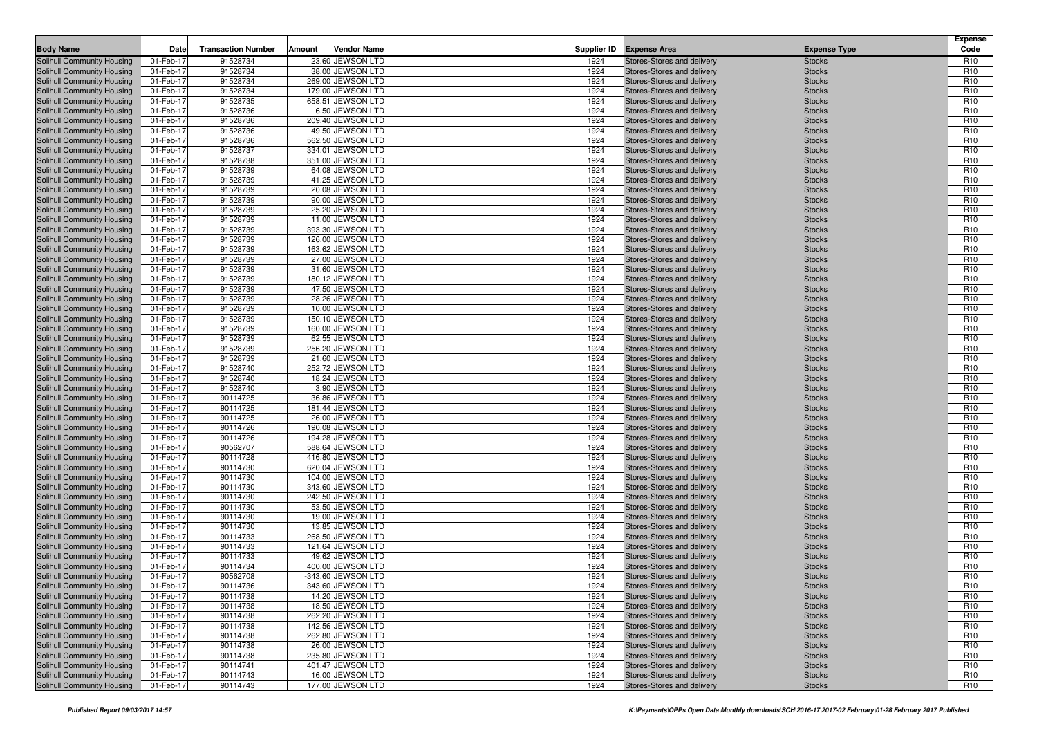| <b>Body Name</b>                                         | Date                   | <b>Transaction Number</b> | Amount | <b>Vendor Name</b>                    |              | Supplier ID Expense Area                                 | <b>Expense Type</b>            | <b>Expense</b><br>Code             |
|----------------------------------------------------------|------------------------|---------------------------|--------|---------------------------------------|--------------|----------------------------------------------------------|--------------------------------|------------------------------------|
| Solihull Community Housing                               | 01-Feb-17              | 91528734                  |        | 23.60 JEWSON LTD                      |              |                                                          |                                | R <sub>10</sub>                    |
| Solihull Community Housing                               | 01-Feb-17              | 91528734                  |        | 38.00 JEWSON LTD                      | 1924<br>1924 | Stores-Stores and delivery<br>Stores-Stores and delivery | <b>Stocks</b><br><b>Stocks</b> | R <sub>10</sub>                    |
| Solihull Community Housing                               | 01-Feb-17              | 91528734                  |        | 269.00 JEWSON LTD                     | 1924         | Stores-Stores and delivery                               | <b>Stocks</b>                  | R <sub>10</sub>                    |
| Solihull Community Housing                               | 01-Feb-17              | 91528734                  |        | 179.00 JEWSON LTD                     | 1924         | Stores-Stores and delivery                               | <b>Stocks</b>                  | R <sub>10</sub>                    |
| Solihull Community Housing                               | 01-Feb-17              | 91528735                  |        | 658.51 JEWSON LTD                     | 1924         | Stores-Stores and delivery                               | <b>Stocks</b>                  | R <sub>10</sub>                    |
| Solihull Community Housing                               | 01-Feb-17              | 91528736                  |        | 6.50 JEWSON LTD                       | 1924         | Stores-Stores and delivery                               | <b>Stocks</b>                  | R <sub>10</sub>                    |
| <b>Solihull Community Housing</b>                        | 01-Feb-17              | 91528736                  |        | 209.40 JEWSON LTD                     | 1924         | Stores-Stores and delivery                               | <b>Stocks</b>                  | R <sub>10</sub>                    |
| Solihull Community Housing                               | 01-Feb-17              | 91528736                  |        | 49.50 JEWSON LTD                      | 1924         | Stores-Stores and delivery                               | <b>Stocks</b>                  | R <sub>10</sub>                    |
| Solihull Community Housing                               | 01-Feb-17              | 91528736                  |        | 562.50 JEWSON LTD                     | 1924         | Stores-Stores and delivery                               | <b>Stocks</b>                  | R <sub>10</sub>                    |
| <b>Solihull Community Housing</b>                        | 01-Feb-17              | 91528737                  |        | 334.01 JEWSON LTD                     | 1924         | Stores-Stores and delivery                               | <b>Stocks</b>                  | R <sub>10</sub>                    |
| Solihull Community Housing                               | 01-Feb-17              | 91528738                  |        | 351.00 JEWSON LTD                     | 1924         | Stores-Stores and delivery                               | <b>Stocks</b>                  | R <sub>10</sub>                    |
| Solihull Community Housing                               | 01-Feb-17              | 91528739                  |        | 64.08 JEWSON LTD                      | 1924         | Stores-Stores and delivery                               | <b>Stocks</b>                  | R <sub>10</sub>                    |
| Solihull Community Housing                               | 01-Feb-17              | 91528739                  |        | 41.25 JEWSON LTD                      | 1924         | Stores-Stores and delivery                               | <b>Stocks</b>                  | R <sub>10</sub>                    |
| Solihull Community Housing                               | 01-Feb-17              | 91528739                  |        | 20.08 JEWSON LTD                      | 1924         | Stores-Stores and delivery                               | <b>Stocks</b>                  | R <sub>10</sub>                    |
| Solihull Community Housing                               | 01-Feb-17              | 91528739                  |        | 90.00 JEWSON LTD                      | 1924         | Stores-Stores and delivery                               | <b>Stocks</b>                  | R <sub>10</sub>                    |
| Solihull Community Housing                               | 01-Feb-17              | 91528739                  |        | 25.20 JEWSON LTD                      | 1924         | Stores-Stores and delivery                               | <b>Stocks</b>                  | R <sub>10</sub>                    |
| Solihull Community Housing                               | 01-Feb-17              | 91528739                  |        | 11.00 JEWSON LTD                      | 1924         | Stores-Stores and delivery                               | <b>Stocks</b>                  | R <sub>10</sub>                    |
| Solihull Community Housing                               | 01-Feb-17              | 91528739                  |        | 393.30 JEWSON LTD                     | 1924         | Stores-Stores and delivery                               | <b>Stocks</b>                  | R <sub>10</sub>                    |
| Solihull Community Housing                               | 01-Feb-17              | 91528739                  |        | 126.00 JEWSON LTD                     | 1924         | Stores-Stores and delivery                               | <b>Stocks</b>                  | R <sub>10</sub>                    |
| Solihull Community Housing                               | 01-Feb-17              | 91528739                  |        | 163.62 JEWSON LTD                     | 1924         | Stores-Stores and delivery                               | <b>Stocks</b>                  | R <sub>10</sub>                    |
| Solihull Community Housing                               | 01-Feb-17              | 91528739                  |        | 27.00 JEWSON LTD                      | 1924         | Stores-Stores and delivery                               | <b>Stocks</b>                  | R <sub>10</sub>                    |
| Solihull Community Housing                               | 01-Feb-17              | 91528739                  |        | 31.60 JEWSON LTD                      | 1924         | Stores-Stores and delivery                               | <b>Stocks</b>                  | R <sub>10</sub>                    |
| Solihull Community Housing                               | 01-Feb-17              | 91528739                  |        | 180.12 JEWSON LTD                     | 1924         | Stores-Stores and delivery                               | <b>Stocks</b>                  | R <sub>10</sub>                    |
| Solihull Community Housing                               | 01-Feb-17              | 91528739                  |        | 47.50 JEWSON LTD                      | 1924         | Stores-Stores and delivery                               | <b>Stocks</b>                  | R <sub>10</sub>                    |
| Solihull Community Housing                               | 01-Feb-17              | 91528739                  |        | 28.26 JEWSON LTD                      | 1924         | Stores-Stores and delivery                               | <b>Stocks</b>                  | R <sub>10</sub>                    |
| Solihull Community Housing                               | 01-Feb-17              | 91528739                  |        | 10.00 JEWSON LTD                      | 1924         | Stores-Stores and delivery                               | <b>Stocks</b>                  | R <sub>10</sub>                    |
| Solihull Community Housing                               | 01-Feb-17              | 91528739                  |        | 150.10 JEWSON LTD                     | 1924         | Stores-Stores and delivery                               | <b>Stocks</b>                  | R <sub>10</sub>                    |
| Solihull Community Housing                               | 01-Feb-17              | 91528739                  |        | 160.00 JEWSON LTD                     | 1924         | Stores-Stores and delivery                               | <b>Stocks</b>                  | R <sub>10</sub>                    |
| Solihull Community Housing                               | 01-Feb-17              | 91528739                  |        | 62.55 JEWSON LTD                      | 1924         | Stores-Stores and delivery                               | <b>Stocks</b>                  | R <sub>10</sub>                    |
| Solihull Community Housing                               | 01-Feb-17              | 91528739                  |        | 256.20 JEWSON LTD                     | 1924         | Stores-Stores and delivery                               | <b>Stocks</b>                  | R <sub>10</sub>                    |
| Solihull Community Housing                               | 01-Feb-17              | 91528739                  |        | 21.60 JEWSON LTD                      | 1924         | Stores-Stores and delivery                               | <b>Stocks</b>                  | R <sub>10</sub>                    |
| Solihull Community Housing                               | 01-Feb-17              | 91528740                  |        | 252.72 JEWSON LTD                     | 1924         | Stores-Stores and delivery                               | <b>Stocks</b>                  | R <sub>10</sub>                    |
| Solihull Community Housing                               | 01-Feb-17              | 91528740                  |        | 18.24 JEWSON LTD                      | 1924         | Stores-Stores and delivery                               | <b>Stocks</b>                  | R <sub>10</sub>                    |
| Solihull Community Housing                               | 01-Feb-17              | 91528740                  |        | 3.90 JEWSON LTD                       | 1924         | Stores-Stores and delivery                               | <b>Stocks</b>                  | R <sub>10</sub>                    |
| Solihull Community Housing                               | 01-Feb-17              | 90114725                  |        | 36.86 JEWSON LTD                      | 1924         | Stores-Stores and delivery                               | <b>Stocks</b>                  | R <sub>10</sub>                    |
| Solihull Community Housing                               | 01-Feb-17              | 90114725                  |        | 181.44 JEWSON LTD                     | 1924         | Stores-Stores and delivery                               | <b>Stocks</b>                  | R <sub>10</sub>                    |
| Solihull Community Housing<br>Solihull Community Housing | 01-Feb-17<br>01-Feb-17 | 90114725<br>90114726      |        | 26.00 JEWSON LTD<br>190.08 JEWSON LTD | 1924<br>1924 | Stores-Stores and delivery<br>Stores-Stores and delivery | <b>Stocks</b><br><b>Stocks</b> | R <sub>10</sub><br>R <sub>10</sub> |
| Solihull Community Housing                               | 01-Feb-17              | 90114726                  |        | 194.28 JEWSON LTD                     | 1924         | Stores-Stores and delivery                               | <b>Stocks</b>                  | R <sub>10</sub>                    |
| Solihull Community Housing                               | 01-Feb-17              | 90562707                  |        | 588.64 JEWSON LTD                     | 1924         | Stores-Stores and delivery                               | <b>Stocks</b>                  | R <sub>10</sub>                    |
| Solihull Community Housing                               | 01-Feb-17              | 90114728                  |        | 416.80 JEWSON LTD                     | 1924         | Stores-Stores and delivery                               | <b>Stocks</b>                  | R <sub>10</sub>                    |
| Solihull Community Housing                               | 01-Feb-17              | 90114730                  |        | 620.04 JEWSON LTD                     | 1924         | Stores-Stores and delivery                               | <b>Stocks</b>                  | R <sub>10</sub>                    |
| Solihull Community Housing                               | 01-Feb-17              | 90114730                  |        | 104.00 JEWSON LTD                     | 1924         | Stores-Stores and delivery                               | <b>Stocks</b>                  | R <sub>10</sub>                    |
| Solihull Community Housing                               | 01-Feb-17              | 90114730                  |        | 343.60 JEWSON LTD                     | 1924         | Stores-Stores and delivery                               | <b>Stocks</b>                  | R <sub>10</sub>                    |
| Solihull Community Housing                               | 01-Feb-17              | 90114730                  |        | 242.50 JEWSON LTD                     | 1924         | Stores-Stores and delivery                               | <b>Stocks</b>                  | R <sub>10</sub>                    |
| Solihull Community Housing                               | 01-Feb-17              | 90114730                  |        | 53.50 JEWSON LTD                      | 1924         | Stores-Stores and delivery                               | <b>Stocks</b>                  | R <sub>10</sub>                    |
| Solihull Community Housing                               | 01-Feb-17              | 90114730                  |        | 19.00 JEWSON LTD                      | 1924         | Stores-Stores and delivery                               | <b>Stocks</b>                  | R <sub>10</sub>                    |
| Solihull Community Housing                               | 01-Feb-17              | 90114730                  |        | 13.85 JEWSON LTD                      | 1924         | Stores-Stores and delivery                               | <b>Stocks</b>                  | R <sub>10</sub>                    |
| Solihull Community Housing                               | 01-Feb-17              | 90114733                  |        | 268.50 JEWSON LTD                     | 1924         | Stores-Stores and delivery                               | <b>Stocks</b>                  | R <sub>10</sub>                    |
| Solihull Community Housing                               | 01-Feb-17              | 90114733                  |        | 121.64 JEWSON LTD                     | 1924         | Stores-Stores and delivery                               | <b>Stocks</b>                  | R <sub>10</sub>                    |
| Solihull Community Housing                               | 01-Feb-17              | 90114733                  |        | 49.62 JEWSON LTD                      | 1924         | Stores-Stores and delivery                               | <b>Stocks</b>                  | R <sub>10</sub>                    |
| Solihull Community Housing                               | 01-Feb-17              | 90114734                  |        | 400.00 JEWSON LTD                     | 1924         | Stores-Stores and delivery                               | <b>Stocks</b>                  | R <sub>10</sub>                    |
| Solihull Community Housing                               | 01-Feb-17              | 90562708                  |        | -343.60 JEWSON LTD                    | 1924         | Stores-Stores and delivery                               | <b>Stocks</b>                  | R <sub>10</sub>                    |
| Solihull Community Housing                               | 01-Feb-17              | 90114736                  |        | 343.60 JEWSON LTD                     | 1924         | Stores-Stores and delivery                               | <b>Stocks</b>                  | R <sub>10</sub>                    |
| Solihull Community Housing                               | 01-Feb-17              | 90114738                  |        | 14.20 JEWSON LTD                      | 1924         | Stores-Stores and delivery                               | <b>Stocks</b>                  | R <sub>10</sub>                    |
| Solihull Community Housing                               | 01-Feb-17              | 90114738                  |        | 18.50 JEWSON LTD                      | 1924         | Stores-Stores and delivery                               | <b>Stocks</b>                  | R <sub>10</sub>                    |
| Solihull Community Housing                               | 01-Feb-17              | 90114738                  |        | 262.20 JEWSON LTD                     | 1924         | Stores-Stores and delivery                               | <b>Stocks</b>                  | R <sub>10</sub>                    |
| Solihull Community Housing                               | 01-Feb-17              | 90114738                  |        | 142.56 JEWSON LTD                     | 1924         | Stores-Stores and delivery                               | <b>Stocks</b>                  | R <sub>10</sub>                    |
| Solihull Community Housing                               | 01-Feb-17              | 90114738                  |        | 262.80 JEWSON LTD                     | 1924         | Stores-Stores and delivery                               | <b>Stocks</b>                  | R <sub>10</sub>                    |
| Solihull Community Housing                               | 01-Feb-17              | 90114738                  |        | 26.00 JEWSON LTD                      | 1924         | Stores-Stores and delivery                               | <b>Stocks</b>                  | R <sub>10</sub>                    |
| Solihull Community Housing                               | 01-Feb-17              | 90114738                  |        | 235.80 JEWSON LTD                     | 1924         | Stores-Stores and delivery                               | <b>Stocks</b>                  | R <sub>10</sub>                    |
| Solihull Community Housing<br>Solihull Community Housing | 01-Feb-17<br>01-Feb-17 | 90114741<br>90114743      |        | 401.47 JEWSON LTD<br>16.00 JEWSON LTD | 1924<br>1924 | Stores-Stores and delivery<br>Stores-Stores and delivery | <b>Stocks</b><br><b>Stocks</b> | R <sub>10</sub><br>R <sub>10</sub> |
| Solihull Community Housing                               | 01-Feb-17              | 90114743                  |        | 177.00 JEWSON LTD                     | 1924         | Stores-Stores and delivery                               | <b>Stocks</b>                  | R <sub>10</sub>                    |
|                                                          |                        |                           |        |                                       |              |                                                          |                                |                                    |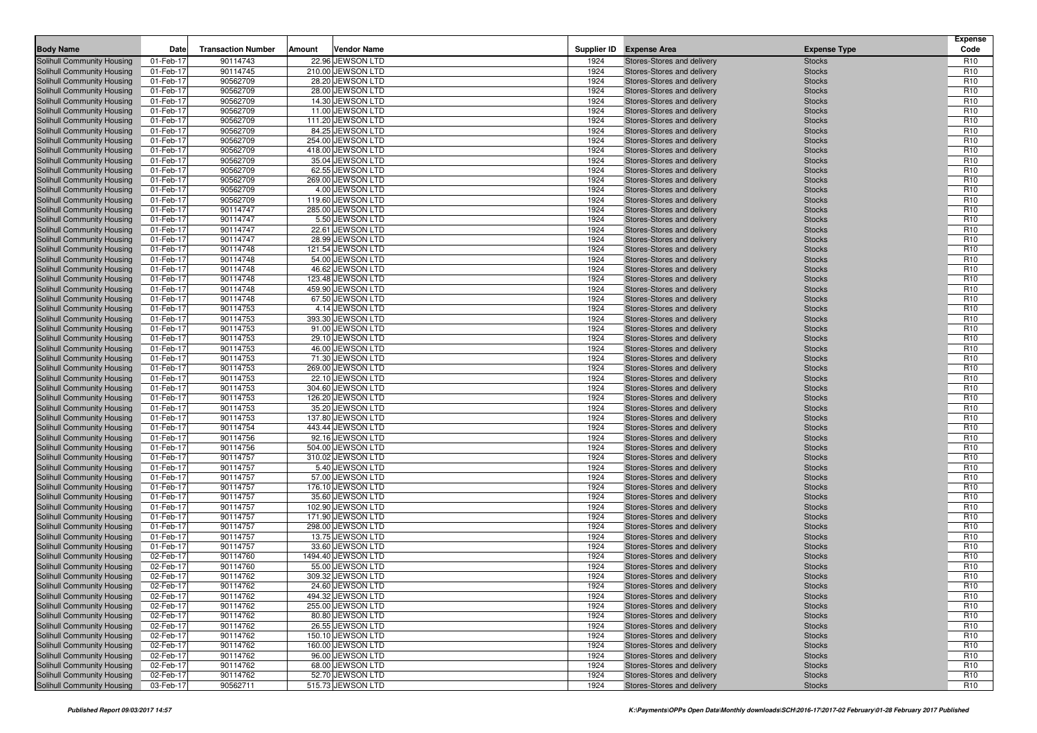| Supplier ID Expense Area<br><b>Solihull Community Housing</b><br>01-Feb-17<br>90114743<br>22.96 JEWSON LTD<br>Stores-Stores and delivery<br><b>Stocks</b><br>R <sub>10</sub><br>1924<br>90114745<br>210.00 JEWSON LTD<br>1924<br>R <sub>10</sub><br>Solihull Community Housing<br>01-Feb-17<br>Stores-Stores and delivery<br><b>Stocks</b><br>90562709<br>28.20 JEWSON LTD<br>1924<br>R <sub>10</sub><br>Solihull Community Housing<br>01-Feb-17<br>Stores-Stores and delivery<br><b>Stocks</b><br>90562709<br>28.00 JEWSON LTD<br>1924<br>Solihull Community Housing<br>01-Feb-17<br>Stores-Stores and delivery<br><b>Stocks</b><br>R <sub>10</sub><br>90562709<br>14.30 JEWSON LTD<br>1924<br>R <sub>10</sub><br>Solihull Community Housing<br>01-Feb-17<br>Stores-Stores and delivery<br><b>Stocks</b><br>11.00 JEWSON LTD<br>1924<br>R <sub>10</sub><br>Solihull Community Housing<br>01-Feb-17<br>90562709<br>Stores-Stores and delivery<br><b>Stocks</b><br>90562709<br>111.20 JEWSON LTD<br>1924<br>R <sub>10</sub><br>Solihull Community Housing<br>01-Feb-17<br>Stores-Stores and delivery<br><b>Stocks</b><br>90562709<br>1924<br>R <sub>10</sub><br>Solihull Community Housing<br>01-Feb-17<br>84.25 JEWSON LTD<br>Stores-Stores and delivery<br><b>Stocks</b><br>1924<br>R <sub>10</sub><br>Solihull Community Housing<br>01-Feb-17<br>90562709<br>254.00 JEWSON LTD<br>Stores-Stores and delivery<br><b>Stocks</b><br>90562709<br>418.00 JEWSON LTD<br>1924<br>R <sub>10</sub><br><b>Solihull Community Housing</b><br>01-Feb-17<br>Stores-Stores and delivery<br><b>Stocks</b><br>90562709<br>1924<br>R <sub>10</sub><br>Solihull Community Housing<br>01-Feb-17<br>35.04 JEWSON LTD<br>Stores-Stores and delivery<br><b>Stocks</b><br>90562709<br>62.55 JEWSON LTD<br>1924<br>R <sub>10</sub><br>Solihull Community Housing<br>01-Feb-17<br>Stores-Stores and delivery<br><b>Stocks</b><br>90562709<br>269.00 JEWSON LTD<br>1924<br>R <sub>10</sub><br>01-Feb-17<br>Stores-Stores and delivery<br><b>Stocks</b><br>Solihull Community Housing<br>1924<br>R <sub>10</sub><br>90562709<br>4.00 JEWSON LTD<br>Solihull Community Housing<br>01-Feb-17<br>Stores-Stores and delivery<br><b>Stocks</b><br>90562709<br>119.60 JEWSON LTD<br>1924<br>Solihull Community Housing<br>01-Feb-17<br>Stores-Stores and delivery<br><b>Stocks</b><br>R <sub>10</sub><br>90114747<br>285.00 JEWSON LTD<br>1924<br>R <sub>10</sub><br>Solihull Community Housing<br>01-Feb-17<br>Stores-Stores and delivery<br><b>Stocks</b><br>90114747<br>5.50 JEWSON LTD<br>1924<br>R <sub>10</sub><br>Solihull Community Housing<br>01-Feb-17<br>Stores-Stores and delivery<br><b>Stocks</b><br>90114747<br>1924<br>Solihull Community Housing<br>01-Feb-17<br>22.61 JEWSON LTD<br>Stores-Stores and delivery<br><b>Stocks</b><br>R <sub>10</sub><br>90114747<br>28.99 JEWSON LTD<br>1924<br>R <sub>10</sub><br>Solihull Community Housing<br>01-Feb-17<br>Stores-Stores and delivery<br><b>Stocks</b><br>90114748<br>1924<br>R <sub>10</sub><br>Solihull Community Housing<br>01-Feb-17<br>121.54 JEWSON LTD<br>Stores-Stores and delivery<br><b>Stocks</b><br>90114748<br>54.00 JEWSON LTD<br>1924<br>R <sub>10</sub><br>Solihull Community Housing<br>01-Feb-17<br>Stores-Stores and delivery<br><b>Stocks</b><br>90114748<br>46.62 JEWSON LTD<br>1924<br>R <sub>10</sub><br>01-Feb-17<br>Stores-Stores and delivery<br><b>Stocks</b><br>Solihull Community Housing<br>90114748<br>123.48 JEWSON LTD<br>1924<br>R <sub>10</sub><br>Solihull Community Housing<br>01-Feb-17<br>Stores-Stores and delivery<br><b>Stocks</b><br>459.90 JEWSON LTD<br>1924<br>R <sub>10</sub><br>Solihull Community Housing<br>01-Feb-17<br>90114748<br>Stores-Stores and delivery<br><b>Stocks</b><br>90114748<br>67.50 JEWSON LTD<br>1924<br>R <sub>10</sub><br>Solihull Community Housing<br>01-Feb-17<br>Stores-Stores and delivery<br><b>Stocks</b><br>90114753<br>4.14 JEWSON LTD<br>1924<br>R <sub>10</sub><br>Solihull Community Housing<br>01-Feb-17<br>Stores-Stores and delivery<br><b>Stocks</b><br>1924<br>R <sub>10</sub><br>Solihull Community Housing<br>01-Feb-17<br>90114753<br>393.30 JEWSON LTD<br><b>Stocks</b><br>Stores-Stores and delivery<br>90114753<br>91.00 JEWSON LTD<br>1924<br>R <sub>10</sub><br>Solihull Community Housing<br>01-Feb-17<br>Stores-Stores and delivery<br><b>Stocks</b><br>90114753<br>29.10 JEWSON LTD<br>1924<br>R <sub>10</sub><br>Solihull Community Housing<br>01-Feb-17<br>Stores-Stores and delivery<br><b>Stocks</b><br>1924<br>R <sub>10</sub><br>Solihull Community Housing<br>01-Feb-17<br>90114753<br>46.00 JEWSON LTD<br>Stores-Stores and delivery<br><b>Stocks</b><br>90114753<br>71.30 JEWSON LTD<br>1924<br>R <sub>10</sub><br>Solihull Community Housing<br>01-Feb-17<br>Stores-Stores and delivery<br><b>Stocks</b><br>01-Feb-17<br>90114753<br>269.00 JEWSON LTD<br>1924<br>R <sub>10</sub><br>Solihull Community Housing<br>Stores-Stores and delivery<br><b>Stocks</b><br>1924<br>R <sub>10</sub><br>Solihull Community Housing<br>01-Feb-17<br>90114753<br>22.10 JEWSON LTD<br>Stores-Stores and delivery<br><b>Stocks</b><br>90114753<br>304.60 JEWSON LTD<br>1924<br>R <sub>10</sub><br>Solihull Community Housing<br>01-Feb-17<br>Stores-Stores and delivery<br><b>Stocks</b><br>90114753<br>126.20 JEWSON LTD<br>1924<br>R <sub>10</sub><br>Solihull Community Housing<br>01-Feb-17<br>Stores-Stores and delivery<br><b>Stocks</b><br>1924<br>R <sub>10</sub><br>01-Feb-17<br>90114753<br>35.20 JEWSON LTD<br><b>Stocks</b><br>Solihull Community Housing<br>Stores-Stores and delivery<br>90114753<br>137.80 JEWSON LTD<br>1924<br>R <sub>10</sub><br>Solihull Community Housing<br>01-Feb-17<br>Stores-Stores and delivery<br><b>Stocks</b><br>90114754<br>443.44 JEWSON LTD<br>1924<br>R <sub>10</sub><br>Solihull Community Housing<br>01-Feb-17<br>Stores-Stores and delivery<br><b>Stocks</b><br>90114756<br>1924<br>Solihull Community Housing<br>01-Feb-17<br>92.16 JEWSON LTD<br>Stores-Stores and delivery<br><b>Stocks</b><br>R <sub>10</sub><br>90114756<br>504.00 JEWSON LTD<br>1924<br>Solihull Community Housing<br>01-Feb-17<br>Stores-Stores and delivery<br><b>Stocks</b><br>R <sub>10</sub><br>90114757<br>310.02 JEWSON LTD<br>1924<br>R <sub>10</sub><br>Solihull Community Housing<br>01-Feb-17<br>Stores-Stores and delivery<br><b>Stocks</b><br>90114757<br>1924<br>R <sub>10</sub><br>Solihull Community Housing<br>01-Feb-17<br>5.40 JEWSON LTD<br>Stores-Stores and delivery<br><b>Stocks</b><br>90114757<br>57.00 JEWSON LTD<br>1924<br>R <sub>10</sub><br>Solihull Community Housing<br>01-Feb-17<br>Stores-Stores and delivery<br><b>Stocks</b><br>90114757<br>176.10 JEWSON LTD<br>1924<br>R <sub>10</sub><br>Solihull Community Housing<br>01-Feb-17<br>Stores-Stores and delivery<br><b>Stocks</b><br>90114757<br>1924<br>R <sub>10</sub><br>Solihull Community Housing<br>01-Feb-17<br>35.60 JEWSON LTD<br>Stores-Stores and delivery<br><b>Stocks</b><br>90114757<br>102.90 JEWSON LTD<br>1924<br>R <sub>10</sub><br>Solihull Community Housing<br>01-Feb-17<br>Stores-Stores and delivery<br><b>Stocks</b><br>90114757<br>171.90 JEWSON LTD<br>1924<br>R <sub>10</sub><br>Solihull Community Housing<br>01-Feb-17<br>Stores-Stores and delivery<br><b>Stocks</b><br>90114757<br>298.00 JEWSON LTD<br>1924<br>R <sub>10</sub><br>Solihull Community Housing<br>01-Feb-17<br>Stores-Stores and delivery<br><b>Stocks</b><br>90114757<br>13.75 JEWSON LTD<br>1924<br>R <sub>10</sub><br>Solihull Community Housing<br>01-Feb-17<br>Stores-Stores and delivery<br><b>Stocks</b><br>33.60 JEWSON LTD<br>1924<br>R <sub>10</sub><br>Solihull Community Housing<br>01-Feb-17<br>90114757<br>Stores-Stores and delivery<br><b>Stocks</b><br>90114760<br>1494.40 JEWSON LTD<br>1924<br>Solihull Community Housing<br>02-Feb-17<br>Stores-Stores and delivery<br><b>Stocks</b><br>R <sub>10</sub><br>R <sub>10</sub><br>90114760<br>55.00 JEWSON LTD<br>1924<br><b>Stocks</b><br>Solihull Community Housing<br>02-Feb-17<br>Stores-Stores and delivery<br>309.32 JEWSON LTD<br>1924<br>R <sub>10</sub><br>Solihull Community Housing<br>02-Feb-17<br>90114762<br>Stores-Stores and delivery<br><b>Stocks</b><br>Solihull Community Housing<br>02-Feb-17<br>90114762<br>24.60 JEWSON LTD<br>1924<br>Stores-Stores and delivery<br>R <sub>10</sub><br><b>Stocks</b><br>Solihull Community Housing<br>90114762<br>494.32 JEWSON LTD<br>1924<br>R <sub>10</sub><br>02-Feb-17<br>Stores-Stores and delivery<br><b>Stocks</b><br>Solihull Community Housing<br>02-Feb-17<br>90114762<br>255.00 JEWSON LTD<br>1924<br>Stores-Stores and delivery<br><b>Stocks</b><br>R <sub>10</sub><br>Solihull Community Housing<br>02-Feb-17<br>90114762<br>80.80 JEWSON LTD<br>1924<br>Stores-Stores and delivery<br><b>Stocks</b><br>R <sub>10</sub><br>Solihull Community Housing<br>1924<br>R <sub>10</sub><br>02-Feb-17<br>90114762<br>26.55 JEWSON LTD<br>Stores-Stores and delivery<br><b>Stocks</b><br>Solihull Community Housing<br>90114762<br>150.10 JEWSON LTD<br>1924<br>02-Feb-17<br>Stores-Stores and delivery<br><b>Stocks</b><br>R <sub>10</sub><br>90114762<br>160.00 JEWSON LTD<br>Solihull Community Housing<br>02-Feb-17<br>1924<br>Stores-Stores and delivery<br><b>Stocks</b><br>R <sub>10</sub><br>Solihull Community Housing<br>90114762<br>96.00 JEWSON LTD<br>1924<br>R <sub>10</sub><br>02-Feb-17<br>Stores-Stores and delivery<br><b>Stocks</b><br>Solihull Community Housing<br>90114762<br>68.00 JEWSON LTD<br>1924<br>02-Feb-17<br>Stores-Stores and delivery<br><b>Stocks</b><br>R <sub>10</sub><br>90114762<br>52.70 JEWSON LTD<br>1924<br>Solihull Community Housing<br>02-Feb-17<br>Stores-Stores and delivery<br><b>Stocks</b><br>R <sub>10</sub><br>515.73 JEWSON LTD | <b>Body Name</b>           | Date      | <b>Transaction Number</b> | Amount | <b>Vendor Name</b> |      |                            | <b>Expense Type</b> | <b>Expense</b><br>Code |
|-----------------------------------------------------------------------------------------------------------------------------------------------------------------------------------------------------------------------------------------------------------------------------------------------------------------------------------------------------------------------------------------------------------------------------------------------------------------------------------------------------------------------------------------------------------------------------------------------------------------------------------------------------------------------------------------------------------------------------------------------------------------------------------------------------------------------------------------------------------------------------------------------------------------------------------------------------------------------------------------------------------------------------------------------------------------------------------------------------------------------------------------------------------------------------------------------------------------------------------------------------------------------------------------------------------------------------------------------------------------------------------------------------------------------------------------------------------------------------------------------------------------------------------------------------------------------------------------------------------------------------------------------------------------------------------------------------------------------------------------------------------------------------------------------------------------------------------------------------------------------------------------------------------------------------------------------------------------------------------------------------------------------------------------------------------------------------------------------------------------------------------------------------------------------------------------------------------------------------------------------------------------------------------------------------------------------------------------------------------------------------------------------------------------------------------------------------------------------------------------------------------------------------------------------------------------------------------------------------------------------------------------------------------------------------------------------------------------------------------------------------------------------------------------------------------------------------------------------------------------------------------------------------------------------------------------------------------------------------------------------------------------------------------------------------------------------------------------------------------------------------------------------------------------------------------------------------------------------------------------------------------------------------------------------------------------------------------------------------------------------------------------------------------------------------------------------------------------------------------------------------------------------------------------------------------------------------------------------------------------------------------------------------------------------------------------------------------------------------------------------------------------------------------------------------------------------------------------------------------------------------------------------------------------------------------------------------------------------------------------------------------------------------------------------------------------------------------------------------------------------------------------------------------------------------------------------------------------------------------------------------------------------------------------------------------------------------------------------------------------------------------------------------------------------------------------------------------------------------------------------------------------------------------------------------------------------------------------------------------------------------------------------------------------------------------------------------------------------------------------------------------------------------------------------------------------------------------------------------------------------------------------------------------------------------------------------------------------------------------------------------------------------------------------------------------------------------------------------------------------------------------------------------------------------------------------------------------------------------------------------------------------------------------------------------------------------------------------------------------------------------------------------------------------------------------------------------------------------------------------------------------------------------------------------------------------------------------------------------------------------------------------------------------------------------------------------------------------------------------------------------------------------------------------------------------------------------------------------------------------------------------------------------------------------------------------------------------------------------------------------------------------------------------------------------------------------------------------------------------------------------------------------------------------------------------------------------------------------------------------------------------------------------------------------------------------------------------------------------------------------------------------------------------------------------------------------------------------------------------------------------------------------------------------------------------------------------------------------------------------------------------------------------------------------------------------------------------------------------------------------------------------------------------------------------------------------------------------------------------------------------------------------------------------------------------------------------------------------------------------------------------------------------------------------------------------------------------------------------------------------------------------------------------------------------------------------------------------------------------------------------------------------------------------------------------------------------------------------------------------------------------------------------------------------------------------------------------------------------------------------------------------------------------------------------------------------------------------------------------------------------------------------------------------------------------------------------------------------------------------------------------------------------------------------------------------------------------------------------------------------------------------------------------------------------------------------------------------------------------------------------------------------------------------------------------------------------------------------------------------------------------------------------------------------------------------------------------------------------------------------------------------------------------------------------------------------------------------------------------------------------------------------------------------------------------------------------------------------------------------------------------------------------------------------------------------------------------------------------------------------------------------------------------------------------------------------------------------------------------------------------------------------------------------------------------------------------------------------------------------------------------------------------------------------------------------------------------------------------------------------------------------------------------------------------------------------------------------------------------------------------------------------------------------------------------------------------------------------------------------------------------------------------------------------------------------------------------------------------------------------------------------------------------------------------------------------------------------------------------------------------------------------------------------------------------------------------------------------------------------------------------------------------------------------------------------------------------------------------------------------------------------------------------------------------------------------------------------------------------------|----------------------------|-----------|---------------------------|--------|--------------------|------|----------------------------|---------------------|------------------------|
|                                                                                                                                                                                                                                                                                                                                                                                                                                                                                                                                                                                                                                                                                                                                                                                                                                                                                                                                                                                                                                                                                                                                                                                                                                                                                                                                                                                                                                                                                                                                                                                                                                                                                                                                                                                                                                                                                                                                                                                                                                                                                                                                                                                                                                                                                                                                                                                                                                                                                                                                                                                                                                                                                                                                                                                                                                                                                                                                                                                                                                                                                                                                                                                                                                                                                                                                                                                                                                                                                                                                                                                                                                                                                                                                                                                                                                                                                                                                                                                                                                                                                                                                                                                                                                                                                                                                                                                                                                                                                                                                                                                                                                                                                                                                                                                                                                                                                                                                                                                                                                                                                                                                                                                                                                                                                                                                                                                                                                                                                                                                                                                                                                                                                                                                                                                                                                                                                                                                                                                                                                                                                                                                                                                                                                                                                                                                                                                                                                                                                                                                                                                                                                                                                                                                                                                                                                                                                                                                                                                                                                                                                                                                                                                                                                                                                                                                                                                                                                                                                                                                                                                                                                                                                                                                                                                                                                                                                                                                                                                                                                                                                                                                                                                                                                                                                                                                                                                                                                                                                                                                                                                                                                                                                                                                                                                                                                                                                                                                                                                                                                                                                                                                                                                                                                                                                                                                                                                                                                                                                                                                                                                                                                                                                                                                                                                                                                                                 |                            |           |                           |        |                    |      |                            |                     |                        |
|                                                                                                                                                                                                                                                                                                                                                                                                                                                                                                                                                                                                                                                                                                                                                                                                                                                                                                                                                                                                                                                                                                                                                                                                                                                                                                                                                                                                                                                                                                                                                                                                                                                                                                                                                                                                                                                                                                                                                                                                                                                                                                                                                                                                                                                                                                                                                                                                                                                                                                                                                                                                                                                                                                                                                                                                                                                                                                                                                                                                                                                                                                                                                                                                                                                                                                                                                                                                                                                                                                                                                                                                                                                                                                                                                                                                                                                                                                                                                                                                                                                                                                                                                                                                                                                                                                                                                                                                                                                                                                                                                                                                                                                                                                                                                                                                                                                                                                                                                                                                                                                                                                                                                                                                                                                                                                                                                                                                                                                                                                                                                                                                                                                                                                                                                                                                                                                                                                                                                                                                                                                                                                                                                                                                                                                                                                                                                                                                                                                                                                                                                                                                                                                                                                                                                                                                                                                                                                                                                                                                                                                                                                                                                                                                                                                                                                                                                                                                                                                                                                                                                                                                                                                                                                                                                                                                                                                                                                                                                                                                                                                                                                                                                                                                                                                                                                                                                                                                                                                                                                                                                                                                                                                                                                                                                                                                                                                                                                                                                                                                                                                                                                                                                                                                                                                                                                                                                                                                                                                                                                                                                                                                                                                                                                                                                                                                                                                                 |                            |           |                           |        |                    |      |                            |                     |                        |
|                                                                                                                                                                                                                                                                                                                                                                                                                                                                                                                                                                                                                                                                                                                                                                                                                                                                                                                                                                                                                                                                                                                                                                                                                                                                                                                                                                                                                                                                                                                                                                                                                                                                                                                                                                                                                                                                                                                                                                                                                                                                                                                                                                                                                                                                                                                                                                                                                                                                                                                                                                                                                                                                                                                                                                                                                                                                                                                                                                                                                                                                                                                                                                                                                                                                                                                                                                                                                                                                                                                                                                                                                                                                                                                                                                                                                                                                                                                                                                                                                                                                                                                                                                                                                                                                                                                                                                                                                                                                                                                                                                                                                                                                                                                                                                                                                                                                                                                                                                                                                                                                                                                                                                                                                                                                                                                                                                                                                                                                                                                                                                                                                                                                                                                                                                                                                                                                                                                                                                                                                                                                                                                                                                                                                                                                                                                                                                                                                                                                                                                                                                                                                                                                                                                                                                                                                                                                                                                                                                                                                                                                                                                                                                                                                                                                                                                                                                                                                                                                                                                                                                                                                                                                                                                                                                                                                                                                                                                                                                                                                                                                                                                                                                                                                                                                                                                                                                                                                                                                                                                                                                                                                                                                                                                                                                                                                                                                                                                                                                                                                                                                                                                                                                                                                                                                                                                                                                                                                                                                                                                                                                                                                                                                                                                                                                                                                                                                 |                            |           |                           |        |                    |      |                            |                     |                        |
|                                                                                                                                                                                                                                                                                                                                                                                                                                                                                                                                                                                                                                                                                                                                                                                                                                                                                                                                                                                                                                                                                                                                                                                                                                                                                                                                                                                                                                                                                                                                                                                                                                                                                                                                                                                                                                                                                                                                                                                                                                                                                                                                                                                                                                                                                                                                                                                                                                                                                                                                                                                                                                                                                                                                                                                                                                                                                                                                                                                                                                                                                                                                                                                                                                                                                                                                                                                                                                                                                                                                                                                                                                                                                                                                                                                                                                                                                                                                                                                                                                                                                                                                                                                                                                                                                                                                                                                                                                                                                                                                                                                                                                                                                                                                                                                                                                                                                                                                                                                                                                                                                                                                                                                                                                                                                                                                                                                                                                                                                                                                                                                                                                                                                                                                                                                                                                                                                                                                                                                                                                                                                                                                                                                                                                                                                                                                                                                                                                                                                                                                                                                                                                                                                                                                                                                                                                                                                                                                                                                                                                                                                                                                                                                                                                                                                                                                                                                                                                                                                                                                                                                                                                                                                                                                                                                                                                                                                                                                                                                                                                                                                                                                                                                                                                                                                                                                                                                                                                                                                                                                                                                                                                                                                                                                                                                                                                                                                                                                                                                                                                                                                                                                                                                                                                                                                                                                                                                                                                                                                                                                                                                                                                                                                                                                                                                                                                                                 |                            |           |                           |        |                    |      |                            |                     |                        |
|                                                                                                                                                                                                                                                                                                                                                                                                                                                                                                                                                                                                                                                                                                                                                                                                                                                                                                                                                                                                                                                                                                                                                                                                                                                                                                                                                                                                                                                                                                                                                                                                                                                                                                                                                                                                                                                                                                                                                                                                                                                                                                                                                                                                                                                                                                                                                                                                                                                                                                                                                                                                                                                                                                                                                                                                                                                                                                                                                                                                                                                                                                                                                                                                                                                                                                                                                                                                                                                                                                                                                                                                                                                                                                                                                                                                                                                                                                                                                                                                                                                                                                                                                                                                                                                                                                                                                                                                                                                                                                                                                                                                                                                                                                                                                                                                                                                                                                                                                                                                                                                                                                                                                                                                                                                                                                                                                                                                                                                                                                                                                                                                                                                                                                                                                                                                                                                                                                                                                                                                                                                                                                                                                                                                                                                                                                                                                                                                                                                                                                                                                                                                                                                                                                                                                                                                                                                                                                                                                                                                                                                                                                                                                                                                                                                                                                                                                                                                                                                                                                                                                                                                                                                                                                                                                                                                                                                                                                                                                                                                                                                                                                                                                                                                                                                                                                                                                                                                                                                                                                                                                                                                                                                                                                                                                                                                                                                                                                                                                                                                                                                                                                                                                                                                                                                                                                                                                                                                                                                                                                                                                                                                                                                                                                                                                                                                                                                                 |                            |           |                           |        |                    |      |                            |                     |                        |
|                                                                                                                                                                                                                                                                                                                                                                                                                                                                                                                                                                                                                                                                                                                                                                                                                                                                                                                                                                                                                                                                                                                                                                                                                                                                                                                                                                                                                                                                                                                                                                                                                                                                                                                                                                                                                                                                                                                                                                                                                                                                                                                                                                                                                                                                                                                                                                                                                                                                                                                                                                                                                                                                                                                                                                                                                                                                                                                                                                                                                                                                                                                                                                                                                                                                                                                                                                                                                                                                                                                                                                                                                                                                                                                                                                                                                                                                                                                                                                                                                                                                                                                                                                                                                                                                                                                                                                                                                                                                                                                                                                                                                                                                                                                                                                                                                                                                                                                                                                                                                                                                                                                                                                                                                                                                                                                                                                                                                                                                                                                                                                                                                                                                                                                                                                                                                                                                                                                                                                                                                                                                                                                                                                                                                                                                                                                                                                                                                                                                                                                                                                                                                                                                                                                                                                                                                                                                                                                                                                                                                                                                                                                                                                                                                                                                                                                                                                                                                                                                                                                                                                                                                                                                                                                                                                                                                                                                                                                                                                                                                                                                                                                                                                                                                                                                                                                                                                                                                                                                                                                                                                                                                                                                                                                                                                                                                                                                                                                                                                                                                                                                                                                                                                                                                                                                                                                                                                                                                                                                                                                                                                                                                                                                                                                                                                                                                                                                 |                            |           |                           |        |                    |      |                            |                     |                        |
|                                                                                                                                                                                                                                                                                                                                                                                                                                                                                                                                                                                                                                                                                                                                                                                                                                                                                                                                                                                                                                                                                                                                                                                                                                                                                                                                                                                                                                                                                                                                                                                                                                                                                                                                                                                                                                                                                                                                                                                                                                                                                                                                                                                                                                                                                                                                                                                                                                                                                                                                                                                                                                                                                                                                                                                                                                                                                                                                                                                                                                                                                                                                                                                                                                                                                                                                                                                                                                                                                                                                                                                                                                                                                                                                                                                                                                                                                                                                                                                                                                                                                                                                                                                                                                                                                                                                                                                                                                                                                                                                                                                                                                                                                                                                                                                                                                                                                                                                                                                                                                                                                                                                                                                                                                                                                                                                                                                                                                                                                                                                                                                                                                                                                                                                                                                                                                                                                                                                                                                                                                                                                                                                                                                                                                                                                                                                                                                                                                                                                                                                                                                                                                                                                                                                                                                                                                                                                                                                                                                                                                                                                                                                                                                                                                                                                                                                                                                                                                                                                                                                                                                                                                                                                                                                                                                                                                                                                                                                                                                                                                                                                                                                                                                                                                                                                                                                                                                                                                                                                                                                                                                                                                                                                                                                                                                                                                                                                                                                                                                                                                                                                                                                                                                                                                                                                                                                                                                                                                                                                                                                                                                                                                                                                                                                                                                                                                                                 |                            |           |                           |        |                    |      |                            |                     |                        |
|                                                                                                                                                                                                                                                                                                                                                                                                                                                                                                                                                                                                                                                                                                                                                                                                                                                                                                                                                                                                                                                                                                                                                                                                                                                                                                                                                                                                                                                                                                                                                                                                                                                                                                                                                                                                                                                                                                                                                                                                                                                                                                                                                                                                                                                                                                                                                                                                                                                                                                                                                                                                                                                                                                                                                                                                                                                                                                                                                                                                                                                                                                                                                                                                                                                                                                                                                                                                                                                                                                                                                                                                                                                                                                                                                                                                                                                                                                                                                                                                                                                                                                                                                                                                                                                                                                                                                                                                                                                                                                                                                                                                                                                                                                                                                                                                                                                                                                                                                                                                                                                                                                                                                                                                                                                                                                                                                                                                                                                                                                                                                                                                                                                                                                                                                                                                                                                                                                                                                                                                                                                                                                                                                                                                                                                                                                                                                                                                                                                                                                                                                                                                                                                                                                                                                                                                                                                                                                                                                                                                                                                                                                                                                                                                                                                                                                                                                                                                                                                                                                                                                                                                                                                                                                                                                                                                                                                                                                                                                                                                                                                                                                                                                                                                                                                                                                                                                                                                                                                                                                                                                                                                                                                                                                                                                                                                                                                                                                                                                                                                                                                                                                                                                                                                                                                                                                                                                                                                                                                                                                                                                                                                                                                                                                                                                                                                                                                                 |                            |           |                           |        |                    |      |                            |                     |                        |
|                                                                                                                                                                                                                                                                                                                                                                                                                                                                                                                                                                                                                                                                                                                                                                                                                                                                                                                                                                                                                                                                                                                                                                                                                                                                                                                                                                                                                                                                                                                                                                                                                                                                                                                                                                                                                                                                                                                                                                                                                                                                                                                                                                                                                                                                                                                                                                                                                                                                                                                                                                                                                                                                                                                                                                                                                                                                                                                                                                                                                                                                                                                                                                                                                                                                                                                                                                                                                                                                                                                                                                                                                                                                                                                                                                                                                                                                                                                                                                                                                                                                                                                                                                                                                                                                                                                                                                                                                                                                                                                                                                                                                                                                                                                                                                                                                                                                                                                                                                                                                                                                                                                                                                                                                                                                                                                                                                                                                                                                                                                                                                                                                                                                                                                                                                                                                                                                                                                                                                                                                                                                                                                                                                                                                                                                                                                                                                                                                                                                                                                                                                                                                                                                                                                                                                                                                                                                                                                                                                                                                                                                                                                                                                                                                                                                                                                                                                                                                                                                                                                                                                                                                                                                                                                                                                                                                                                                                                                                                                                                                                                                                                                                                                                                                                                                                                                                                                                                                                                                                                                                                                                                                                                                                                                                                                                                                                                                                                                                                                                                                                                                                                                                                                                                                                                                                                                                                                                                                                                                                                                                                                                                                                                                                                                                                                                                                                                                 |                            |           |                           |        |                    |      |                            |                     |                        |
|                                                                                                                                                                                                                                                                                                                                                                                                                                                                                                                                                                                                                                                                                                                                                                                                                                                                                                                                                                                                                                                                                                                                                                                                                                                                                                                                                                                                                                                                                                                                                                                                                                                                                                                                                                                                                                                                                                                                                                                                                                                                                                                                                                                                                                                                                                                                                                                                                                                                                                                                                                                                                                                                                                                                                                                                                                                                                                                                                                                                                                                                                                                                                                                                                                                                                                                                                                                                                                                                                                                                                                                                                                                                                                                                                                                                                                                                                                                                                                                                                                                                                                                                                                                                                                                                                                                                                                                                                                                                                                                                                                                                                                                                                                                                                                                                                                                                                                                                                                                                                                                                                                                                                                                                                                                                                                                                                                                                                                                                                                                                                                                                                                                                                                                                                                                                                                                                                                                                                                                                                                                                                                                                                                                                                                                                                                                                                                                                                                                                                                                                                                                                                                                                                                                                                                                                                                                                                                                                                                                                                                                                                                                                                                                                                                                                                                                                                                                                                                                                                                                                                                                                                                                                                                                                                                                                                                                                                                                                                                                                                                                                                                                                                                                                                                                                                                                                                                                                                                                                                                                                                                                                                                                                                                                                                                                                                                                                                                                                                                                                                                                                                                                                                                                                                                                                                                                                                                                                                                                                                                                                                                                                                                                                                                                                                                                                                                                                 |                            |           |                           |        |                    |      |                            |                     |                        |
|                                                                                                                                                                                                                                                                                                                                                                                                                                                                                                                                                                                                                                                                                                                                                                                                                                                                                                                                                                                                                                                                                                                                                                                                                                                                                                                                                                                                                                                                                                                                                                                                                                                                                                                                                                                                                                                                                                                                                                                                                                                                                                                                                                                                                                                                                                                                                                                                                                                                                                                                                                                                                                                                                                                                                                                                                                                                                                                                                                                                                                                                                                                                                                                                                                                                                                                                                                                                                                                                                                                                                                                                                                                                                                                                                                                                                                                                                                                                                                                                                                                                                                                                                                                                                                                                                                                                                                                                                                                                                                                                                                                                                                                                                                                                                                                                                                                                                                                                                                                                                                                                                                                                                                                                                                                                                                                                                                                                                                                                                                                                                                                                                                                                                                                                                                                                                                                                                                                                                                                                                                                                                                                                                                                                                                                                                                                                                                                                                                                                                                                                                                                                                                                                                                                                                                                                                                                                                                                                                                                                                                                                                                                                                                                                                                                                                                                                                                                                                                                                                                                                                                                                                                                                                                                                                                                                                                                                                                                                                                                                                                                                                                                                                                                                                                                                                                                                                                                                                                                                                                                                                                                                                                                                                                                                                                                                                                                                                                                                                                                                                                                                                                                                                                                                                                                                                                                                                                                                                                                                                                                                                                                                                                                                                                                                                                                                                                                                 |                            |           |                           |        |                    |      |                            |                     |                        |
|                                                                                                                                                                                                                                                                                                                                                                                                                                                                                                                                                                                                                                                                                                                                                                                                                                                                                                                                                                                                                                                                                                                                                                                                                                                                                                                                                                                                                                                                                                                                                                                                                                                                                                                                                                                                                                                                                                                                                                                                                                                                                                                                                                                                                                                                                                                                                                                                                                                                                                                                                                                                                                                                                                                                                                                                                                                                                                                                                                                                                                                                                                                                                                                                                                                                                                                                                                                                                                                                                                                                                                                                                                                                                                                                                                                                                                                                                                                                                                                                                                                                                                                                                                                                                                                                                                                                                                                                                                                                                                                                                                                                                                                                                                                                                                                                                                                                                                                                                                                                                                                                                                                                                                                                                                                                                                                                                                                                                                                                                                                                                                                                                                                                                                                                                                                                                                                                                                                                                                                                                                                                                                                                                                                                                                                                                                                                                                                                                                                                                                                                                                                                                                                                                                                                                                                                                                                                                                                                                                                                                                                                                                                                                                                                                                                                                                                                                                                                                                                                                                                                                                                                                                                                                                                                                                                                                                                                                                                                                                                                                                                                                                                                                                                                                                                                                                                                                                                                                                                                                                                                                                                                                                                                                                                                                                                                                                                                                                                                                                                                                                                                                                                                                                                                                                                                                                                                                                                                                                                                                                                                                                                                                                                                                                                                                                                                                                                                 |                            |           |                           |        |                    |      |                            |                     |                        |
|                                                                                                                                                                                                                                                                                                                                                                                                                                                                                                                                                                                                                                                                                                                                                                                                                                                                                                                                                                                                                                                                                                                                                                                                                                                                                                                                                                                                                                                                                                                                                                                                                                                                                                                                                                                                                                                                                                                                                                                                                                                                                                                                                                                                                                                                                                                                                                                                                                                                                                                                                                                                                                                                                                                                                                                                                                                                                                                                                                                                                                                                                                                                                                                                                                                                                                                                                                                                                                                                                                                                                                                                                                                                                                                                                                                                                                                                                                                                                                                                                                                                                                                                                                                                                                                                                                                                                                                                                                                                                                                                                                                                                                                                                                                                                                                                                                                                                                                                                                                                                                                                                                                                                                                                                                                                                                                                                                                                                                                                                                                                                                                                                                                                                                                                                                                                                                                                                                                                                                                                                                                                                                                                                                                                                                                                                                                                                                                                                                                                                                                                                                                                                                                                                                                                                                                                                                                                                                                                                                                                                                                                                                                                                                                                                                                                                                                                                                                                                                                                                                                                                                                                                                                                                                                                                                                                                                                                                                                                                                                                                                                                                                                                                                                                                                                                                                                                                                                                                                                                                                                                                                                                                                                                                                                                                                                                                                                                                                                                                                                                                                                                                                                                                                                                                                                                                                                                                                                                                                                                                                                                                                                                                                                                                                                                                                                                                                                                 |                            |           |                           |        |                    |      |                            |                     |                        |
|                                                                                                                                                                                                                                                                                                                                                                                                                                                                                                                                                                                                                                                                                                                                                                                                                                                                                                                                                                                                                                                                                                                                                                                                                                                                                                                                                                                                                                                                                                                                                                                                                                                                                                                                                                                                                                                                                                                                                                                                                                                                                                                                                                                                                                                                                                                                                                                                                                                                                                                                                                                                                                                                                                                                                                                                                                                                                                                                                                                                                                                                                                                                                                                                                                                                                                                                                                                                                                                                                                                                                                                                                                                                                                                                                                                                                                                                                                                                                                                                                                                                                                                                                                                                                                                                                                                                                                                                                                                                                                                                                                                                                                                                                                                                                                                                                                                                                                                                                                                                                                                                                                                                                                                                                                                                                                                                                                                                                                                                                                                                                                                                                                                                                                                                                                                                                                                                                                                                                                                                                                                                                                                                                                                                                                                                                                                                                                                                                                                                                                                                                                                                                                                                                                                                                                                                                                                                                                                                                                                                                                                                                                                                                                                                                                                                                                                                                                                                                                                                                                                                                                                                                                                                                                                                                                                                                                                                                                                                                                                                                                                                                                                                                                                                                                                                                                                                                                                                                                                                                                                                                                                                                                                                                                                                                                                                                                                                                                                                                                                                                                                                                                                                                                                                                                                                                                                                                                                                                                                                                                                                                                                                                                                                                                                                                                                                                                                                 |                            |           |                           |        |                    |      |                            |                     |                        |
|                                                                                                                                                                                                                                                                                                                                                                                                                                                                                                                                                                                                                                                                                                                                                                                                                                                                                                                                                                                                                                                                                                                                                                                                                                                                                                                                                                                                                                                                                                                                                                                                                                                                                                                                                                                                                                                                                                                                                                                                                                                                                                                                                                                                                                                                                                                                                                                                                                                                                                                                                                                                                                                                                                                                                                                                                                                                                                                                                                                                                                                                                                                                                                                                                                                                                                                                                                                                                                                                                                                                                                                                                                                                                                                                                                                                                                                                                                                                                                                                                                                                                                                                                                                                                                                                                                                                                                                                                                                                                                                                                                                                                                                                                                                                                                                                                                                                                                                                                                                                                                                                                                                                                                                                                                                                                                                                                                                                                                                                                                                                                                                                                                                                                                                                                                                                                                                                                                                                                                                                                                                                                                                                                                                                                                                                                                                                                                                                                                                                                                                                                                                                                                                                                                                                                                                                                                                                                                                                                                                                                                                                                                                                                                                                                                                                                                                                                                                                                                                                                                                                                                                                                                                                                                                                                                                                                                                                                                                                                                                                                                                                                                                                                                                                                                                                                                                                                                                                                                                                                                                                                                                                                                                                                                                                                                                                                                                                                                                                                                                                                                                                                                                                                                                                                                                                                                                                                                                                                                                                                                                                                                                                                                                                                                                                                                                                                                                                 |                            |           |                           |        |                    |      |                            |                     |                        |
|                                                                                                                                                                                                                                                                                                                                                                                                                                                                                                                                                                                                                                                                                                                                                                                                                                                                                                                                                                                                                                                                                                                                                                                                                                                                                                                                                                                                                                                                                                                                                                                                                                                                                                                                                                                                                                                                                                                                                                                                                                                                                                                                                                                                                                                                                                                                                                                                                                                                                                                                                                                                                                                                                                                                                                                                                                                                                                                                                                                                                                                                                                                                                                                                                                                                                                                                                                                                                                                                                                                                                                                                                                                                                                                                                                                                                                                                                                                                                                                                                                                                                                                                                                                                                                                                                                                                                                                                                                                                                                                                                                                                                                                                                                                                                                                                                                                                                                                                                                                                                                                                                                                                                                                                                                                                                                                                                                                                                                                                                                                                                                                                                                                                                                                                                                                                                                                                                                                                                                                                                                                                                                                                                                                                                                                                                                                                                                                                                                                                                                                                                                                                                                                                                                                                                                                                                                                                                                                                                                                                                                                                                                                                                                                                                                                                                                                                                                                                                                                                                                                                                                                                                                                                                                                                                                                                                                                                                                                                                                                                                                                                                                                                                                                                                                                                                                                                                                                                                                                                                                                                                                                                                                                                                                                                                                                                                                                                                                                                                                                                                                                                                                                                                                                                                                                                                                                                                                                                                                                                                                                                                                                                                                                                                                                                                                                                                                                                 |                            |           |                           |        |                    |      |                            |                     |                        |
|                                                                                                                                                                                                                                                                                                                                                                                                                                                                                                                                                                                                                                                                                                                                                                                                                                                                                                                                                                                                                                                                                                                                                                                                                                                                                                                                                                                                                                                                                                                                                                                                                                                                                                                                                                                                                                                                                                                                                                                                                                                                                                                                                                                                                                                                                                                                                                                                                                                                                                                                                                                                                                                                                                                                                                                                                                                                                                                                                                                                                                                                                                                                                                                                                                                                                                                                                                                                                                                                                                                                                                                                                                                                                                                                                                                                                                                                                                                                                                                                                                                                                                                                                                                                                                                                                                                                                                                                                                                                                                                                                                                                                                                                                                                                                                                                                                                                                                                                                                                                                                                                                                                                                                                                                                                                                                                                                                                                                                                                                                                                                                                                                                                                                                                                                                                                                                                                                                                                                                                                                                                                                                                                                                                                                                                                                                                                                                                                                                                                                                                                                                                                                                                                                                                                                                                                                                                                                                                                                                                                                                                                                                                                                                                                                                                                                                                                                                                                                                                                                                                                                                                                                                                                                                                                                                                                                                                                                                                                                                                                                                                                                                                                                                                                                                                                                                                                                                                                                                                                                                                                                                                                                                                                                                                                                                                                                                                                                                                                                                                                                                                                                                                                                                                                                                                                                                                                                                                                                                                                                                                                                                                                                                                                                                                                                                                                                                                                 |                            |           |                           |        |                    |      |                            |                     |                        |
|                                                                                                                                                                                                                                                                                                                                                                                                                                                                                                                                                                                                                                                                                                                                                                                                                                                                                                                                                                                                                                                                                                                                                                                                                                                                                                                                                                                                                                                                                                                                                                                                                                                                                                                                                                                                                                                                                                                                                                                                                                                                                                                                                                                                                                                                                                                                                                                                                                                                                                                                                                                                                                                                                                                                                                                                                                                                                                                                                                                                                                                                                                                                                                                                                                                                                                                                                                                                                                                                                                                                                                                                                                                                                                                                                                                                                                                                                                                                                                                                                                                                                                                                                                                                                                                                                                                                                                                                                                                                                                                                                                                                                                                                                                                                                                                                                                                                                                                                                                                                                                                                                                                                                                                                                                                                                                                                                                                                                                                                                                                                                                                                                                                                                                                                                                                                                                                                                                                                                                                                                                                                                                                                                                                                                                                                                                                                                                                                                                                                                                                                                                                                                                                                                                                                                                                                                                                                                                                                                                                                                                                                                                                                                                                                                                                                                                                                                                                                                                                                                                                                                                                                                                                                                                                                                                                                                                                                                                                                                                                                                                                                                                                                                                                                                                                                                                                                                                                                                                                                                                                                                                                                                                                                                                                                                                                                                                                                                                                                                                                                                                                                                                                                                                                                                                                                                                                                                                                                                                                                                                                                                                                                                                                                                                                                                                                                                                                                 |                            |           |                           |        |                    |      |                            |                     |                        |
|                                                                                                                                                                                                                                                                                                                                                                                                                                                                                                                                                                                                                                                                                                                                                                                                                                                                                                                                                                                                                                                                                                                                                                                                                                                                                                                                                                                                                                                                                                                                                                                                                                                                                                                                                                                                                                                                                                                                                                                                                                                                                                                                                                                                                                                                                                                                                                                                                                                                                                                                                                                                                                                                                                                                                                                                                                                                                                                                                                                                                                                                                                                                                                                                                                                                                                                                                                                                                                                                                                                                                                                                                                                                                                                                                                                                                                                                                                                                                                                                                                                                                                                                                                                                                                                                                                                                                                                                                                                                                                                                                                                                                                                                                                                                                                                                                                                                                                                                                                                                                                                                                                                                                                                                                                                                                                                                                                                                                                                                                                                                                                                                                                                                                                                                                                                                                                                                                                                                                                                                                                                                                                                                                                                                                                                                                                                                                                                                                                                                                                                                                                                                                                                                                                                                                                                                                                                                                                                                                                                                                                                                                                                                                                                                                                                                                                                                                                                                                                                                                                                                                                                                                                                                                                                                                                                                                                                                                                                                                                                                                                                                                                                                                                                                                                                                                                                                                                                                                                                                                                                                                                                                                                                                                                                                                                                                                                                                                                                                                                                                                                                                                                                                                                                                                                                                                                                                                                                                                                                                                                                                                                                                                                                                                                                                                                                                                                                                 |                            |           |                           |        |                    |      |                            |                     |                        |
|                                                                                                                                                                                                                                                                                                                                                                                                                                                                                                                                                                                                                                                                                                                                                                                                                                                                                                                                                                                                                                                                                                                                                                                                                                                                                                                                                                                                                                                                                                                                                                                                                                                                                                                                                                                                                                                                                                                                                                                                                                                                                                                                                                                                                                                                                                                                                                                                                                                                                                                                                                                                                                                                                                                                                                                                                                                                                                                                                                                                                                                                                                                                                                                                                                                                                                                                                                                                                                                                                                                                                                                                                                                                                                                                                                                                                                                                                                                                                                                                                                                                                                                                                                                                                                                                                                                                                                                                                                                                                                                                                                                                                                                                                                                                                                                                                                                                                                                                                                                                                                                                                                                                                                                                                                                                                                                                                                                                                                                                                                                                                                                                                                                                                                                                                                                                                                                                                                                                                                                                                                                                                                                                                                                                                                                                                                                                                                                                                                                                                                                                                                                                                                                                                                                                                                                                                                                                                                                                                                                                                                                                                                                                                                                                                                                                                                                                                                                                                                                                                                                                                                                                                                                                                                                                                                                                                                                                                                                                                                                                                                                                                                                                                                                                                                                                                                                                                                                                                                                                                                                                                                                                                                                                                                                                                                                                                                                                                                                                                                                                                                                                                                                                                                                                                                                                                                                                                                                                                                                                                                                                                                                                                                                                                                                                                                                                                                                                 |                            |           |                           |        |                    |      |                            |                     |                        |
|                                                                                                                                                                                                                                                                                                                                                                                                                                                                                                                                                                                                                                                                                                                                                                                                                                                                                                                                                                                                                                                                                                                                                                                                                                                                                                                                                                                                                                                                                                                                                                                                                                                                                                                                                                                                                                                                                                                                                                                                                                                                                                                                                                                                                                                                                                                                                                                                                                                                                                                                                                                                                                                                                                                                                                                                                                                                                                                                                                                                                                                                                                                                                                                                                                                                                                                                                                                                                                                                                                                                                                                                                                                                                                                                                                                                                                                                                                                                                                                                                                                                                                                                                                                                                                                                                                                                                                                                                                                                                                                                                                                                                                                                                                                                                                                                                                                                                                                                                                                                                                                                                                                                                                                                                                                                                                                                                                                                                                                                                                                                                                                                                                                                                                                                                                                                                                                                                                                                                                                                                                                                                                                                                                                                                                                                                                                                                                                                                                                                                                                                                                                                                                                                                                                                                                                                                                                                                                                                                                                                                                                                                                                                                                                                                                                                                                                                                                                                                                                                                                                                                                                                                                                                                                                                                                                                                                                                                                                                                                                                                                                                                                                                                                                                                                                                                                                                                                                                                                                                                                                                                                                                                                                                                                                                                                                                                                                                                                                                                                                                                                                                                                                                                                                                                                                                                                                                                                                                                                                                                                                                                                                                                                                                                                                                                                                                                                                                 |                            |           |                           |        |                    |      |                            |                     |                        |
|                                                                                                                                                                                                                                                                                                                                                                                                                                                                                                                                                                                                                                                                                                                                                                                                                                                                                                                                                                                                                                                                                                                                                                                                                                                                                                                                                                                                                                                                                                                                                                                                                                                                                                                                                                                                                                                                                                                                                                                                                                                                                                                                                                                                                                                                                                                                                                                                                                                                                                                                                                                                                                                                                                                                                                                                                                                                                                                                                                                                                                                                                                                                                                                                                                                                                                                                                                                                                                                                                                                                                                                                                                                                                                                                                                                                                                                                                                                                                                                                                                                                                                                                                                                                                                                                                                                                                                                                                                                                                                                                                                                                                                                                                                                                                                                                                                                                                                                                                                                                                                                                                                                                                                                                                                                                                                                                                                                                                                                                                                                                                                                                                                                                                                                                                                                                                                                                                                                                                                                                                                                                                                                                                                                                                                                                                                                                                                                                                                                                                                                                                                                                                                                                                                                                                                                                                                                                                                                                                                                                                                                                                                                                                                                                                                                                                                                                                                                                                                                                                                                                                                                                                                                                                                                                                                                                                                                                                                                                                                                                                                                                                                                                                                                                                                                                                                                                                                                                                                                                                                                                                                                                                                                                                                                                                                                                                                                                                                                                                                                                                                                                                                                                                                                                                                                                                                                                                                                                                                                                                                                                                                                                                                                                                                                                                                                                                                                                 |                            |           |                           |        |                    |      |                            |                     |                        |
|                                                                                                                                                                                                                                                                                                                                                                                                                                                                                                                                                                                                                                                                                                                                                                                                                                                                                                                                                                                                                                                                                                                                                                                                                                                                                                                                                                                                                                                                                                                                                                                                                                                                                                                                                                                                                                                                                                                                                                                                                                                                                                                                                                                                                                                                                                                                                                                                                                                                                                                                                                                                                                                                                                                                                                                                                                                                                                                                                                                                                                                                                                                                                                                                                                                                                                                                                                                                                                                                                                                                                                                                                                                                                                                                                                                                                                                                                                                                                                                                                                                                                                                                                                                                                                                                                                                                                                                                                                                                                                                                                                                                                                                                                                                                                                                                                                                                                                                                                                                                                                                                                                                                                                                                                                                                                                                                                                                                                                                                                                                                                                                                                                                                                                                                                                                                                                                                                                                                                                                                                                                                                                                                                                                                                                                                                                                                                                                                                                                                                                                                                                                                                                                                                                                                                                                                                                                                                                                                                                                                                                                                                                                                                                                                                                                                                                                                                                                                                                                                                                                                                                                                                                                                                                                                                                                                                                                                                                                                                                                                                                                                                                                                                                                                                                                                                                                                                                                                                                                                                                                                                                                                                                                                                                                                                                                                                                                                                                                                                                                                                                                                                                                                                                                                                                                                                                                                                                                                                                                                                                                                                                                                                                                                                                                                                                                                                                                                 |                            |           |                           |        |                    |      |                            |                     |                        |
|                                                                                                                                                                                                                                                                                                                                                                                                                                                                                                                                                                                                                                                                                                                                                                                                                                                                                                                                                                                                                                                                                                                                                                                                                                                                                                                                                                                                                                                                                                                                                                                                                                                                                                                                                                                                                                                                                                                                                                                                                                                                                                                                                                                                                                                                                                                                                                                                                                                                                                                                                                                                                                                                                                                                                                                                                                                                                                                                                                                                                                                                                                                                                                                                                                                                                                                                                                                                                                                                                                                                                                                                                                                                                                                                                                                                                                                                                                                                                                                                                                                                                                                                                                                                                                                                                                                                                                                                                                                                                                                                                                                                                                                                                                                                                                                                                                                                                                                                                                                                                                                                                                                                                                                                                                                                                                                                                                                                                                                                                                                                                                                                                                                                                                                                                                                                                                                                                                                                                                                                                                                                                                                                                                                                                                                                                                                                                                                                                                                                                                                                                                                                                                                                                                                                                                                                                                                                                                                                                                                                                                                                                                                                                                                                                                                                                                                                                                                                                                                                                                                                                                                                                                                                                                                                                                                                                                                                                                                                                                                                                                                                                                                                                                                                                                                                                                                                                                                                                                                                                                                                                                                                                                                                                                                                                                                                                                                                                                                                                                                                                                                                                                                                                                                                                                                                                                                                                                                                                                                                                                                                                                                                                                                                                                                                                                                                                                                                 |                            |           |                           |        |                    |      |                            |                     |                        |
|                                                                                                                                                                                                                                                                                                                                                                                                                                                                                                                                                                                                                                                                                                                                                                                                                                                                                                                                                                                                                                                                                                                                                                                                                                                                                                                                                                                                                                                                                                                                                                                                                                                                                                                                                                                                                                                                                                                                                                                                                                                                                                                                                                                                                                                                                                                                                                                                                                                                                                                                                                                                                                                                                                                                                                                                                                                                                                                                                                                                                                                                                                                                                                                                                                                                                                                                                                                                                                                                                                                                                                                                                                                                                                                                                                                                                                                                                                                                                                                                                                                                                                                                                                                                                                                                                                                                                                                                                                                                                                                                                                                                                                                                                                                                                                                                                                                                                                                                                                                                                                                                                                                                                                                                                                                                                                                                                                                                                                                                                                                                                                                                                                                                                                                                                                                                                                                                                                                                                                                                                                                                                                                                                                                                                                                                                                                                                                                                                                                                                                                                                                                                                                                                                                                                                                                                                                                                                                                                                                                                                                                                                                                                                                                                                                                                                                                                                                                                                                                                                                                                                                                                                                                                                                                                                                                                                                                                                                                                                                                                                                                                                                                                                                                                                                                                                                                                                                                                                                                                                                                                                                                                                                                                                                                                                                                                                                                                                                                                                                                                                                                                                                                                                                                                                                                                                                                                                                                                                                                                                                                                                                                                                                                                                                                                                                                                                                                                 |                            |           |                           |        |                    |      |                            |                     |                        |
|                                                                                                                                                                                                                                                                                                                                                                                                                                                                                                                                                                                                                                                                                                                                                                                                                                                                                                                                                                                                                                                                                                                                                                                                                                                                                                                                                                                                                                                                                                                                                                                                                                                                                                                                                                                                                                                                                                                                                                                                                                                                                                                                                                                                                                                                                                                                                                                                                                                                                                                                                                                                                                                                                                                                                                                                                                                                                                                                                                                                                                                                                                                                                                                                                                                                                                                                                                                                                                                                                                                                                                                                                                                                                                                                                                                                                                                                                                                                                                                                                                                                                                                                                                                                                                                                                                                                                                                                                                                                                                                                                                                                                                                                                                                                                                                                                                                                                                                                                                                                                                                                                                                                                                                                                                                                                                                                                                                                                                                                                                                                                                                                                                                                                                                                                                                                                                                                                                                                                                                                                                                                                                                                                                                                                                                                                                                                                                                                                                                                                                                                                                                                                                                                                                                                                                                                                                                                                                                                                                                                                                                                                                                                                                                                                                                                                                                                                                                                                                                                                                                                                                                                                                                                                                                                                                                                                                                                                                                                                                                                                                                                                                                                                                                                                                                                                                                                                                                                                                                                                                                                                                                                                                                                                                                                                                                                                                                                                                                                                                                                                                                                                                                                                                                                                                                                                                                                                                                                                                                                                                                                                                                                                                                                                                                                                                                                                                                                 |                            |           |                           |        |                    |      |                            |                     |                        |
|                                                                                                                                                                                                                                                                                                                                                                                                                                                                                                                                                                                                                                                                                                                                                                                                                                                                                                                                                                                                                                                                                                                                                                                                                                                                                                                                                                                                                                                                                                                                                                                                                                                                                                                                                                                                                                                                                                                                                                                                                                                                                                                                                                                                                                                                                                                                                                                                                                                                                                                                                                                                                                                                                                                                                                                                                                                                                                                                                                                                                                                                                                                                                                                                                                                                                                                                                                                                                                                                                                                                                                                                                                                                                                                                                                                                                                                                                                                                                                                                                                                                                                                                                                                                                                                                                                                                                                                                                                                                                                                                                                                                                                                                                                                                                                                                                                                                                                                                                                                                                                                                                                                                                                                                                                                                                                                                                                                                                                                                                                                                                                                                                                                                                                                                                                                                                                                                                                                                                                                                                                                                                                                                                                                                                                                                                                                                                                                                                                                                                                                                                                                                                                                                                                                                                                                                                                                                                                                                                                                                                                                                                                                                                                                                                                                                                                                                                                                                                                                                                                                                                                                                                                                                                                                                                                                                                                                                                                                                                                                                                                                                                                                                                                                                                                                                                                                                                                                                                                                                                                                                                                                                                                                                                                                                                                                                                                                                                                                                                                                                                                                                                                                                                                                                                                                                                                                                                                                                                                                                                                                                                                                                                                                                                                                                                                                                                                                                 |                            |           |                           |        |                    |      |                            |                     |                        |
|                                                                                                                                                                                                                                                                                                                                                                                                                                                                                                                                                                                                                                                                                                                                                                                                                                                                                                                                                                                                                                                                                                                                                                                                                                                                                                                                                                                                                                                                                                                                                                                                                                                                                                                                                                                                                                                                                                                                                                                                                                                                                                                                                                                                                                                                                                                                                                                                                                                                                                                                                                                                                                                                                                                                                                                                                                                                                                                                                                                                                                                                                                                                                                                                                                                                                                                                                                                                                                                                                                                                                                                                                                                                                                                                                                                                                                                                                                                                                                                                                                                                                                                                                                                                                                                                                                                                                                                                                                                                                                                                                                                                                                                                                                                                                                                                                                                                                                                                                                                                                                                                                                                                                                                                                                                                                                                                                                                                                                                                                                                                                                                                                                                                                                                                                                                                                                                                                                                                                                                                                                                                                                                                                                                                                                                                                                                                                                                                                                                                                                                                                                                                                                                                                                                                                                                                                                                                                                                                                                                                                                                                                                                                                                                                                                                                                                                                                                                                                                                                                                                                                                                                                                                                                                                                                                                                                                                                                                                                                                                                                                                                                                                                                                                                                                                                                                                                                                                                                                                                                                                                                                                                                                                                                                                                                                                                                                                                                                                                                                                                                                                                                                                                                                                                                                                                                                                                                                                                                                                                                                                                                                                                                                                                                                                                                                                                                                                                 |                            |           |                           |        |                    |      |                            |                     |                        |
|                                                                                                                                                                                                                                                                                                                                                                                                                                                                                                                                                                                                                                                                                                                                                                                                                                                                                                                                                                                                                                                                                                                                                                                                                                                                                                                                                                                                                                                                                                                                                                                                                                                                                                                                                                                                                                                                                                                                                                                                                                                                                                                                                                                                                                                                                                                                                                                                                                                                                                                                                                                                                                                                                                                                                                                                                                                                                                                                                                                                                                                                                                                                                                                                                                                                                                                                                                                                                                                                                                                                                                                                                                                                                                                                                                                                                                                                                                                                                                                                                                                                                                                                                                                                                                                                                                                                                                                                                                                                                                                                                                                                                                                                                                                                                                                                                                                                                                                                                                                                                                                                                                                                                                                                                                                                                                                                                                                                                                                                                                                                                                                                                                                                                                                                                                                                                                                                                                                                                                                                                                                                                                                                                                                                                                                                                                                                                                                                                                                                                                                                                                                                                                                                                                                                                                                                                                                                                                                                                                                                                                                                                                                                                                                                                                                                                                                                                                                                                                                                                                                                                                                                                                                                                                                                                                                                                                                                                                                                                                                                                                                                                                                                                                                                                                                                                                                                                                                                                                                                                                                                                                                                                                                                                                                                                                                                                                                                                                                                                                                                                                                                                                                                                                                                                                                                                                                                                                                                                                                                                                                                                                                                                                                                                                                                                                                                                                                                 |                            |           |                           |        |                    |      |                            |                     |                        |
|                                                                                                                                                                                                                                                                                                                                                                                                                                                                                                                                                                                                                                                                                                                                                                                                                                                                                                                                                                                                                                                                                                                                                                                                                                                                                                                                                                                                                                                                                                                                                                                                                                                                                                                                                                                                                                                                                                                                                                                                                                                                                                                                                                                                                                                                                                                                                                                                                                                                                                                                                                                                                                                                                                                                                                                                                                                                                                                                                                                                                                                                                                                                                                                                                                                                                                                                                                                                                                                                                                                                                                                                                                                                                                                                                                                                                                                                                                                                                                                                                                                                                                                                                                                                                                                                                                                                                                                                                                                                                                                                                                                                                                                                                                                                                                                                                                                                                                                                                                                                                                                                                                                                                                                                                                                                                                                                                                                                                                                                                                                                                                                                                                                                                                                                                                                                                                                                                                                                                                                                                                                                                                                                                                                                                                                                                                                                                                                                                                                                                                                                                                                                                                                                                                                                                                                                                                                                                                                                                                                                                                                                                                                                                                                                                                                                                                                                                                                                                                                                                                                                                                                                                                                                                                                                                                                                                                                                                                                                                                                                                                                                                                                                                                                                                                                                                                                                                                                                                                                                                                                                                                                                                                                                                                                                                                                                                                                                                                                                                                                                                                                                                                                                                                                                                                                                                                                                                                                                                                                                                                                                                                                                                                                                                                                                                                                                                                                                 |                            |           |                           |        |                    |      |                            |                     |                        |
|                                                                                                                                                                                                                                                                                                                                                                                                                                                                                                                                                                                                                                                                                                                                                                                                                                                                                                                                                                                                                                                                                                                                                                                                                                                                                                                                                                                                                                                                                                                                                                                                                                                                                                                                                                                                                                                                                                                                                                                                                                                                                                                                                                                                                                                                                                                                                                                                                                                                                                                                                                                                                                                                                                                                                                                                                                                                                                                                                                                                                                                                                                                                                                                                                                                                                                                                                                                                                                                                                                                                                                                                                                                                                                                                                                                                                                                                                                                                                                                                                                                                                                                                                                                                                                                                                                                                                                                                                                                                                                                                                                                                                                                                                                                                                                                                                                                                                                                                                                                                                                                                                                                                                                                                                                                                                                                                                                                                                                                                                                                                                                                                                                                                                                                                                                                                                                                                                                                                                                                                                                                                                                                                                                                                                                                                                                                                                                                                                                                                                                                                                                                                                                                                                                                                                                                                                                                                                                                                                                                                                                                                                                                                                                                                                                                                                                                                                                                                                                                                                                                                                                                                                                                                                                                                                                                                                                                                                                                                                                                                                                                                                                                                                                                                                                                                                                                                                                                                                                                                                                                                                                                                                                                                                                                                                                                                                                                                                                                                                                                                                                                                                                                                                                                                                                                                                                                                                                                                                                                                                                                                                                                                                                                                                                                                                                                                                                                                 |                            |           |                           |        |                    |      |                            |                     |                        |
|                                                                                                                                                                                                                                                                                                                                                                                                                                                                                                                                                                                                                                                                                                                                                                                                                                                                                                                                                                                                                                                                                                                                                                                                                                                                                                                                                                                                                                                                                                                                                                                                                                                                                                                                                                                                                                                                                                                                                                                                                                                                                                                                                                                                                                                                                                                                                                                                                                                                                                                                                                                                                                                                                                                                                                                                                                                                                                                                                                                                                                                                                                                                                                                                                                                                                                                                                                                                                                                                                                                                                                                                                                                                                                                                                                                                                                                                                                                                                                                                                                                                                                                                                                                                                                                                                                                                                                                                                                                                                                                                                                                                                                                                                                                                                                                                                                                                                                                                                                                                                                                                                                                                                                                                                                                                                                                                                                                                                                                                                                                                                                                                                                                                                                                                                                                                                                                                                                                                                                                                                                                                                                                                                                                                                                                                                                                                                                                                                                                                                                                                                                                                                                                                                                                                                                                                                                                                                                                                                                                                                                                                                                                                                                                                                                                                                                                                                                                                                                                                                                                                                                                                                                                                                                                                                                                                                                                                                                                                                                                                                                                                                                                                                                                                                                                                                                                                                                                                                                                                                                                                                                                                                                                                                                                                                                                                                                                                                                                                                                                                                                                                                                                                                                                                                                                                                                                                                                                                                                                                                                                                                                                                                                                                                                                                                                                                                                                                 |                            |           |                           |        |                    |      |                            |                     |                        |
|                                                                                                                                                                                                                                                                                                                                                                                                                                                                                                                                                                                                                                                                                                                                                                                                                                                                                                                                                                                                                                                                                                                                                                                                                                                                                                                                                                                                                                                                                                                                                                                                                                                                                                                                                                                                                                                                                                                                                                                                                                                                                                                                                                                                                                                                                                                                                                                                                                                                                                                                                                                                                                                                                                                                                                                                                                                                                                                                                                                                                                                                                                                                                                                                                                                                                                                                                                                                                                                                                                                                                                                                                                                                                                                                                                                                                                                                                                                                                                                                                                                                                                                                                                                                                                                                                                                                                                                                                                                                                                                                                                                                                                                                                                                                                                                                                                                                                                                                                                                                                                                                                                                                                                                                                                                                                                                                                                                                                                                                                                                                                                                                                                                                                                                                                                                                                                                                                                                                                                                                                                                                                                                                                                                                                                                                                                                                                                                                                                                                                                                                                                                                                                                                                                                                                                                                                                                                                                                                                                                                                                                                                                                                                                                                                                                                                                                                                                                                                                                                                                                                                                                                                                                                                                                                                                                                                                                                                                                                                                                                                                                                                                                                                                                                                                                                                                                                                                                                                                                                                                                                                                                                                                                                                                                                                                                                                                                                                                                                                                                                                                                                                                                                                                                                                                                                                                                                                                                                                                                                                                                                                                                                                                                                                                                                                                                                                                                                 |                            |           |                           |        |                    |      |                            |                     |                        |
|                                                                                                                                                                                                                                                                                                                                                                                                                                                                                                                                                                                                                                                                                                                                                                                                                                                                                                                                                                                                                                                                                                                                                                                                                                                                                                                                                                                                                                                                                                                                                                                                                                                                                                                                                                                                                                                                                                                                                                                                                                                                                                                                                                                                                                                                                                                                                                                                                                                                                                                                                                                                                                                                                                                                                                                                                                                                                                                                                                                                                                                                                                                                                                                                                                                                                                                                                                                                                                                                                                                                                                                                                                                                                                                                                                                                                                                                                                                                                                                                                                                                                                                                                                                                                                                                                                                                                                                                                                                                                                                                                                                                                                                                                                                                                                                                                                                                                                                                                                                                                                                                                                                                                                                                                                                                                                                                                                                                                                                                                                                                                                                                                                                                                                                                                                                                                                                                                                                                                                                                                                                                                                                                                                                                                                                                                                                                                                                                                                                                                                                                                                                                                                                                                                                                                                                                                                                                                                                                                                                                                                                                                                                                                                                                                                                                                                                                                                                                                                                                                                                                                                                                                                                                                                                                                                                                                                                                                                                                                                                                                                                                                                                                                                                                                                                                                                                                                                                                                                                                                                                                                                                                                                                                                                                                                                                                                                                                                                                                                                                                                                                                                                                                                                                                                                                                                                                                                                                                                                                                                                                                                                                                                                                                                                                                                                                                                                                                 |                            |           |                           |        |                    |      |                            |                     |                        |
|                                                                                                                                                                                                                                                                                                                                                                                                                                                                                                                                                                                                                                                                                                                                                                                                                                                                                                                                                                                                                                                                                                                                                                                                                                                                                                                                                                                                                                                                                                                                                                                                                                                                                                                                                                                                                                                                                                                                                                                                                                                                                                                                                                                                                                                                                                                                                                                                                                                                                                                                                                                                                                                                                                                                                                                                                                                                                                                                                                                                                                                                                                                                                                                                                                                                                                                                                                                                                                                                                                                                                                                                                                                                                                                                                                                                                                                                                                                                                                                                                                                                                                                                                                                                                                                                                                                                                                                                                                                                                                                                                                                                                                                                                                                                                                                                                                                                                                                                                                                                                                                                                                                                                                                                                                                                                                                                                                                                                                                                                                                                                                                                                                                                                                                                                                                                                                                                                                                                                                                                                                                                                                                                                                                                                                                                                                                                                                                                                                                                                                                                                                                                                                                                                                                                                                                                                                                                                                                                                                                                                                                                                                                                                                                                                                                                                                                                                                                                                                                                                                                                                                                                                                                                                                                                                                                                                                                                                                                                                                                                                                                                                                                                                                                                                                                                                                                                                                                                                                                                                                                                                                                                                                                                                                                                                                                                                                                                                                                                                                                                                                                                                                                                                                                                                                                                                                                                                                                                                                                                                                                                                                                                                                                                                                                                                                                                                                                                 |                            |           |                           |        |                    |      |                            |                     |                        |
|                                                                                                                                                                                                                                                                                                                                                                                                                                                                                                                                                                                                                                                                                                                                                                                                                                                                                                                                                                                                                                                                                                                                                                                                                                                                                                                                                                                                                                                                                                                                                                                                                                                                                                                                                                                                                                                                                                                                                                                                                                                                                                                                                                                                                                                                                                                                                                                                                                                                                                                                                                                                                                                                                                                                                                                                                                                                                                                                                                                                                                                                                                                                                                                                                                                                                                                                                                                                                                                                                                                                                                                                                                                                                                                                                                                                                                                                                                                                                                                                                                                                                                                                                                                                                                                                                                                                                                                                                                                                                                                                                                                                                                                                                                                                                                                                                                                                                                                                                                                                                                                                                                                                                                                                                                                                                                                                                                                                                                                                                                                                                                                                                                                                                                                                                                                                                                                                                                                                                                                                                                                                                                                                                                                                                                                                                                                                                                                                                                                                                                                                                                                                                                                                                                                                                                                                                                                                                                                                                                                                                                                                                                                                                                                                                                                                                                                                                                                                                                                                                                                                                                                                                                                                                                                                                                                                                                                                                                                                                                                                                                                                                                                                                                                                                                                                                                                                                                                                                                                                                                                                                                                                                                                                                                                                                                                                                                                                                                                                                                                                                                                                                                                                                                                                                                                                                                                                                                                                                                                                                                                                                                                                                                                                                                                                                                                                                                                                 |                            |           |                           |        |                    |      |                            |                     |                        |
|                                                                                                                                                                                                                                                                                                                                                                                                                                                                                                                                                                                                                                                                                                                                                                                                                                                                                                                                                                                                                                                                                                                                                                                                                                                                                                                                                                                                                                                                                                                                                                                                                                                                                                                                                                                                                                                                                                                                                                                                                                                                                                                                                                                                                                                                                                                                                                                                                                                                                                                                                                                                                                                                                                                                                                                                                                                                                                                                                                                                                                                                                                                                                                                                                                                                                                                                                                                                                                                                                                                                                                                                                                                                                                                                                                                                                                                                                                                                                                                                                                                                                                                                                                                                                                                                                                                                                                                                                                                                                                                                                                                                                                                                                                                                                                                                                                                                                                                                                                                                                                                                                                                                                                                                                                                                                                                                                                                                                                                                                                                                                                                                                                                                                                                                                                                                                                                                                                                                                                                                                                                                                                                                                                                                                                                                                                                                                                                                                                                                                                                                                                                                                                                                                                                                                                                                                                                                                                                                                                                                                                                                                                                                                                                                                                                                                                                                                                                                                                                                                                                                                                                                                                                                                                                                                                                                                                                                                                                                                                                                                                                                                                                                                                                                                                                                                                                                                                                                                                                                                                                                                                                                                                                                                                                                                                                                                                                                                                                                                                                                                                                                                                                                                                                                                                                                                                                                                                                                                                                                                                                                                                                                                                                                                                                                                                                                                                                                 |                            |           |                           |        |                    |      |                            |                     |                        |
|                                                                                                                                                                                                                                                                                                                                                                                                                                                                                                                                                                                                                                                                                                                                                                                                                                                                                                                                                                                                                                                                                                                                                                                                                                                                                                                                                                                                                                                                                                                                                                                                                                                                                                                                                                                                                                                                                                                                                                                                                                                                                                                                                                                                                                                                                                                                                                                                                                                                                                                                                                                                                                                                                                                                                                                                                                                                                                                                                                                                                                                                                                                                                                                                                                                                                                                                                                                                                                                                                                                                                                                                                                                                                                                                                                                                                                                                                                                                                                                                                                                                                                                                                                                                                                                                                                                                                                                                                                                                                                                                                                                                                                                                                                                                                                                                                                                                                                                                                                                                                                                                                                                                                                                                                                                                                                                                                                                                                                                                                                                                                                                                                                                                                                                                                                                                                                                                                                                                                                                                                                                                                                                                                                                                                                                                                                                                                                                                                                                                                                                                                                                                                                                                                                                                                                                                                                                                                                                                                                                                                                                                                                                                                                                                                                                                                                                                                                                                                                                                                                                                                                                                                                                                                                                                                                                                                                                                                                                                                                                                                                                                                                                                                                                                                                                                                                                                                                                                                                                                                                                                                                                                                                                                                                                                                                                                                                                                                                                                                                                                                                                                                                                                                                                                                                                                                                                                                                                                                                                                                                                                                                                                                                                                                                                                                                                                                                                                 |                            |           |                           |        |                    |      |                            |                     |                        |
|                                                                                                                                                                                                                                                                                                                                                                                                                                                                                                                                                                                                                                                                                                                                                                                                                                                                                                                                                                                                                                                                                                                                                                                                                                                                                                                                                                                                                                                                                                                                                                                                                                                                                                                                                                                                                                                                                                                                                                                                                                                                                                                                                                                                                                                                                                                                                                                                                                                                                                                                                                                                                                                                                                                                                                                                                                                                                                                                                                                                                                                                                                                                                                                                                                                                                                                                                                                                                                                                                                                                                                                                                                                                                                                                                                                                                                                                                                                                                                                                                                                                                                                                                                                                                                                                                                                                                                                                                                                                                                                                                                                                                                                                                                                                                                                                                                                                                                                                                                                                                                                                                                                                                                                                                                                                                                                                                                                                                                                                                                                                                                                                                                                                                                                                                                                                                                                                                                                                                                                                                                                                                                                                                                                                                                                                                                                                                                                                                                                                                                                                                                                                                                                                                                                                                                                                                                                                                                                                                                                                                                                                                                                                                                                                                                                                                                                                                                                                                                                                                                                                                                                                                                                                                                                                                                                                                                                                                                                                                                                                                                                                                                                                                                                                                                                                                                                                                                                                                                                                                                                                                                                                                                                                                                                                                                                                                                                                                                                                                                                                                                                                                                                                                                                                                                                                                                                                                                                                                                                                                                                                                                                                                                                                                                                                                                                                                                                                 |                            |           |                           |        |                    |      |                            |                     |                        |
|                                                                                                                                                                                                                                                                                                                                                                                                                                                                                                                                                                                                                                                                                                                                                                                                                                                                                                                                                                                                                                                                                                                                                                                                                                                                                                                                                                                                                                                                                                                                                                                                                                                                                                                                                                                                                                                                                                                                                                                                                                                                                                                                                                                                                                                                                                                                                                                                                                                                                                                                                                                                                                                                                                                                                                                                                                                                                                                                                                                                                                                                                                                                                                                                                                                                                                                                                                                                                                                                                                                                                                                                                                                                                                                                                                                                                                                                                                                                                                                                                                                                                                                                                                                                                                                                                                                                                                                                                                                                                                                                                                                                                                                                                                                                                                                                                                                                                                                                                                                                                                                                                                                                                                                                                                                                                                                                                                                                                                                                                                                                                                                                                                                                                                                                                                                                                                                                                                                                                                                                                                                                                                                                                                                                                                                                                                                                                                                                                                                                                                                                                                                                                                                                                                                                                                                                                                                                                                                                                                                                                                                                                                                                                                                                                                                                                                                                                                                                                                                                                                                                                                                                                                                                                                                                                                                                                                                                                                                                                                                                                                                                                                                                                                                                                                                                                                                                                                                                                                                                                                                                                                                                                                                                                                                                                                                                                                                                                                                                                                                                                                                                                                                                                                                                                                                                                                                                                                                                                                                                                                                                                                                                                                                                                                                                                                                                                                                                 |                            |           |                           |        |                    |      |                            |                     |                        |
|                                                                                                                                                                                                                                                                                                                                                                                                                                                                                                                                                                                                                                                                                                                                                                                                                                                                                                                                                                                                                                                                                                                                                                                                                                                                                                                                                                                                                                                                                                                                                                                                                                                                                                                                                                                                                                                                                                                                                                                                                                                                                                                                                                                                                                                                                                                                                                                                                                                                                                                                                                                                                                                                                                                                                                                                                                                                                                                                                                                                                                                                                                                                                                                                                                                                                                                                                                                                                                                                                                                                                                                                                                                                                                                                                                                                                                                                                                                                                                                                                                                                                                                                                                                                                                                                                                                                                                                                                                                                                                                                                                                                                                                                                                                                                                                                                                                                                                                                                                                                                                                                                                                                                                                                                                                                                                                                                                                                                                                                                                                                                                                                                                                                                                                                                                                                                                                                                                                                                                                                                                                                                                                                                                                                                                                                                                                                                                                                                                                                                                                                                                                                                                                                                                                                                                                                                                                                                                                                                                                                                                                                                                                                                                                                                                                                                                                                                                                                                                                                                                                                                                                                                                                                                                                                                                                                                                                                                                                                                                                                                                                                                                                                                                                                                                                                                                                                                                                                                                                                                                                                                                                                                                                                                                                                                                                                                                                                                                                                                                                                                                                                                                                                                                                                                                                                                                                                                                                                                                                                                                                                                                                                                                                                                                                                                                                                                                                                 |                            |           |                           |        |                    |      |                            |                     |                        |
|                                                                                                                                                                                                                                                                                                                                                                                                                                                                                                                                                                                                                                                                                                                                                                                                                                                                                                                                                                                                                                                                                                                                                                                                                                                                                                                                                                                                                                                                                                                                                                                                                                                                                                                                                                                                                                                                                                                                                                                                                                                                                                                                                                                                                                                                                                                                                                                                                                                                                                                                                                                                                                                                                                                                                                                                                                                                                                                                                                                                                                                                                                                                                                                                                                                                                                                                                                                                                                                                                                                                                                                                                                                                                                                                                                                                                                                                                                                                                                                                                                                                                                                                                                                                                                                                                                                                                                                                                                                                                                                                                                                                                                                                                                                                                                                                                                                                                                                                                                                                                                                                                                                                                                                                                                                                                                                                                                                                                                                                                                                                                                                                                                                                                                                                                                                                                                                                                                                                                                                                                                                                                                                                                                                                                                                                                                                                                                                                                                                                                                                                                                                                                                                                                                                                                                                                                                                                                                                                                                                                                                                                                                                                                                                                                                                                                                                                                                                                                                                                                                                                                                                                                                                                                                                                                                                                                                                                                                                                                                                                                                                                                                                                                                                                                                                                                                                                                                                                                                                                                                                                                                                                                                                                                                                                                                                                                                                                                                                                                                                                                                                                                                                                                                                                                                                                                                                                                                                                                                                                                                                                                                                                                                                                                                                                                                                                                                                                 |                            |           |                           |        |                    |      |                            |                     |                        |
|                                                                                                                                                                                                                                                                                                                                                                                                                                                                                                                                                                                                                                                                                                                                                                                                                                                                                                                                                                                                                                                                                                                                                                                                                                                                                                                                                                                                                                                                                                                                                                                                                                                                                                                                                                                                                                                                                                                                                                                                                                                                                                                                                                                                                                                                                                                                                                                                                                                                                                                                                                                                                                                                                                                                                                                                                                                                                                                                                                                                                                                                                                                                                                                                                                                                                                                                                                                                                                                                                                                                                                                                                                                                                                                                                                                                                                                                                                                                                                                                                                                                                                                                                                                                                                                                                                                                                                                                                                                                                                                                                                                                                                                                                                                                                                                                                                                                                                                                                                                                                                                                                                                                                                                                                                                                                                                                                                                                                                                                                                                                                                                                                                                                                                                                                                                                                                                                                                                                                                                                                                                                                                                                                                                                                                                                                                                                                                                                                                                                                                                                                                                                                                                                                                                                                                                                                                                                                                                                                                                                                                                                                                                                                                                                                                                                                                                                                                                                                                                                                                                                                                                                                                                                                                                                                                                                                                                                                                                                                                                                                                                                                                                                                                                                                                                                                                                                                                                                                                                                                                                                                                                                                                                                                                                                                                                                                                                                                                                                                                                                                                                                                                                                                                                                                                                                                                                                                                                                                                                                                                                                                                                                                                                                                                                                                                                                                                                                 |                            |           |                           |        |                    |      |                            |                     |                        |
|                                                                                                                                                                                                                                                                                                                                                                                                                                                                                                                                                                                                                                                                                                                                                                                                                                                                                                                                                                                                                                                                                                                                                                                                                                                                                                                                                                                                                                                                                                                                                                                                                                                                                                                                                                                                                                                                                                                                                                                                                                                                                                                                                                                                                                                                                                                                                                                                                                                                                                                                                                                                                                                                                                                                                                                                                                                                                                                                                                                                                                                                                                                                                                                                                                                                                                                                                                                                                                                                                                                                                                                                                                                                                                                                                                                                                                                                                                                                                                                                                                                                                                                                                                                                                                                                                                                                                                                                                                                                                                                                                                                                                                                                                                                                                                                                                                                                                                                                                                                                                                                                                                                                                                                                                                                                                                                                                                                                                                                                                                                                                                                                                                                                                                                                                                                                                                                                                                                                                                                                                                                                                                                                                                                                                                                                                                                                                                                                                                                                                                                                                                                                                                                                                                                                                                                                                                                                                                                                                                                                                                                                                                                                                                                                                                                                                                                                                                                                                                                                                                                                                                                                                                                                                                                                                                                                                                                                                                                                                                                                                                                                                                                                                                                                                                                                                                                                                                                                                                                                                                                                                                                                                                                                                                                                                                                                                                                                                                                                                                                                                                                                                                                                                                                                                                                                                                                                                                                                                                                                                                                                                                                                                                                                                                                                                                                                                                                                 |                            |           |                           |        |                    |      |                            |                     |                        |
|                                                                                                                                                                                                                                                                                                                                                                                                                                                                                                                                                                                                                                                                                                                                                                                                                                                                                                                                                                                                                                                                                                                                                                                                                                                                                                                                                                                                                                                                                                                                                                                                                                                                                                                                                                                                                                                                                                                                                                                                                                                                                                                                                                                                                                                                                                                                                                                                                                                                                                                                                                                                                                                                                                                                                                                                                                                                                                                                                                                                                                                                                                                                                                                                                                                                                                                                                                                                                                                                                                                                                                                                                                                                                                                                                                                                                                                                                                                                                                                                                                                                                                                                                                                                                                                                                                                                                                                                                                                                                                                                                                                                                                                                                                                                                                                                                                                                                                                                                                                                                                                                                                                                                                                                                                                                                                                                                                                                                                                                                                                                                                                                                                                                                                                                                                                                                                                                                                                                                                                                                                                                                                                                                                                                                                                                                                                                                                                                                                                                                                                                                                                                                                                                                                                                                                                                                                                                                                                                                                                                                                                                                                                                                                                                                                                                                                                                                                                                                                                                                                                                                                                                                                                                                                                                                                                                                                                                                                                                                                                                                                                                                                                                                                                                                                                                                                                                                                                                                                                                                                                                                                                                                                                                                                                                                                                                                                                                                                                                                                                                                                                                                                                                                                                                                                                                                                                                                                                                                                                                                                                                                                                                                                                                                                                                                                                                                                                                 |                            |           |                           |        |                    |      |                            |                     |                        |
|                                                                                                                                                                                                                                                                                                                                                                                                                                                                                                                                                                                                                                                                                                                                                                                                                                                                                                                                                                                                                                                                                                                                                                                                                                                                                                                                                                                                                                                                                                                                                                                                                                                                                                                                                                                                                                                                                                                                                                                                                                                                                                                                                                                                                                                                                                                                                                                                                                                                                                                                                                                                                                                                                                                                                                                                                                                                                                                                                                                                                                                                                                                                                                                                                                                                                                                                                                                                                                                                                                                                                                                                                                                                                                                                                                                                                                                                                                                                                                                                                                                                                                                                                                                                                                                                                                                                                                                                                                                                                                                                                                                                                                                                                                                                                                                                                                                                                                                                                                                                                                                                                                                                                                                                                                                                                                                                                                                                                                                                                                                                                                                                                                                                                                                                                                                                                                                                                                                                                                                                                                                                                                                                                                                                                                                                                                                                                                                                                                                                                                                                                                                                                                                                                                                                                                                                                                                                                                                                                                                                                                                                                                                                                                                                                                                                                                                                                                                                                                                                                                                                                                                                                                                                                                                                                                                                                                                                                                                                                                                                                                                                                                                                                                                                                                                                                                                                                                                                                                                                                                                                                                                                                                                                                                                                                                                                                                                                                                                                                                                                                                                                                                                                                                                                                                                                                                                                                                                                                                                                                                                                                                                                                                                                                                                                                                                                                                                                 |                            |           |                           |        |                    |      |                            |                     |                        |
|                                                                                                                                                                                                                                                                                                                                                                                                                                                                                                                                                                                                                                                                                                                                                                                                                                                                                                                                                                                                                                                                                                                                                                                                                                                                                                                                                                                                                                                                                                                                                                                                                                                                                                                                                                                                                                                                                                                                                                                                                                                                                                                                                                                                                                                                                                                                                                                                                                                                                                                                                                                                                                                                                                                                                                                                                                                                                                                                                                                                                                                                                                                                                                                                                                                                                                                                                                                                                                                                                                                                                                                                                                                                                                                                                                                                                                                                                                                                                                                                                                                                                                                                                                                                                                                                                                                                                                                                                                                                                                                                                                                                                                                                                                                                                                                                                                                                                                                                                                                                                                                                                                                                                                                                                                                                                                                                                                                                                                                                                                                                                                                                                                                                                                                                                                                                                                                                                                                                                                                                                                                                                                                                                                                                                                                                                                                                                                                                                                                                                                                                                                                                                                                                                                                                                                                                                                                                                                                                                                                                                                                                                                                                                                                                                                                                                                                                                                                                                                                                                                                                                                                                                                                                                                                                                                                                                                                                                                                                                                                                                                                                                                                                                                                                                                                                                                                                                                                                                                                                                                                                                                                                                                                                                                                                                                                                                                                                                                                                                                                                                                                                                                                                                                                                                                                                                                                                                                                                                                                                                                                                                                                                                                                                                                                                                                                                                                                                 |                            |           |                           |        |                    |      |                            |                     |                        |
|                                                                                                                                                                                                                                                                                                                                                                                                                                                                                                                                                                                                                                                                                                                                                                                                                                                                                                                                                                                                                                                                                                                                                                                                                                                                                                                                                                                                                                                                                                                                                                                                                                                                                                                                                                                                                                                                                                                                                                                                                                                                                                                                                                                                                                                                                                                                                                                                                                                                                                                                                                                                                                                                                                                                                                                                                                                                                                                                                                                                                                                                                                                                                                                                                                                                                                                                                                                                                                                                                                                                                                                                                                                                                                                                                                                                                                                                                                                                                                                                                                                                                                                                                                                                                                                                                                                                                                                                                                                                                                                                                                                                                                                                                                                                                                                                                                                                                                                                                                                                                                                                                                                                                                                                                                                                                                                                                                                                                                                                                                                                                                                                                                                                                                                                                                                                                                                                                                                                                                                                                                                                                                                                                                                                                                                                                                                                                                                                                                                                                                                                                                                                                                                                                                                                                                                                                                                                                                                                                                                                                                                                                                                                                                                                                                                                                                                                                                                                                                                                                                                                                                                                                                                                                                                                                                                                                                                                                                                                                                                                                                                                                                                                                                                                                                                                                                                                                                                                                                                                                                                                                                                                                                                                                                                                                                                                                                                                                                                                                                                                                                                                                                                                                                                                                                                                                                                                                                                                                                                                                                                                                                                                                                                                                                                                                                                                                                                                 |                            |           |                           |        |                    |      |                            |                     |                        |
|                                                                                                                                                                                                                                                                                                                                                                                                                                                                                                                                                                                                                                                                                                                                                                                                                                                                                                                                                                                                                                                                                                                                                                                                                                                                                                                                                                                                                                                                                                                                                                                                                                                                                                                                                                                                                                                                                                                                                                                                                                                                                                                                                                                                                                                                                                                                                                                                                                                                                                                                                                                                                                                                                                                                                                                                                                                                                                                                                                                                                                                                                                                                                                                                                                                                                                                                                                                                                                                                                                                                                                                                                                                                                                                                                                                                                                                                                                                                                                                                                                                                                                                                                                                                                                                                                                                                                                                                                                                                                                                                                                                                                                                                                                                                                                                                                                                                                                                                                                                                                                                                                                                                                                                                                                                                                                                                                                                                                                                                                                                                                                                                                                                                                                                                                                                                                                                                                                                                                                                                                                                                                                                                                                                                                                                                                                                                                                                                                                                                                                                                                                                                                                                                                                                                                                                                                                                                                                                                                                                                                                                                                                                                                                                                                                                                                                                                                                                                                                                                                                                                                                                                                                                                                                                                                                                                                                                                                                                                                                                                                                                                                                                                                                                                                                                                                                                                                                                                                                                                                                                                                                                                                                                                                                                                                                                                                                                                                                                                                                                                                                                                                                                                                                                                                                                                                                                                                                                                                                                                                                                                                                                                                                                                                                                                                                                                                                                                 |                            |           |                           |        |                    |      |                            |                     |                        |
|                                                                                                                                                                                                                                                                                                                                                                                                                                                                                                                                                                                                                                                                                                                                                                                                                                                                                                                                                                                                                                                                                                                                                                                                                                                                                                                                                                                                                                                                                                                                                                                                                                                                                                                                                                                                                                                                                                                                                                                                                                                                                                                                                                                                                                                                                                                                                                                                                                                                                                                                                                                                                                                                                                                                                                                                                                                                                                                                                                                                                                                                                                                                                                                                                                                                                                                                                                                                                                                                                                                                                                                                                                                                                                                                                                                                                                                                                                                                                                                                                                                                                                                                                                                                                                                                                                                                                                                                                                                                                                                                                                                                                                                                                                                                                                                                                                                                                                                                                                                                                                                                                                                                                                                                                                                                                                                                                                                                                                                                                                                                                                                                                                                                                                                                                                                                                                                                                                                                                                                                                                                                                                                                                                                                                                                                                                                                                                                                                                                                                                                                                                                                                                                                                                                                                                                                                                                                                                                                                                                                                                                                                                                                                                                                                                                                                                                                                                                                                                                                                                                                                                                                                                                                                                                                                                                                                                                                                                                                                                                                                                                                                                                                                                                                                                                                                                                                                                                                                                                                                                                                                                                                                                                                                                                                                                                                                                                                                                                                                                                                                                                                                                                                                                                                                                                                                                                                                                                                                                                                                                                                                                                                                                                                                                                                                                                                                                                                 |                            |           |                           |        |                    |      |                            |                     |                        |
|                                                                                                                                                                                                                                                                                                                                                                                                                                                                                                                                                                                                                                                                                                                                                                                                                                                                                                                                                                                                                                                                                                                                                                                                                                                                                                                                                                                                                                                                                                                                                                                                                                                                                                                                                                                                                                                                                                                                                                                                                                                                                                                                                                                                                                                                                                                                                                                                                                                                                                                                                                                                                                                                                                                                                                                                                                                                                                                                                                                                                                                                                                                                                                                                                                                                                                                                                                                                                                                                                                                                                                                                                                                                                                                                                                                                                                                                                                                                                                                                                                                                                                                                                                                                                                                                                                                                                                                                                                                                                                                                                                                                                                                                                                                                                                                                                                                                                                                                                                                                                                                                                                                                                                                                                                                                                                                                                                                                                                                                                                                                                                                                                                                                                                                                                                                                                                                                                                                                                                                                                                                                                                                                                                                                                                                                                                                                                                                                                                                                                                                                                                                                                                                                                                                                                                                                                                                                                                                                                                                                                                                                                                                                                                                                                                                                                                                                                                                                                                                                                                                                                                                                                                                                                                                                                                                                                                                                                                                                                                                                                                                                                                                                                                                                                                                                                                                                                                                                                                                                                                                                                                                                                                                                                                                                                                                                                                                                                                                                                                                                                                                                                                                                                                                                                                                                                                                                                                                                                                                                                                                                                                                                                                                                                                                                                                                                                                                                 |                            |           |                           |        |                    |      |                            |                     |                        |
|                                                                                                                                                                                                                                                                                                                                                                                                                                                                                                                                                                                                                                                                                                                                                                                                                                                                                                                                                                                                                                                                                                                                                                                                                                                                                                                                                                                                                                                                                                                                                                                                                                                                                                                                                                                                                                                                                                                                                                                                                                                                                                                                                                                                                                                                                                                                                                                                                                                                                                                                                                                                                                                                                                                                                                                                                                                                                                                                                                                                                                                                                                                                                                                                                                                                                                                                                                                                                                                                                                                                                                                                                                                                                                                                                                                                                                                                                                                                                                                                                                                                                                                                                                                                                                                                                                                                                                                                                                                                                                                                                                                                                                                                                                                                                                                                                                                                                                                                                                                                                                                                                                                                                                                                                                                                                                                                                                                                                                                                                                                                                                                                                                                                                                                                                                                                                                                                                                                                                                                                                                                                                                                                                                                                                                                                                                                                                                                                                                                                                                                                                                                                                                                                                                                                                                                                                                                                                                                                                                                                                                                                                                                                                                                                                                                                                                                                                                                                                                                                                                                                                                                                                                                                                                                                                                                                                                                                                                                                                                                                                                                                                                                                                                                                                                                                                                                                                                                                                                                                                                                                                                                                                                                                                                                                                                                                                                                                                                                                                                                                                                                                                                                                                                                                                                                                                                                                                                                                                                                                                                                                                                                                                                                                                                                                                                                                                                                                 |                            |           |                           |        |                    |      |                            |                     |                        |
|                                                                                                                                                                                                                                                                                                                                                                                                                                                                                                                                                                                                                                                                                                                                                                                                                                                                                                                                                                                                                                                                                                                                                                                                                                                                                                                                                                                                                                                                                                                                                                                                                                                                                                                                                                                                                                                                                                                                                                                                                                                                                                                                                                                                                                                                                                                                                                                                                                                                                                                                                                                                                                                                                                                                                                                                                                                                                                                                                                                                                                                                                                                                                                                                                                                                                                                                                                                                                                                                                                                                                                                                                                                                                                                                                                                                                                                                                                                                                                                                                                                                                                                                                                                                                                                                                                                                                                                                                                                                                                                                                                                                                                                                                                                                                                                                                                                                                                                                                                                                                                                                                                                                                                                                                                                                                                                                                                                                                                                                                                                                                                                                                                                                                                                                                                                                                                                                                                                                                                                                                                                                                                                                                                                                                                                                                                                                                                                                                                                                                                                                                                                                                                                                                                                                                                                                                                                                                                                                                                                                                                                                                                                                                                                                                                                                                                                                                                                                                                                                                                                                                                                                                                                                                                                                                                                                                                                                                                                                                                                                                                                                                                                                                                                                                                                                                                                                                                                                                                                                                                                                                                                                                                                                                                                                                                                                                                                                                                                                                                                                                                                                                                                                                                                                                                                                                                                                                                                                                                                                                                                                                                                                                                                                                                                                                                                                                                                                 |                            |           |                           |        |                    |      |                            |                     |                        |
|                                                                                                                                                                                                                                                                                                                                                                                                                                                                                                                                                                                                                                                                                                                                                                                                                                                                                                                                                                                                                                                                                                                                                                                                                                                                                                                                                                                                                                                                                                                                                                                                                                                                                                                                                                                                                                                                                                                                                                                                                                                                                                                                                                                                                                                                                                                                                                                                                                                                                                                                                                                                                                                                                                                                                                                                                                                                                                                                                                                                                                                                                                                                                                                                                                                                                                                                                                                                                                                                                                                                                                                                                                                                                                                                                                                                                                                                                                                                                                                                                                                                                                                                                                                                                                                                                                                                                                                                                                                                                                                                                                                                                                                                                                                                                                                                                                                                                                                                                                                                                                                                                                                                                                                                                                                                                                                                                                                                                                                                                                                                                                                                                                                                                                                                                                                                                                                                                                                                                                                                                                                                                                                                                                                                                                                                                                                                                                                                                                                                                                                                                                                                                                                                                                                                                                                                                                                                                                                                                                                                                                                                                                                                                                                                                                                                                                                                                                                                                                                                                                                                                                                                                                                                                                                                                                                                                                                                                                                                                                                                                                                                                                                                                                                                                                                                                                                                                                                                                                                                                                                                                                                                                                                                                                                                                                                                                                                                                                                                                                                                                                                                                                                                                                                                                                                                                                                                                                                                                                                                                                                                                                                                                                                                                                                                                                                                                                                                 |                            |           |                           |        |                    |      |                            |                     |                        |
|                                                                                                                                                                                                                                                                                                                                                                                                                                                                                                                                                                                                                                                                                                                                                                                                                                                                                                                                                                                                                                                                                                                                                                                                                                                                                                                                                                                                                                                                                                                                                                                                                                                                                                                                                                                                                                                                                                                                                                                                                                                                                                                                                                                                                                                                                                                                                                                                                                                                                                                                                                                                                                                                                                                                                                                                                                                                                                                                                                                                                                                                                                                                                                                                                                                                                                                                                                                                                                                                                                                                                                                                                                                                                                                                                                                                                                                                                                                                                                                                                                                                                                                                                                                                                                                                                                                                                                                                                                                                                                                                                                                                                                                                                                                                                                                                                                                                                                                                                                                                                                                                                                                                                                                                                                                                                                                                                                                                                                                                                                                                                                                                                                                                                                                                                                                                                                                                                                                                                                                                                                                                                                                                                                                                                                                                                                                                                                                                                                                                                                                                                                                                                                                                                                                                                                                                                                                                                                                                                                                                                                                                                                                                                                                                                                                                                                                                                                                                                                                                                                                                                                                                                                                                                                                                                                                                                                                                                                                                                                                                                                                                                                                                                                                                                                                                                                                                                                                                                                                                                                                                                                                                                                                                                                                                                                                                                                                                                                                                                                                                                                                                                                                                                                                                                                                                                                                                                                                                                                                                                                                                                                                                                                                                                                                                                                                                                                                                 |                            |           |                           |        |                    |      |                            |                     |                        |
|                                                                                                                                                                                                                                                                                                                                                                                                                                                                                                                                                                                                                                                                                                                                                                                                                                                                                                                                                                                                                                                                                                                                                                                                                                                                                                                                                                                                                                                                                                                                                                                                                                                                                                                                                                                                                                                                                                                                                                                                                                                                                                                                                                                                                                                                                                                                                                                                                                                                                                                                                                                                                                                                                                                                                                                                                                                                                                                                                                                                                                                                                                                                                                                                                                                                                                                                                                                                                                                                                                                                                                                                                                                                                                                                                                                                                                                                                                                                                                                                                                                                                                                                                                                                                                                                                                                                                                                                                                                                                                                                                                                                                                                                                                                                                                                                                                                                                                                                                                                                                                                                                                                                                                                                                                                                                                                                                                                                                                                                                                                                                                                                                                                                                                                                                                                                                                                                                                                                                                                                                                                                                                                                                                                                                                                                                                                                                                                                                                                                                                                                                                                                                                                                                                                                                                                                                                                                                                                                                                                                                                                                                                                                                                                                                                                                                                                                                                                                                                                                                                                                                                                                                                                                                                                                                                                                                                                                                                                                                                                                                                                                                                                                                                                                                                                                                                                                                                                                                                                                                                                                                                                                                                                                                                                                                                                                                                                                                                                                                                                                                                                                                                                                                                                                                                                                                                                                                                                                                                                                                                                                                                                                                                                                                                                                                                                                                                                                 |                            |           |                           |        |                    |      |                            |                     |                        |
|                                                                                                                                                                                                                                                                                                                                                                                                                                                                                                                                                                                                                                                                                                                                                                                                                                                                                                                                                                                                                                                                                                                                                                                                                                                                                                                                                                                                                                                                                                                                                                                                                                                                                                                                                                                                                                                                                                                                                                                                                                                                                                                                                                                                                                                                                                                                                                                                                                                                                                                                                                                                                                                                                                                                                                                                                                                                                                                                                                                                                                                                                                                                                                                                                                                                                                                                                                                                                                                                                                                                                                                                                                                                                                                                                                                                                                                                                                                                                                                                                                                                                                                                                                                                                                                                                                                                                                                                                                                                                                                                                                                                                                                                                                                                                                                                                                                                                                                                                                                                                                                                                                                                                                                                                                                                                                                                                                                                                                                                                                                                                                                                                                                                                                                                                                                                                                                                                                                                                                                                                                                                                                                                                                                                                                                                                                                                                                                                                                                                                                                                                                                                                                                                                                                                                                                                                                                                                                                                                                                                                                                                                                                                                                                                                                                                                                                                                                                                                                                                                                                                                                                                                                                                                                                                                                                                                                                                                                                                                                                                                                                                                                                                                                                                                                                                                                                                                                                                                                                                                                                                                                                                                                                                                                                                                                                                                                                                                                                                                                                                                                                                                                                                                                                                                                                                                                                                                                                                                                                                                                                                                                                                                                                                                                                                                                                                                                                                 |                            |           |                           |        |                    |      |                            |                     |                        |
|                                                                                                                                                                                                                                                                                                                                                                                                                                                                                                                                                                                                                                                                                                                                                                                                                                                                                                                                                                                                                                                                                                                                                                                                                                                                                                                                                                                                                                                                                                                                                                                                                                                                                                                                                                                                                                                                                                                                                                                                                                                                                                                                                                                                                                                                                                                                                                                                                                                                                                                                                                                                                                                                                                                                                                                                                                                                                                                                                                                                                                                                                                                                                                                                                                                                                                                                                                                                                                                                                                                                                                                                                                                                                                                                                                                                                                                                                                                                                                                                                                                                                                                                                                                                                                                                                                                                                                                                                                                                                                                                                                                                                                                                                                                                                                                                                                                                                                                                                                                                                                                                                                                                                                                                                                                                                                                                                                                                                                                                                                                                                                                                                                                                                                                                                                                                                                                                                                                                                                                                                                                                                                                                                                                                                                                                                                                                                                                                                                                                                                                                                                                                                                                                                                                                                                                                                                                                                                                                                                                                                                                                                                                                                                                                                                                                                                                                                                                                                                                                                                                                                                                                                                                                                                                                                                                                                                                                                                                                                                                                                                                                                                                                                                                                                                                                                                                                                                                                                                                                                                                                                                                                                                                                                                                                                                                                                                                                                                                                                                                                                                                                                                                                                                                                                                                                                                                                                                                                                                                                                                                                                                                                                                                                                                                                                                                                                                                                 |                            |           |                           |        |                    |      |                            |                     |                        |
|                                                                                                                                                                                                                                                                                                                                                                                                                                                                                                                                                                                                                                                                                                                                                                                                                                                                                                                                                                                                                                                                                                                                                                                                                                                                                                                                                                                                                                                                                                                                                                                                                                                                                                                                                                                                                                                                                                                                                                                                                                                                                                                                                                                                                                                                                                                                                                                                                                                                                                                                                                                                                                                                                                                                                                                                                                                                                                                                                                                                                                                                                                                                                                                                                                                                                                                                                                                                                                                                                                                                                                                                                                                                                                                                                                                                                                                                                                                                                                                                                                                                                                                                                                                                                                                                                                                                                                                                                                                                                                                                                                                                                                                                                                                                                                                                                                                                                                                                                                                                                                                                                                                                                                                                                                                                                                                                                                                                                                                                                                                                                                                                                                                                                                                                                                                                                                                                                                                                                                                                                                                                                                                                                                                                                                                                                                                                                                                                                                                                                                                                                                                                                                                                                                                                                                                                                                                                                                                                                                                                                                                                                                                                                                                                                                                                                                                                                                                                                                                                                                                                                                                                                                                                                                                                                                                                                                                                                                                                                                                                                                                                                                                                                                                                                                                                                                                                                                                                                                                                                                                                                                                                                                                                                                                                                                                                                                                                                                                                                                                                                                                                                                                                                                                                                                                                                                                                                                                                                                                                                                                                                                                                                                                                                                                                                                                                                                                                 |                            |           |                           |        |                    |      |                            |                     |                        |
|                                                                                                                                                                                                                                                                                                                                                                                                                                                                                                                                                                                                                                                                                                                                                                                                                                                                                                                                                                                                                                                                                                                                                                                                                                                                                                                                                                                                                                                                                                                                                                                                                                                                                                                                                                                                                                                                                                                                                                                                                                                                                                                                                                                                                                                                                                                                                                                                                                                                                                                                                                                                                                                                                                                                                                                                                                                                                                                                                                                                                                                                                                                                                                                                                                                                                                                                                                                                                                                                                                                                                                                                                                                                                                                                                                                                                                                                                                                                                                                                                                                                                                                                                                                                                                                                                                                                                                                                                                                                                                                                                                                                                                                                                                                                                                                                                                                                                                                                                                                                                                                                                                                                                                                                                                                                                                                                                                                                                                                                                                                                                                                                                                                                                                                                                                                                                                                                                                                                                                                                                                                                                                                                                                                                                                                                                                                                                                                                                                                                                                                                                                                                                                                                                                                                                                                                                                                                                                                                                                                                                                                                                                                                                                                                                                                                                                                                                                                                                                                                                                                                                                                                                                                                                                                                                                                                                                                                                                                                                                                                                                                                                                                                                                                                                                                                                                                                                                                                                                                                                                                                                                                                                                                                                                                                                                                                                                                                                                                                                                                                                                                                                                                                                                                                                                                                                                                                                                                                                                                                                                                                                                                                                                                                                                                                                                                                                                                                 | Solihull Community Housing | 03-Feb-17 | 90562711                  |        |                    | 1924 | Stores-Stores and delivery | <b>Stocks</b>       | R <sub>10</sub>        |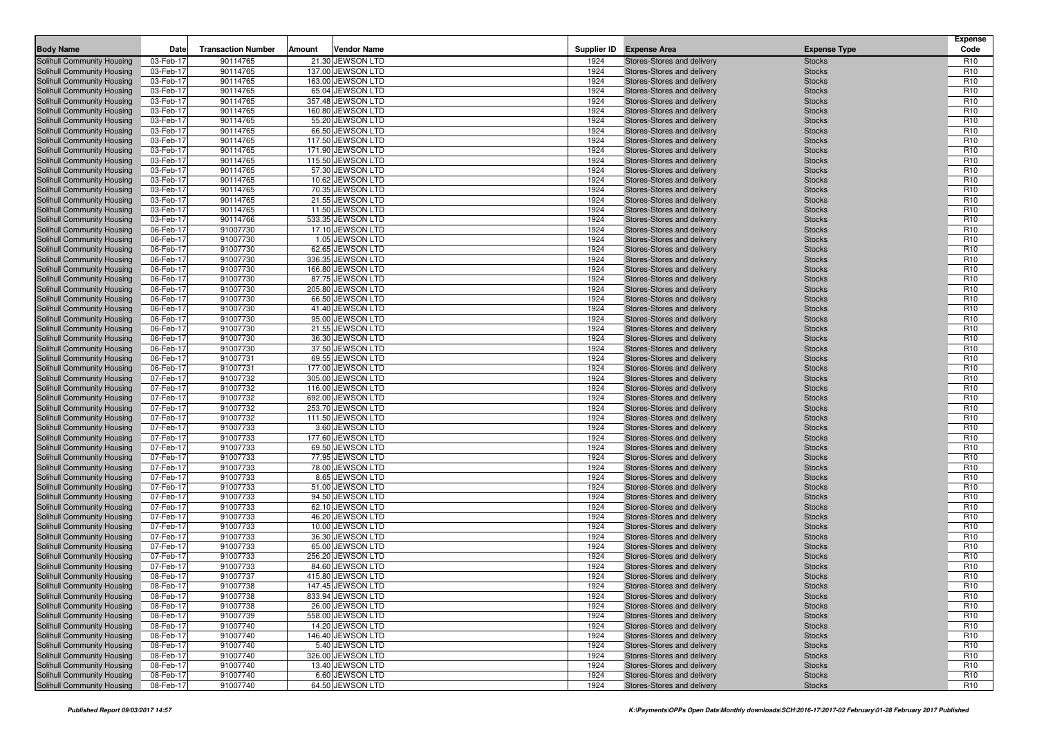| <b>Body Name</b>                                         | Date                   | <b>Transaction Number</b> | Amount | <b>Vendor Name</b>                   |              | Supplier ID Expense Area                                 | <b>Expense Type</b>            | <b>Expense</b><br>Code             |
|----------------------------------------------------------|------------------------|---------------------------|--------|--------------------------------------|--------------|----------------------------------------------------------|--------------------------------|------------------------------------|
| <b>Solihull Community Housing</b>                        | 03-Feb-17              | 90114765                  |        | 21.30 JEWSON LTD                     |              |                                                          |                                | R <sub>10</sub>                    |
| Solihull Community Housing                               | 03-Feb-17              | 90114765                  |        | 137.00 JEWSON LTD                    | 1924<br>1924 | Stores-Stores and delivery<br>Stores-Stores and delivery | <b>Stocks</b><br><b>Stocks</b> | R <sub>10</sub>                    |
| Solihull Community Housing                               | 03-Feb-17              | 90114765                  |        | 163.00 JEWSON LTD                    | 1924         | Stores-Stores and delivery                               | <b>Stocks</b>                  | R <sub>10</sub>                    |
| Solihull Community Housing                               | 03-Feb-17              | 90114765                  |        | 65.04 JEWSON LTD                     | 1924         | Stores-Stores and delivery                               | <b>Stocks</b>                  | R <sub>10</sub>                    |
| Solihull Community Housing                               | 03-Feb-17              | 90114765                  |        | 357.48 JEWSON LTD                    | 1924         | Stores-Stores and delivery                               | <b>Stocks</b>                  | R <sub>10</sub>                    |
| Solihull Community Housing                               | 03-Feb-17              | 90114765                  |        | 160.80 JEWSON LTD                    | 1924         | Stores-Stores and delivery                               | <b>Stocks</b>                  | R <sub>10</sub>                    |
| Solihull Community Housing                               | 03-Feb-17              | 90114765                  |        | 55.20 JEWSON LTD                     | 1924         | Stores-Stores and delivery                               | <b>Stocks</b>                  | R <sub>10</sub>                    |
| Solihull Community Housing                               | 03-Feb-17              | 90114765                  |        | 66.50 JEWSON LTD                     | 1924         | Stores-Stores and delivery                               | <b>Stocks</b>                  | R <sub>10</sub>                    |
| Solihull Community Housing                               | 03-Feb-17              | 90114765                  |        | 117.50 JEWSON LTD                    | 1924         | Stores-Stores and delivery                               | <b>Stocks</b>                  | R <sub>10</sub>                    |
| <b>Solihull Community Housing</b>                        | 03-Feb-17              | 90114765                  |        | 171.90 JEWSON LTD                    | 1924         | Stores-Stores and delivery                               | <b>Stocks</b>                  | R <sub>10</sub>                    |
| Solihull Community Housing                               | 03-Feb-17              | 90114765                  |        | 115.50 JEWSON LTD                    | 1924         | Stores-Stores and delivery                               | <b>Stocks</b>                  | R <sub>10</sub>                    |
| Solihull Community Housing                               | 03-Feb-17              | 90114765                  |        | 57.30 JEWSON LTD                     | 1924         | Stores-Stores and delivery                               | <b>Stocks</b>                  | R <sub>10</sub>                    |
| Solihull Community Housing                               | 03-Feb-17              | 90114765                  |        | 10.62 JEWSON LTD                     | 1924         | Stores-Stores and delivery                               | <b>Stocks</b>                  | R <sub>10</sub>                    |
| Solihull Community Housing                               | 03-Feb-17              | 90114765                  |        | 70.35 JEWSON LTD                     | 1924         | Stores-Stores and delivery                               | <b>Stocks</b>                  | R <sub>10</sub>                    |
| Solihull Community Housing                               | 03-Feb-17              | 90114765                  |        | 21.55 JEWSON LTD                     | 1924         | Stores-Stores and delivery                               | <b>Stocks</b>                  | R <sub>10</sub>                    |
| Solihull Community Housing                               | 03-Feb-17              | 90114765                  |        | 11.50 JEWSON LTD                     | 1924         | Stores-Stores and delivery                               | <b>Stocks</b>                  | R <sub>10</sub>                    |
| Solihull Community Housing                               | 03-Feb-17              | 90114766                  |        | 533.35 JEWSON LTD                    | 1924         | Stores-Stores and delivery                               | <b>Stocks</b>                  | R <sub>10</sub>                    |
| Solihull Community Housing                               | 06-Feb-17              | 91007730                  |        | 17.10 JEWSON LTD                     | 1924         | Stores-Stores and delivery                               | <b>Stocks</b>                  | R <sub>10</sub>                    |
| Solihull Community Housing                               | 06-Feb-17              | 91007730                  |        | 1.05 JEWSON LTD                      | 1924         | Stores-Stores and delivery                               | <b>Stocks</b>                  | R <sub>10</sub>                    |
| Solihull Community Housing                               | 06-Feb-17              | 91007730                  |        | 62.65 JEWSON LTD                     | 1924         | Stores-Stores and delivery                               | <b>Stocks</b>                  | R <sub>10</sub>                    |
| Solihull Community Housing                               | 06-Feb-17              | 91007730                  |        | 336.35 JEWSON LTD                    | 1924         | Stores-Stores and delivery                               | <b>Stocks</b>                  | R <sub>10</sub>                    |
| Solihull Community Housing                               | 06-Feb-17              | 91007730                  |        | 166.80 JEWSON LTD                    | 1924         | Stores-Stores and delivery                               | <b>Stocks</b>                  | R <sub>10</sub>                    |
| Solihull Community Housing                               | 06-Feb-17              | 91007730                  |        | 87.75 JEWSON LTD                     | 1924         | Stores-Stores and delivery                               | <b>Stocks</b>                  | R <sub>10</sub>                    |
| Solihull Community Housing                               | 06-Feb-17              | 91007730                  |        | 205.80 JEWSON LTD                    | 1924         | Stores-Stores and delivery                               | <b>Stocks</b>                  | R <sub>10</sub>                    |
| Solihull Community Housing                               | 06-Feb-17              | 91007730                  |        | 66.50 JEWSON LTD                     | 1924         | Stores-Stores and delivery                               | <b>Stocks</b>                  | R <sub>10</sub>                    |
| Solihull Community Housing                               | 06-Feb-17              | 91007730                  |        | 41.40 JEWSON LTD                     | 1924         | Stores-Stores and delivery                               | <b>Stocks</b>                  | R <sub>10</sub>                    |
| Solihull Community Housing                               | 06-Feb-17              | 91007730                  |        | 95.00 JEWSON LTD                     | 1924         | Stores-Stores and delivery                               | <b>Stocks</b>                  | R <sub>10</sub>                    |
| Solihull Community Housing                               | 06-Feb-17              | 91007730                  |        | 21.55 JEWSON LTD                     | 1924         | Stores-Stores and delivery                               | <b>Stocks</b>                  | R <sub>10</sub>                    |
| Solihull Community Housing                               | 06-Feb-17              | 91007730                  |        | 36.30 JEWSON LTD                     | 1924         | Stores-Stores and delivery                               | <b>Stocks</b>                  | R <sub>10</sub>                    |
| Solihull Community Housing                               | 06-Feb-17              | 91007730                  |        | 37.50 JEWSON LTD                     | 1924         | Stores-Stores and delivery                               | <b>Stocks</b>                  | R <sub>10</sub>                    |
| Solihull Community Housing                               | 06-Feb-17              | 91007731                  |        | 69.55 JEWSON LTD                     | 1924         | Stores-Stores and delivery                               | <b>Stocks</b>                  | R <sub>10</sub>                    |
| <b>Solihull Community Housing</b>                        | 06-Feb-17              | 91007731                  |        | 177.00 JEWSON LTD                    | 1924         | Stores-Stores and delivery                               | <b>Stocks</b>                  | R <sub>10</sub>                    |
| Solihull Community Housing                               | 07-Feb-17              | 91007732                  |        | 305.00 JEWSON LTD                    | 1924         | Stores-Stores and delivery                               | <b>Stocks</b>                  | R <sub>10</sub>                    |
| Solihull Community Housing                               | 07-Feb-17              | 91007732                  |        | 116.00 JEWSON LTD                    | 1924         | Stores-Stores and delivery                               | <b>Stocks</b>                  | R <sub>10</sub>                    |
| Solihull Community Housing                               | 07-Feb-17              | 91007732                  |        | 692.00 JEWSON LTD                    | 1924         | Stores-Stores and delivery                               | <b>Stocks</b>                  | R <sub>10</sub>                    |
| Solihull Community Housing                               | 07-Feb-17              | 91007732                  |        | 253.70 JEWSON LTD                    | 1924         | Stores-Stores and delivery                               | <b>Stocks</b>                  | R <sub>10</sub>                    |
| Solihull Community Housing<br>Solihull Community Housing | 07-Feb-17<br>07-Feb-17 | 91007732<br>91007733      |        | 111.50 JEWSON LTD<br>3.60 JEWSON LTD | 1924<br>1924 | Stores-Stores and delivery<br>Stores-Stores and delivery | <b>Stocks</b><br><b>Stocks</b> | R <sub>10</sub><br>R <sub>10</sub> |
| Solihull Community Housing                               | 07-Feb-17              | 91007733                  |        | 177.60 JEWSON LTD                    | 1924         | Stores-Stores and delivery                               | <b>Stocks</b>                  | R <sub>10</sub>                    |
| Solihull Community Housing                               | 07-Feb-17              | 91007733                  |        | 69.50 JEWSON LTD                     | 1924         | Stores-Stores and delivery                               | <b>Stocks</b>                  | R <sub>10</sub>                    |
| Solihull Community Housing                               | 07-Feb-17              | 91007733                  |        | 77.95 JEWSON LTD                     | 1924         | Stores-Stores and delivery                               | <b>Stocks</b>                  | R <sub>10</sub>                    |
| Solihull Community Housing                               | 07-Feb-17              | 91007733                  |        | 78.00 JEWSON LTD                     | 1924         | Stores-Stores and delivery                               | <b>Stocks</b>                  | R <sub>10</sub>                    |
| Solihull Community Housing                               | 07-Feb-17              | 91007733                  |        | 8.65 JEWSON LTD                      | 1924         | Stores-Stores and delivery                               | <b>Stocks</b>                  | R <sub>10</sub>                    |
| Solihull Community Housing                               | 07-Feb-17              | 91007733                  |        | 51.00 JEWSON LTD                     | 1924         | Stores-Stores and delivery                               | <b>Stocks</b>                  | R <sub>10</sub>                    |
| Solihull Community Housing                               | 07-Feb-17              | 91007733                  |        | 94.50 JEWSON LTD                     | 1924         | Stores-Stores and delivery                               | <b>Stocks</b>                  | R <sub>10</sub>                    |
| Solihull Community Housing                               | 07-Feb-17              | 91007733                  |        | 62.10 JEWSON LTD                     | 1924         | Stores-Stores and delivery                               | <b>Stocks</b>                  | R <sub>10</sub>                    |
| Solihull Community Housing                               | 07-Feb-17              | 91007733                  |        | 46.20 JEWSON LTD                     | 1924         | Stores-Stores and delivery                               | <b>Stocks</b>                  | R <sub>10</sub>                    |
| Solihull Community Housing                               | 07-Feb-17              | 91007733                  |        | 10.00 JEWSON LTD                     | 1924         | Stores-Stores and delivery                               | <b>Stocks</b>                  | R <sub>10</sub>                    |
| Solihull Community Housing                               | 07-Feb-17              | 91007733                  |        | 36.30 JEWSON LTD                     | 1924         | Stores-Stores and delivery                               | <b>Stocks</b>                  | R <sub>10</sub>                    |
| Solihull Community Housing                               | 07-Feb-17              | 91007733                  |        | 65.00 JEWSON LTD                     | 1924         | Stores-Stores and delivery                               | <b>Stocks</b>                  | R <sub>10</sub>                    |
| Solihull Community Housing                               | 07-Feb-17              | 91007733                  |        | 256.20 JEWSON LTD                    | 1924         | Stores-Stores and delivery                               | <b>Stocks</b>                  | R <sub>10</sub>                    |
| Solihull Community Housing                               | 07-Feb-17              | 91007733                  |        | 84.60 JEWSON LTD                     | 1924         | Stores-Stores and delivery                               | <b>Stocks</b>                  | R <sub>10</sub>                    |
| Solihull Community Housing                               | 08-Feb-17              | 91007737                  |        | 415.80 JEWSON LTD                    | 1924         | Stores-Stores and delivery                               | <b>Stocks</b>                  | R <sub>10</sub>                    |
| Solihull Community Housing                               | 08-Feb-17              | 91007738                  |        | 147.45 JEWSON LTD                    | 1924         | Stores-Stores and delivery                               | <b>Stocks</b>                  | R <sub>10</sub>                    |
| Solihull Community Housing                               | 08-Feb-17              | 91007738                  |        | 833.94 JEWSON LTD                    | 1924         | Stores-Stores and delivery                               | <b>Stocks</b>                  | R <sub>10</sub>                    |
| Solihull Community Housing                               | 08-Feb-17              | 91007738                  |        | 26.00 JEWSON LTD                     | 1924         | Stores-Stores and delivery                               | <b>Stocks</b>                  | R <sub>10</sub>                    |
| Solihull Community Housing                               | 08-Feb-17              | 91007739                  |        | 558.00 JEWSON LTD                    | 1924         | Stores-Stores and delivery                               | <b>Stocks</b>                  | R <sub>10</sub>                    |
| Solihull Community Housing                               | 08-Feb-17              | 91007740                  |        | 14.20 JEWSON LTD                     | 1924         | Stores-Stores and delivery                               | <b>Stocks</b>                  | R <sub>10</sub>                    |
| Solihull Community Housing                               | 08-Feb-17              | 91007740                  |        | 146.40 JEWSON LTD                    | 1924         | Stores-Stores and delivery                               | <b>Stocks</b>                  | R <sub>10</sub>                    |
| Solihull Community Housing                               | 08-Feb-17              | 91007740                  |        | 5.40 JEWSON LTD                      | 1924         | Stores-Stores and delivery                               | <b>Stocks</b>                  | R <sub>10</sub>                    |
| Solihull Community Housing<br>Solihull Community Housing | 08-Feb-17              | 91007740                  |        | 326.00 JEWSON LTD                    | 1924         | Stores-Stores and delivery                               | <b>Stocks</b>                  | R <sub>10</sub>                    |
| Solihull Community Housing                               | 08-Feb-17<br>08-Feb-17 | 91007740<br>91007740      |        | 13.40 JEWSON LTD<br>6.60 JEWSON LTD  | 1924<br>1924 | Stores-Stores and delivery<br>Stores-Stores and delivery | <b>Stocks</b><br><b>Stocks</b> | R <sub>10</sub><br>R <sub>10</sub> |
| Solihull Community Housing                               | 08-Feb-17              | 91007740                  |        | 64.50 JEWSON LTD                     | 1924         | Stores-Stores and delivery                               | <b>Stocks</b>                  | R <sub>10</sub>                    |
|                                                          |                        |                           |        |                                      |              |                                                          |                                |                                    |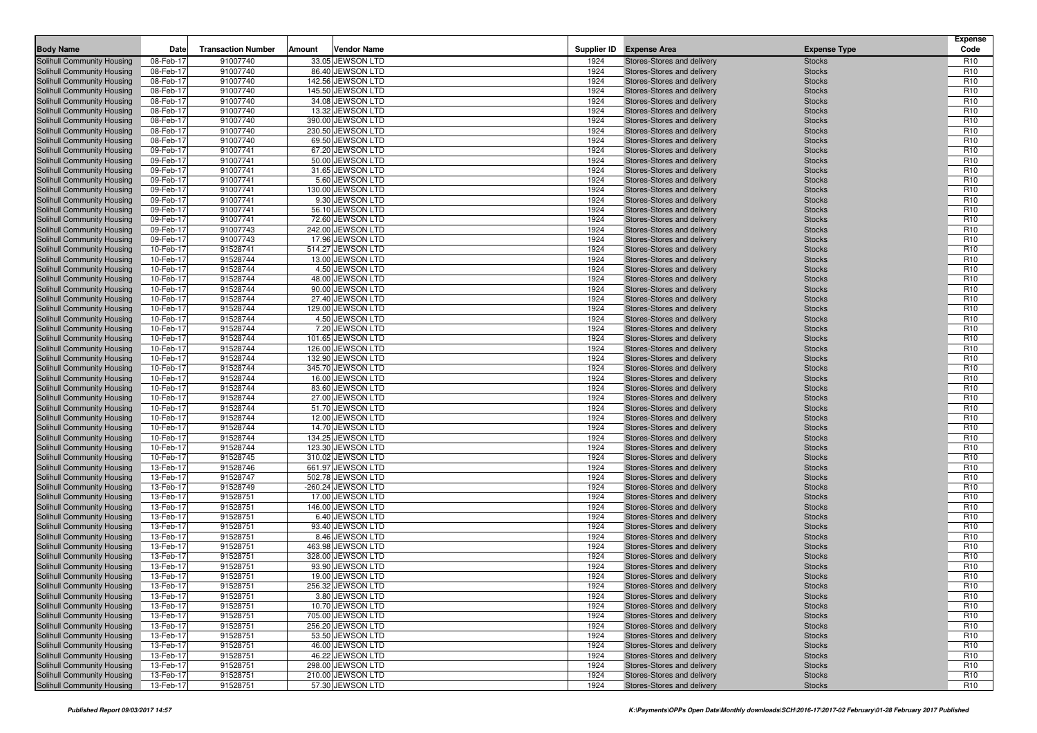| <b>Body Name</b>                                         | Date                   | <b>Transaction Number</b> | Amount | <b>Vendor Name</b>                     |              | Supplier ID Expense Area                                 | <b>Expense Type</b>            | <b>Expense</b><br>Code             |
|----------------------------------------------------------|------------------------|---------------------------|--------|----------------------------------------|--------------|----------------------------------------------------------|--------------------------------|------------------------------------|
| Solihull Community Housing                               | 08-Feb-17              | 91007740                  |        | 33.05 JEWSON LTD                       | 1924         | Stores-Stores and delivery                               | <b>Stocks</b>                  | R <sub>10</sub>                    |
| Solihull Community Housing                               | 08-Feb-17              | 91007740                  |        | 86.40 JEWSON LTD                       | 1924         | Stores-Stores and delivery                               | <b>Stocks</b>                  | R <sub>10</sub>                    |
| Solihull Community Housing                               | 08-Feb-17              | 91007740                  |        | 142.56 JEWSON LTD                      | 1924         | Stores-Stores and delivery                               | <b>Stocks</b>                  | R <sub>10</sub>                    |
| Solihull Community Housing                               | 08-Feb-17              | 91007740                  |        | 145.50 JEWSON LTD                      | 1924         | Stores-Stores and delivery                               | <b>Stocks</b>                  | R <sub>10</sub>                    |
| Solihull Community Housing                               | 08-Feb-17              | 91007740                  |        | 34.08 JEWSON LTD                       | 1924         | Stores-Stores and delivery                               | <b>Stocks</b>                  | R <sub>10</sub>                    |
| Solihull Community Housing                               | 08-Feb-17              | 91007740                  |        | 13.32 JEWSON LTD                       | 1924         | Stores-Stores and delivery                               | <b>Stocks</b>                  | R <sub>10</sub>                    |
| Solihull Community Housing                               | 08-Feb-17              | 91007740                  |        | 390.00 JEWSON LTD                      | 1924         | Stores-Stores and delivery                               | <b>Stocks</b>                  | R <sub>10</sub>                    |
| Solihull Community Housing                               | 08-Feb-17              | 91007740                  |        | 230.50 JEWSON LTD                      | 1924         | Stores-Stores and delivery                               | <b>Stocks</b>                  | R <sub>10</sub>                    |
| <b>Solihull Community Housing</b>                        | 08-Feb-17              | 91007740                  |        | 69.50 JEWSON LTD                       | 1924         | Stores-Stores and delivery                               | <b>Stocks</b>                  | R <sub>10</sub>                    |
| <b>Solihull Community Housing</b>                        | 09-Feb-17              | 91007741                  |        | 67.20 JEWSON LTD                       | 1924         | Stores-Stores and delivery                               | <b>Stocks</b>                  | R <sub>10</sub>                    |
| Solihull Community Housing                               | 09-Feb-17              | 91007741                  |        | 50.00 JEWSON LTD                       | 1924         | Stores-Stores and delivery                               | <b>Stocks</b>                  | R <sub>10</sub>                    |
| Solihull Community Housing                               | 09-Feb-17              | 91007741                  |        | 31.65 JEWSON LTD                       | 1924         | Stores-Stores and delivery                               | <b>Stocks</b>                  | R <sub>10</sub>                    |
| Solihull Community Housing                               | 09-Feb-17              | 91007741                  |        | 5.60 JEWSON LTD                        | 1924         | Stores-Stores and delivery                               | <b>Stocks</b>                  | R <sub>10</sub>                    |
| Solihull Community Housing                               | 09-Feb-17              | 91007741                  |        | 130.00 JEWSON LTD                      | 1924         | Stores-Stores and delivery                               | <b>Stocks</b>                  | R <sub>10</sub>                    |
| Solihull Community Housing                               | 09-Feb-17              | 91007741                  |        | 9.30 JEWSON LTD                        | 1924         | Stores-Stores and delivery                               | <b>Stocks</b>                  | R <sub>10</sub>                    |
| Solihull Community Housing                               | 09-Feb-17              | 91007741                  |        | 56.10 JEWSON LTD                       | 1924         | Stores-Stores and delivery                               | <b>Stocks</b>                  | R <sub>10</sub>                    |
| Solihull Community Housing                               | 09-Feb-17              | 91007741                  |        | 72.60 JEWSON LTD                       | 1924         | Stores-Stores and delivery                               | <b>Stocks</b>                  | R <sub>10</sub>                    |
| Solihull Community Housing                               | 09-Feb-17              | 91007743                  |        | 242.00 JEWSON LTD                      | 1924         | Stores-Stores and delivery                               | <b>Stocks</b>                  | R <sub>10</sub>                    |
| Solihull Community Housing                               | 09-Feb-17              | 91007743                  |        | 17.96 JEWSON LTD                       | 1924         | Stores-Stores and delivery                               | <b>Stocks</b>                  | R <sub>10</sub>                    |
| Solihull Community Housing                               | 10-Feb-17              | 91528741                  |        | 514.27 JEWSON LTD                      | 1924         | Stores-Stores and delivery                               | <b>Stocks</b>                  | R <sub>10</sub>                    |
| Solihull Community Housing                               | 10-Feb-17              | 91528744                  |        | 13.00 JEWSON LTD                       | 1924         | Stores-Stores and delivery                               | <b>Stocks</b>                  | R <sub>10</sub>                    |
| Solihull Community Housing                               | 10-Feb-17              | 91528744                  |        | 4.50 JEWSON LTD                        | 1924         | Stores-Stores and delivery                               | <b>Stocks</b>                  | R <sub>10</sub>                    |
| Solihull Community Housing                               | 10-Feb-17              | 91528744                  |        | 48.00 JEWSON LTD                       | 1924         | Stores-Stores and delivery                               | <b>Stocks</b>                  | R <sub>10</sub>                    |
| Solihull Community Housing                               | 10-Feb-17              | 91528744                  |        | 90.00 JEWSON LTD                       | 1924         | Stores-Stores and delivery                               | <b>Stocks</b>                  | R <sub>10</sub>                    |
| Solihull Community Housing                               | 10-Feb-17              | 91528744                  |        | 27.40 JEWSON LTD                       | 1924         | Stores-Stores and delivery                               | <b>Stocks</b>                  | R <sub>10</sub>                    |
| Solihull Community Housing                               | 10-Feb-17              | 91528744                  |        | 129.00 JEWSON LTD                      | 1924         | Stores-Stores and delivery                               | <b>Stocks</b>                  | R <sub>10</sub>                    |
| Solihull Community Housing                               | 10-Feb-17              | 91528744                  |        | 4.50 JEWSON LTD                        | 1924         | Stores-Stores and delivery                               | <b>Stocks</b>                  | R <sub>10</sub>                    |
| Solihull Community Housing                               | 10-Feb-17              | 91528744                  |        | 7.20 JEWSON LTD                        | 1924         | Stores-Stores and delivery                               | <b>Stocks</b>                  | R <sub>10</sub>                    |
| Solihull Community Housing                               | 10-Feb-17              | 91528744                  |        | 101.65 JEWSON LTD                      | 1924         | Stores-Stores and delivery                               | <b>Stocks</b>                  | R <sub>10</sub>                    |
| Solihull Community Housing                               | 10-Feb-17              | 91528744                  |        | 126.00 JEWSON LTD                      | 1924         | Stores-Stores and delivery                               | <b>Stocks</b>                  | R <sub>10</sub><br>R <sub>10</sub> |
| Solihull Community Housing                               | 10-Feb-17<br>10-Feb-17 | 91528744                  |        | 132.90 JEWSON LTD<br>345.70 JEWSON LTD | 1924<br>1924 | Stores-Stores and delivery                               | <b>Stocks</b>                  | R <sub>10</sub>                    |
| Solihull Community Housing<br>Solihull Community Housing | 10-Feb-17              | 91528744<br>91528744      |        | 16.00 JEWSON LTD                       | 1924         | Stores-Stores and delivery<br>Stores-Stores and delivery | <b>Stocks</b><br><b>Stocks</b> | R <sub>10</sub>                    |
| Solihull Community Housing                               | 10-Feb-17              | 91528744                  |        | 83.60 JEWSON LTD                       | 1924         | Stores-Stores and delivery                               | <b>Stocks</b>                  | R <sub>10</sub>                    |
| Solihull Community Housing                               | 10-Feb-17              | 91528744                  |        | 27.00 JEWSON LTD                       | 1924         | Stores-Stores and delivery                               | <b>Stocks</b>                  | R <sub>10</sub>                    |
| Solihull Community Housing                               | 10-Feb-17              | 91528744                  |        | 51.70 JEWSON LTD                       | 1924         | Stores-Stores and delivery                               | <b>Stocks</b>                  | R <sub>10</sub>                    |
| Solihull Community Housing                               | 10-Feb-17              | 91528744                  |        | 12.00 JEWSON LTD                       | 1924         | Stores-Stores and delivery                               | <b>Stocks</b>                  | R <sub>10</sub>                    |
| Solihull Community Housing                               | 10-Feb-17              | 91528744                  |        | 14.70 JEWSON LTD                       | 1924         | Stores-Stores and delivery                               | <b>Stocks</b>                  | R <sub>10</sub>                    |
| Solihull Community Housing                               | 10-Feb-17              | 91528744                  |        | 134.25 JEWSON LTD                      | 1924         | Stores-Stores and delivery                               | <b>Stocks</b>                  | R <sub>10</sub>                    |
| Solihull Community Housing                               | 10-Feb-17              | 91528744                  |        | 123.30 JEWSON LTD                      | 1924         | Stores-Stores and delivery                               | <b>Stocks</b>                  | R <sub>10</sub>                    |
| Solihull Community Housing                               | 10-Feb-17              | 91528745                  |        | 310.02 JEWSON LTD                      | 1924         | Stores-Stores and delivery                               | <b>Stocks</b>                  | R <sub>10</sub>                    |
| Solihull Community Housing                               | 13-Feb-17              | 91528746                  |        | 661.97 JEWSON LTD                      | 1924         | Stores-Stores and delivery                               | <b>Stocks</b>                  | R <sub>10</sub>                    |
| <b>Solihull Community Housing</b>                        | 13-Feb-17              | 91528747                  |        | 502.78 JEWSON LTD                      | 1924         | Stores-Stores and delivery                               | <b>Stocks</b>                  | R <sub>10</sub>                    |
| Solihull Community Housing                               | 13-Feb-17              | 91528749                  |        | -260.24 JEWSON LTD                     | 1924         | Stores-Stores and delivery                               | <b>Stocks</b>                  | R <sub>10</sub>                    |
| Solihull Community Housing                               | 13-Feb-17              | 91528751                  |        | 17.00 JEWSON LTD                       | 1924         | Stores-Stores and delivery                               | <b>Stocks</b>                  | R <sub>10</sub>                    |
| Solihull Community Housing                               | 13-Feb-17              | 91528751                  |        | 146.00 JEWSON LTD                      | 1924         | Stores-Stores and delivery                               | <b>Stocks</b>                  | R <sub>10</sub>                    |
| Solihull Community Housing                               | 13-Feb-17              | 91528751                  |        | 6.40 JEWSON LTD                        | 1924         | Stores-Stores and delivery                               | <b>Stocks</b>                  | R <sub>10</sub>                    |
| Solihull Community Housing                               | 13-Feb-17              | 91528751                  |        | 93.40 JEWSON LTD                       | 1924         | Stores-Stores and delivery                               | <b>Stocks</b>                  | R <sub>10</sub>                    |
| Solihull Community Housing                               | 13-Feb-17              | 91528751                  |        | 8.46 JEWSON LTD                        | 1924         | Stores-Stores and delivery                               | <b>Stocks</b>                  | R <sub>10</sub>                    |
| Solihull Community Housing                               | 13-Feb-17              | 91528751                  |        | 463.98 JEWSON LTD                      | 1924         | Stores-Stores and delivery                               | <b>Stocks</b>                  | R <sub>10</sub>                    |
| Solihull Community Housing                               | 13-Feb-17              | 91528751                  |        | 328.00 JEWSON LTD                      | 1924         | Stores-Stores and delivery                               | <b>Stocks</b>                  | R <sub>10</sub>                    |
| Solihull Community Housing                               | 13-Feb-17              | 91528751                  |        | 93.90 JEWSON LTD                       | 1924         | Stores-Stores and delivery                               | <b>Stocks</b>                  | R <sub>10</sub>                    |
| Solihull Community Housing                               | 13-Feb-17              | 91528751                  |        | 19.00 JEWSON LTD                       | 1924         | Stores-Stores and delivery                               | <b>Stocks</b>                  | R <sub>10</sub>                    |
| Solihull Community Housing                               | 13-Feb-17              | 91528751                  |        | 256.32 JEWSON LTD                      | 1924         | Stores-Stores and delivery                               | <b>Stocks</b>                  | R <sub>10</sub>                    |
| Solihull Community Housing                               | 13-Feb-17              | 91528751                  |        | 3.80 JEWSON LTD                        | 1924         | Stores-Stores and delivery                               | <b>Stocks</b>                  | R <sub>10</sub>                    |
| Solihull Community Housing                               | 13-Feb-17              | 91528751                  |        | 10.70 JEWSON LTD                       | 1924         | Stores-Stores and delivery                               | <b>Stocks</b>                  | R <sub>10</sub>                    |
| Solihull Community Housing                               | 13-Feb-17              | 91528751                  |        | 705.00 JEWSON LTD                      | 1924         | Stores-Stores and delivery                               | <b>Stocks</b>                  | R <sub>10</sub>                    |
| Solihull Community Housing                               | 13-Feb-17              | 91528751                  |        | 256.20 JEWSON LTD                      | 1924         | Stores-Stores and delivery                               | <b>Stocks</b>                  | R <sub>10</sub>                    |
| Solihull Community Housing                               | 13-Feb-17              | 91528751                  |        | 53.50 JEWSON LTD                       | 1924         | Stores-Stores and delivery                               | <b>Stocks</b>                  | R <sub>10</sub>                    |
| Solihull Community Housing                               | 13-Feb-17              | 91528751                  |        | 46.00 JEWSON LTD                       | 1924         | Stores-Stores and delivery                               | <b>Stocks</b>                  | R <sub>10</sub>                    |
| Solihull Community Housing                               | 13-Feb-17              | 91528751                  |        | 46.22 JEWSON LTD                       | 1924         | Stores-Stores and delivery                               | <b>Stocks</b>                  | R <sub>10</sub>                    |
| Solihull Community Housing                               | 13-Feb-17              | 91528751                  |        | 298.00 JEWSON LTD                      | 1924         | Stores-Stores and delivery                               | <b>Stocks</b>                  | R <sub>10</sub>                    |
| Solihull Community Housing                               | 13-Feb-17              | 91528751                  |        | 210.00 JEWSON LTD                      | 1924         | Stores-Stores and delivery                               | <b>Stocks</b>                  | R <sub>10</sub>                    |
| Solihull Community Housing                               | 13-Feb-17              | 91528751                  |        | 57.30 JEWSON LTD                       | 1924         | Stores-Stores and delivery                               | <b>Stocks</b>                  | R <sub>10</sub>                    |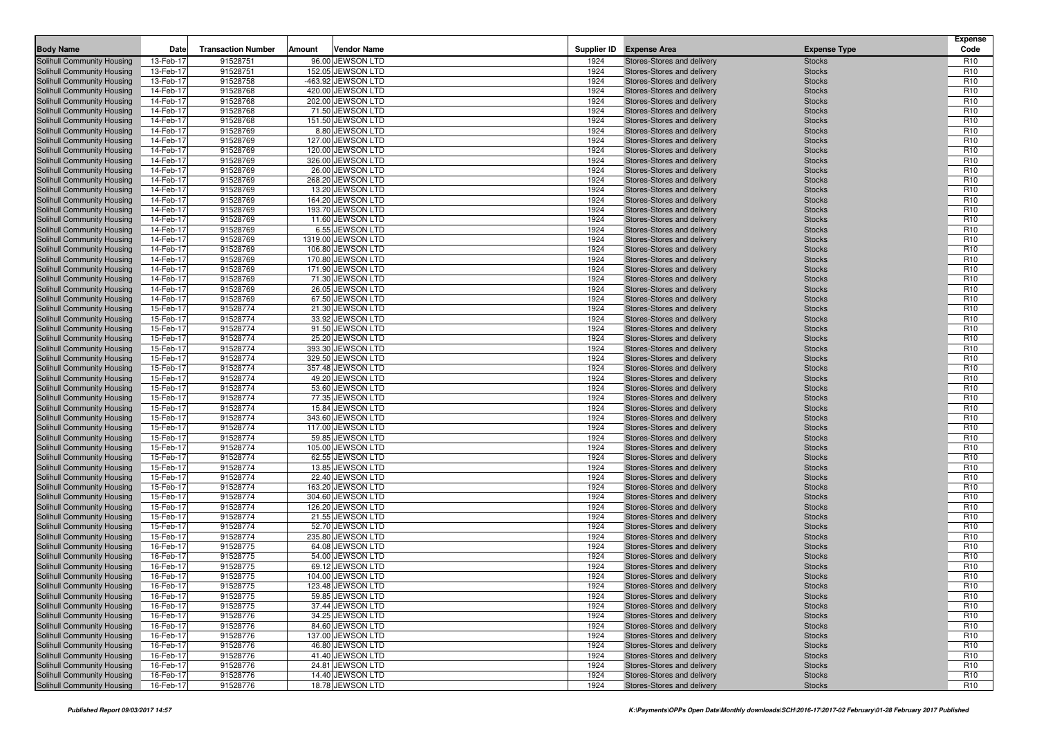| <b>Body Name</b>                                         | Date                   | <b>Transaction Number</b> | Amount | <b>Vendor Name</b>                     |              | Supplier ID Expense Area                                 | <b>Expense Type</b>            | <b>Expense</b><br>Code             |
|----------------------------------------------------------|------------------------|---------------------------|--------|----------------------------------------|--------------|----------------------------------------------------------|--------------------------------|------------------------------------|
| Solihull Community Housing                               | 13-Feb-17              | 91528751                  |        | 96.00 JEWSON LTD                       |              |                                                          |                                | R <sub>10</sub>                    |
| Solihull Community Housing                               | 13-Feb-17              | 91528751                  |        | 152.05 JEWSON LTD                      | 1924<br>1924 | Stores-Stores and delivery<br>Stores-Stores and delivery | <b>Stocks</b><br><b>Stocks</b> | R <sub>10</sub>                    |
| Solihull Community Housing                               | 13-Feb-17              | 91528758                  |        | -463.92 JEWSON LTD                     | 1924         | Stores-Stores and delivery                               | <b>Stocks</b>                  | R <sub>10</sub>                    |
| Solihull Community Housing                               | 14-Feb-17              | 91528768                  |        | 420.00 JEWSON LTD                      | 1924         | Stores-Stores and delivery                               | <b>Stocks</b>                  | R <sub>10</sub>                    |
| Solihull Community Housing                               | 14-Feb-17              | 91528768                  |        | 202.00 JEWSON LTD                      | 1924         | Stores-Stores and delivery                               | <b>Stocks</b>                  | R <sub>10</sub>                    |
| Solihull Community Housing                               | 14-Feb-17              | 91528768                  |        | 71.50 JEWSON LTD                       | 1924         | Stores-Stores and delivery                               | <b>Stocks</b>                  | R <sub>10</sub>                    |
| Solihull Community Housing                               | 14-Feb-17              | 91528768                  |        | 151.50 JEWSON LTD                      | 1924         | Stores-Stores and delivery                               | <b>Stocks</b>                  | R <sub>10</sub>                    |
| Solihull Community Housing                               | 14-Feb-17              | 91528769                  |        | 8.80 JEWSON LTD                        | 1924         | Stores-Stores and delivery                               | <b>Stocks</b>                  | R <sub>10</sub>                    |
| Solihull Community Housing                               | 14-Feb-17              | 91528769                  |        | 127.00 JEWSON LTD                      | 1924         | Stores-Stores and delivery                               | <b>Stocks</b>                  | R <sub>10</sub>                    |
| <b>Solihull Community Housing</b>                        | 14-Feb-17              | 91528769                  |        | 120.00 JEWSON LTD                      | 1924         | Stores-Stores and delivery                               | <b>Stocks</b>                  | R <sub>10</sub>                    |
| Solihull Community Housing                               | 14-Feb-17              | 91528769                  |        | 326.00 JEWSON LTD                      | 1924         | Stores-Stores and delivery                               | <b>Stocks</b>                  | R <sub>10</sub>                    |
| Solihull Community Housing                               | 14-Feb-17              | 91528769                  |        | 26.00 JEWSON LTD                       | 1924         | Stores-Stores and delivery                               | <b>Stocks</b>                  | R <sub>10</sub>                    |
| Solihull Community Housing                               | 14-Feb-17              | 91528769                  |        | 268.20 JEWSON LTD                      | 1924         | Stores-Stores and delivery                               | <b>Stocks</b>                  | R <sub>10</sub>                    |
| Solihull Community Housing                               | 14-Feb-17              | 91528769                  |        | 13.20 JEWSON LTD                       | 1924         | Stores-Stores and delivery                               | <b>Stocks</b>                  | R <sub>10</sub>                    |
| Solihull Community Housing                               | 14-Feb-17              | 91528769                  |        | 164.20 JEWSON LTD                      | 1924         | Stores-Stores and delivery                               | <b>Stocks</b>                  | R <sub>10</sub>                    |
| Solihull Community Housing                               | 14-Feb-17              | 91528769                  |        | 193.70 JEWSON LTD                      | 1924         | Stores-Stores and delivery                               | <b>Stocks</b>                  | R <sub>10</sub>                    |
| Solihull Community Housing                               | 14-Feb-17              | 91528769                  |        | 11.60 JEWSON LTD                       | 1924         | Stores-Stores and delivery                               | <b>Stocks</b>                  | R <sub>10</sub>                    |
| Solihull Community Housing                               | 14-Feb-17              | 91528769                  |        | 6.55 JEWSON LTD                        | 1924         | Stores-Stores and delivery                               | <b>Stocks</b>                  | R <sub>10</sub>                    |
| Solihull Community Housing                               | 14-Feb-17              | 91528769                  |        | 1319.00 JEWSON LTD                     | 1924         | Stores-Stores and delivery                               | <b>Stocks</b>                  | R <sub>10</sub>                    |
| Solihull Community Housing                               | 14-Feb-17              | 91528769                  |        | 106.80 JEWSON LTD                      | 1924         | Stores-Stores and delivery                               | <b>Stocks</b>                  | R <sub>10</sub>                    |
| Solihull Community Housing                               | 14-Feb-17              | 91528769                  |        | 170.80 JEWSON LTD                      | 1924         | Stores-Stores and delivery                               | <b>Stocks</b>                  | R <sub>10</sub>                    |
| Solihull Community Housing                               | 14-Feb-17              | 91528769                  |        | 171.90 JEWSON LTD                      | 1924         | Stores-Stores and delivery                               | <b>Stocks</b>                  | R <sub>10</sub>                    |
| Solihull Community Housing                               | 14-Feb-17              | 91528769                  |        | 71.30 JEWSON LTD                       | 1924         | Stores-Stores and delivery                               | <b>Stocks</b>                  | R <sub>10</sub>                    |
| Solihull Community Housing                               | 14-Feb-17              | 91528769                  |        | 26.05 JEWSON LTD                       | 1924         | Stores-Stores and delivery                               | <b>Stocks</b>                  | R <sub>10</sub>                    |
| Solihull Community Housing                               | 14-Feb-17              | 91528769                  |        | 67.50 JEWSON LTD                       | 1924         | Stores-Stores and delivery                               | <b>Stocks</b>                  | R <sub>10</sub>                    |
| Solihull Community Housing                               | 15-Feb-17              | 91528774                  |        | 21.30 JEWSON LTD                       | 1924         | Stores-Stores and delivery                               | <b>Stocks</b>                  | R <sub>10</sub>                    |
| Solihull Community Housing                               | 15-Feb-17              | 91528774                  |        | 33.92 JEWSON LTD                       | 1924         | Stores-Stores and delivery                               | <b>Stocks</b>                  | R <sub>10</sub>                    |
| Solihull Community Housing                               | 15-Feb-17              | 91528774                  |        | 91.50 JEWSON LTD                       | 1924         | Stores-Stores and delivery                               | <b>Stocks</b>                  | R <sub>10</sub>                    |
| Solihull Community Housing                               | 15-Feb-17              | 91528774                  |        | 25.20 JEWSON LTD                       | 1924         | Stores-Stores and delivery                               | <b>Stocks</b>                  | R <sub>10</sub>                    |
| Solihull Community Housing                               | 15-Feb-17              | 91528774                  |        | 393.30 JEWSON LTD                      | 1924         | Stores-Stores and delivery                               | <b>Stocks</b>                  | R <sub>10</sub>                    |
| Solihull Community Housing                               | 15-Feb-17              | 91528774                  |        | 329.50 JEWSON LTD                      | 1924         | Stores-Stores and delivery                               | <b>Stocks</b>                  | R <sub>10</sub>                    |
| Solihull Community Housing                               | 15-Feb-17              | 91528774                  |        | 357.48 JEWSON LTD                      | 1924         | Stores-Stores and delivery                               | <b>Stocks</b>                  | R <sub>10</sub>                    |
| Solihull Community Housing                               | 15-Feb-17              | 91528774                  |        | 49.20 JEWSON LTD                       | 1924         | Stores-Stores and delivery                               | <b>Stocks</b>                  | R <sub>10</sub>                    |
| Solihull Community Housing                               | 15-Feb-17              | 91528774                  |        | 53.60 JEWSON LTD                       | 1924         | Stores-Stores and delivery                               | <b>Stocks</b>                  | R <sub>10</sub>                    |
| Solihull Community Housing                               | 15-Feb-17              | 91528774                  |        | 77.35 JEWSON LTD                       | 1924         | Stores-Stores and delivery                               | <b>Stocks</b>                  | R <sub>10</sub>                    |
| Solihull Community Housing                               | 15-Feb-17              | 91528774                  |        | 15.84 JEWSON LTD                       | 1924         | Stores-Stores and delivery                               | <b>Stocks</b>                  | R <sub>10</sub>                    |
| Solihull Community Housing<br>Solihull Community Housing | 15-Feb-17<br>15-Feb-17 | 91528774<br>91528774      |        | 343.60 JEWSON LTD<br>117.00 JEWSON LTD | 1924<br>1924 | Stores-Stores and delivery<br>Stores-Stores and delivery | <b>Stocks</b><br><b>Stocks</b> | R <sub>10</sub><br>R <sub>10</sub> |
| Solihull Community Housing                               | 15-Feb-17              | 91528774                  |        | 59.85 JEWSON LTD                       | 1924         | Stores-Stores and delivery                               | <b>Stocks</b>                  | R <sub>10</sub>                    |
| Solihull Community Housing                               | 15-Feb-17              | 91528774                  |        | 105.00 JEWSON LTD                      | 1924         | Stores-Stores and delivery                               | <b>Stocks</b>                  | R <sub>10</sub>                    |
| Solihull Community Housing                               | 15-Feb-17              | 91528774                  |        | 62.55 JEWSON LTD                       | 1924         | Stores-Stores and delivery                               | <b>Stocks</b>                  | R <sub>10</sub>                    |
| Solihull Community Housing                               | 15-Feb-17              | 91528774                  |        | 13.85 JEWSON LTD                       | 1924         | Stores-Stores and delivery                               | <b>Stocks</b>                  | R <sub>10</sub>                    |
| Solihull Community Housing                               | 15-Feb-17              | 91528774                  |        | 22.40 JEWSON LTD                       | 1924         | Stores-Stores and delivery                               | <b>Stocks</b>                  | R <sub>10</sub>                    |
| Solihull Community Housing                               | 15-Feb-17              | 91528774                  |        | 163.20 JEWSON LTD                      | 1924         | Stores-Stores and delivery                               | <b>Stocks</b>                  | R <sub>10</sub>                    |
| Solihull Community Housing                               | 15-Feb-17              | 91528774                  |        | 304.60 JEWSON LTD                      | 1924         | Stores-Stores and delivery                               | <b>Stocks</b>                  | R <sub>10</sub>                    |
| Solihull Community Housing                               | 15-Feb-17              | 91528774                  |        | 126.20 JEWSON LTD                      | 1924         | Stores-Stores and delivery                               | <b>Stocks</b>                  | R <sub>10</sub>                    |
| Solihull Community Housing                               | 15-Feb-17              | 91528774                  |        | 21.55 JEWSON LTD                       | 1924         | Stores-Stores and delivery                               | <b>Stocks</b>                  | R <sub>10</sub>                    |
| Solihull Community Housing                               | 15-Feb-17              | 91528774                  |        | 52.70 JEWSON LTD                       | 1924         | Stores-Stores and delivery                               | <b>Stocks</b>                  | R <sub>10</sub>                    |
| Solihull Community Housing                               | 15-Feb-17              | 91528774                  |        | 235.80 JEWSON LTD                      | 1924         | Stores-Stores and delivery                               | <b>Stocks</b>                  | R <sub>10</sub>                    |
| Solihull Community Housing                               | 16-Feb-17              | 91528775                  |        | 64.08 JEWSON LTD                       | 1924         | Stores-Stores and delivery                               | <b>Stocks</b>                  | R <sub>10</sub>                    |
| Solihull Community Housing                               | 16-Feb-17              | 91528775                  |        | 54.00 JEWSON LTD                       | 1924         | Stores-Stores and delivery                               | <b>Stocks</b>                  | R <sub>10</sub>                    |
| Solihull Community Housing                               | 16-Feb-17              | 91528775                  |        | 69.12 JEWSON LTD                       | 1924         | Stores-Stores and delivery                               | <b>Stocks</b>                  | R <sub>10</sub>                    |
| Solihull Community Housing                               | 16-Feb-17              | 91528775                  |        | 104.00 JEWSON LTD                      | 1924         | Stores-Stores and delivery                               | <b>Stocks</b>                  | R <sub>10</sub>                    |
| Solihull Community Housing                               | 16-Feb-17              | 91528775                  |        | 123.48 JEWSON LTD                      | 1924         | Stores-Stores and delivery                               | <b>Stocks</b>                  | R <sub>10</sub>                    |
| Solihull Community Housing                               | 16-Feb-17              | 91528775                  |        | 59.85 JEWSON LTD                       | 1924         | Stores-Stores and delivery                               | <b>Stocks</b>                  | R <sub>10</sub>                    |
| Solihull Community Housing                               | 16-Feb-17              | 91528775                  |        | 37.44 JEWSON LTD                       | 1924         | Stores-Stores and delivery                               | <b>Stocks</b>                  | R <sub>10</sub>                    |
| Solihull Community Housing                               | 16-Feb-17              | 91528776                  |        | 34.25 JEWSON LTD                       | 1924         | Stores-Stores and delivery                               | <b>Stocks</b>                  | R <sub>10</sub>                    |
| Solihull Community Housing                               | 16-Feb-17              | 91528776                  |        | 84.60 JEWSON LTD                       | 1924         | Stores-Stores and delivery                               | <b>Stocks</b>                  | R <sub>10</sub>                    |
| Solihull Community Housing                               | 16-Feb-17              | 91528776                  |        | 137.00 JEWSON LTD                      | 1924         | Stores-Stores and delivery                               | <b>Stocks</b>                  | R <sub>10</sub>                    |
| Solihull Community Housing                               | 16-Feb-17              | 91528776                  |        | 46.80 JEWSON LTD                       | 1924         | Stores-Stores and delivery                               | <b>Stocks</b>                  | R <sub>10</sub>                    |
| Solihull Community Housing<br>Solihull Community Housing | 16-Feb-17              | 91528776                  |        | 41.40 JEWSON LTD<br>24.81 JEWSON LTD   | 1924<br>1924 | Stores-Stores and delivery                               | <b>Stocks</b>                  | R <sub>10</sub>                    |
| Solihull Community Housing                               | 16-Feb-17<br>16-Feb-17 | 91528776<br>91528776      |        | 14.40 JEWSON LTD                       | 1924         | Stores-Stores and delivery<br>Stores-Stores and delivery | <b>Stocks</b><br><b>Stocks</b> | R <sub>10</sub><br>R <sub>10</sub> |
| Solihull Community Housing                               | 16-Feb-17              | 91528776                  |        | 18.78 JEWSON LTD                       | 1924         | Stores-Stores and delivery                               | <b>Stocks</b>                  | R <sub>10</sub>                    |
|                                                          |                        |                           |        |                                        |              |                                                          |                                |                                    |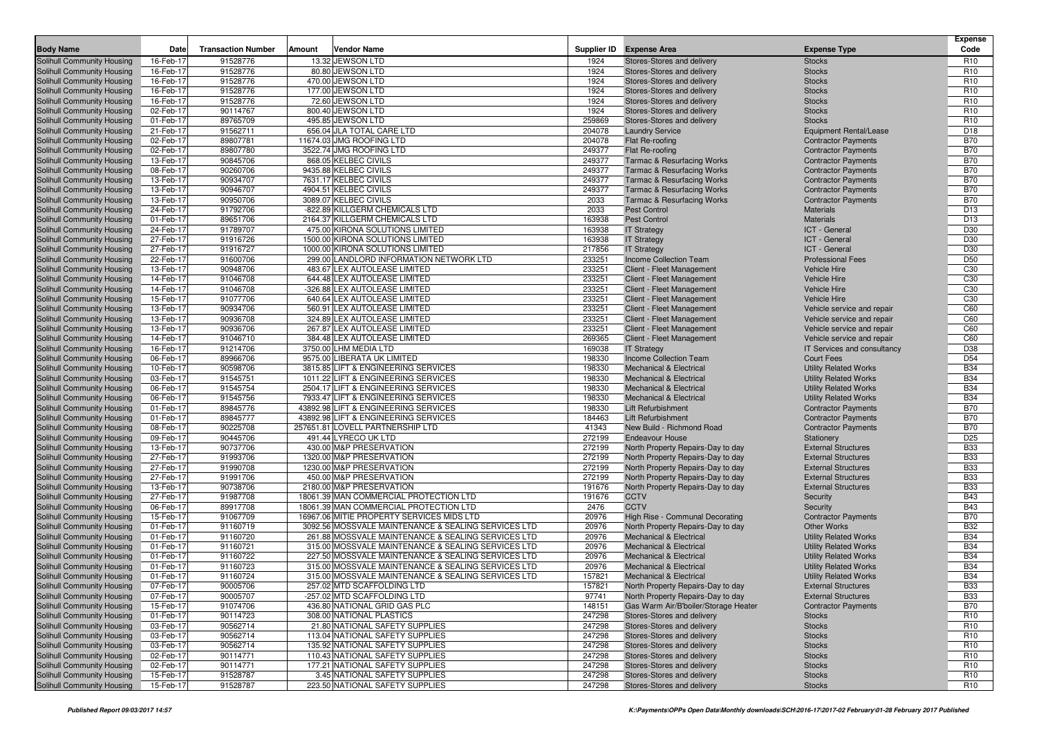|                                                          |                        |                           |        |                                                                                                          |                  |                                                                                |                                                              | <b>Expense</b>                |
|----------------------------------------------------------|------------------------|---------------------------|--------|----------------------------------------------------------------------------------------------------------|------------------|--------------------------------------------------------------------------------|--------------------------------------------------------------|-------------------------------|
| <b>Body Name</b>                                         | Date                   | <b>Transaction Number</b> | Amount | <b>Vendor Name</b>                                                                                       | Supplier ID      | <b>Expense Area</b>                                                            | <b>Expense Type</b>                                          | Code                          |
| Solihull Community Housing                               | 16-Feb-17              | 91528776                  |        | 13.32 JEWSON LTD                                                                                         | 1924             | Stores-Stores and delivery                                                     | <b>Stocks</b>                                                | R <sub>10</sub>               |
| Solihull Community Housing                               | 16-Feb-17              | 91528776                  |        | 80.80 JEWSON LTD                                                                                         | 1924             | Stores-Stores and delivery                                                     | <b>Stocks</b>                                                | R <sub>10</sub>               |
| Solihull Community Housing                               | 16-Feb-17              | 91528776                  |        | 470.00 JEWSON LTD                                                                                        | 1924             | Stores-Stores and delivery                                                     | <b>Stocks</b>                                                | R <sub>10</sub>               |
| Solihull Community Housing                               | 16-Feb-17              | 91528776                  |        | 177.00 JEWSON LTD                                                                                        | 1924             | Stores-Stores and delivery                                                     | <b>Stocks</b>                                                | R <sub>10</sub>               |
| Solihull Community Housing                               | 16-Feb-17              | 91528776                  |        | 72.60 JEWSON LTD                                                                                         | 1924             | Stores-Stores and delivery                                                     | <b>Stocks</b>                                                | R <sub>10</sub>               |
| Solihull Community Housing                               | 02-Feb-17              | 90114767                  |        | 800.40 JEWSON LTD                                                                                        | 1924             | Stores-Stores and delivery                                                     | <b>Stocks</b>                                                | R <sub>10</sub>               |
| Solihull Community Housing                               | 01-Feb-17              | 89765709                  |        | 495.85 JEWSON LTD                                                                                        | 259869           | Stores-Stores and delivery                                                     | <b>Stocks</b>                                                | R <sub>10</sub>               |
| Solihull Community Housing                               | 21-Feb-17              | 91562711                  |        | 656.04 JLA TOTAL CARE LTD                                                                                | 204078           | <b>Laundry Service</b>                                                         | Equipment Rental/Lease                                       | D <sub>18</sub><br><b>B70</b> |
| Solihull Community Housing                               | 02-Feb-17<br>02-Feb-17 | 89807781<br>89807780      |        | 11674.03 JMG ROOFING LTD<br>3522.74 JMG ROOFING LTD                                                      | 204078<br>249377 | Flat Re-roofing                                                                | <b>Contractor Payments</b>                                   | <b>B70</b>                    |
| Solihull Community Housing<br>Solihull Community Housing | 13-Feb-17              | 90845706                  |        | 868.05 KELBEC CIVILS                                                                                     | 249377           | Flat Re-roofing                                                                | <b>Contractor Payments</b>                                   | <b>B70</b>                    |
|                                                          | 08-Feb-17              | 90260706                  |        | 9435.88 KELBEC CIVILS                                                                                    | 249377           | <b>Tarmac &amp; Resurfacing Works</b>                                          | <b>Contractor Payments</b>                                   | <b>B70</b>                    |
| Solihull Community Housing<br>Solihull Community Housing | 13-Feb-17              | 90934707                  |        | 7631.17 KELBEC CIVILS                                                                                    | 249377           | <b>Tarmac &amp; Resurfacing Works</b><br><b>Tarmac &amp; Resurfacing Works</b> | <b>Contractor Payments</b>                                   | <b>B70</b>                    |
| Solihull Community Housing                               | 13-Feb-17              | 90946707                  |        | 4904.51 KELBEC CIVILS                                                                                    | 249377           | <b>Tarmac &amp; Resurfacing Works</b>                                          | <b>Contractor Payments</b><br><b>Contractor Payments</b>     | <b>B70</b>                    |
| Solihull Community Housing                               | 13-Feb-17              | 90950706                  |        | 3089.07 KELBEC CIVILS                                                                                    | 2033             | <b>Tarmac &amp; Resurfacing Works</b>                                          | <b>Contractor Payments</b>                                   | <b>B70</b>                    |
| Solihull Community Housing                               | 24-Feb-17              | 91792706                  |        | -822.89 KILLGERM CHEMICALS LTD                                                                           | 2033             | <b>Pest Control</b>                                                            | <b>Materials</b>                                             | D <sub>13</sub>               |
| Solihull Community Housing                               | 01-Feb-17              | 89651706                  |        | 2164.37 KILLGERM CHEMICALS LTD                                                                           | 163938           | Pest Control                                                                   | <b>Materials</b>                                             | D <sub>13</sub>               |
| Solihull Community Housing                               | 24-Feb-17              | 91789707                  |        | 475.00 KIRONA SOLUTIONS LIMITED                                                                          | 163938           | <b>IT Strategy</b>                                                             | ICT - General                                                | D30                           |
| Solihull Community Housing                               | 27-Feb-17              | 91916726                  |        | 1500.00 KIRONA SOLUTIONS LIMITED                                                                         | 163938           | <b>IT Strategy</b>                                                             | ICT - General                                                | D30                           |
| Solihull Community Housing                               | 27-Feb-17              | 91916727                  |        | 1000.00 KIRONA SOLUTIONS LIMITED                                                                         | 217856           | <b>IT Strategy</b>                                                             | ICT - General                                                | D30                           |
| Solihull Community Housing                               | 22-Feb-17              | 91600706                  | 299.00 | LANDLORD INFORMATION NETWORK LTD                                                                         | 233251           | Income Collection Team                                                         | <b>Professional Fees</b>                                     | D <sub>50</sub>               |
| Solihull Community Housing                               | 13-Feb-17              | 90948706                  |        | 483.67 LEX AUTOLEASE LIMITED                                                                             | 233251           | Client - Fleet Management                                                      | <b>Vehicle Hire</b>                                          | C30                           |
| Solihull Community Housing                               | 14-Feb-17              | 91046708                  |        | 644.48 LEX AUTOLEASE LIMITED                                                                             | 233251           | Client - Fleet Management                                                      | <b>Vehicle Hire</b>                                          | C30                           |
| Solihull Community Housing                               | 14-Feb-17              | 91046708                  |        | -326.88 LEX AUTOLEASE LIMITED                                                                            | 233251           | Client - Fleet Management                                                      | <b>Vehicle Hire</b>                                          | C30                           |
| Solihull Community Housing                               | 15-Feb-17              | 91077706                  |        | 640.64 LEX AUTOLEASE LIMITED                                                                             | 233251           | Client - Fleet Management                                                      | <b>Vehicle Hire</b>                                          | C30                           |
| Solihull Community Housing                               | 13-Feb-17              | 90934706                  |        | 560.91 LEX AUTOLEASE LIMITED                                                                             | 233251           | Client - Fleet Management                                                      | Vehicle service and repair                                   | C60                           |
| Solihull Community Housing                               | 13-Feb-17              | 90936708                  |        | 324.89 LEX AUTOLEASE LIMITED                                                                             | 233251           | Client - Fleet Management                                                      | Vehicle service and repair                                   | C60                           |
| Solihull Community Housing                               | 13-Feb-17              | 90936706                  |        | 267.87 LEX AUTOLEASE LIMITED                                                                             | 233251           | Client - Fleet Management                                                      | Vehicle service and repair                                   | C60                           |
| Solihull Community Housing                               | 14-Feb-17              | 91046710                  |        | 384.48 LEX AUTOLEASE LIMITED                                                                             | 269365           | Client - Fleet Management                                                      | Vehicle service and repair                                   | C60                           |
| Solihull Community Housing                               | 16-Feb-17              | 91214706                  |        | 3750.00 LHM MEDIA LTD                                                                                    | 169038           | <b>IT Strategy</b>                                                             | IT Services and consultancy                                  | D38                           |
| Solihull Community Housing                               | 06-Feb-17              | 89966706                  |        | 9575.00 LIBERATA UK LIMITED                                                                              | 198330           | Income Collection Team                                                         | Court Fees                                                   | D <sub>54</sub>               |
| Solihull Community Housing                               | 10-Feb-17              | 90598706                  |        | 3815.85 LIFT & ENGINEERING SERVICES                                                                      | 198330           | <b>Mechanical &amp; Electrical</b>                                             | <b>Utility Related Works</b>                                 | <b>B34</b>                    |
| Solihull Community Housing                               | 03-Feb-17              | 91545751                  |        | 1011.22 LIFT & ENGINEERING SERVICES                                                                      | 198330           | <b>Mechanical &amp; Electrical</b>                                             | <b>Utility Related Works</b>                                 | <b>B34</b>                    |
| Solihull Community Housing                               | 06-Feb-17              | 91545754                  |        | 2504.17 LIFT & ENGINEERING SERVICES                                                                      | 198330           | <b>Mechanical &amp; Electrical</b>                                             | <b>Utility Related Works</b>                                 | <b>B34</b>                    |
| Solihull Community Housing                               | 06-Feb-17              | 91545756                  |        | 7933.47 LIFT & ENGINEERING SERVICES                                                                      | 198330           | <b>Mechanical &amp; Electrical</b>                                             | <b>Utility Related Works</b>                                 | <b>B34</b>                    |
| Solihull Community Housing                               | 01-Feb-17              | 89845776                  |        | 43892.98 LIFT & ENGINEERING SERVICES                                                                     | 198330           | <b>Lift Refurbishment</b>                                                      | <b>Contractor Payments</b>                                   | <b>B70</b>                    |
| Solihull Community Housing                               | 01-Feb-17              | 89845777                  |        | 43892.98 LIFT & ENGINEERING SERVICES                                                                     | 184463           | <b>Lift Refurbishment</b>                                                      | <b>Contractor Payments</b>                                   | <b>B70</b>                    |
| Solihull Community Housing                               | 08-Feb-17              | 90225708                  |        | 257651.81 LOVELL PARTNERSHIP LTD                                                                         | 41343            | New Build - Richmond Road                                                      | <b>Contractor Payments</b>                                   | <b>B70</b>                    |
| Solihull Community Housing                               | 09-Feb-17              | 90445706                  |        | 491.44 LYRECO UK LTD                                                                                     | 272199           | <b>Endeavour House</b>                                                         | Stationery                                                   | D <sub>25</sub>               |
| Solihull Community Housing                               | 13-Feb-17              | 90737706                  |        | 430.00 M&P PRESERVATION                                                                                  | 272199           | North Property Repairs-Day to day                                              | <b>External Structures</b>                                   | <b>B33</b>                    |
| Solihull Community Housing                               | 27-Feb-17              | 91993706                  |        | 1320.00 M&P PRESERVATION                                                                                 | 272199           | North Property Repairs-Day to day                                              | <b>External Structures</b>                                   | <b>B33</b>                    |
| Solihull Community Housing                               | 27-Feb-17              | 91990708                  |        | 1230.00 M&P PRESERVATION                                                                                 | 272199           | North Property Repairs-Day to day                                              | <b>External Structures</b>                                   | <b>B33</b>                    |
| Solihull Community Housing                               | 27-Feb-17              | 91991706                  |        | 450.00 M&P PRESERVATION                                                                                  | 272199           | North Property Repairs-Day to day                                              | <b>External Structures</b>                                   | <b>B33</b>                    |
| Solihull Community Housing                               | 13-Feb-17              | 90738706                  |        | 2180.00 M&P PRESERVATION                                                                                 | 191676           | North Property Repairs-Day to day                                              | <b>External Structures</b>                                   | <b>B33</b>                    |
| Solihull Community Housing                               | 27-Feb-17              | 91987708                  |        | 18061.39 MAN COMMERCIAL PROTECTION LTD                                                                   | 191676           | <b>CCTV</b>                                                                    | Security                                                     | <b>B43</b>                    |
| Solihull Community Housing                               | 06-Feb-17              | 89917708                  |        | 18061.39 MAN COMMERCIAL PROTECTION LTD                                                                   | 2476             | <b>CCTV</b>                                                                    | Security                                                     | <b>B43</b>                    |
| Solihull Community Housing                               | 15-Feb-17              | 91067709                  |        | 16967.06 MITIE PROPERTY SERVICES MIDS LTD                                                                | 20976            | High Rise - Communal Decorating                                                | <b>Contractor Payments</b>                                   | <b>B70</b>                    |
| Solihull Community Housing                               | 01-Feb-17              | 91160719                  |        | 3092.56 MOSSVALE MAINTENANCE & SEALING SERVICES LTD                                                      | 20976            | North Property Repairs-Day to day                                              | <b>Other Works</b>                                           | <b>B32</b>                    |
| Solihull Community Housing<br>Solihull Community Housing | 01-Feb-17<br>01-Feb-17 | 91160720<br>91160721      |        | 261.88 MOSSVALE MAINTENANCE & SEALING SERVICES LTD<br>315.00 MOSSVALE MAINTENANCE & SEALING SERVICES LTD | 20976<br>20976   | <b>Mechanical &amp; Electrical</b><br><b>Mechanical &amp; Electrical</b>       | <b>Utility Related Works</b><br><b>Utility Related Works</b> | <b>B34</b><br><b>B34</b>      |
| Solihull Community Housing                               | 01-Feb-17              | 91160722                  |        | 227.50 MOSSVALE MAINTENANCE & SEALING SERVICES LTD                                                       | 20976            | <b>Mechanical &amp; Electrical</b>                                             | <b>Utility Related Works</b>                                 | <b>B34</b>                    |
|                                                          |                        |                           |        |                                                                                                          | 20976            |                                                                                |                                                              | <b>B34</b>                    |
| Solihull Community Housing<br>Solihull Community Housing | 01-Feb-17<br>01-Feb-17 | 91160723<br>91160724      |        | 315.00 MOSSVALE MAINTENANCE & SEALING SERVICES LTD<br>315.00 MOSSVALE MAINTENANCE & SEALING SERVICES LTD | 157821           | <b>Mechanical &amp; Electrical</b><br><b>Mechanical &amp; Electrical</b>       | <b>Utility Related Works</b><br><b>Utility Related Works</b> | <b>B34</b>                    |
| Solihull Community Housing                               | 07-Feb-17              | 90005706                  |        | 257.02 MTD SCAFFOLDING LTD                                                                               | 157821           | North Property Repairs-Day to day                                              | <b>External Structures</b>                                   | <b>B33</b>                    |
| Solihull Community Housing                               | 07-Feb-17              | 90005707                  |        | -257.02 MTD SCAFFOLDING LTD                                                                              | 97741            | North Property Repairs-Day to day                                              | <b>External Structures</b>                                   | <b>B33</b>                    |
| Solihull Community Housing                               | 15-Feb-17              | 91074706                  |        | 436.80 NATIONAL GRID GAS PLC                                                                             | 148151           | Gas Warm Air/B'boiler/Storage Heater                                           | <b>Contractor Payments</b>                                   | <b>B70</b>                    |
| Solihull Community Housing                               | 01-Feb-17              | 90114723                  |        | 308.00 NATIONAL PLASTICS                                                                                 | 247298           | Stores-Stores and delivery                                                     | <b>Stocks</b>                                                | R <sub>10</sub>               |
| Solihull Community Housing                               | 03-Feb-17              | 90562714                  |        | 21.80 NATIONAL SAFETY SUPPLIES                                                                           | 247298           | Stores-Stores and delivery                                                     | Stocks                                                       | R <sub>10</sub>               |
| Solihull Community Housing                               | 03-Feb-17              | 90562714                  |        | 113.04 NATIONAL SAFETY SUPPLIES                                                                          | 247298           | Stores-Stores and delivery                                                     | <b>Stocks</b>                                                | R <sub>10</sub>               |
| Solihull Community Housing                               | 03-Feb-17              | 90562714                  |        | 135.92 NATIONAL SAFETY SUPPLIES                                                                          | 247298           | Stores-Stores and delivery                                                     | <b>Stocks</b>                                                | R <sub>10</sub>               |
| Solihull Community Housing                               | 02-Feb-17              | 90114771                  |        | 110.43 NATIONAL SAFETY SUPPLIES                                                                          | 247298           | Stores-Stores and delivery                                                     | <b>Stocks</b>                                                | R <sub>10</sub>               |
| Solihull Community Housing                               | 02-Feb-17              | 90114771                  |        | 177.21 NATIONAL SAFETY SUPPLIES                                                                          | 247298           | Stores-Stores and delivery                                                     | <b>Stocks</b>                                                | R <sub>10</sub>               |
| Solihull Community Housing                               | 15-Feb-17              | 91528787                  |        | 3.45 NATIONAL SAFETY SUPPLIES                                                                            | 247298           | Stores-Stores and delivery                                                     | <b>Stocks</b>                                                | R <sub>10</sub>               |
| Solihull Community Housing                               | 15-Feb-17              | 91528787                  |        | 223.50 NATIONAL SAFETY SUPPLIES                                                                          | 247298           | Stores-Stores and delivery                                                     | <b>Stocks</b>                                                | R <sub>10</sub>               |
|                                                          |                        |                           |        |                                                                                                          |                  |                                                                                |                                                              |                               |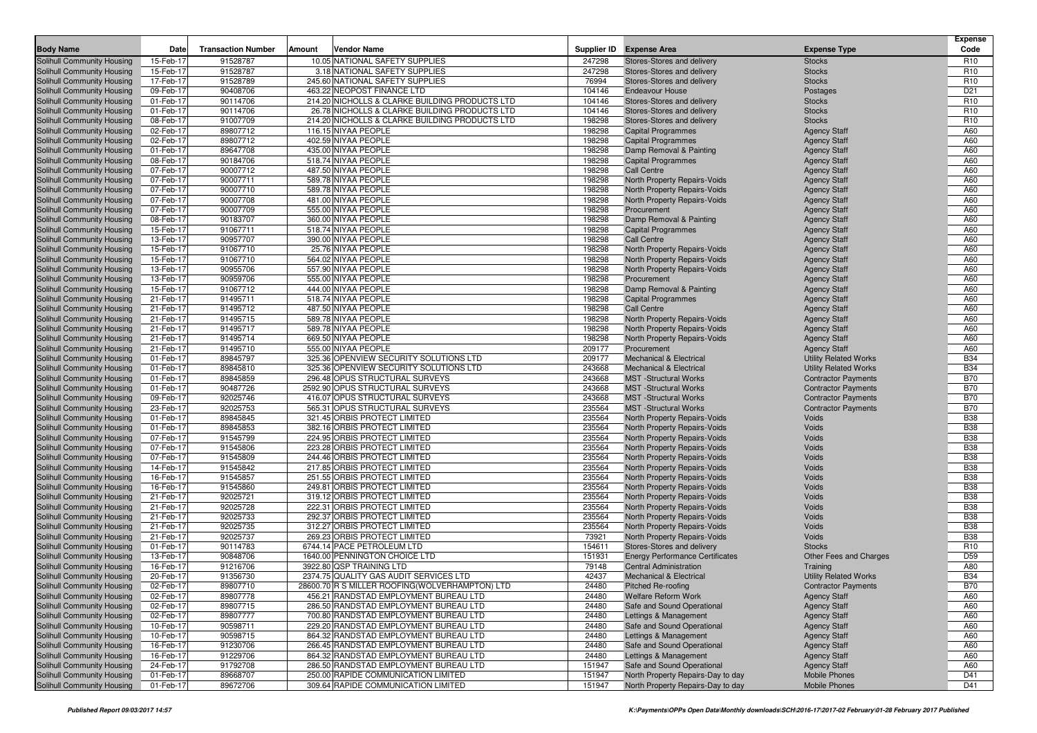|                                                          |                        |                           |        |                                                                                |                  |                                                          |                                            | <b>Expense</b>  |
|----------------------------------------------------------|------------------------|---------------------------|--------|--------------------------------------------------------------------------------|------------------|----------------------------------------------------------|--------------------------------------------|-----------------|
| <b>Body Name</b>                                         | Date                   | <b>Transaction Number</b> | Amount | Vendor Name                                                                    | Supplier ID      | <b>Expense Area</b>                                      | <b>Expense Type</b>                        | Code            |
| Solihull Community Housing                               | 15-Feb-17              | 91528787                  |        | 10.05 NATIONAL SAFETY SUPPLIES                                                 | 247298           | Stores-Stores and delivery                               | <b>Stocks</b>                              | R <sub>10</sub> |
| Solihull Community Housing                               | 15-Feb-17              | 91528787                  |        | 3.18 NATIONAL SAFETY SUPPLIES                                                  | 247298           | Stores-Stores and delivery                               | <b>Stocks</b>                              | R <sub>10</sub> |
| Solihull Community Housing                               | 17-Feb-17              | 91528789                  |        | 245.60 NATIONAL SAFETY SUPPLIES                                                | 76994            | Stores-Stores and delivery                               | <b>Stocks</b>                              | R <sub>10</sub> |
| Solihull Community Housing                               | 09-Feb-17              | 90408706                  |        | 463.22 NEOPOST FINANCE LTD                                                     | 104146           | <b>Endeavour House</b>                                   | Postages                                   | D <sub>21</sub> |
| Solihull Community Housing                               | 01-Feb-17              | 90114706                  |        | 214.20 NICHOLLS & CLARKE BUILDING PRODUCTS LTD                                 | 104146           | Stores-Stores and delivery                               | <b>Stocks</b>                              | R <sub>10</sub> |
| Solihull Community Housing                               | 01-Feb-17              | 90114706                  |        | 26.78 NICHOLLS & CLARKE BUILDING PRODUCTS LTD                                  | 104146           | Stores-Stores and delivery                               | <b>Stocks</b>                              | R <sub>10</sub> |
| Solihull Community Housing                               | 08-Feb-17              | 91007709                  |        | 214.20 NICHOLLS & CLARKE BUILDING PRODUCTS LTD                                 | 198298           | Stores-Stores and delivery                               | <b>Stocks</b>                              | R <sub>10</sub> |
| Solihull Community Housing                               | 02-Feb-17              | 89807712                  |        | 116.15 NIYAA PEOPLE                                                            | 198298           | <b>Capital Programmes</b>                                | <b>Agency Staff</b>                        | A60             |
| Solihull Community Housing                               | 02-Feb-17              | 89807712                  |        | 402.59 NIYAA PEOPLE                                                            | 198298           | <b>Capital Programmes</b>                                | <b>Agency Staff</b>                        | A60             |
| Solihull Community Housing                               | 01-Feb-17              | 89647708                  |        | 435.00 NIYAA PEOPLE                                                            | 198298           | Damp Removal & Painting                                  | <b>Agency Staff</b>                        | A60             |
| Solihull Community Housing                               | 08-Feb-17              | 90184706                  |        | 518.74 NIYAA PEOPLE                                                            | 198298           | <b>Capital Programmes</b>                                | <b>Agency Staff</b>                        | A60             |
| Solihull Community Housing                               | 07-Feb-17              | 90007712                  |        | 487.50 NIYAA PEOPLE                                                            | 198298           | <b>Call Centre</b>                                       | <b>Agency Staff</b>                        | A60             |
| Solihull Community Housing                               | 07-Feb-17              | 90007711                  |        | 589.78 NIYAA PEOPLE<br>589.78 NIYAA PEOPLE                                     | 198298           | North Property Repairs-Voids                             | <b>Agency Staff</b>                        | A60             |
| Solihull Community Housing                               | 07-Feb-17              | 90007710                  |        |                                                                                | 198298<br>198298 | North Property Repairs-Voids                             | <b>Agency Staff</b>                        | A60<br>A60      |
| Solihull Community Housing                               | 07-Feb-17              | 90007708<br>90007709      |        | 481.00 NIYAA PEOPLE<br>555.00 NIYAA PEOPLE                                     |                  | North Property Repairs-Voids<br>Procurement              | <b>Agency Staff</b>                        | A60             |
| Solihull Community Housing                               | 07-Feb-17              | 90183707                  |        | 360.00 NIYAA PEOPLE                                                            | 198298<br>198298 |                                                          | <b>Agency Staff</b>                        | A60             |
| Solihull Community Housing<br>Solihull Community Housing | 08-Feb-17<br>15-Feb-17 | 91067711                  |        | 518.74 NIYAA PEOPLE                                                            | 198298           | Damp Removal & Painting<br><b>Capital Programmes</b>     | <b>Agency Staff</b>                        | A60             |
|                                                          | 13-Feb-17              | 90957707                  |        | 390.00 NIYAA PEOPLE                                                            | 198298           | Call Centre                                              | <b>Agency Staff</b>                        | A60             |
| Solihull Community Housing<br>Solihull Community Housing | 15-Feb-17              | 91067710                  |        | 25.76 NIYAA PEOPLE                                                             | 198298           | North Property Repairs-Voids                             | <b>Agency Staff</b>                        | A60             |
|                                                          |                        |                           |        | 564.02 NIYAA PEOPLE                                                            | 198298           |                                                          | <b>Agency Staff</b>                        | A60             |
| Solihull Community Housing<br>Solihull Community Housing | 15-Feb-17<br>13-Feb-17 | 91067710<br>90955706      |        | 557.90 NIYAA PEOPLE                                                            | 198298           | North Property Repairs-Voids                             | <b>Agency Staff</b>                        | A60             |
|                                                          | 13-Feb-17              | 90959706                  |        | 555.00 NIYAA PEOPLE                                                            | 198298           | North Property Repairs-Voids<br>Procurement              | <b>Agency Staff</b>                        | A60             |
| Solihull Community Housing<br>Solihull Community Housing | 15-Feb-17              | 91067712                  |        | 444.00 NIYAA PEOPLE                                                            | 198298           |                                                          | <b>Agency Staff</b>                        | A60             |
| Solihull Community Housing                               | 21-Feb-17              | 91495711                  |        | 518.74 NIYAA PEOPLE                                                            | 198298           | Damp Removal & Painting<br><b>Capital Programmes</b>     | <b>Agency Staff</b><br><b>Agency Staff</b> | A60             |
| Solihull Community Housing                               | 21-Feb-17              | 91495712                  |        | 487.50 NIYAA PEOPLE                                                            | 198298           | <b>Call Centre</b>                                       | <b>Agency Staff</b>                        | A60             |
| Solihull Community Housing                               | 21-Feb-17              | 91495715                  |        | 589.78 NIYAA PEOPLE                                                            | 198298           | North Property Repairs-Voids                             | <b>Agency Staff</b>                        | A60             |
| Solihull Community Housing                               | 21-Feb-17              | 91495717                  |        | 589.78 NIYAA PEOPLE                                                            | 198298           | North Property Repairs-Voids                             | <b>Agency Staff</b>                        | A60             |
| Solihull Community Housing                               | 21-Feb-17              | 91495714                  |        | 669.50 NIYAA PEOPLE                                                            | 198298           | North Property Repairs-Voids                             | <b>Agency Staff</b>                        | A60             |
| Solihull Community Housing                               | 21-Feb-17              | 91495710                  |        | 555.00 NIYAA PEOPLE                                                            | 209177           | Procurement                                              | <b>Agency Staff</b>                        | A60             |
| Solihull Community Housing                               | 01-Feb-17              | 89845797                  |        | 325.36 OPENVIEW SECURITY SOLUTIONS LTD                                         | 209177           | <b>Mechanical &amp; Electrical</b>                       | <b>Utility Related Works</b>               | <b>B34</b>      |
| Solihull Community Housing                               | 01-Feb-17              | 89845810                  |        | 325.36 OPENVIEW SECURITY SOLUTIONS LTD                                         | 243668           | <b>Mechanical &amp; Electrical</b>                       | <b>Utility Related Works</b>               | <b>B34</b>      |
| Solihull Community Housing                               | 01-Feb-17              | 89845859                  |        | 296.48 OPUS STRUCTURAL SURVEYS                                                 | 243668           | <b>MST</b> -Structural Works                             | <b>Contractor Payments</b>                 | <b>B70</b>      |
| Solihull Community Housing                               | 01-Feb-17              | 90487726                  |        | 2592.90 OPUS STRUCTURAL SURVEYS                                                | 243668           | <b>MST</b> -Structural Works                             | <b>Contractor Payments</b>                 | <b>B70</b>      |
| Solihull Community Housing                               | 09-Feb-17              | 92025746                  |        | 416.07 OPUS STRUCTURAL SURVEYS                                                 | 243668           | <b>MST</b> -Structural Works                             | <b>Contractor Payments</b>                 | <b>B70</b>      |
| Solihull Community Housing                               | 23-Feb-17              | 92025753                  |        | 565.31 OPUS STRUCTURAL SURVEYS                                                 | 235564           | <b>MST</b> -Structural Works                             | <b>Contractor Payments</b>                 | <b>B70</b>      |
| Solihull Community Housing                               | 01-Feb-17              | 89845845                  |        | 321.45 ORBIS PROTECT LIMITED                                                   | 235564           | North Property Repairs-Voids                             | Voids                                      | <b>B38</b>      |
| Solihull Community Housing                               | 01-Feb-17              | 89845853                  |        | 382.16 ORBIS PROTECT LIMITED                                                   | 235564           | North Property Repairs-Voids                             | Voids                                      | <b>B38</b>      |
| Solihull Community Housing                               | 07-Feb-17              | 91545799                  |        | 224.95 ORBIS PROTECT LIMITED                                                   | 235564           | North Property Repairs-Voids                             | Voids                                      | <b>B38</b>      |
| Solihull Community Housing                               | 07-Feb-17              | 91545806                  |        | 223.28 ORBIS PROTECT LIMITED                                                   | 235564           | North Property Repairs-Voids                             | Voids                                      | <b>B38</b>      |
| Solihull Community Housing                               | 07-Feb-17              | 91545809                  |        | 244.46 ORBIS PROTECT LIMITED                                                   | 235564           | North Property Repairs-Voids                             | Voids                                      | <b>B38</b>      |
| Solihull Community Housing                               | 14-Feb-17              | 91545842                  |        | 217.85 ORBIS PROTECT LIMITED                                                   | 235564           | North Property Repairs-Voids                             | Voids                                      | <b>B38</b>      |
| Solihull Community Housing                               | 16-Feb-17              | 91545857                  |        | 251.55 ORBIS PROTECT LIMITED                                                   | 235564           | North Property Repairs-Voids                             | Voids                                      | <b>B38</b>      |
| Solihull Community Housing                               | 16-Feb-17              | 91545860                  |        | 249.81 ORBIS PROTECT LIMITED                                                   | 235564           | North Property Repairs-Voids                             | Voids                                      | <b>B38</b>      |
| Solihull Community Housing                               | 21-Feb-17              | 92025721                  |        | 319.12 ORBIS PROTECT LIMITED                                                   | 235564           | North Property Repairs-Voids                             | Voids                                      | <b>B38</b>      |
| Solihull Community Housing                               | 21-Feb-17              | 92025728                  |        | 222.31 ORBIS PROTECT LIMITED                                                   | 235564           | North Property Repairs-Voids                             | Voids                                      | <b>B38</b>      |
| Solihull Community Housing                               | 21-Feb-17              | 92025733                  |        | 292.37 ORBIS PROTECT LIMITED                                                   | 235564           | North Property Repairs-Voids                             | Voids                                      | <b>B38</b>      |
| Solihull Community Housing                               | 21-Feb-17              | 92025735                  |        | 312.27 ORBIS PROTECT LIMITED                                                   | 235564           | <b>North Property Repairs-Voids</b>                      | Voids                                      | <b>B38</b>      |
| Solihull Community Housing                               | 21-Feb-17              | 92025737                  |        | 269.23 ORBIS PROTECT LIMITED                                                   | 73921            | North Property Repairs-Voids                             | Voids                                      | <b>B38</b>      |
| Solihull Community Housing                               | 01-Feb-17              | 90114783                  |        | 6744.14 PACE PETROLEUM LTD                                                     | 154611           | Stores-Stores and delivery                               | <b>Stocks</b>                              | R <sub>10</sub> |
| Solihull Community Housing                               | 13-Feb-17              | 90848706                  |        | 1640.00 PENNINGTON CHOICE LTD                                                  | 151931           | <b>Energy Performance Certificates</b>                   | Other Fees and Charges                     | D <sub>59</sub> |
| Solihull Community Housing                               | 16-Feb-17              | 91216706                  |        | 3922.80 QSP TRAINING LTD                                                       | 79148            | <b>Central Administration</b>                            | Training                                   | A80             |
| Solihull Community Housing                               | 20-Feb-17              | 91356730                  |        | 2374.75 QUALITY GAS AUDIT SERVICES LTD                                         | 42437            | Mechanical & Electrical                                  | <b>Utility Related Works</b>               | <b>B34</b>      |
| Solihull Community Housing                               | 02-Feb-17              | 89807710                  |        | 28600.70 R S MILLER ROOFING (WOLVERHAMPTON) LTD                                | 24480            | Pitched Re-roofing                                       | <b>Contractor Payments</b>                 | <b>B70</b>      |
| Solihull Community Housing                               | 02-Feb-17              | 89807778                  |        | 456.21 RANDSTAD EMPLOYMENT BUREAU LTD                                          | 24480            | <b>Welfare Reform Work</b><br>Safe and Sound Operational | <b>Agency Staff</b>                        | A60             |
| Solihull Community Housing<br>Solihull Community Housing | 02-Feb-17              | 89807715                  |        | 286.50 RANDSTAD EMPLOYMENT BUREAU LTD<br>700.80 RANDSTAD EMPLOYMENT BUREAU LTD | 24480            |                                                          | <b>Agency Staff</b>                        | A60             |
| Solihull Community Housing                               | 02-Feb-17<br>10-Feb-17 | 89807777<br>90598711      |        | 229.20 RANDSTAD EMPLOYMENT BUREAU LTD                                          | 24480<br>24480   | Lettings & Management<br>Safe and Sound Operational      | <b>Agency Staff</b>                        | A60<br>A60      |
| Solihull Community Housing                               | 10-Feb-17              | 90598715                  |        | 864.32 RANDSTAD EMPLOYMENT BUREAU LTD                                          | 24480            | Lettings & Management                                    | <b>Agency Staff</b>                        | A60             |
| Solihull Community Housing                               | 16-Feb-17              | 91230706                  |        | 266.45 RANDSTAD EMPLOYMENT BUREAU LTD                                          | 24480            | Safe and Sound Operational                               | <b>Agency Staff</b><br><b>Agency Staff</b> | A60             |
| Solihull Community Housing                               | 16-Feb-17              | 91229706                  |        | 864.32 RANDSTAD EMPLOYMENT BUREAU LTD                                          | 24480            | Lettings & Management                                    | <b>Agency Staff</b>                        | A60             |
| Solihull Community Housing                               | 24-Feb-17              | 91792708                  |        | 286.50 RANDSTAD EMPLOYMENT BUREAU LTD                                          | 151947           | Safe and Sound Operational                               | <b>Agency Staff</b>                        | A60             |
| Solihull Community Housing                               | 01-Feb-17              | 89668707                  |        | 250.00 RAPIDE COMMUNICATION LIMITED                                            | 151947           | North Property Repairs-Day to day                        | <b>Mobile Phones</b>                       | D41             |
| Solihull Community Housing                               | 01-Feb-17              | 89672706                  |        | 309.64 RAPIDE COMMUNICATION LIMITED                                            | 151947           | North Property Repairs-Day to day                        | <b>Mobile Phones</b>                       | D41             |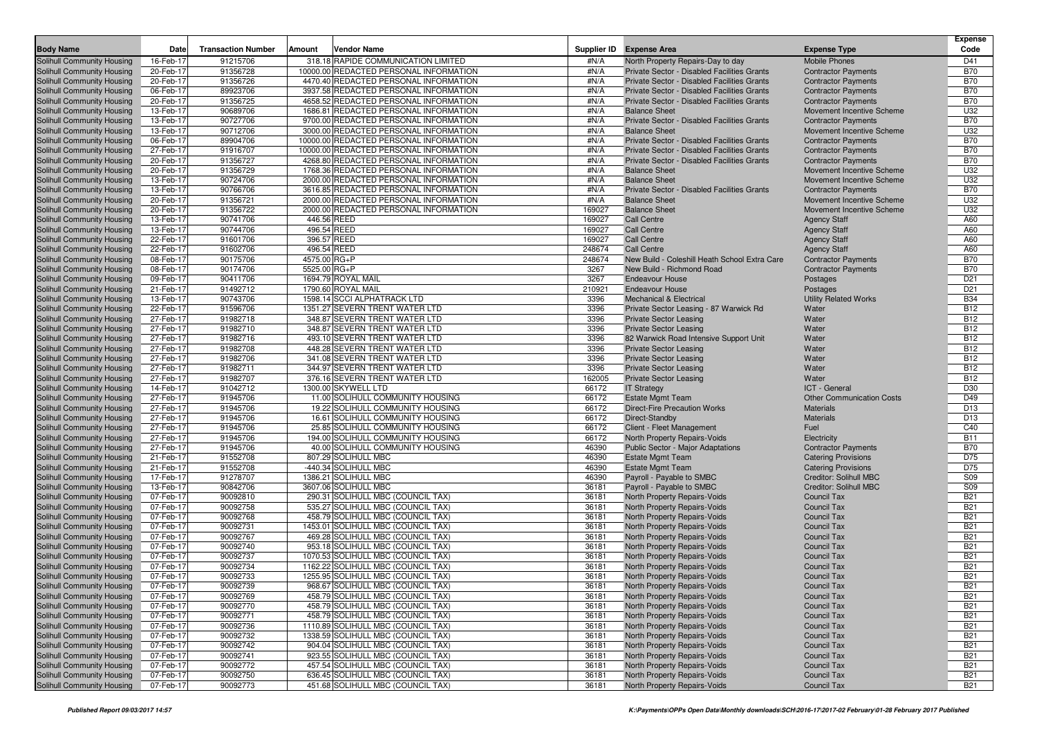|                                                          |                        |                           |              |                                                                                |                 |                                                                                            |                                                          | <b>Expense</b>           |
|----------------------------------------------------------|------------------------|---------------------------|--------------|--------------------------------------------------------------------------------|-----------------|--------------------------------------------------------------------------------------------|----------------------------------------------------------|--------------------------|
| <b>Body Name</b>                                         | Date                   | <b>Transaction Number</b> | Amount       | <b>Vendor Name</b>                                                             | Supplier ID     | <b>Expense Area</b>                                                                        | <b>Expense Type</b>                                      | Code                     |
| Solihull Community Housing                               | 16-Feb-17              | 91215706                  |              | 318.18 RAPIDE COMMUNICATION LIMITED                                            | #N/A            | North Property Repairs-Day to day                                                          | <b>Mobile Phones</b>                                     | D41                      |
| Solihull Community Housing                               | 20-Feb-17              | 91356728                  |              | 10000.00 REDACTED PERSONAL INFORMATION                                         | #N/A            | Private Sector - Disabled Facilities Grants                                                | <b>Contractor Payments</b>                               | <b>B70</b>               |
| Solihull Community Housing<br>Solihull Community Housing | 20-Feb-17<br>06-Feb-17 | 91356726<br>89923706      |              | 4470.40 REDACTED PERSONAL INFORMATION<br>3937.58 REDACTED PERSONAL INFORMATION | #N/A<br>#N/A    | Private Sector - Disabled Facilities Grants<br>Private Sector - Disabled Facilities Grants | <b>Contractor Payments</b><br><b>Contractor Payments</b> | <b>B70</b><br><b>B70</b> |
| Solihull Community Housing                               | 20-Feb-17              | 91356725                  |              | 4658.52 REDACTED PERSONAL INFORMATION                                          | #N/A            | Private Sector - Disabled Facilities Grants                                                | <b>Contractor Payments</b>                               | <b>B70</b>               |
| Solihull Community Housing                               | 13-Feb-17              | 90689706                  |              | 1686.81 REDACTED PERSONAL INFORMATION                                          | #N/A            | <b>Balance Sheet</b>                                                                       | Movement Incentive Scheme                                | U32                      |
| Solihull Community Housing                               | 13-Feb-17              | 90727706                  |              | 9700.00 REDACTED PERSONAL INFORMATION                                          | #N/A            | Private Sector - Disabled Facilities Grants                                                | <b>Contractor Payments</b>                               | <b>B70</b>               |
| Solihull Community Housing                               | 13-Feb-17              | 90712706                  |              | 3000.00 REDACTED PERSONAL INFORMATION                                          | #N/A            | <b>Balance Sheet</b>                                                                       | Movement Incentive Scheme                                | U32                      |
| Solihull Community Housing                               | 06-Feb-17              | 89904706                  |              | 10000.00 REDACTED PERSONAL INFORMATION                                         | #N/A            | Private Sector - Disabled Facilities Grants                                                | <b>Contractor Payments</b>                               | <b>B70</b>               |
| Solihull Community Housing                               | 27-Feb-17              | 91916707                  |              | 10000.00 REDACTED PERSONAL INFORMATION                                         | #N/A            | Private Sector - Disabled Facilities Grants                                                | <b>Contractor Payments</b>                               | <b>B70</b>               |
| Solihull Community Housing                               | 20-Feb-17              | 91356727                  |              | 4268.80 REDACTED PERSONAL INFORMATION                                          | #N/A            | Private Sector - Disabled Facilities Grants                                                | <b>Contractor Payments</b>                               | <b>B70</b>               |
| Solihull Community Housing                               | 20-Feb-17              | 91356729                  |              | 1768.36 REDACTED PERSONAL INFORMATION                                          | #N/A            | <b>Balance Sheet</b>                                                                       | Movement Incentive Scheme                                | U32                      |
| Solihull Community Housing                               | 13-Feb-17              | 90724706                  |              | 2000.00 REDACTED PERSONAL INFORMATION                                          | #N/A            | <b>Balance Sheet</b>                                                                       | Movement Incentive Scheme                                | U32                      |
| Solihull Community Housing                               | 13-Feb-17              | 90766706                  |              | 3616.85 REDACTED PERSONAL INFORMATION                                          | #N/A            | Private Sector - Disabled Facilities Grants                                                | <b>Contractor Payments</b>                               | <b>B70</b>               |
| Solihull Community Housing                               | 20-Feb-17              | 91356721                  |              | 2000.00 REDACTED PERSONAL INFORMATION                                          | #N/A            | <b>Balance Sheet</b>                                                                       | Movement Incentive Scheme                                | U32                      |
| Solihull Community Housing                               | 20-Feb-17              | 91356722                  |              | 2000.00 REDACTED PERSONAL INFORMATION                                          | 169027          | <b>Balance Sheet</b>                                                                       | Movement Incentive Scheme                                | U32                      |
| Solihull Community Housing                               | 13-Feb-17              | 90741706                  |              | 446.56 REED                                                                    | 169027          | <b>Call Centre</b>                                                                         | <b>Agency Staff</b>                                      | A60                      |
| Solihull Community Housing                               | 13-Feb-17              | 90744706                  |              | 496.54 REED                                                                    | 169027          | <b>Call Centre</b>                                                                         | <b>Agency Staff</b>                                      | A60                      |
| Solihull Community Housing                               | 22-Feb-17              | 91601706                  |              | 396.57 REED                                                                    | 169027          | <b>Call Centre</b>                                                                         | <b>Agency Staff</b>                                      | A60                      |
| Solihull Community Housing                               | 22-Feb-17              | 91602706                  |              | 496.54 REED                                                                    | 248674          | <b>Call Centre</b>                                                                         | <b>Agency Staff</b>                                      | A60                      |
| Solihull Community Housing                               | 08-Feb-17              | 90175706                  | 4575.00 RG+P |                                                                                | 248674          | New Build - Coleshill Heath School Extra Care                                              | <b>Contractor Payments</b>                               | <b>B70</b>               |
| Solihull Community Housing                               | 08-Feb-17              | 90174706                  | 5525.00 RG+P |                                                                                | 3267            | New Build - Richmond Road                                                                  | <b>Contractor Payments</b>                               | <b>B70</b>               |
| Solihull Community Housing                               | 09-Feb-17              | 90411706                  |              | 1694.79 ROYAL MAIL                                                             | 3267            | <b>Endeavour House</b>                                                                     | Postages                                                 | D <sub>21</sub>          |
| Solihull Community Housing                               | 21-Feb-17              | 91492712                  |              | 1790.60 ROYAL MAIL                                                             | 210921          | <b>Endeavour House</b>                                                                     | Postages                                                 | D <sub>21</sub>          |
| Solihull Community Housing                               | 13-Feb-17              | 90743706                  |              | 1598.14 SCCI ALPHATRACK LTD                                                    | 3396            | <b>Mechanical &amp; Electrical</b>                                                         | <b>Utility Related Works</b>                             | <b>B34</b>               |
| Solihull Community Housing                               | 22-Feb-17              | 91596706                  |              | 1351.27 SEVERN TRENT WATER LTD                                                 | 3396            | Private Sector Leasing - 87 Warwick Rd                                                     | Water                                                    | <b>B12</b>               |
| Solihull Community Housing                               | 27-Feb-17              | 91982718                  |              | 348.87 SEVERN TRENT WATER LTD                                                  | 3396            | <b>Private Sector Leasing</b>                                                              | Water                                                    | <b>B12</b>               |
| Solihull Community Housing                               | 27-Feb-17              | 91982710                  |              | 348.87 SEVERN TRENT WATER LTD                                                  | 3396            | <b>Private Sector Leasing</b>                                                              | Water                                                    | <b>B12</b>               |
| Solihull Community Housing                               | 27-Feb-17              | 91982716                  |              | 493.10 SEVERN TRENT WATER LTD                                                  | 3396            | 82 Warwick Road Intensive Support Unit                                                     | Water                                                    | <b>B12</b>               |
| Solihull Community Housing                               | 27-Feb-17              | 91982708                  |              | 448.28 SEVERN TRENT WATER LTD                                                  | 3396            | <b>Private Sector Leasing</b>                                                              | Water                                                    | <b>B12</b>               |
| Solihull Community Housing                               | 27-Feb-17              | 91982706                  |              | 341.08 SEVERN TRENT WATER LTD                                                  | 3396            | <b>Private Sector Leasing</b>                                                              | Water                                                    | <b>B12</b>               |
| Solihull Community Housing                               | 27-Feb-17              | 91982711                  |              | 344.97 SEVERN TRENT WATER LTD                                                  | 3396            | <b>Private Sector Leasing</b>                                                              | Water                                                    | <b>B12</b>               |
| Solihull Community Housing                               | 27-Feb-17              | 91982707<br>91042712      |              | 376.16 SEVERN TRENT WATER LTD<br>1300.00 SKYWELL LTD                           | 162005<br>66172 | <b>Private Sector Leasing</b>                                                              | Water                                                    | <b>B12</b><br>D30        |
| Solihull Community Housing<br>Solihull Community Housing | 14-Feb-17<br>27-Feb-17 | 91945706                  |              | 11.00 SOLIHULL COMMUNITY HOUSING                                               | 66172           | <b>IT Strategy</b><br><b>Estate Mgmt Team</b>                                              | ICT - General<br><b>Other Communication Costs</b>        | D49                      |
| Solihull Community Housing                               | 27-Feb-17              | 91945706                  |              | 19.22 SOLIHULL COMMUNITY HOUSING                                               | 66172           | <b>Direct-Fire Precaution Works</b>                                                        | <b>Materials</b>                                         | D <sub>13</sub>          |
| Solihull Community Housing                               | 27-Feb-17              | 91945706                  |              | 16.61 SOLIHULL COMMUNITY HOUSING                                               | 66172           | Direct-Standby                                                                             | <b>Materials</b>                                         | D <sub>13</sub>          |
| Solihull Community Housing                               | 27-Feb-17              | 91945706                  |              | 25.85 SOLIHULL COMMUNITY HOUSING                                               | 66172           | Client - Fleet Management                                                                  | Fuel                                                     | C40                      |
| Solihull Community Housing                               | 27-Feb-17              | 91945706                  |              | 194.00 SOLIHULL COMMUNITY HOUSING                                              | 66172           | North Property Repairs-Voids                                                               | Electricity                                              | <b>B11</b>               |
| Solihull Community Housing                               | 27-Feb-17              | 91945706                  |              | 40.00 SOLIHULL COMMUNITY HOUSING                                               | 46390           | Public Sector - Major Adaptations                                                          | <b>Contractor Payments</b>                               | <b>B70</b>               |
| Solihull Community Housing                               | 21-Feb-17              | 91552708                  |              | 807.29 SOLIHULL MBC                                                            | 46390           | <b>Estate Mgmt Team</b>                                                                    | <b>Catering Provisions</b>                               | D75                      |
| Solihull Community Housing                               | 21-Feb-17              | 91552708                  |              | -440.34 SOLIHULL MBC                                                           | 46390           | <b>Estate Mgmt Team</b>                                                                    | <b>Catering Provisions</b>                               | D75                      |
| Solihull Community Housing                               | 17-Feb-17              | 91278707                  |              | 1386.21 SOLIHULL MBC                                                           | 46390           | Payroll - Payable to SMBC                                                                  | <b>Creditor: Solihull MBC</b>                            | <b>S09</b>               |
| Solihull Community Housing                               | 13-Feb-17              | 90842706                  |              | 3607.06 SOLIHULL MBC                                                           | 36181           | Payroll - Payable to SMBC                                                                  | <b>Creditor: Solihull MBC</b>                            | <b>S09</b>               |
| Solihull Community Housing                               | 07-Feb-17              | 90092810                  |              | 290.31 SOLIHULL MBC (COUNCIL TAX)                                              | 36181           | North Property Repairs-Voids                                                               | Council Tax                                              | <b>B21</b>               |
| Solihull Community Housing                               | 07-Feb-17              | 90092758                  |              | 535.27 SOLIHULL MBC (COUNCIL TAX)                                              | 36181           | North Property Repairs-Voids                                                               | <b>Council Tax</b>                                       | <b>B21</b>               |
| Solihull Community Housing                               | 07-Feb-17              | 90092768                  |              | 458.79 SOLIHULL MBC (COUNCIL TAX)                                              | 36181           | North Property Repairs-Voids                                                               | <b>Council Tax</b>                                       | <b>B21</b>               |
| Solihull Community Housing                               | 07-Feb-17              | 90092731                  |              | 1453.01 SOLIHULL MBC (COUNCIL TAX)                                             | 36181           | North Property Repairs-Voids                                                               | <b>Council Tax</b>                                       | <b>B21</b>               |
| Solihull Community Housing                               | 07-Feb-17              | 90092767                  |              | 469.28 SOLIHULL MBC (COUNCIL TAX)                                              | 36181           | North Property Repairs-Voids                                                               | <b>Council Tax</b>                                       | <b>B21</b>               |
| Solihull Community Housing                               | 07-Feb-17              | 90092740                  |              | 953.18 SOLIHULL MBC (COUNCIL TAX)                                              | 36181           | North Property Repairs-Voids                                                               | <b>Council Tax</b>                                       | <b>B21</b>               |
| Solihull Community Housing                               | 07-Feb-17              | 90092737                  |              | 1070.53 SOLIHULL MBC (COUNCIL TAX)                                             | 36181           | North Property Repairs-Voids                                                               | <b>Council Tax</b>                                       | <b>B21</b>               |
| Solihull Community Housing                               | 07-Feb-17              | 90092734                  |              | 1162.22 SOLIHULL MBC (COUNCIL TAX)                                             | 36181           | North Property Repairs-Voids                                                               | <b>Council Tax</b>                                       | <b>B21</b>               |
| Solihull Community Housing                               | 07-Feb-17              | 90092733                  |              | 1255.95 SOLIHULL MBC (COUNCIL TAX)                                             | 36181           | North Property Repairs-Voids                                                               | <b>Council Tax</b>                                       | <b>B21</b>               |
| Solihull Community Housing                               | 07-Feb-17              | 90092739                  |              | 968.67 SOLIHULL MBC (COUNCIL TAX)                                              | 36181           | North Property Repairs-Voids                                                               | Council Tax                                              | <b>B21</b>               |
| Solihull Community Housing                               | 07-Feb-17              | 90092769                  |              | 458.79 SOLIHULL MBC (COUNCIL TAX)                                              | 36181           | North Property Repairs-Voids                                                               | <b>Council Tax</b>                                       | <b>B21</b>               |
| Solihull Community Housing                               | 07-Feb-17              | 90092770                  |              | 458.79 SOLIHULL MBC (COUNCIL TAX)                                              | 36181           | <b>North Property Repairs-Voids</b>                                                        | <b>Council Tax</b>                                       | <b>B21</b>               |
| Solihull Community Housing                               | 07-Feb-17              | 90092771                  |              | 458.79 SOLIHULL MBC (COUNCIL TAX)                                              | 36181           | North Property Repairs-Voids                                                               | <b>Council Tax</b>                                       | <b>B21</b>               |
| Solihull Community Housing                               | 07-Feb-17              | 90092736                  |              | 1110.89 SOLIHULL MBC (COUNCIL TAX)                                             | 36181           | North Property Repairs-Voids                                                               | <b>Council Tax</b>                                       | <b>B21</b>               |
| Solihull Community Housing                               | 07-Feb-17              | 90092732                  |              | 1338.59 SOLIHULL MBC (COUNCIL TAX)                                             | 36181           | North Property Repairs-Voids                                                               | <b>Council Tax</b>                                       | <b>B21</b>               |
| Solihull Community Housing                               | 07-Feb-17              | 90092742                  |              | 904.04 SOLIHULL MBC (COUNCIL TAX)                                              | 36181           | North Property Repairs-Voids                                                               | <b>Council Tax</b>                                       | <b>B21</b>               |
| Solihull Community Housing                               | 07-Feb-17              | 90092741                  |              | 923.55 SOLIHULL MBC (COUNCIL TAX)                                              | 36181           | North Property Repairs-Voids                                                               | <b>Council Tax</b><br><b>Council Tax</b>                 | <b>B21</b>               |
| Solihull Community Housing<br>Solihull Community Housing | 07-Feb-17<br>07-Feb-17 | 90092772<br>90092750      |              | 457.54 SOLIHULL MBC (COUNCIL TAX)<br>636.45 SOLIHULL MBC (COUNCIL TAX)         | 36181<br>36181  | North Property Repairs-Voids<br>North Property Repairs-Voids                               | <b>Council Tax</b>                                       | <b>B21</b><br><b>B21</b> |
| Solihull Community Housing                               | 07-Feb-17              | 90092773                  |              | 451.68 SOLIHULL MBC (COUNCIL TAX)                                              | 36181           | North Property Repairs-Voids                                                               | <b>Council Tax</b>                                       | <b>B21</b>               |
|                                                          |                        |                           |              |                                                                                |                 |                                                                                            |                                                          |                          |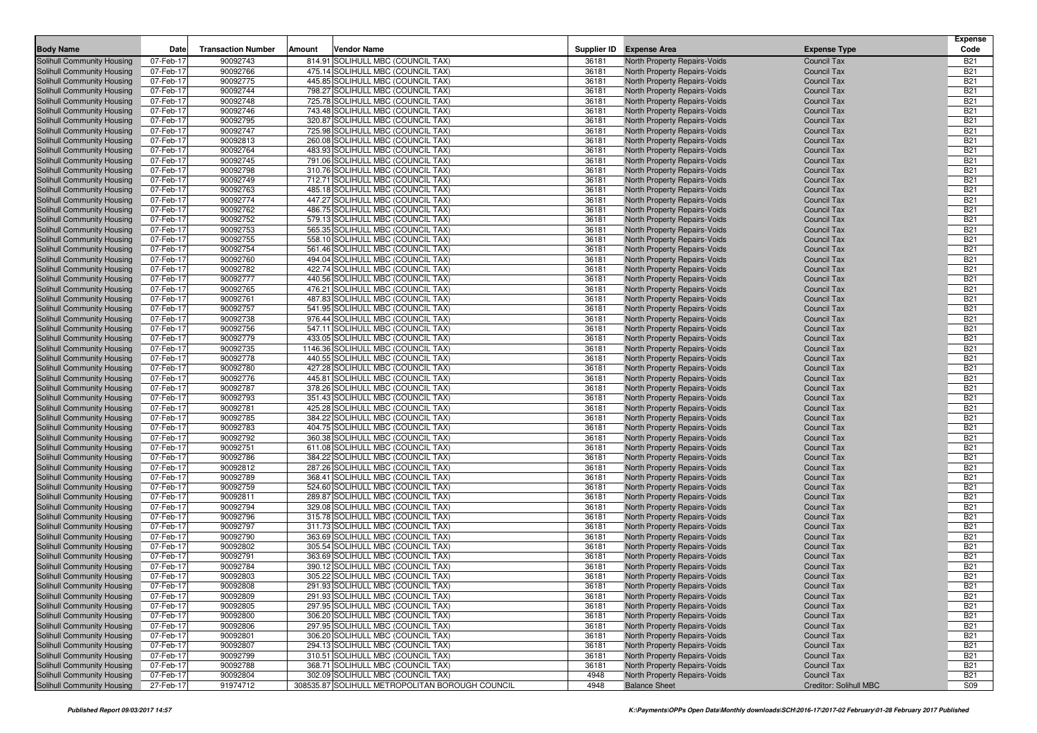| <b>Body Name</b>                                         | Date                   | <b>Transaction Number</b> | Amount | <b>Vendor Name</b>                                                     | Supplier ID    | <b>Expense Area</b>                                                 | <b>Expense Type</b>                      | <b>Expense</b><br>Code   |
|----------------------------------------------------------|------------------------|---------------------------|--------|------------------------------------------------------------------------|----------------|---------------------------------------------------------------------|------------------------------------------|--------------------------|
| Solihull Community Housing                               | 07-Feb-17              | 90092743                  |        | 814.91 SOLIHULL MBC (COUNCIL TAX)                                      | 36181          | North Property Repairs-Voids                                        | <b>Council Tax</b>                       | <b>B21</b>               |
| Solihull Community Housing                               | 07-Feb-17              | 90092766                  |        | 475.14 SOLIHULL MBC (COUNCIL TAX)                                      | 36181          | North Property Repairs-Voids                                        | <b>Council Tax</b>                       | <b>B21</b>               |
| Solihull Community Housing                               | 07-Feb-17              | 90092775                  |        | 445.85 SOLIHULL MBC (COUNCIL TAX)                                      | 36181          | North Property Repairs-Voids                                        | <b>Council Tax</b>                       | <b>B21</b>               |
| Solihull Community Housing                               | 07-Feb-17              | 90092744                  |        | 798.27 SOLIHULL MBC (COUNCIL TAX)                                      | 36181          | North Property Repairs-Voids                                        | <b>Council Tax</b>                       | <b>B21</b>               |
| Solihull Community Housing                               | 07-Feb-17              | 90092748                  |        | 725.78 SOLIHULL MBC (COUNCIL TAX)                                      | 36181          | North Property Repairs-Voids                                        | <b>Council Tax</b>                       | <b>B21</b>               |
| Solihull Community Housing                               | 07-Feb-17              | 90092746                  |        | 743.48 SOLIHULL MBC (COUNCIL TAX)                                      | 36181          | <b>North Property Repairs-Voids</b>                                 | <b>Council Tax</b>                       | <b>B21</b>               |
| Solihull Community Housing                               | 07-Feb-17              | 90092795                  |        | 320.87 SOLIHULL MBC (COUNCIL TAX)                                      | 36181          | North Property Repairs-Voids                                        | <b>Council Tax</b>                       | <b>B21</b>               |
| Solihull Community Housing                               | 07-Feb-17              | 90092747                  |        | 725.98 SOLIHULL MBC (COUNCIL TAX)                                      | 36181          | North Property Repairs-Voids                                        | <b>Council Tax</b>                       | <b>B21</b>               |
| Solihull Community Housing                               | 07-Feb-17              | 90092813                  |        | 260.08 SOLIHULL MBC (COUNCIL TAX)                                      | 36181          | North Property Repairs-Voids                                        | <b>Council Tax</b>                       | <b>B21</b>               |
| Solihull Community Housing                               | 07-Feb-17              | 90092764                  |        | 483.93 SOLIHULL MBC (COUNCIL TAX)                                      | 36181          | North Property Repairs-Voids                                        | <b>Council Tax</b>                       | <b>B21</b>               |
| Solihull Community Housing                               | 07-Feb-17              | 90092745                  |        | 791.06 SOLIHULL MBC (COUNCIL TAX)                                      | 36181          | <b>North Property Repairs-Voids</b>                                 | <b>Council Tax</b>                       | <b>B21</b>               |
| Solihull Community Housing                               | 07-Feb-17              | 90092798                  |        | 310.76 SOLIHULL MBC (COUNCIL TAX)                                      | 36181          | <b>North Property Repairs-Voids</b>                                 | <b>Council Tax</b>                       | <b>B21</b>               |
| Solihull Community Housing                               | 07-Feb-17              | 90092749                  |        | 712.71 SOLIHULL MBC (COUNCIL TAX)                                      | 36181          | North Property Repairs-Voids                                        | <b>Council Tax</b>                       | <b>B21</b>               |
| <b>Solihull Community Housing</b>                        | 07-Feb-17              | 90092763                  |        | 485.18 SOLIHULL MBC (COUNCIL TAX)                                      | 36181          | North Property Repairs-Voids                                        | <b>Council Tax</b>                       | <b>B21</b>               |
| Solihull Community Housing                               | 07-Feb-17              | 90092774                  |        | 447.27 SOLIHULL MBC (COUNCIL TAX)                                      | 36181          | North Property Repairs-Voids                                        | <b>Council Tax</b>                       | <b>B21</b>               |
| Solihull Community Housing                               | 07-Feb-17              | 90092762                  |        | 486.75 SOLIHULL MBC (COUNCIL TAX)                                      | 36181<br>36181 | North Property Repairs-Voids                                        | <b>Council Tax</b>                       | <b>B21</b><br><b>B21</b> |
| Solihull Community Housing                               | 07-Feb-17<br>07-Feb-17 | 90092752<br>90092753      |        | 579.13 SOLIHULL MBC (COUNCIL TAX)<br>565.35 SOLIHULL MBC (COUNCIL TAX) | 36181          | North Property Repairs-Voids                                        | <b>Council Tax</b><br><b>Council Tax</b> | <b>B21</b>               |
| Solihull Community Housing<br>Solihull Community Housing | 07-Feb-17              | 90092755                  |        | 558.10 SOLIHULL MBC (COUNCIL TAX)                                      | 36181          | <b>North Property Repairs-Voids</b><br>North Property Repairs-Voids | <b>Council Tax</b>                       | <b>B21</b>               |
| Solihull Community Housing                               | 07-Feb-17              | 90092754                  |        | 561.46 SOLIHULL MBC (COUNCIL TAX)                                      | 36181          | North Property Repairs-Voids                                        | <b>Council Tax</b>                       | <b>B21</b>               |
| Solihull Community Housing                               | 07-Feb-17              | 90092760                  |        | 494.04 SOLIHULL MBC (COUNCIL TAX)                                      | 36181          | <b>North Property Repairs-Voids</b>                                 | <b>Council Tax</b>                       | <b>B21</b>               |
| Solihull Community Housing                               | 07-Feb-17              | 90092782                  |        | 422.74 SOLIHULL MBC (COUNCIL TAX)                                      | 36181          | <b>North Property Repairs-Voids</b>                                 | <b>Council Tax</b>                       | <b>B21</b>               |
| Solihull Community Housing                               | 07-Feb-17              | 90092777                  |        | 440.56 SOLIHULL MBC (COUNCIL TAX)                                      | 36181          | North Property Repairs-Voids                                        | <b>Council Tax</b>                       | <b>B21</b>               |
| Solihull Community Housing                               | 07-Feb-17              | 90092765                  |        | 476.21 SOLIHULL MBC (COUNCIL TAX)                                      | 36181          | North Property Repairs-Voids                                        | <b>Council Tax</b>                       | <b>B21</b>               |
| Solihull Community Housing                               | 07-Feb-17              | 90092761                  |        | 487.83 SOLIHULL MBC (COUNCIL TAX)                                      | 36181          | North Property Repairs-Voids                                        | <b>Council Tax</b>                       | <b>B21</b>               |
| Solihull Community Housing                               | 07-Feb-17              | 90092757                  |        | 541.95 SOLIHULL MBC (COUNCIL TAX)                                      | 36181          | North Property Repairs-Voids                                        | <b>Council Tax</b>                       | <b>B21</b>               |
| Solihull Community Housing                               | 07-Feb-17              | 90092738                  |        | 976.44 SOLIHULL MBC (COUNCIL TAX)                                      | 36181          | North Property Repairs-Voids                                        | <b>Council Tax</b>                       | <b>B21</b>               |
| Solihull Community Housing                               | 07-Feb-17              | 90092756                  |        | 547.11 SOLIHULL MBC (COUNCIL TAX)                                      | 36181          | North Property Repairs-Voids                                        | <b>Council Tax</b>                       | <b>B21</b>               |
| Solihull Community Housing                               | 07-Feb-17              | 90092779                  |        | 433.05 SOLIHULL MBC (COUNCIL TAX)                                      | 36181          | North Property Repairs-Voids                                        | <b>Council Tax</b>                       | <b>B21</b>               |
| Solihull Community Housing                               | 07-Feb-17              | 90092735                  |        | 1146.36 SOLIHULL MBC (COUNCIL TAX)                                     | 36181          | <b>North Property Repairs-Voids</b>                                 | <b>Council Tax</b>                       | <b>B21</b>               |
| Solihull Community Housing                               | 07-Feb-17              | 90092778                  |        | 440.55 SOLIHULL MBC (COUNCIL TAX)                                      | 36181          | North Property Repairs-Voids                                        | <b>Council Tax</b>                       | <b>B21</b>               |
| Solihull Community Housing                               | 07-Feb-17              | 90092780                  |        | 427.28 SOLIHULL MBC (COUNCIL TAX)                                      | 36181          | North Property Repairs-Voids                                        | <b>Council Tax</b>                       | <b>B21</b>               |
| Solihull Community Housing                               | 07-Feb-17              | 90092776                  |        | 445.81 SOLIHULL MBC (COUNCIL TAX)                                      | 36181          | <b>North Property Repairs-Voids</b>                                 | <b>Council Tax</b>                       | <b>B21</b>               |
| Solihull Community Housing                               | 07-Feb-17              | 90092787                  |        | 378.26 SOLIHULL MBC (COUNCIL TAX)                                      | 36181          | North Property Repairs-Voids                                        | <b>Council Tax</b>                       | <b>B21</b>               |
| Solihull Community Housing                               | 07-Feb-17              | 90092793                  |        | 351.43 SOLIHULL MBC (COUNCIL TAX)                                      | 36181          | North Property Repairs-Voids                                        | <b>Council Tax</b>                       | <b>B21</b>               |
| Solihull Community Housing                               | 07-Feb-17              | 90092781                  |        | 425.28 SOLIHULL MBC (COUNCIL TAX)                                      | 36181          | <b>North Property Repairs-Voids</b>                                 | <b>Council Tax</b>                       | <b>B21</b>               |
| Solihull Community Housing                               | 07-Feb-17              | 90092785                  |        | 384.22 SOLIHULL MBC (COUNCIL TAX)                                      | 36181          | North Property Repairs-Voids                                        | <b>Council Tax</b>                       | <b>B21</b>               |
| Solihull Community Housing                               | 07-Feb-17              | 90092783                  |        | 404.75 SOLIHULL MBC (COUNCIL TAX)                                      | 36181          | North Property Repairs-Voids                                        | <b>Council Tax</b>                       | <b>B21</b>               |
| Solihull Community Housing                               | 07-Feb-17              | 90092792                  |        | 360.38 SOLIHULL MBC (COUNCIL TAX)                                      | 36181          | <b>North Property Repairs-Voids</b>                                 | <b>Council Tax</b>                       | <b>B21</b>               |
| Solihull Community Housing                               | 07-Feb-17              | 90092751                  |        | 611.08 SOLIHULL MBC (COUNCIL TAX)                                      | 36181          | North Property Repairs-Voids                                        | <b>Council Tax</b>                       | <b>B21</b>               |
| Solihull Community Housing                               | 07-Feb-17              | 90092786                  |        | 384.22 SOLIHULL MBC (COUNCIL TAX)                                      | 36181          | North Property Repairs-Voids                                        | <b>Council Tax</b>                       | <b>B21</b>               |
| Solihull Community Housing                               | 07-Feb-17              | 90092812                  |        | 287.26 SOLIHULL MBC (COUNCIL TAX)                                      | 36181          | North Property Repairs-Voids                                        | <b>Council Tax</b>                       | <b>B21</b>               |
| Solihull Community Housing                               | 07-Feb-17              | 90092789                  |        | 368.41 SOLIHULL MBC (COUNCIL TAX)                                      | 36181          | North Property Repairs-Voids                                        | <b>Council Tax</b>                       | <b>B21</b>               |
| Solihull Community Housing                               | 07-Feb-17              | 90092759                  |        | 524.60 SOLIHULL MBC (COUNCIL TAX)                                      | 36181          | North Property Repairs-Voids                                        | <b>Council Tax</b>                       | <b>B21</b><br><b>B21</b> |
| Solihull Community Housing                               | 07-Feb-17              | 90092811                  |        | 289.87 SOLIHULL MBC (COUNCIL TAX)<br>329.08 SOLIHULL MBC (COUNCIL TAX) | 36181<br>36181 | North Property Repairs-Voids                                        | <b>Council Tax</b>                       | <b>B21</b>               |
| Solihull Community Housing<br>Solihull Community Housing | 07-Feb-17<br>07-Feb-17 | 90092794<br>90092796      |        | 315.78 SOLIHULL MBC (COUNCIL TAX)                                      | 36181          | North Property Repairs-Voids<br><b>North Property Repairs-Voids</b> | <b>Council Tax</b><br><b>Council Tax</b> | <b>B21</b>               |
| Solihull Community Housing                               | 07-Feb-17              | 90092797                  |        | 311.73 SOLIHULL MBC (COUNCIL TAX)                                      | 36181          | North Property Repairs-Voids                                        | <b>Council Tax</b>                       | <b>B21</b>               |
| Solihull Community Housing                               | 07-Feb-17              | 90092790                  |        | 363.69 SOLIHULL MBC (COUNCIL TAX)                                      | 36181          | North Property Repairs-Voids                                        | <b>Council Tax</b>                       | <b>B21</b>               |
| Solihull Community Housing                               | 07-Feb-17              | 90092802                  |        | 305.54 SOLIHULL MBC (COUNCIL TAX)                                      | 36181          | North Property Repairs-Voids                                        | <b>Council Tax</b>                       | <b>B21</b>               |
| Solihull Community Housing                               | 07-Feb-17              | 90092791                  |        | 363.69 SOLIHULL MBC (COUNCIL TAX)                                      | 36181          | North Property Repairs-Voids                                        | <b>Council Tax</b>                       | <b>B21</b>               |
| Solihull Community Housing                               | 07-Feb-17              | 90092784                  |        | 390.12 SOLIHULL MBC (COUNCIL TAX)                                      | 36181          | North Property Repairs-Voids                                        | <b>Council Tax</b>                       | <b>B21</b>               |
| Solihull Community Housing                               | 07-Feb-17              | 90092803                  |        | 305.22 SOLIHULL MBC (COUNCIL TAX)                                      | 36181          | North Property Repairs-Voids                                        | <b>Council Tax</b>                       | <b>B21</b>               |
| Solihull Community Housing                               | 07-Feb-17              | 90092808                  |        | 291.93 SOLIHULL MBC (COUNCIL TAX)                                      | 36181          | North Property Repairs-Voids                                        | Council Tax                              | <b>B21</b>               |
| Solihull Community Housing                               | 07-Feb-17              | 90092809                  |        | 291.93 SOLIHULL MBC (COUNCIL TAX)                                      | 36181          | <b>North Property Repairs-Voids</b>                                 | Council Tax                              | <b>B21</b>               |
| Solihull Community Housing                               | 07-Feb-17              | 90092805                  |        | 297.95 SOLIHULL MBC (COUNCIL TAX)                                      | 36181          | North Property Repairs-Voids                                        | <b>Council Tax</b>                       | <b>B21</b>               |
| Solihull Community Housing                               | 07-Feb-17              | 90092800                  |        | 306.20 SOLIHULL MBC (COUNCIL TAX)                                      | 36181          | North Property Repairs-Voids                                        | <b>Council Tax</b>                       | <b>B21</b>               |
| Solihull Community Housing                               | 07-Feb-17              | 90092806                  |        | 297.95 SOLIHULL MBC (COUNCIL TAX)                                      | 36181          | North Property Repairs-Voids                                        | <b>Council Tax</b>                       | <b>B21</b>               |
| Solihull Community Housing                               | 07-Feb-17              | 90092801                  |        | 306.20 SOLIHULL MBC (COUNCIL TAX)                                      | 36181          | North Property Repairs-Voids                                        | <b>Council Tax</b>                       | <b>B21</b>               |
| Solihull Community Housing                               | 07-Feb-17              | 90092807                  |        | 294.13 SOLIHULL MBC (COUNCIL TAX)                                      | 36181          | North Property Repairs-Voids                                        | <b>Council Tax</b>                       | <b>B21</b>               |
| Solihull Community Housing                               | 07-Feb-17              | 90092799                  |        | 310.51 SOLIHULL MBC (COUNCIL TAX)                                      | 36181          | North Property Repairs-Voids                                        | <b>Council Tax</b>                       | <b>B21</b>               |
| Solihull Community Housing                               | 07-Feb-17              | 90092788                  |        | 368.71 SOLIHULL MBC (COUNCIL TAX)                                      | 36181          | <b>North Property Repairs-Voids</b>                                 | <b>Council Tax</b>                       | <b>B21</b>               |
| Solihull Community Housing                               | 07-Feb-17              | 90092804                  |        | 302.09 SOLIHULL MBC (COUNCIL TAX)                                      | 4948           | North Property Repairs-Voids                                        | Council Tax                              | <b>B21</b>               |
| Solihull Community Housing                               | 27-Feb-17              | 91974712                  |        | 308535.87 SOLIHULL METROPOLITAN BOROUGH COUNCIL                        | 4948           | <b>Balance Sheet</b>                                                | Creditor: Solihull MBC                   | <b>S09</b>               |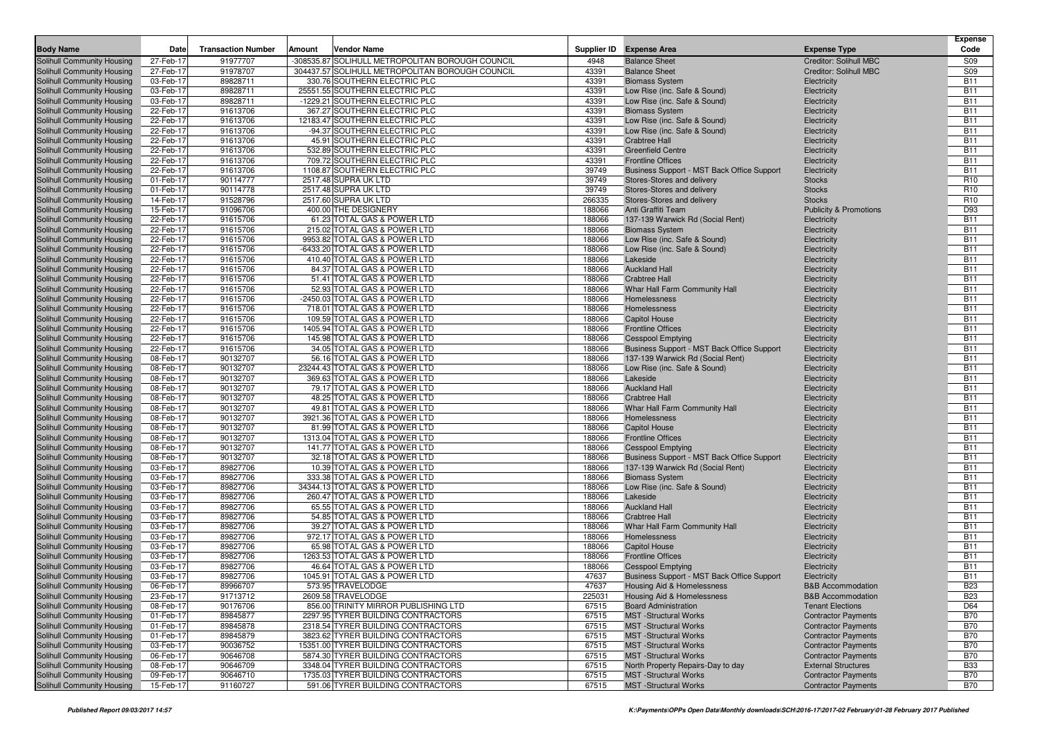| <b>Body Name</b>                                         | Date                   | <b>Transaction Number</b> | Amount | <b>Vendor Name</b>                                          |                  | Supplier ID Expense Area                      | <b>Expense Type</b>               | <b>Expense</b><br>Code   |
|----------------------------------------------------------|------------------------|---------------------------|--------|-------------------------------------------------------------|------------------|-----------------------------------------------|-----------------------------------|--------------------------|
| Solihull Community Housing                               | 27-Feb-17              | 91977707                  |        | -308535.87 SOLIHULL METROPOLITAN BOROUGH COUNCIL            | 4948             | <b>Balance Sheet</b>                          | Creditor: Solihull MBC            | <b>S09</b>               |
| Solihull Community Housing                               | 27-Feb-17              | 91978707                  |        | 304437.57 SOLIHULL METROPOLITAN BOROUGH COUNCIL             | 43391            | <b>Balance Sheet</b>                          | Creditor: Solihull MBC            | <b>S09</b>               |
| Solihull Community Housing                               | 03-Feb-17              | 89828711                  |        | 330.76 SOUTHERN ELECTRIC PLC                                | 43391            | <b>Biomass System</b>                         | Electricity                       | <b>B11</b>               |
| Solihull Community Housing                               | 03-Feb-17              | 89828711                  |        | 25551.55 SOUTHERN ELECTRIC PLC                              | 43391            | Low Rise (inc. Safe & Sound)                  | Electricity                       | <b>B11</b>               |
| Solihull Community Housing                               | 03-Feb-17              | 89828711                  |        | -1229.21 SOUTHERN ELECTRIC PLC                              | 43391            | Low Rise (inc. Safe & Sound)                  | Electricity                       | <b>B11</b>               |
| Solihull Community Housing                               | 22-Feb-17              | 91613706                  |        | 367.27 SOUTHERN ELECTRIC PLC                                | 43391            | <b>Biomass System</b>                         | Electricity                       | <b>B11</b>               |
| Solihull Community Housing                               | 22-Feb-17              | 91613706                  |        | 12183.47 SOUTHERN ELECTRIC PLC                              | 43391            | Low Rise (inc. Safe & Sound)                  | Electricity                       | <b>B11</b>               |
| Solihull Community Housing                               | 22-Feb-17              | 91613706                  |        | -94.37 SOUTHERN ELECTRIC PLC                                | 43391            | Low Rise (inc. Safe & Sound)                  | Electricity                       | <b>B11</b>               |
| Solihull Community Housing                               | 22-Feb-17              | 91613706                  |        | 45.91 SOUTHERN ELECTRIC PLC                                 | 43391            | <b>Crabtree Hall</b>                          | Electricity                       | <b>B11</b>               |
| Solihull Community Housing                               | 22-Feb-17              | 91613706                  |        | 532.89 SOUTHERN ELECTRIC PLC                                | 43391            | <b>Greenfield Centre</b>                      | Electricity                       | <b>B11</b>               |
| Solihull Community Housing                               | 22-Feb-17              | 91613706                  |        | 709.72 SOUTHERN ELECTRIC PLC                                | 43391            | <b>Frontline Offices</b>                      | Electricity                       | <b>B11</b>               |
| Solihull Community Housing                               | 22-Feb-17              | 91613706                  |        | 1108.87 SOUTHERN ELECTRIC PLC                               | 39749            | Business Support - MST Back Office Support    | Electricity                       | <b>B11</b>               |
| Solihull Community Housing                               | 01-Feb-17              | 90114777                  |        | 2517.48 SUPRA UK LTD                                        | 39749            | Stores-Stores and delivery                    | <b>Stocks</b>                     | R <sub>10</sub>          |
| Solihull Community Housing                               | 01-Feb-17              | 90114778                  |        | 2517.48 SUPRA UK LTD                                        | 39749            | Stores-Stores and delivery                    | <b>Stocks</b>                     | R <sub>10</sub>          |
| Solihull Community Housing                               | 14-Feb-17              | 91528796                  |        | 2517.60 SUPRA UK LTD                                        | 266335           | Stores-Stores and delivery                    | <b>Stocks</b>                     | R <sub>10</sub>          |
| Solihull Community Housing                               | 15-Feb-17              | 91096706                  |        | 400.00 THE DESIGNERY                                        | 188066           | Anti Graffiti Team                            | <b>Publicity &amp; Promotions</b> | D93                      |
| Solihull Community Housing                               | 22-Feb-17              | 91615706                  |        | 61.23 TOTAL GAS & POWER LTD                                 | 188066           | 137-139 Warwick Rd (Social Rent)              | Electricity                       | <b>B11</b>               |
| Solihull Community Housing                               | 22-Feb-17              | 91615706                  |        | 215.02 TOTAL GAS & POWER LTD                                | 188066           | <b>Biomass System</b>                         | Electricity                       | <b>B11</b>               |
| Solihull Community Housing                               | 22-Feb-17              | 91615706                  |        | 9953.82 TOTAL GAS & POWER LTD                               | 188066           | Low Rise (inc. Safe & Sound)                  | Electricity                       | <b>B11</b>               |
| Solihull Community Housing                               | 22-Feb-17              | 91615706                  |        | -6433.20 TOTAL GAS & POWER LTD                              | 188066<br>188066 | Low Rise (inc. Safe & Sound)                  | Electricity                       | <b>B11</b><br><b>B11</b> |
| Solihull Community Housing                               | 22-Feb-17<br>22-Feb-17 | 91615706<br>91615706      |        | 410.40 TOTAL GAS & POWER LTD                                |                  | Lakeside<br><b>Auckland Hall</b>              | Electricity                       | <b>B11</b>               |
| Solihull Community Housing                               |                        | 91615706                  |        | 84.37 TOTAL GAS & POWER LTD<br>51.41 TOTAL GAS & POWER LTD  | 188066<br>188066 | <b>Crabtree Hall</b>                          | Electricity                       | <b>B11</b>               |
| Solihull Community Housing<br>Solihull Community Housing | 22-Feb-17<br>22-Feb-17 | 91615706                  |        | 52.93 TOTAL GAS & POWER LTD                                 | 188066           | Whar Hall Farm Community Hall                 | Electricity<br>Electricity        | <b>B11</b>               |
| Solihull Community Housing                               | 22-Feb-17              | 91615706                  |        | -2450.03 TOTAL GAS & POWER LTD                              | 188066           | Homelessness                                  | Electricity                       | <b>B11</b>               |
| Solihull Community Housing                               | 22-Feb-17              | 91615706                  |        | 718.01 TOTAL GAS & POWER LTD                                | 188066           | Homelessness                                  | Electricity                       | <b>B11</b>               |
| Solihull Community Housing                               | 22-Feb-17              | 91615706                  |        | 109.59 TOTAL GAS & POWER LTD                                | 188066           | <b>Capitol House</b>                          | Electricity                       | <b>B11</b>               |
| Solihull Community Housing                               | 22-Feb-17              | 91615706                  |        | 1405.94 TOTAL GAS & POWER LTD                               | 188066           | <b>Frontline Offices</b>                      | Electricity                       | <b>B11</b>               |
| Solihull Community Housing                               | 22-Feb-17              | 91615706                  |        | 145.98 TOTAL GAS & POWER LTD                                | 188066           | <b>Cesspool Emptying</b>                      | Electricity                       | <b>B11</b>               |
| Solihull Community Housing                               | 22-Feb-17              | 91615706                  |        | 34.05 TOTAL GAS & POWER LTD                                 | 188066           | Business Support - MST Back Office Support    | Electricity                       | <b>B11</b>               |
| Solihull Community Housing                               | 08-Feb-17              | 90132707                  |        | 56.16 TOTAL GAS & POWER LTD                                 | 188066           | 137-139 Warwick Rd (Social Rent)              | Electricity                       | <b>B11</b>               |
| Solihull Community Housing                               | 08-Feb-17              | 90132707                  |        | 23244.43 TOTAL GAS & POWER LTD                              | 188066           | Low Rise (inc. Safe & Sound)                  | Electricity                       | <b>B11</b>               |
| Solihull Community Housing                               | 08-Feb-17              | 90132707                  |        | 369.63 TOTAL GAS & POWER LTD                                | 188066           | Lakeside                                      | Electricity                       | <b>B11</b>               |
| Solihull Community Housing                               | 08-Feb-17              | 90132707                  |        | 79.17 TOTAL GAS & POWER LTD                                 | 188066           | <b>Auckland Hall</b>                          | Electricity                       | <b>B11</b>               |
| Solihull Community Housing                               | 08-Feb-17              | 90132707                  |        | 48.25 TOTAL GAS & POWER LTD                                 | 188066           | <b>Crabtree Hall</b>                          | Electricity                       | <b>B11</b>               |
| Solihull Community Housing                               | 08-Feb-17              | 90132707                  |        | 49.81 TOTAL GAS & POWER LTD                                 | 188066           | Whar Hall Farm Community Hall                 | Electricity                       | <b>B11</b>               |
| Solihull Community Housing                               | 08-Feb-17              | 90132707                  |        | 3921.36 TOTAL GAS & POWER LTD                               | 188066           | Homelessness                                  | Electricity                       | <b>B11</b>               |
| Solihull Community Housing                               | 08-Feb-17              | 90132707                  |        | 81.99 TOTAL GAS & POWER LTD                                 | 188066           | <b>Capitol House</b>                          | Electricity                       | <b>B11</b>               |
| Solihull Community Housing                               | 08-Feb-17              | 90132707                  |        | 1313.04 TOTAL GAS & POWER LTD                               | 188066           | <b>Frontline Offices</b>                      | Electricity                       | <b>B11</b>               |
| Solihull Community Housing                               | 08-Feb-17              | 90132707                  |        | 141.77 TOTAL GAS & POWER LTD                                | 188066           | <b>Cesspool Emptying</b>                      | Electricity                       | <b>B11</b>               |
| Solihull Community Housing                               | 08-Feb-17              | 90132707                  |        | 32.18 TOTAL GAS & POWER LTD                                 | 188066           | Business Support - MST Back Office Support    | Electricity                       | <b>B11</b>               |
| Solihull Community Housing                               | 03-Feb-17              | 89827706                  |        | 10.39 TOTAL GAS & POWER LTD                                 | 188066           | 137-139 Warwick Rd (Social Rent)              | Electricity                       | <b>B11</b>               |
| Solihull Community Housing                               | 03-Feb-17              | 89827706                  |        | 333.38 TOTAL GAS & POWER LTD                                | 188066           | <b>Biomass System</b>                         | Electricity                       | <b>B11</b>               |
| Solihull Community Housing                               | 03-Feb-17              | 89827706                  |        | 34344.13 TOTAL GAS & POWER LTD                              | 188066           | Low Rise (inc. Safe & Sound)                  | Electricity                       | <b>B11</b>               |
| Solihull Community Housing                               | 03-Feb-17              | 89827706                  |        | 260.47 TOTAL GAS & POWER LTD                                | 188066           | Lakeside                                      | Electricity                       | <b>B11</b>               |
| Solihull Community Housing                               | 03-Feb-17              | 89827706                  |        | 65.55 TOTAL GAS & POWER LTD                                 | 188066           | <b>Auckland Hall</b>                          | Electricity                       | <b>B11</b>               |
| Solihull Community Housing                               | 03-Feb-17              | 89827706                  |        | 54.85 TOTAL GAS & POWER LTD                                 | 188066           | <b>Crabtree Hall</b>                          | Electricity                       | <b>B11</b>               |
| Solihull Community Housing                               | 03-Feb-17              | 89827706<br>89827706      |        | 39.27 TOTAL GAS & POWER LTD<br>972.17 TOTAL GAS & POWER LTD | 188066<br>188066 | Whar Hall Farm Community Hall<br>Homelessness | Electricity                       | <b>B11</b><br><b>B11</b> |
| Solihull Community Housing<br>Solihull Community Housing | 03-Feb-17<br>03-Feb-17 | 89827706                  |        | 65.98 TOTAL GAS & POWER LTD                                 | 188066           | <b>Capitol House</b>                          | Electricity                       | <b>B11</b>               |
| Solihull Community Housing                               | 03-Feb-17              | 89827706                  |        | 1263.53 TOTAL GAS & POWER LTD                               | 188066           | <b>Frontline Offices</b>                      | Electricity<br>Electricity        | <b>B11</b>               |
| Solihull Community Housing                               | 03-Feb-17              | 89827706                  |        | 46.64 TOTAL GAS & POWER LTD                                 | 188066           | <b>Cesspool Emptying</b>                      | Electricity                       | <b>B11</b>               |
| Solihull Community Housing                               | 03-Feb-17              | 89827706                  |        | 1045.91 TOTAL GAS & POWER LTD                               | 47637            | Business Support - MST Back Office Support    | Electricity                       | <b>B11</b>               |
| Solihull Community Housing                               | 06-Feb-17              | 89966707                  |        | 573.95 TRAVELODGE                                           | 47637            | Housing Aid & Homelessness                    | <b>B&amp;B</b> Accommodation      | <b>B23</b>               |
| Solihull Community Housing                               | 23-Feb-17              | 91713712                  |        | 2609.58 TRAVELODGE                                          | 225031           | <b>Housing Aid &amp; Homelessness</b>         | <b>B&amp;B Accommodation</b>      | <b>B23</b>               |
| Solihull Community Housing                               | 08-Feb-17              | 90176706                  |        | 856.00 TRINITY MIRROR PUBLISHING LTD                        | 67515            | <b>Board Administration</b>                   | <b>Tenant Elections</b>           | D64                      |
| Solihull Community Housing                               | 01-Feb-17              | 89845877                  |        | 2297.95 TYRER BUILDING CONTRACTORS                          | 67515            | <b>MST</b> - Structural Works                 | <b>Contractor Payments</b>        | <b>B70</b>               |
| Solihull Community Housing                               | 01-Feb-17              | 89845878                  |        | 2318.54 TYRER BUILDING CONTRACTORS                          | 67515            | <b>MST</b> -Structural Works                  | <b>Contractor Payments</b>        | <b>B70</b>               |
| Solihull Community Housing                               | 01-Feb-17              | 89845879                  |        | 3823.62 TYRER BUILDING CONTRACTORS                          | 67515            | <b>MST</b> -Structural Works                  | <b>Contractor Payments</b>        | <b>B70</b>               |
| Solihull Community Housing                               | 03-Feb-17              | 90036752                  |        | 15351.00 TYRER BUILDING CONTRACTORS                         | 67515            | <b>MST</b> -Structural Works                  | <b>Contractor Payments</b>        | B70                      |
| Solihull Community Housing                               | 06-Feb-17              | 90646708                  |        | 5874.30 TYRER BUILDING CONTRACTORS                          | 67515            | <b>MST</b> -Structural Works                  | <b>Contractor Payments</b>        | <b>B70</b>               |
| Solihull Community Housing                               | 08-Feb-17              | 90646709                  |        | 3348.04 TYRER BUILDING CONTRACTORS                          | 67515            | North Property Repairs-Day to day             | <b>External Structures</b>        | <b>B33</b>               |
| Solihull Community Housing                               | 09-Feb-17              | 90646710                  |        | 1735.03 TYRER BUILDING CONTRACTORS                          | 67515            | <b>MST</b> -Structural Works                  | <b>Contractor Payments</b>        | <b>B70</b>               |
| Solihull Community Housing                               | 15-Feb-17              | 91160727                  |        | 591.06 TYRER BUILDING CONTRACTORS                           | 67515            | <b>MST</b> -Structural Works                  | <b>Contractor Payments</b>        | <b>B70</b>               |